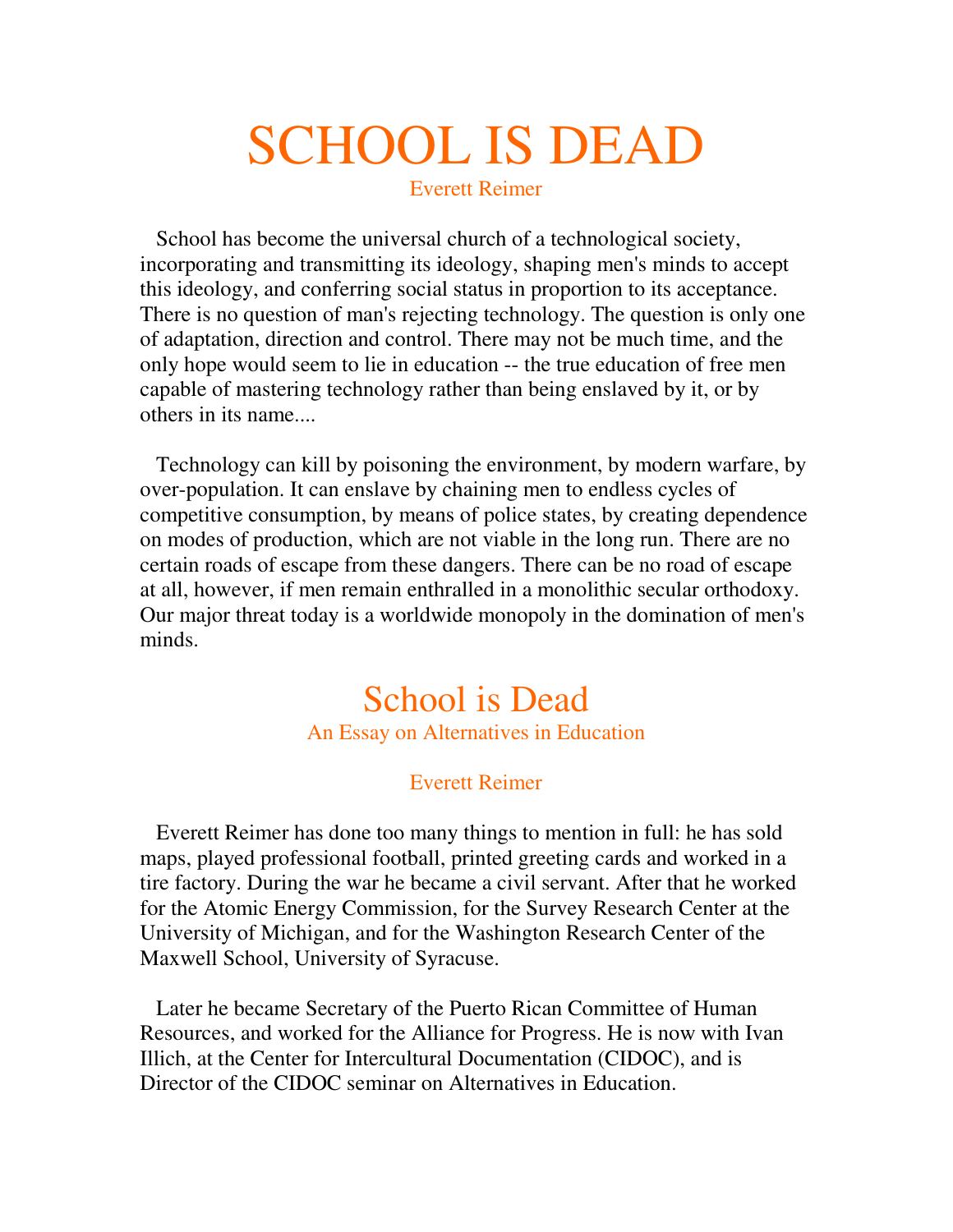# SCHOOL IS DEAD

Everett Reimer

 School has become the universal church of a technological society, incorporating and transmitting its ideology, shaping men's minds to accept this ideology, and conferring social status in proportion to its acceptance. There is no question of man's rejecting technology. The question is only one of adaptation, direction and control. There may not be much time, and the only hope would seem to lie in education -- the true education of free men capable of mastering technology rather than being enslaved by it, or by others in its name....

 Technology can kill by poisoning the environment, by modern warfare, by over-population. It can enslave by chaining men to endless cycles of competitive consumption, by means of police states, by creating dependence on modes of production, which are not viable in the long run. There are no certain roads of escape from these dangers. There can be no road of escape at all, however, if men remain enthralled in a monolithic secular orthodoxy. Our major threat today is a worldwide monopoly in the domination of men's minds.

# School is Dead An Essay on Alternatives in Education

# Everett Reimer

 Everett Reimer has done too many things to mention in full: he has sold maps, played professional football, printed greeting cards and worked in a tire factory. During the war he became a civil servant. After that he worked for the Atomic Energy Commission, for the Survey Research Center at the University of Michigan, and for the Washington Research Center of the Maxwell School, University of Syracuse.

 Later he became Secretary of the Puerto Rican Committee of Human Resources, and worked for the Alliance for Progress. He is now with Ivan Illich, at the Center for Intercultural Documentation (CIDOC), and is Director of the CIDOC seminar on Alternatives in Education.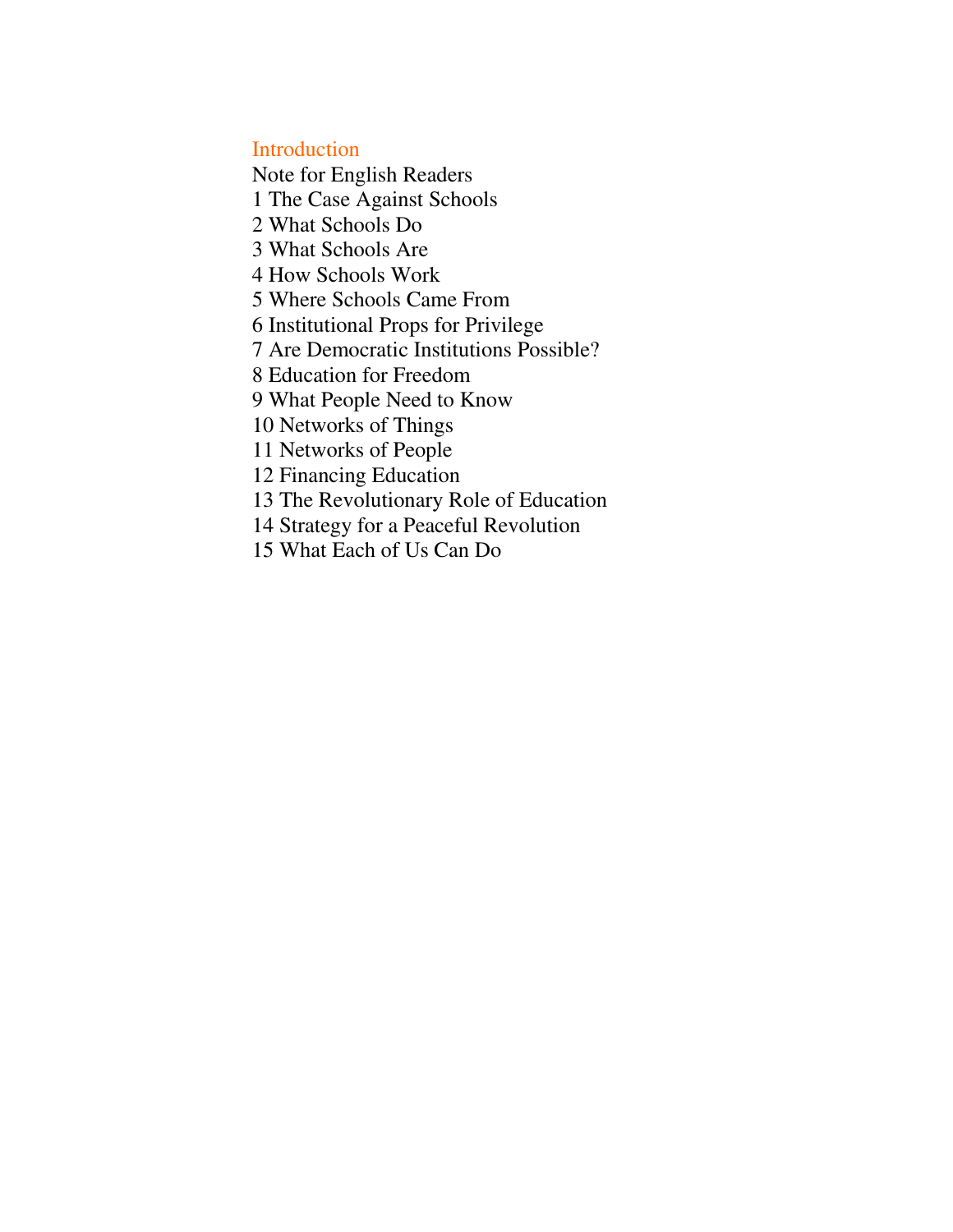# Introduction

Note for English Readers

1 The Case Against Schools

2 What Schools Do

3 What Schools Are

4 How Schools Work

5 Where Schools Came From

6 Institutional Props for Privilege

7 Are Democratic Institutions Possible?

8 Education for Freedom

9 What People Need to Know

10 Networks of Things

11 Networks of People

12 Financing Education

13 The Revolutionary Role of Education

14 Strategy for a Peaceful Revolution

15 What Each of Us Can Do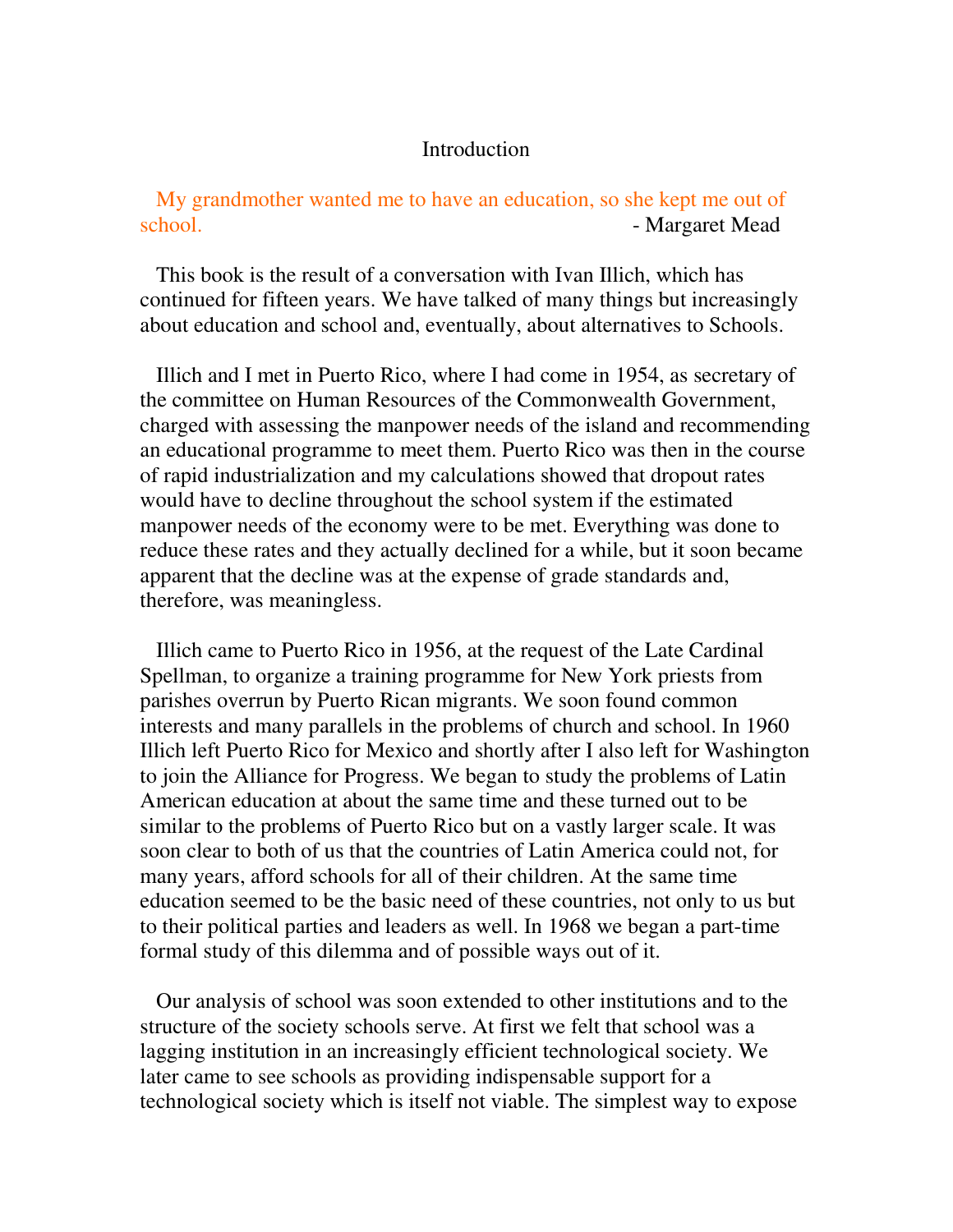## **Introduction**

# My grandmother wanted me to have an education, so she kept me out of school. **- Margaret Mead**

 This book is the result of a conversation with Ivan Illich, which has continued for fifteen years. We have talked of many things but increasingly about education and school and, eventually, about alternatives to Schools.

 Illich and I met in Puerto Rico, where I had come in 1954, as secretary of the committee on Human Resources of the Commonwealth Government, charged with assessing the manpower needs of the island and recommending an educational programme to meet them. Puerto Rico was then in the course of rapid industrialization and my calculations showed that dropout rates would have to decline throughout the school system if the estimated manpower needs of the economy were to be met. Everything was done to reduce these rates and they actually declined for a while, but it soon became apparent that the decline was at the expense of grade standards and, therefore, was meaningless.

 Illich came to Puerto Rico in 1956, at the request of the Late Cardinal Spellman, to organize a training programme for New York priests from parishes overrun by Puerto Rican migrants. We soon found common interests and many parallels in the problems of church and school. In 1960 Illich left Puerto Rico for Mexico and shortly after I also left for Washington to join the Alliance for Progress. We began to study the problems of Latin American education at about the same time and these turned out to be similar to the problems of Puerto Rico but on a vastly larger scale. It was soon clear to both of us that the countries of Latin America could not, for many years, afford schools for all of their children. At the same time education seemed to be the basic need of these countries, not only to us but to their political parties and leaders as well. In 1968 we began a part-time formal study of this dilemma and of possible ways out of it.

 Our analysis of school was soon extended to other institutions and to the structure of the society schools serve. At first we felt that school was a lagging institution in an increasingly efficient technological society. We later came to see schools as providing indispensable support for a technological society which is itself not viable. The simplest way to expose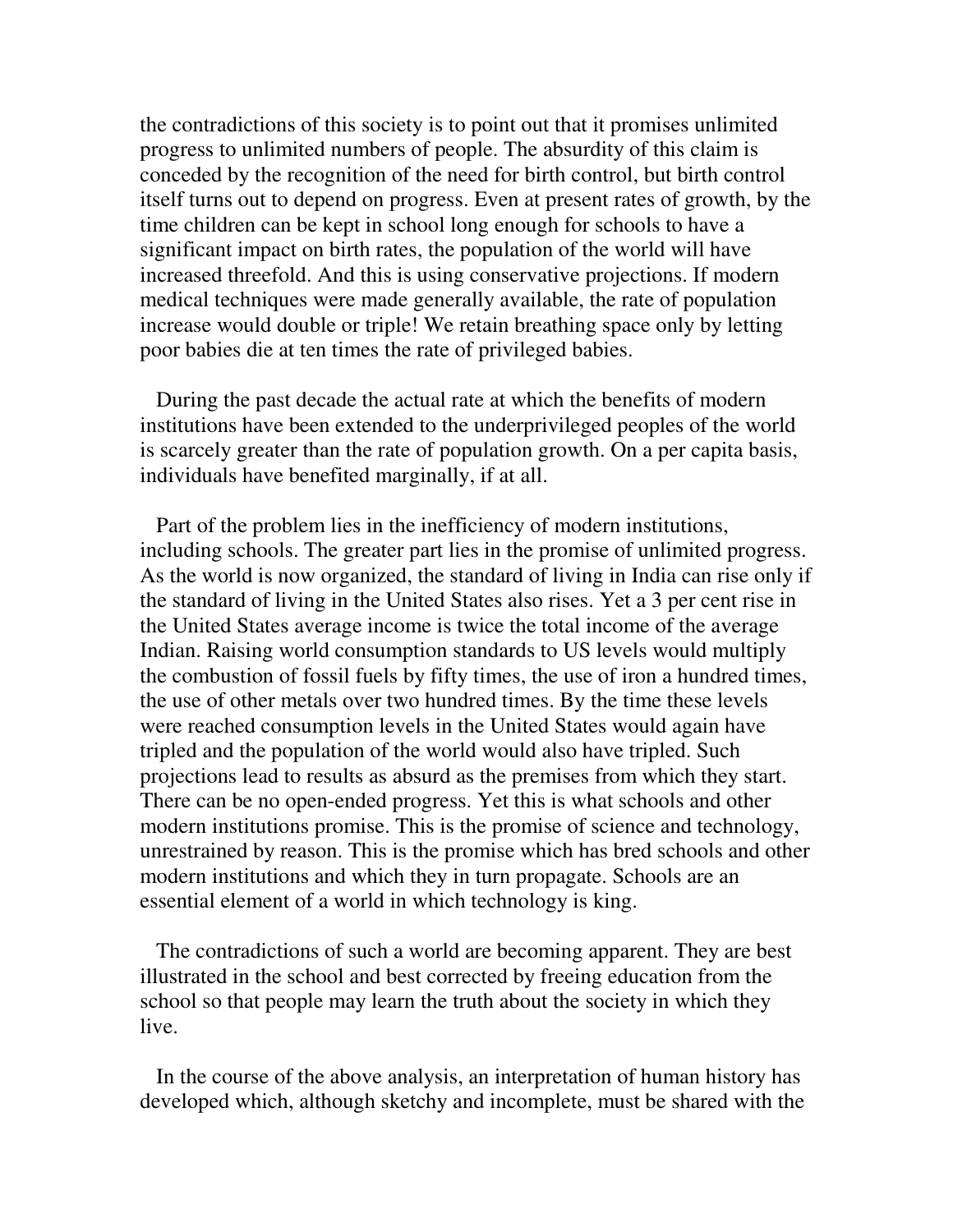the contradictions of this society is to point out that it promises unlimited progress to unlimited numbers of people. The absurdity of this claim is conceded by the recognition of the need for birth control, but birth control itself turns out to depend on progress. Even at present rates of growth, by the time children can be kept in school long enough for schools to have a significant impact on birth rates, the population of the world will have increased threefold. And this is using conservative projections. If modern medical techniques were made generally available, the rate of population increase would double or triple! We retain breathing space only by letting poor babies die at ten times the rate of privileged babies.

 During the past decade the actual rate at which the benefits of modern institutions have been extended to the underprivileged peoples of the world is scarcely greater than the rate of population growth. On a per capita basis, individuals have benefited marginally, if at all.

 Part of the problem lies in the inefficiency of modern institutions, including schools. The greater part lies in the promise of unlimited progress. As the world is now organized, the standard of living in India can rise only if the standard of living in the United States also rises. Yet a 3 per cent rise in the United States average income is twice the total income of the average Indian. Raising world consumption standards to US levels would multiply the combustion of fossil fuels by fifty times, the use of iron a hundred times, the use of other metals over two hundred times. By the time these levels were reached consumption levels in the United States would again have tripled and the population of the world would also have tripled. Such projections lead to results as absurd as the premises from which they start. There can be no open-ended progress. Yet this is what schools and other modern institutions promise. This is the promise of science and technology, unrestrained by reason. This is the promise which has bred schools and other modern institutions and which they in turn propagate. Schools are an essential element of a world in which technology is king.

 The contradictions of such a world are becoming apparent. They are best illustrated in the school and best corrected by freeing education from the school so that people may learn the truth about the society in which they live.

 In the course of the above analysis, an interpretation of human history has developed which, although sketchy and incomplete, must be shared with the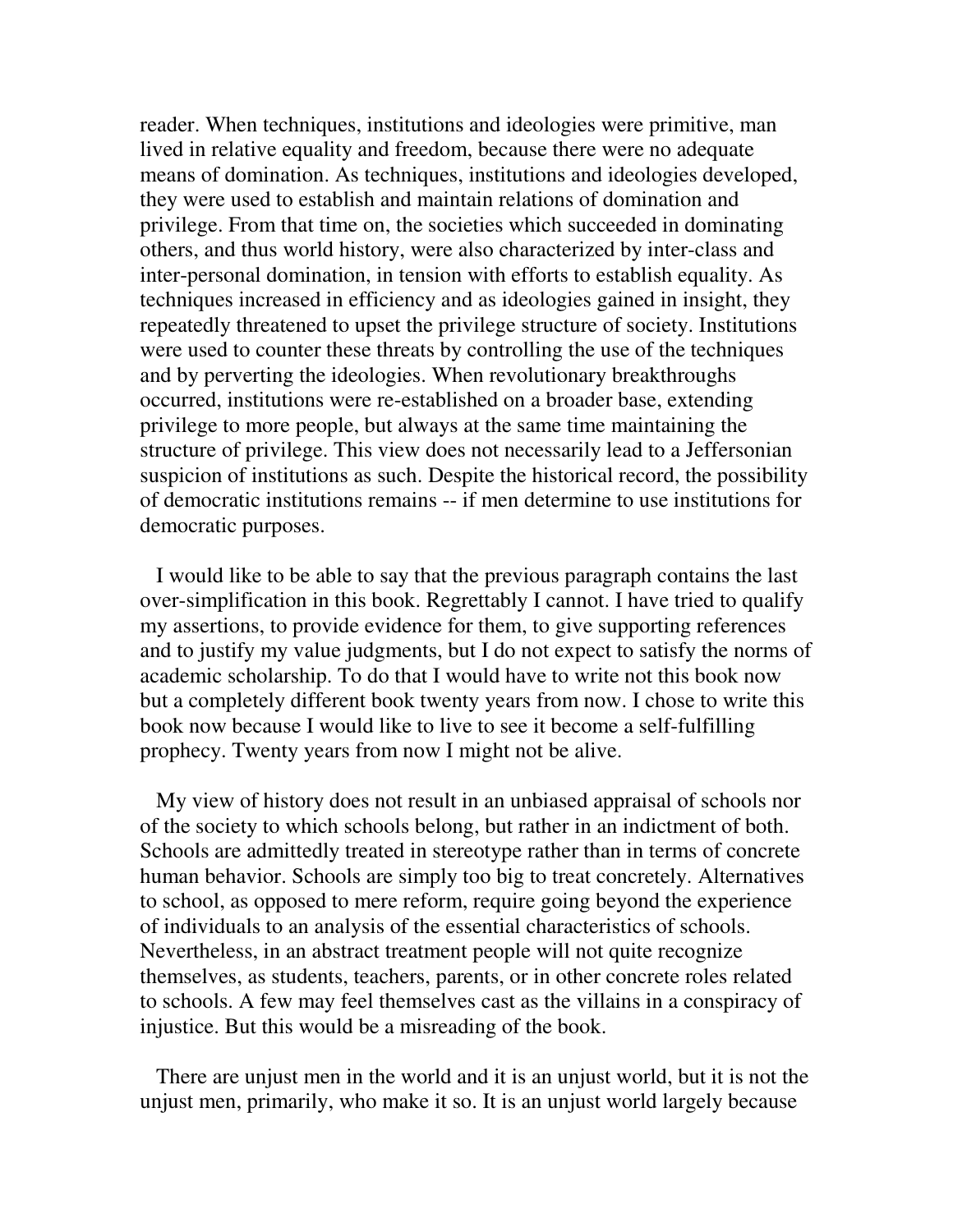reader. When techniques, institutions and ideologies were primitive, man lived in relative equality and freedom, because there were no adequate means of domination. As techniques, institutions and ideologies developed, they were used to establish and maintain relations of domination and privilege. From that time on, the societies which succeeded in dominating others, and thus world history, were also characterized by inter-class and inter-personal domination, in tension with efforts to establish equality. As techniques increased in efficiency and as ideologies gained in insight, they repeatedly threatened to upset the privilege structure of society. Institutions were used to counter these threats by controlling the use of the techniques and by perverting the ideologies. When revolutionary breakthroughs occurred, institutions were re-established on a broader base, extending privilege to more people, but always at the same time maintaining the structure of privilege. This view does not necessarily lead to a Jeffersonian suspicion of institutions as such. Despite the historical record, the possibility of democratic institutions remains -- if men determine to use institutions for democratic purposes.

 I would like to be able to say that the previous paragraph contains the last over-simplification in this book. Regrettably I cannot. I have tried to qualify my assertions, to provide evidence for them, to give supporting references and to justify my value judgments, but I do not expect to satisfy the norms of academic scholarship. To do that I would have to write not this book now but a completely different book twenty years from now. I chose to write this book now because I would like to live to see it become a self-fulfilling prophecy. Twenty years from now I might not be alive.

 My view of history does not result in an unbiased appraisal of schools nor of the society to which schools belong, but rather in an indictment of both. Schools are admittedly treated in stereotype rather than in terms of concrete human behavior. Schools are simply too big to treat concretely. Alternatives to school, as opposed to mere reform, require going beyond the experience of individuals to an analysis of the essential characteristics of schools. Nevertheless, in an abstract treatment people will not quite recognize themselves, as students, teachers, parents, or in other concrete roles related to schools. A few may feel themselves cast as the villains in a conspiracy of injustice. But this would be a misreading of the book.

 There are unjust men in the world and it is an unjust world, but it is not the unjust men, primarily, who make it so. It is an unjust world largely because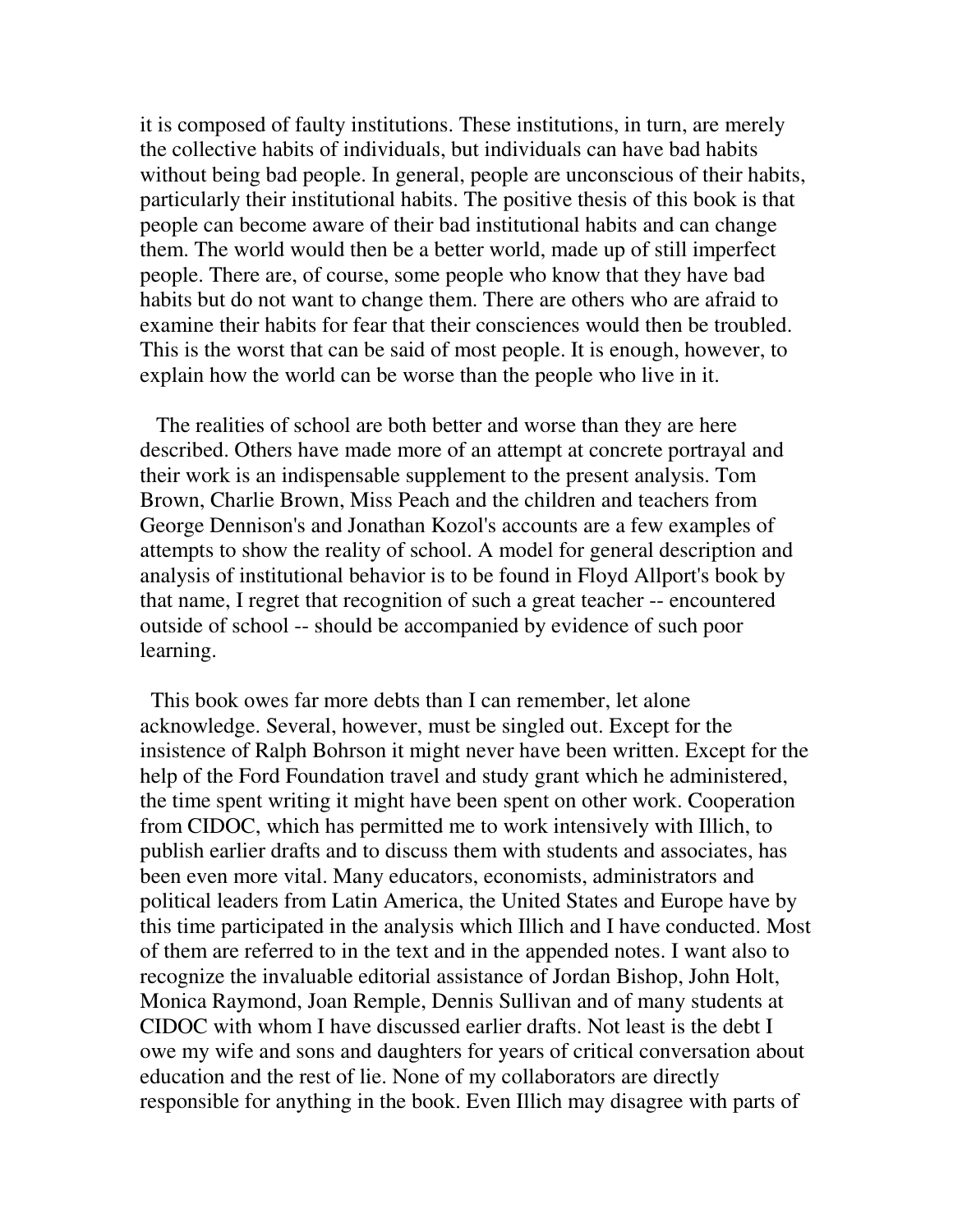it is composed of faulty institutions. These institutions, in turn, are merely the collective habits of individuals, but individuals can have bad habits without being bad people. In general, people are unconscious of their habits, particularly their institutional habits. The positive thesis of this book is that people can become aware of their bad institutional habits and can change them. The world would then be a better world, made up of still imperfect people. There are, of course, some people who know that they have bad habits but do not want to change them. There are others who are afraid to examine their habits for fear that their consciences would then be troubled. This is the worst that can be said of most people. It is enough, however, to explain how the world can be worse than the people who live in it.

 The realities of school are both better and worse than they are here described. Others have made more of an attempt at concrete portrayal and their work is an indispensable supplement to the present analysis. Tom Brown, Charlie Brown, Miss Peach and the children and teachers from George Dennison's and Jonathan Kozol's accounts are a few examples of attempts to show the reality of school. A model for general description and analysis of institutional behavior is to be found in Floyd Allport's book by that name, I regret that recognition of such a great teacher -- encountered outside of school -- should be accompanied by evidence of such poor learning.

 This book owes far more debts than I can remember, let alone acknowledge. Several, however, must be singled out. Except for the insistence of Ralph Bohrson it might never have been written. Except for the help of the Ford Foundation travel and study grant which he administered, the time spent writing it might have been spent on other work. Cooperation from CIDOC, which has permitted me to work intensively with Illich, to publish earlier drafts and to discuss them with students and associates, has been even more vital. Many educators, economists, administrators and political leaders from Latin America, the United States and Europe have by this time participated in the analysis which Illich and I have conducted. Most of them are referred to in the text and in the appended notes. I want also to recognize the invaluable editorial assistance of Jordan Bishop, John Holt, Monica Raymond, Joan Remple, Dennis Sullivan and of many students at CIDOC with whom I have discussed earlier drafts. Not least is the debt I owe my wife and sons and daughters for years of critical conversation about education and the rest of lie. None of my collaborators are directly responsible for anything in the book. Even Illich may disagree with parts of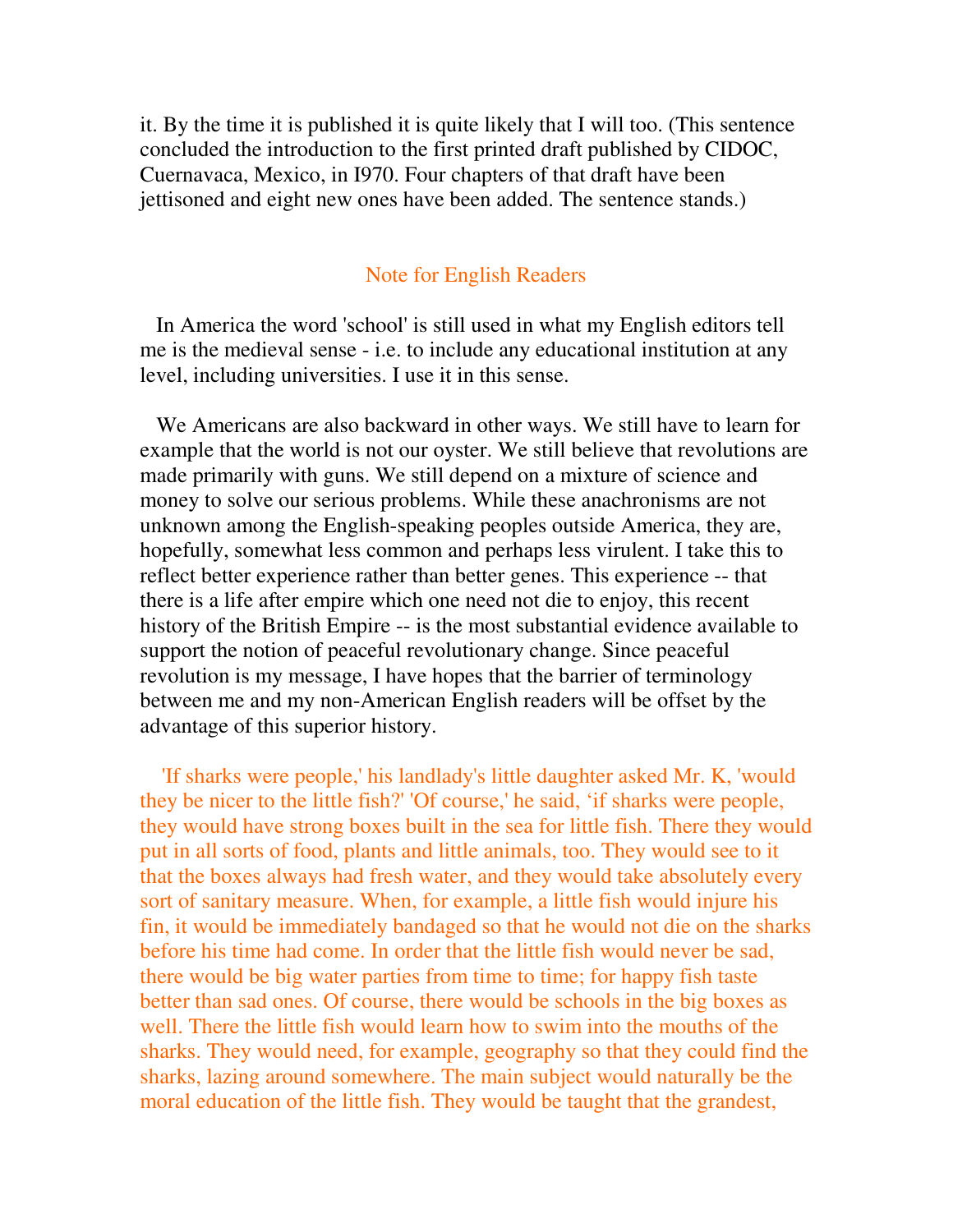it. By the time it is published it is quite likely that I will too. (This sentence concluded the introduction to the first printed draft published by CIDOC, Cuernavaca, Mexico, in I970. Four chapters of that draft have been jettisoned and eight new ones have been added. The sentence stands.)

#### Note for English Readers

 In America the word 'school' is still used in what my English editors tell me is the medieval sense - i.e. to include any educational institution at any level, including universities. I use it in this sense.

 We Americans are also backward in other ways. We still have to learn for example that the world is not our oyster. We still believe that revolutions are made primarily with guns. We still depend on a mixture of science and money to solve our serious problems. While these anachronisms are not unknown among the English-speaking peoples outside America, they are, hopefully, somewhat less common and perhaps less virulent. I take this to reflect better experience rather than better genes. This experience -- that there is a life after empire which one need not die to enjoy, this recent history of the British Empire -- is the most substantial evidence available to support the notion of peaceful revolutionary change. Since peaceful revolution is my message, I have hopes that the barrier of terminology between me and my non-American English readers will be offset by the advantage of this superior history.

 'If sharks were people,' his landlady's little daughter asked Mr. K, 'would they be nicer to the little fish?' 'Of course,' he said, 'if sharks were people, they would have strong boxes built in the sea for little fish. There they would put in all sorts of food, plants and little animals, too. They would see to it that the boxes always had fresh water, and they would take absolutely every sort of sanitary measure. When, for example, a little fish would injure his fin, it would be immediately bandaged so that he would not die on the sharks before his time had come. In order that the little fish would never be sad, there would be big water parties from time to time; for happy fish taste better than sad ones. Of course, there would be schools in the big boxes as well. There the little fish would learn how to swim into the mouths of the sharks. They would need, for example, geography so that they could find the sharks, lazing around somewhere. The main subject would naturally be the moral education of the little fish. They would be taught that the grandest,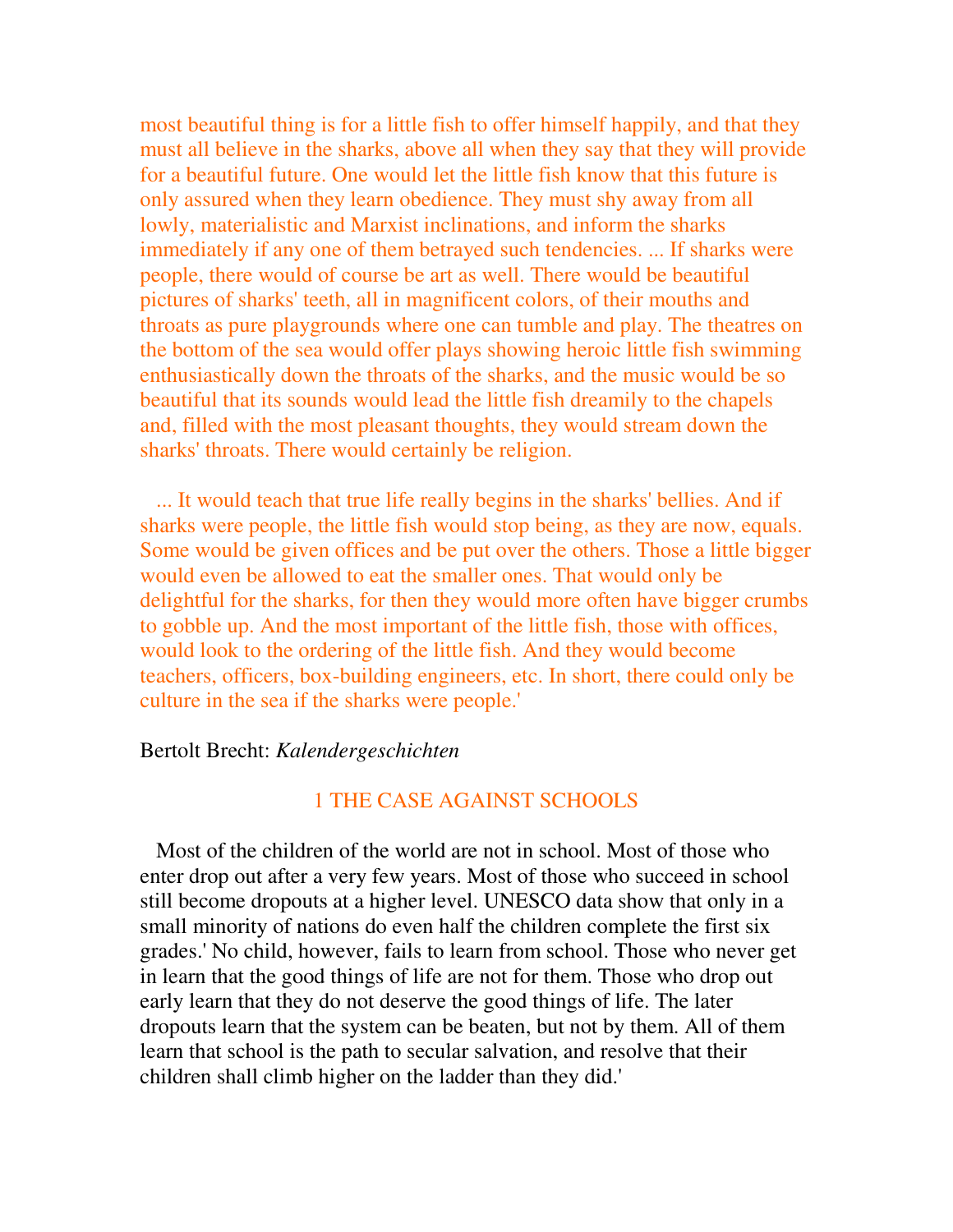most beautiful thing is for a little fish to offer himself happily, and that they must all believe in the sharks, above all when they say that they will provide for a beautiful future. One would let the little fish know that this future is only assured when they learn obedience. They must shy away from all lowly, materialistic and Marxist inclinations, and inform the sharks immediately if any one of them betrayed such tendencies. ... If sharks were people, there would of course be art as well. There would be beautiful pictures of sharks' teeth, all in magnificent colors, of their mouths and throats as pure playgrounds where one can tumble and play. The theatres on the bottom of the sea would offer plays showing heroic little fish swimming enthusiastically down the throats of the sharks, and the music would be so beautiful that its sounds would lead the little fish dreamily to the chapels and, filled with the most pleasant thoughts, they would stream down the sharks' throats. There would certainly be religion.

 ... It would teach that true life really begins in the sharks' bellies. And if sharks were people, the little fish would stop being, as they are now, equals. Some would be given offices and be put over the others. Those a little bigger would even be allowed to eat the smaller ones. That would only be delightful for the sharks, for then they would more often have bigger crumbs to gobble up. And the most important of the little fish, those with offices, would look to the ordering of the little fish. And they would become teachers, officers, box-building engineers, etc. In short, there could only be culture in the sea if the sharks were people.'

#### Bertolt Brecht: *Kalendergeschichten*

# 1 THE CASE AGAINST SCHOOLS

 Most of the children of the world are not in school. Most of those who enter drop out after a very few years. Most of those who succeed in school still become dropouts at a higher level. UNESCO data show that only in a small minority of nations do even half the children complete the first six grades.' No child, however, fails to learn from school. Those who never get in learn that the good things of life are not for them. Those who drop out early learn that they do not deserve the good things of life. The later dropouts learn that the system can be beaten, but not by them. All of them learn that school is the path to secular salvation, and resolve that their children shall climb higher on the ladder than they did.'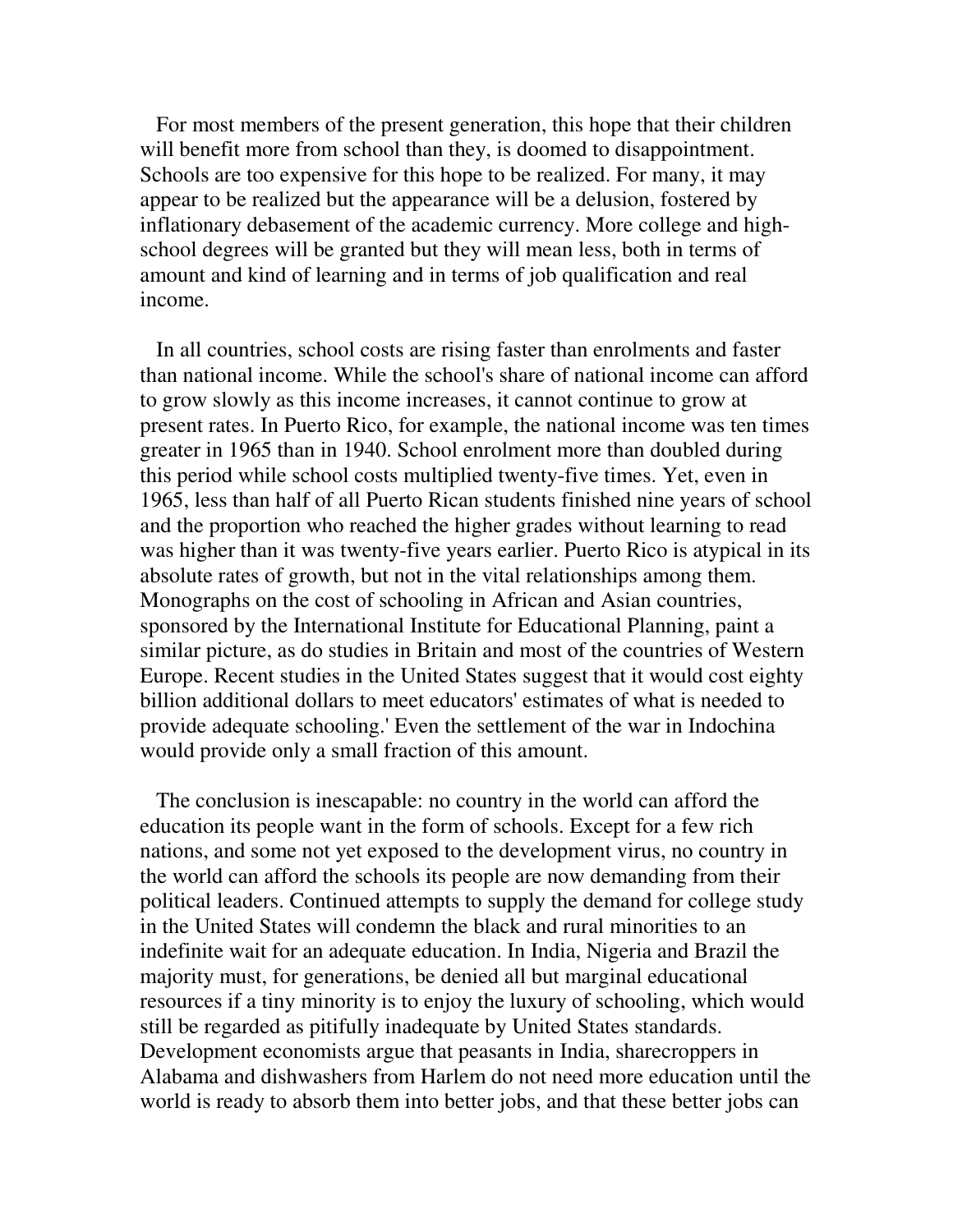For most members of the present generation, this hope that their children will benefit more from school than they, is doomed to disappointment. Schools are too expensive for this hope to be realized. For many, it may appear to be realized but the appearance will be a delusion, fostered by inflationary debasement of the academic currency. More college and highschool degrees will be granted but they will mean less, both in terms of amount and kind of learning and in terms of job qualification and real income.

 In all countries, school costs are rising faster than enrolments and faster than national income. While the school's share of national income can afford to grow slowly as this income increases, it cannot continue to grow at present rates. In Puerto Rico, for example, the national income was ten times greater in 1965 than in 1940. School enrolment more than doubled during this period while school costs multiplied twenty-five times. Yet, even in 1965, less than half of all Puerto Rican students finished nine years of school and the proportion who reached the higher grades without learning to read was higher than it was twenty-five years earlier. Puerto Rico is atypical in its absolute rates of growth, but not in the vital relationships among them. Monographs on the cost of schooling in African and Asian countries, sponsored by the International Institute for Educational Planning, paint a similar picture, as do studies in Britain and most of the countries of Western Europe. Recent studies in the United States suggest that it would cost eighty billion additional dollars to meet educators' estimates of what is needed to provide adequate schooling.' Even the settlement of the war in Indochina would provide only a small fraction of this amount.

 The conclusion is inescapable: no country in the world can afford the education its people want in the form of schools. Except for a few rich nations, and some not yet exposed to the development virus, no country in the world can afford the schools its people are now demanding from their political leaders. Continued attempts to supply the demand for college study in the United States will condemn the black and rural minorities to an indefinite wait for an adequate education. In India, Nigeria and Brazil the majority must, for generations, be denied all but marginal educational resources if a tiny minority is to enjoy the luxury of schooling, which would still be regarded as pitifully inadequate by United States standards. Development economists argue that peasants in India, sharecroppers in Alabama and dishwashers from Harlem do not need more education until the world is ready to absorb them into better jobs, and that these better jobs can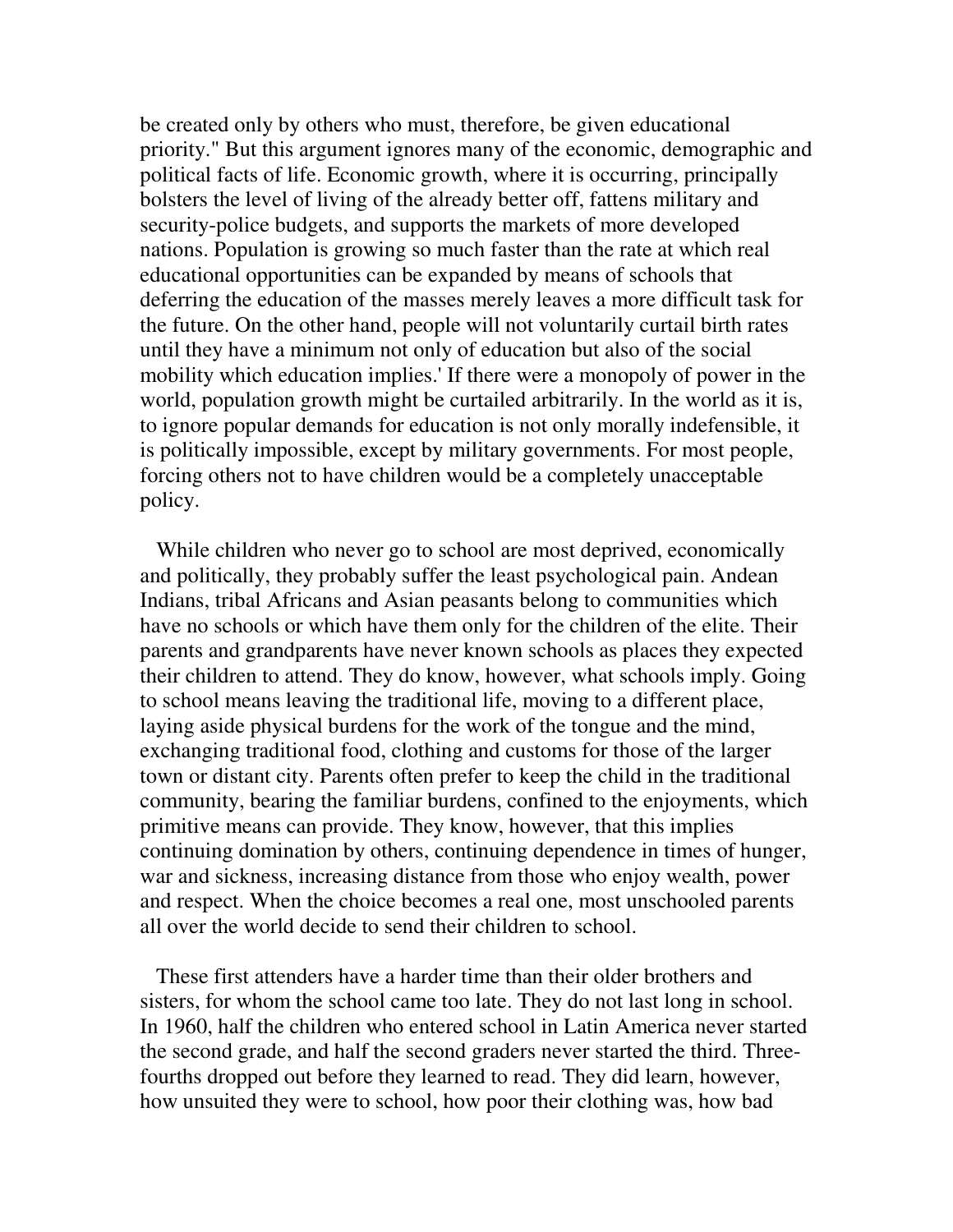be created only by others who must, therefore, be given educational priority." But this argument ignores many of the economic, demographic and political facts of life. Economic growth, where it is occurring, principally bolsters the level of living of the already better off, fattens military and security-police budgets, and supports the markets of more developed nations. Population is growing so much faster than the rate at which real educational opportunities can be expanded by means of schools that deferring the education of the masses merely leaves a more difficult task for the future. On the other hand, people will not voluntarily curtail birth rates until they have a minimum not only of education but also of the social mobility which education implies.' If there were a monopoly of power in the world, population growth might be curtailed arbitrarily. In the world as it is, to ignore popular demands for education is not only morally indefensible, it is politically impossible, except by military governments. For most people, forcing others not to have children would be a completely unacceptable policy.

 While children who never go to school are most deprived, economically and politically, they probably suffer the least psychological pain. Andean Indians, tribal Africans and Asian peasants belong to communities which have no schools or which have them only for the children of the elite. Their parents and grandparents have never known schools as places they expected their children to attend. They do know, however, what schools imply. Going to school means leaving the traditional life, moving to a different place, laying aside physical burdens for the work of the tongue and the mind, exchanging traditional food, clothing and customs for those of the larger town or distant city. Parents often prefer to keep the child in the traditional community, bearing the familiar burdens, confined to the enjoyments, which primitive means can provide. They know, however, that this implies continuing domination by others, continuing dependence in times of hunger, war and sickness, increasing distance from those who enjoy wealth, power and respect. When the choice becomes a real one, most unschooled parents all over the world decide to send their children to school.

 These first attenders have a harder time than their older brothers and sisters, for whom the school came too late. They do not last long in school. In 1960, half the children who entered school in Latin America never started the second grade, and half the second graders never started the third. Threefourths dropped out before they learned to read. They did learn, however, how unsuited they were to school, how poor their clothing was, how bad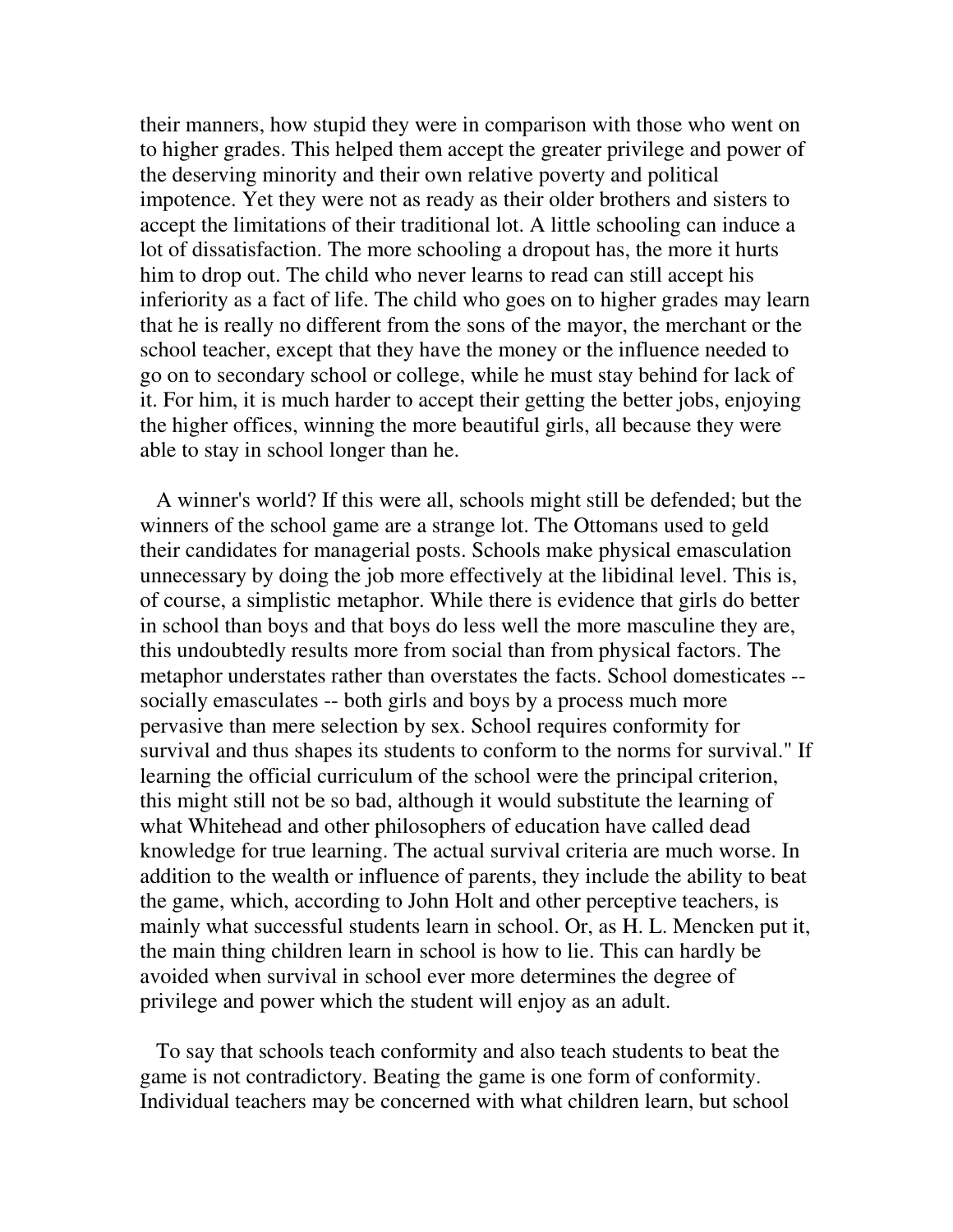their manners, how stupid they were in comparison with those who went on to higher grades. This helped them accept the greater privilege and power of the deserving minority and their own relative poverty and political impotence. Yet they were not as ready as their older brothers and sisters to accept the limitations of their traditional lot. A little schooling can induce a lot of dissatisfaction. The more schooling a dropout has, the more it hurts him to drop out. The child who never learns to read can still accept his inferiority as a fact of life. The child who goes on to higher grades may learn that he is really no different from the sons of the mayor, the merchant or the school teacher, except that they have the money or the influence needed to go on to secondary school or college, while he must stay behind for lack of it. For him, it is much harder to accept their getting the better jobs, enjoying the higher offices, winning the more beautiful girls, all because they were able to stay in school longer than he.

 A winner's world? If this were all, schools might still be defended; but the winners of the school game are a strange lot. The Ottomans used to geld their candidates for managerial posts. Schools make physical emasculation unnecessary by doing the job more effectively at the libidinal level. This is, of course, a simplistic metaphor. While there is evidence that girls do better in school than boys and that boys do less well the more masculine they are, this undoubtedly results more from social than from physical factors. The metaphor understates rather than overstates the facts. School domesticates - socially emasculates -- both girls and boys by a process much more pervasive than mere selection by sex. School requires conformity for survival and thus shapes its students to conform to the norms for survival." If learning the official curriculum of the school were the principal criterion, this might still not be so bad, although it would substitute the learning of what Whitehead and other philosophers of education have called dead knowledge for true learning. The actual survival criteria are much worse. In addition to the wealth or influence of parents, they include the ability to beat the game, which, according to John Holt and other perceptive teachers, is mainly what successful students learn in school. Or, as H. L. Mencken put it, the main thing children learn in school is how to lie. This can hardly be avoided when survival in school ever more determines the degree of privilege and power which the student will enjoy as an adult.

 To say that schools teach conformity and also teach students to beat the game is not contradictory. Beating the game is one form of conformity. Individual teachers may be concerned with what children learn, but school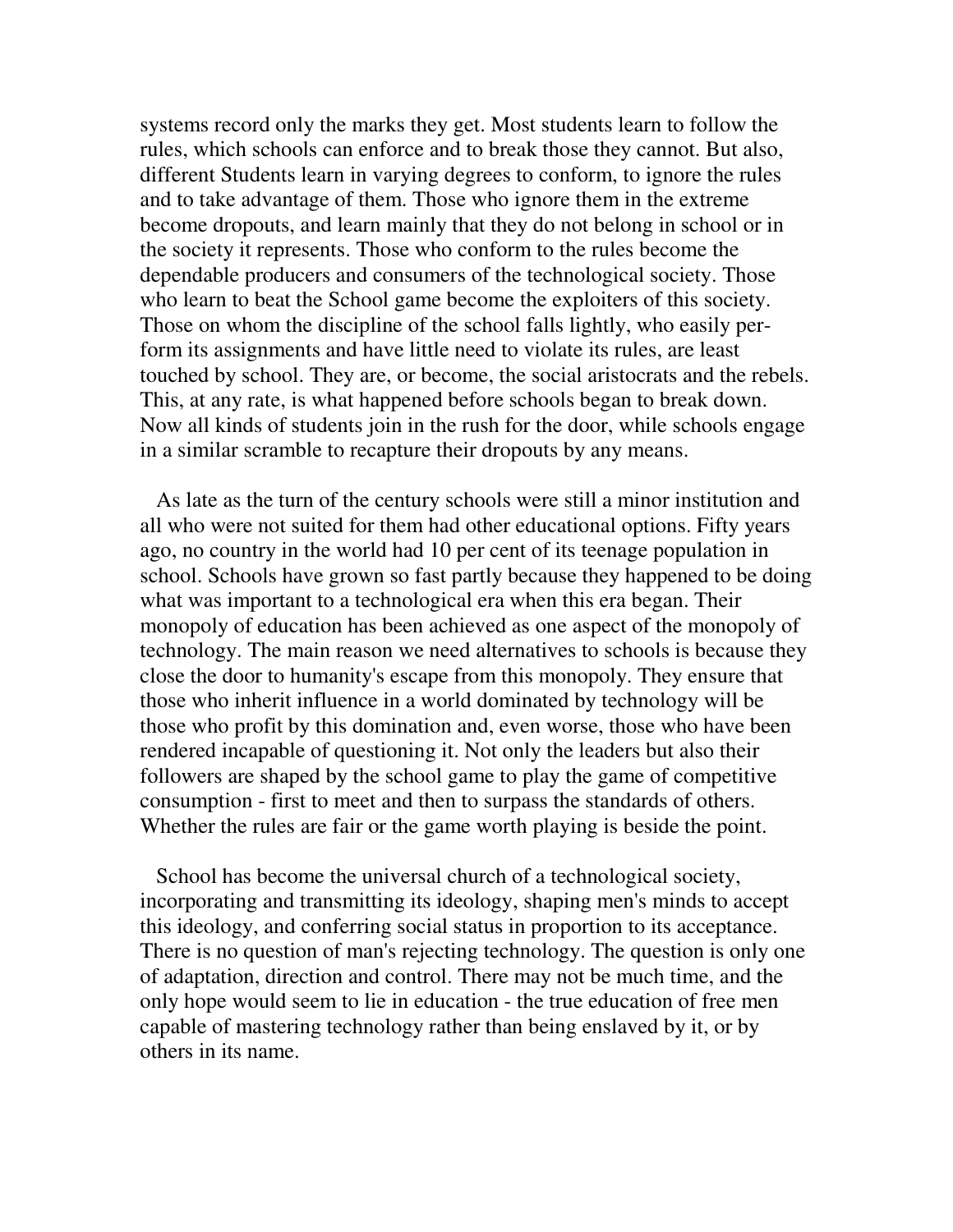systems record only the marks they get. Most students learn to follow the rules, which schools can enforce and to break those they cannot. But also, different Students learn in varying degrees to conform, to ignore the rules and to take advantage of them. Those who ignore them in the extreme become dropouts, and learn mainly that they do not belong in school or in the society it represents. Those who conform to the rules become the dependable producers and consumers of the technological society. Those who learn to beat the School game become the exploiters of this society. Those on whom the discipline of the school falls lightly, who easily perform its assignments and have little need to violate its rules, are least touched by school. They are, or become, the social aristocrats and the rebels. This, at any rate, is what happened before schools began to break down. Now all kinds of students join in the rush for the door, while schools engage in a similar scramble to recapture their dropouts by any means.

 As late as the turn of the century schools were still a minor institution and all who were not suited for them had other educational options. Fifty years ago, no country in the world had 10 per cent of its teenage population in school. Schools have grown so fast partly because they happened to be doing what was important to a technological era when this era began. Their monopoly of education has been achieved as one aspect of the monopoly of technology. The main reason we need alternatives to schools is because they close the door to humanity's escape from this monopoly. They ensure that those who inherit influence in a world dominated by technology will be those who profit by this domination and, even worse, those who have been rendered incapable of questioning it. Not only the leaders but also their followers are shaped by the school game to play the game of competitive consumption - first to meet and then to surpass the standards of others. Whether the rules are fair or the game worth playing is beside the point.

 School has become the universal church of a technological society, incorporating and transmitting its ideology, shaping men's minds to accept this ideology, and conferring social status in proportion to its acceptance. There is no question of man's rejecting technology. The question is only one of adaptation, direction and control. There may not be much time, and the only hope would seem to lie in education - the true education of free men capable of mastering technology rather than being enslaved by it, or by others in its name.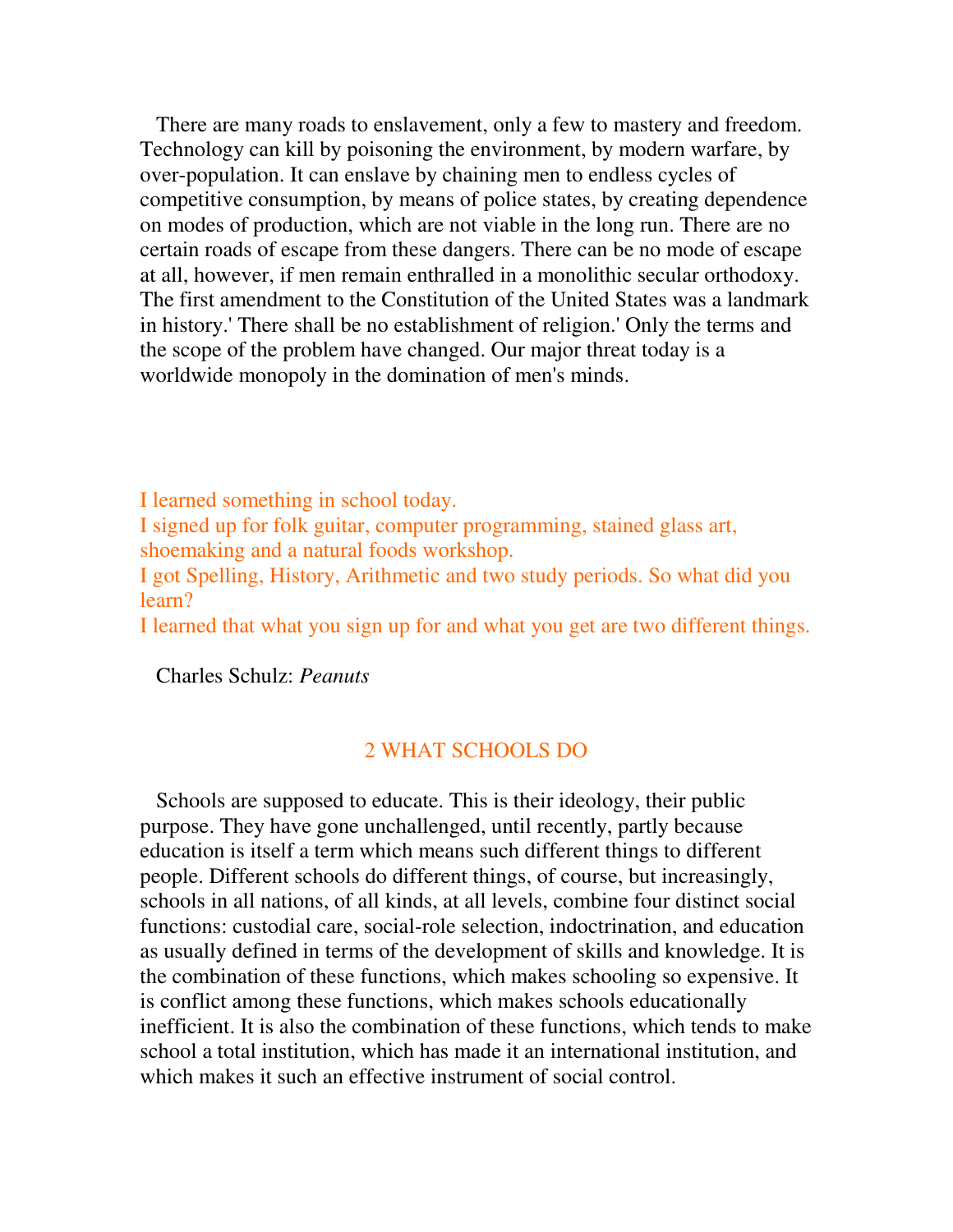There are many roads to enslavement, only a few to mastery and freedom. Technology can kill by poisoning the environment, by modern warfare, by over-population. It can enslave by chaining men to endless cycles of competitive consumption, by means of police states, by creating dependence on modes of production, which are not viable in the long run. There are no certain roads of escape from these dangers. There can be no mode of escape at all, however, if men remain enthralled in a monolithic secular orthodoxy. The first amendment to the Constitution of the United States was a landmark in history.' There shall be no establishment of religion.' Only the terms and the scope of the problem have changed. Our major threat today is a worldwide monopoly in the domination of men's minds.

I learned something in school today.

I signed up for folk guitar, computer programming, stained glass art, shoemaking and a natural foods workshop.

I got Spelling, History, Arithmetic and two study periods. So what did you learn?

I learned that what you sign up for and what you get are two different things.

Charles Schulz: *Peanuts* 

## 2 WHAT SCHOOLS DO

 Schools are supposed to educate. This is their ideology, their public purpose. They have gone unchallenged, until recently, partly because education is itself a term which means such different things to different people. Different schools do different things, of course, but increasingly, schools in all nations, of all kinds, at all levels, combine four distinct social functions: custodial care, social-role selection, indoctrination, and education as usually defined in terms of the development of skills and knowledge. It is the combination of these functions, which makes schooling so expensive. It is conflict among these functions, which makes schools educationally inefficient. It is also the combination of these functions, which tends to make school a total institution, which has made it an international institution, and which makes it such an effective instrument of social control.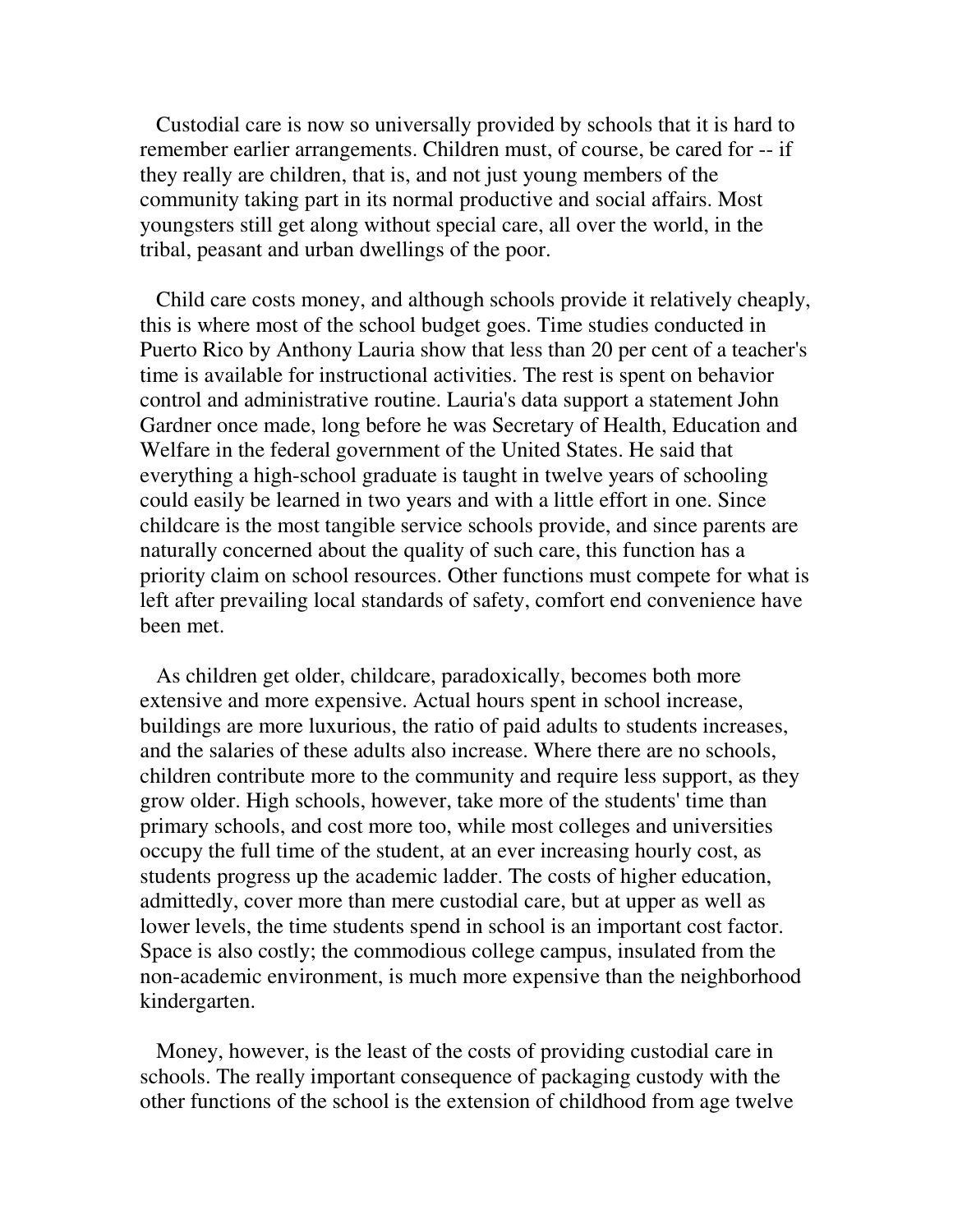Custodial care is now so universally provided by schools that it is hard to remember earlier arrangements. Children must, of course, be cared for -- if they really are children, that is, and not just young members of the community taking part in its normal productive and social affairs. Most youngsters still get along without special care, all over the world, in the tribal, peasant and urban dwellings of the poor.

 Child care costs money, and although schools provide it relatively cheaply, this is where most of the school budget goes. Time studies conducted in Puerto Rico by Anthony Lauria show that less than 20 per cent of a teacher's time is available for instructional activities. The rest is spent on behavior control and administrative routine. Lauria's data support a statement John Gardner once made, long before he was Secretary of Health, Education and Welfare in the federal government of the United States. He said that everything a high-school graduate is taught in twelve years of schooling could easily be learned in two years and with a little effort in one. Since childcare is the most tangible service schools provide, and since parents are naturally concerned about the quality of such care, this function has a priority claim on school resources. Other functions must compete for what is left after prevailing local standards of safety, comfort end convenience have been met.

 As children get older, childcare, paradoxically, becomes both more extensive and more expensive. Actual hours spent in school increase, buildings are more luxurious, the ratio of paid adults to students increases, and the salaries of these adults also increase. Where there are no schools, children contribute more to the community and require less support, as they grow older. High schools, however, take more of the students' time than primary schools, and cost more too, while most colleges and universities occupy the full time of the student, at an ever increasing hourly cost, as students progress up the academic ladder. The costs of higher education, admittedly, cover more than mere custodial care, but at upper as well as lower levels, the time students spend in school is an important cost factor. Space is also costly; the commodious college campus, insulated from the non-academic environment, is much more expensive than the neighborhood kindergarten.

 Money, however, is the least of the costs of providing custodial care in schools. The really important consequence of packaging custody with the other functions of the school is the extension of childhood from age twelve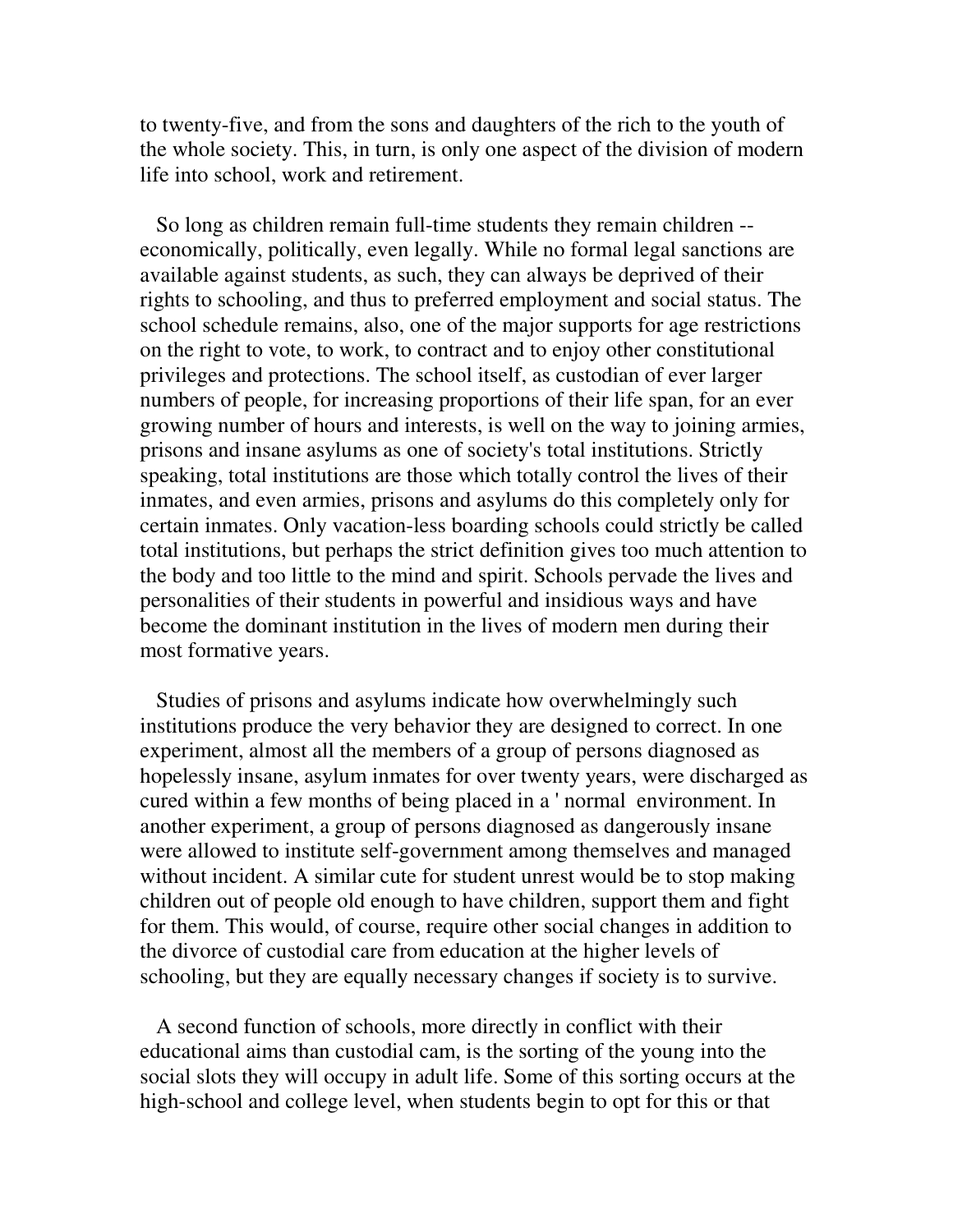to twenty-five, and from the sons and daughters of the rich to the youth of the whole society. This, in turn, is only one aspect of the division of modern life into school, work and retirement.

 So long as children remain full-time students they remain children - economically, politically, even legally. While no formal legal sanctions are available against students, as such, they can always be deprived of their rights to schooling, and thus to preferred employment and social status. The school schedule remains, also, one of the major supports for age restrictions on the right to vote, to work, to contract and to enjoy other constitutional privileges and protections. The school itself, as custodian of ever larger numbers of people, for increasing proportions of their life span, for an ever growing number of hours and interests, is well on the way to joining armies, prisons and insane asylums as one of society's total institutions. Strictly speaking, total institutions are those which totally control the lives of their inmates, and even armies, prisons and asylums do this completely only for certain inmates. Only vacation-less boarding schools could strictly be called total institutions, but perhaps the strict definition gives too much attention to the body and too little to the mind and spirit. Schools pervade the lives and personalities of their students in powerful and insidious ways and have become the dominant institution in the lives of modern men during their most formative years.

 Studies of prisons and asylums indicate how overwhelmingly such institutions produce the very behavior they are designed to correct. In one experiment, almost all the members of a group of persons diagnosed as hopelessly insane, asylum inmates for over twenty years, were discharged as cured within a few months of being placed in a ' normal environment. In another experiment, a group of persons diagnosed as dangerously insane were allowed to institute self-government among themselves and managed without incident. A similar cute for student unrest would be to stop making children out of people old enough to have children, support them and fight for them. This would, of course, require other social changes in addition to the divorce of custodial care from education at the higher levels of schooling, but they are equally necessary changes if society is to survive.

 A second function of schools, more directly in conflict with their educational aims than custodial cam, is the sorting of the young into the social slots they will occupy in adult life. Some of this sorting occurs at the high-school and college level, when students begin to opt for this or that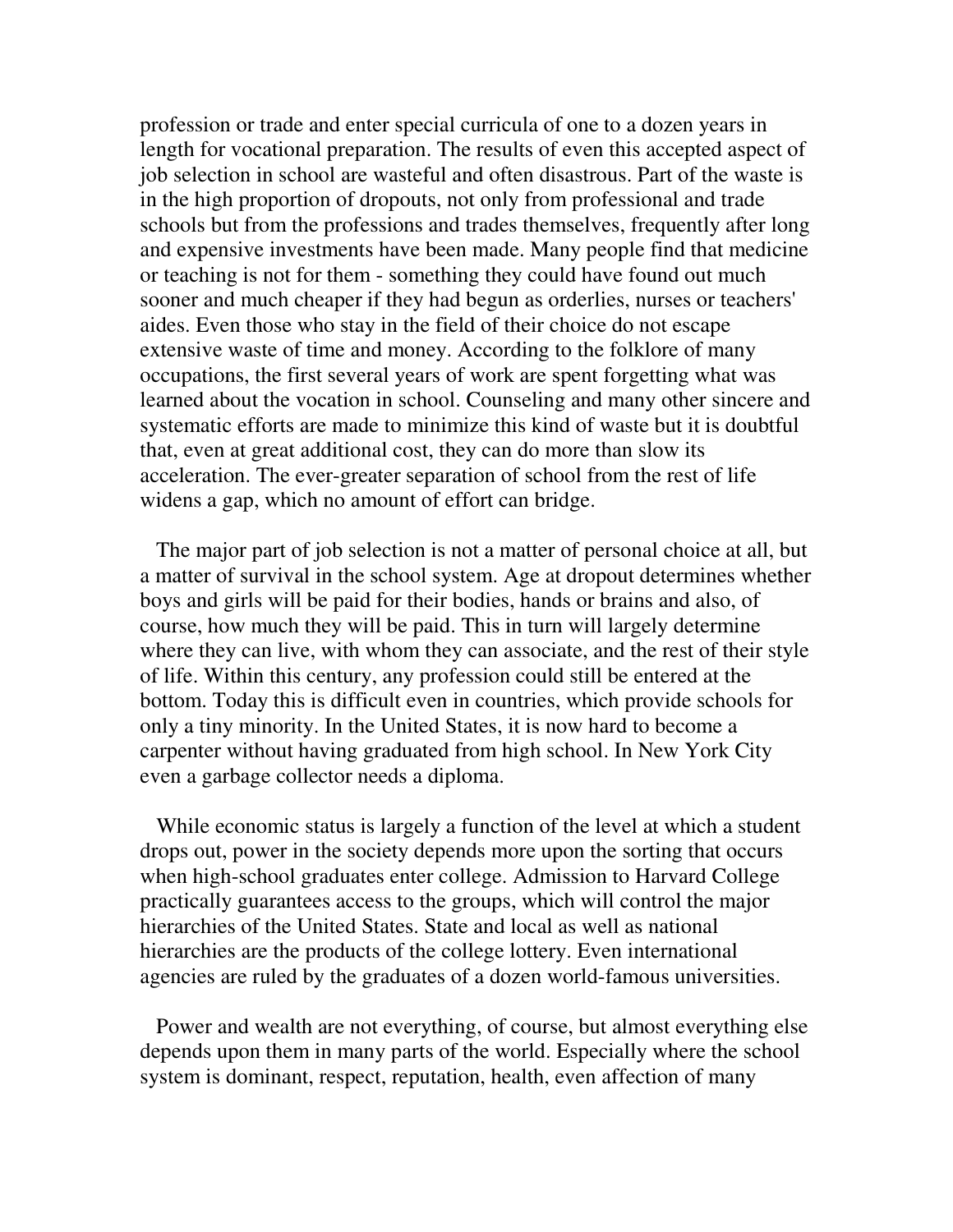profession or trade and enter special curricula of one to a dozen years in length for vocational preparation. The results of even this accepted aspect of job selection in school are wasteful and often disastrous. Part of the waste is in the high proportion of dropouts, not only from professional and trade schools but from the professions and trades themselves, frequently after long and expensive investments have been made. Many people find that medicine or teaching is not for them - something they could have found out much sooner and much cheaper if they had begun as orderlies, nurses or teachers' aides. Even those who stay in the field of their choice do not escape extensive waste of time and money. According to the folklore of many occupations, the first several years of work are spent forgetting what was learned about the vocation in school. Counseling and many other sincere and systematic efforts are made to minimize this kind of waste but it is doubtful that, even at great additional cost, they can do more than slow its acceleration. The ever-greater separation of school from the rest of life widens a gap, which no amount of effort can bridge.

 The major part of job selection is not a matter of personal choice at all, but a matter of survival in the school system. Age at dropout determines whether boys and girls will be paid for their bodies, hands or brains and also, of course, how much they will be paid. This in turn will largely determine where they can live, with whom they can associate, and the rest of their style of life. Within this century, any profession could still be entered at the bottom. Today this is difficult even in countries, which provide schools for only a tiny minority. In the United States, it is now hard to become a carpenter without having graduated from high school. In New York City even a garbage collector needs a diploma.

 While economic status is largely a function of the level at which a student drops out, power in the society depends more upon the sorting that occurs when high-school graduates enter college. Admission to Harvard College practically guarantees access to the groups, which will control the major hierarchies of the United States. State and local as well as national hierarchies are the products of the college lottery. Even international agencies are ruled by the graduates of a dozen world-famous universities.

 Power and wealth are not everything, of course, but almost everything else depends upon them in many parts of the world. Especially where the school system is dominant, respect, reputation, health, even affection of many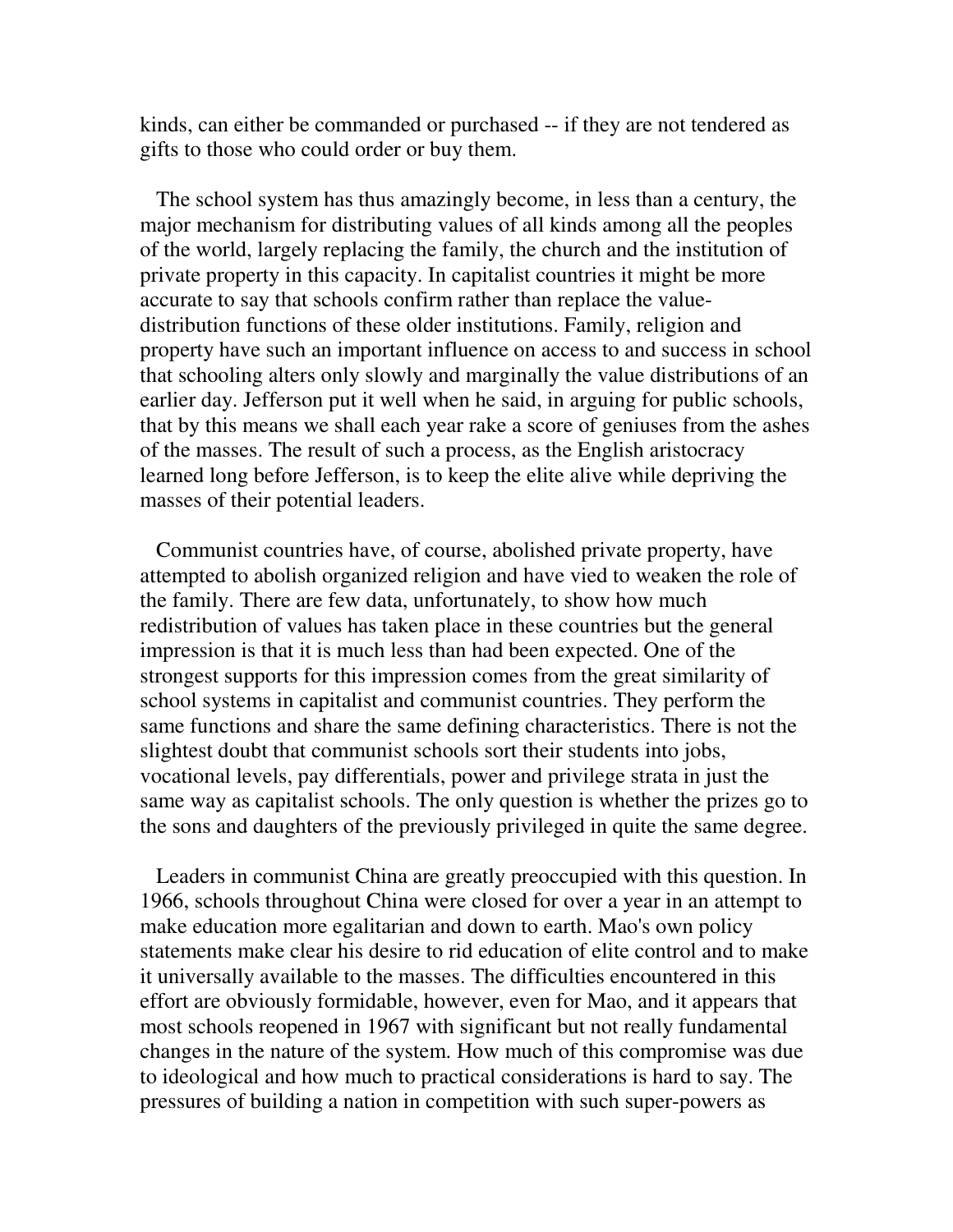kinds, can either be commanded or purchased -- if they are not tendered as gifts to those who could order or buy them.

 The school system has thus amazingly become, in less than a century, the major mechanism for distributing values of all kinds among all the peoples of the world, largely replacing the family, the church and the institution of private property in this capacity. In capitalist countries it might be more accurate to say that schools confirm rather than replace the valuedistribution functions of these older institutions. Family, religion and property have such an important influence on access to and success in school that schooling alters only slowly and marginally the value distributions of an earlier day. Jefferson put it well when he said, in arguing for public schools, that by this means we shall each year rake a score of geniuses from the ashes of the masses. The result of such a process, as the English aristocracy learned long before Jefferson, is to keep the elite alive while depriving the masses of their potential leaders.

 Communist countries have, of course, abolished private property, have attempted to abolish organized religion and have vied to weaken the role of the family. There are few data, unfortunately, to show how much redistribution of values has taken place in these countries but the general impression is that it is much less than had been expected. One of the strongest supports for this impression comes from the great similarity of school systems in capitalist and communist countries. They perform the same functions and share the same defining characteristics. There is not the slightest doubt that communist schools sort their students into jobs, vocational levels, pay differentials, power and privilege strata in just the same way as capitalist schools. The only question is whether the prizes go to the sons and daughters of the previously privileged in quite the same degree.

 Leaders in communist China are greatly preoccupied with this question. In 1966, schools throughout China were closed for over a year in an attempt to make education more egalitarian and down to earth. Mao's own policy statements make clear his desire to rid education of elite control and to make it universally available to the masses. The difficulties encountered in this effort are obviously formidable, however, even for Mao, and it appears that most schools reopened in 1967 with significant but not really fundamental changes in the nature of the system. How much of this compromise was due to ideological and how much to practical considerations is hard to say. The pressures of building a nation in competition with such super-powers as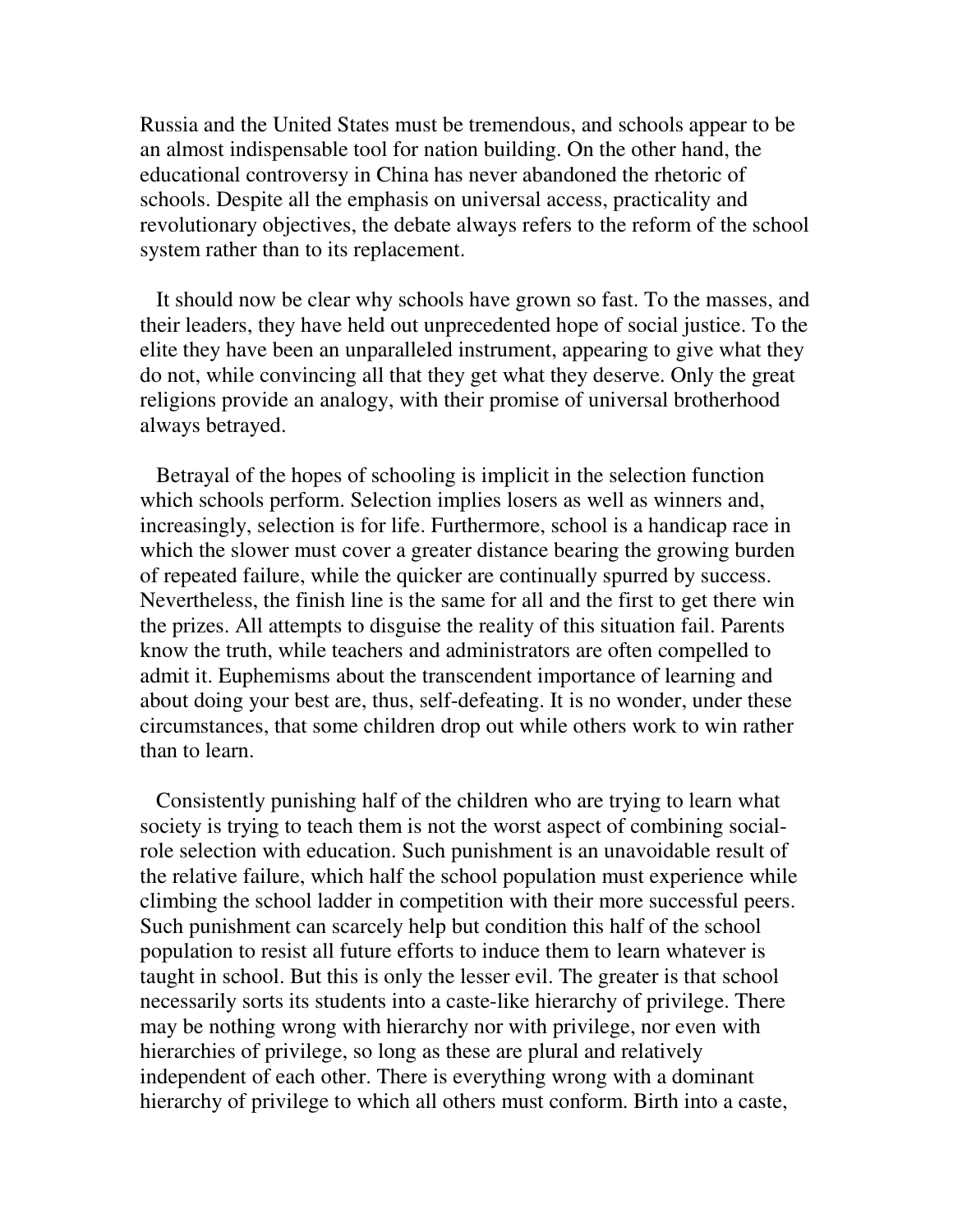Russia and the United States must be tremendous, and schools appear to be an almost indispensable tool for nation building. On the other hand, the educational controversy in China has never abandoned the rhetoric of schools. Despite all the emphasis on universal access, practicality and revolutionary objectives, the debate always refers to the reform of the school system rather than to its replacement.

 It should now be clear why schools have grown so fast. To the masses, and their leaders, they have held out unprecedented hope of social justice. To the elite they have been an unparalleled instrument, appearing to give what they do not, while convincing all that they get what they deserve. Only the great religions provide an analogy, with their promise of universal brotherhood always betrayed.

 Betrayal of the hopes of schooling is implicit in the selection function which schools perform. Selection implies losers as well as winners and, increasingly, selection is for life. Furthermore, school is a handicap race in which the slower must cover a greater distance bearing the growing burden of repeated failure, while the quicker are continually spurred by success. Nevertheless, the finish line is the same for all and the first to get there win the prizes. All attempts to disguise the reality of this situation fail. Parents know the truth, while teachers and administrators are often compelled to admit it. Euphemisms about the transcendent importance of learning and about doing your best are, thus, self-defeating. It is no wonder, under these circumstances, that some children drop out while others work to win rather than to learn.

 Consistently punishing half of the children who are trying to learn what society is trying to teach them is not the worst aspect of combining socialrole selection with education. Such punishment is an unavoidable result of the relative failure, which half the school population must experience while climbing the school ladder in competition with their more successful peers. Such punishment can scarcely help but condition this half of the school population to resist all future efforts to induce them to learn whatever is taught in school. But this is only the lesser evil. The greater is that school necessarily sorts its students into a caste-like hierarchy of privilege. There may be nothing wrong with hierarchy nor with privilege, nor even with hierarchies of privilege, so long as these are plural and relatively independent of each other. There is everything wrong with a dominant hierarchy of privilege to which all others must conform. Birth into a caste,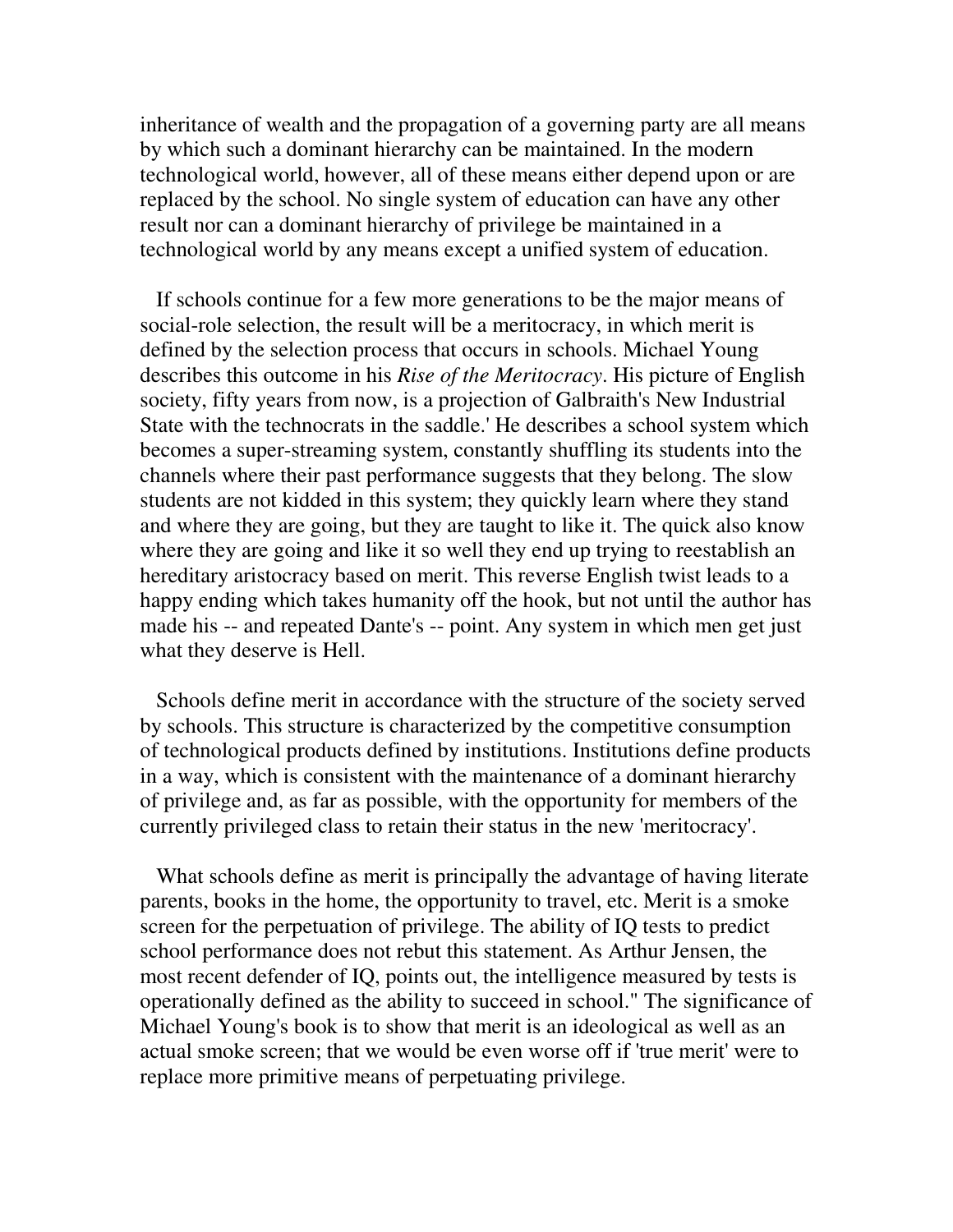inheritance of wealth and the propagation of a governing party are all means by which such a dominant hierarchy can be maintained. In the modern technological world, however, all of these means either depend upon or are replaced by the school. No single system of education can have any other result nor can a dominant hierarchy of privilege be maintained in a technological world by any means except a unified system of education.

 If schools continue for a few more generations to be the major means of social-role selection, the result will be a meritocracy, in which merit is defined by the selection process that occurs in schools. Michael Young describes this outcome in his *Rise of the Meritocracy*. His picture of English society, fifty years from now, is a projection of Galbraith's New Industrial State with the technocrats in the saddle.' He describes a school system which becomes a super-streaming system, constantly shuffling its students into the channels where their past performance suggests that they belong. The slow students are not kidded in this system; they quickly learn where they stand and where they are going, but they are taught to like it. The quick also know where they are going and like it so well they end up trying to reestablish an hereditary aristocracy based on merit. This reverse English twist leads to a happy ending which takes humanity off the hook, but not until the author has made his -- and repeated Dante's -- point. Any system in which men get just what they deserve is Hell.

 Schools define merit in accordance with the structure of the society served by schools. This structure is characterized by the competitive consumption of technological products defined by institutions. Institutions define products in a way, which is consistent with the maintenance of a dominant hierarchy of privilege and, as far as possible, with the opportunity for members of the currently privileged class to retain their status in the new 'meritocracy'.

 What schools define as merit is principally the advantage of having literate parents, books in the home, the opportunity to travel, etc. Merit is a smoke screen for the perpetuation of privilege. The ability of IQ tests to predict school performance does not rebut this statement. As Arthur Jensen, the most recent defender of IQ, points out, the intelligence measured by tests is operationally defined as the ability to succeed in school." The significance of Michael Young's book is to show that merit is an ideological as well as an actual smoke screen; that we would be even worse off if 'true merit' were to replace more primitive means of perpetuating privilege.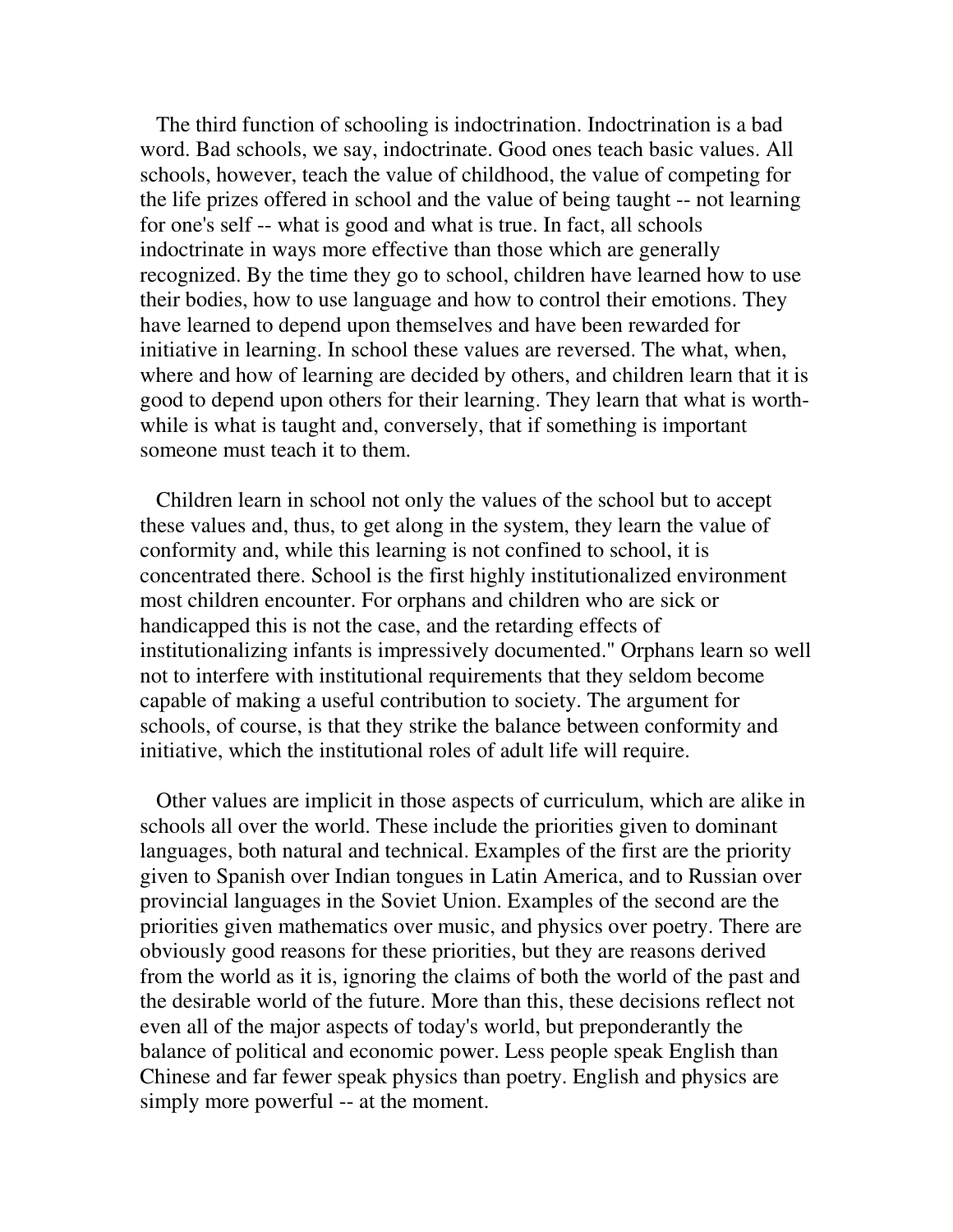The third function of schooling is indoctrination. Indoctrination is a bad word. Bad schools, we say, indoctrinate. Good ones teach basic values. All schools, however, teach the value of childhood, the value of competing for the life prizes offered in school and the value of being taught -- not learning for one's self -- what is good and what is true. In fact, all schools indoctrinate in ways more effective than those which are generally recognized. By the time they go to school, children have learned how to use their bodies, how to use language and how to control their emotions. They have learned to depend upon themselves and have been rewarded for initiative in learning. In school these values are reversed. The what, when, where and how of learning are decided by others, and children learn that it is good to depend upon others for their learning. They learn that what is worthwhile is what is taught and, conversely, that if something is important someone must teach it to them.

 Children learn in school not only the values of the school but to accept these values and, thus, to get along in the system, they learn the value of conformity and, while this learning is not confined to school, it is concentrated there. School is the first highly institutionalized environment most children encounter. For orphans and children who are sick or handicapped this is not the case, and the retarding effects of institutionalizing infants is impressively documented." Orphans learn so well not to interfere with institutional requirements that they seldom become capable of making a useful contribution to society. The argument for schools, of course, is that they strike the balance between conformity and initiative, which the institutional roles of adult life will require.

 Other values are implicit in those aspects of curriculum, which are alike in schools all over the world. These include the priorities given to dominant languages, both natural and technical. Examples of the first are the priority given to Spanish over Indian tongues in Latin America, and to Russian over provincial languages in the Soviet Union. Examples of the second are the priorities given mathematics over music, and physics over poetry. There are obviously good reasons for these priorities, but they are reasons derived from the world as it is, ignoring the claims of both the world of the past and the desirable world of the future. More than this, these decisions reflect not even all of the major aspects of today's world, but preponderantly the balance of political and economic power. Less people speak English than Chinese and far fewer speak physics than poetry. English and physics are simply more powerful -- at the moment.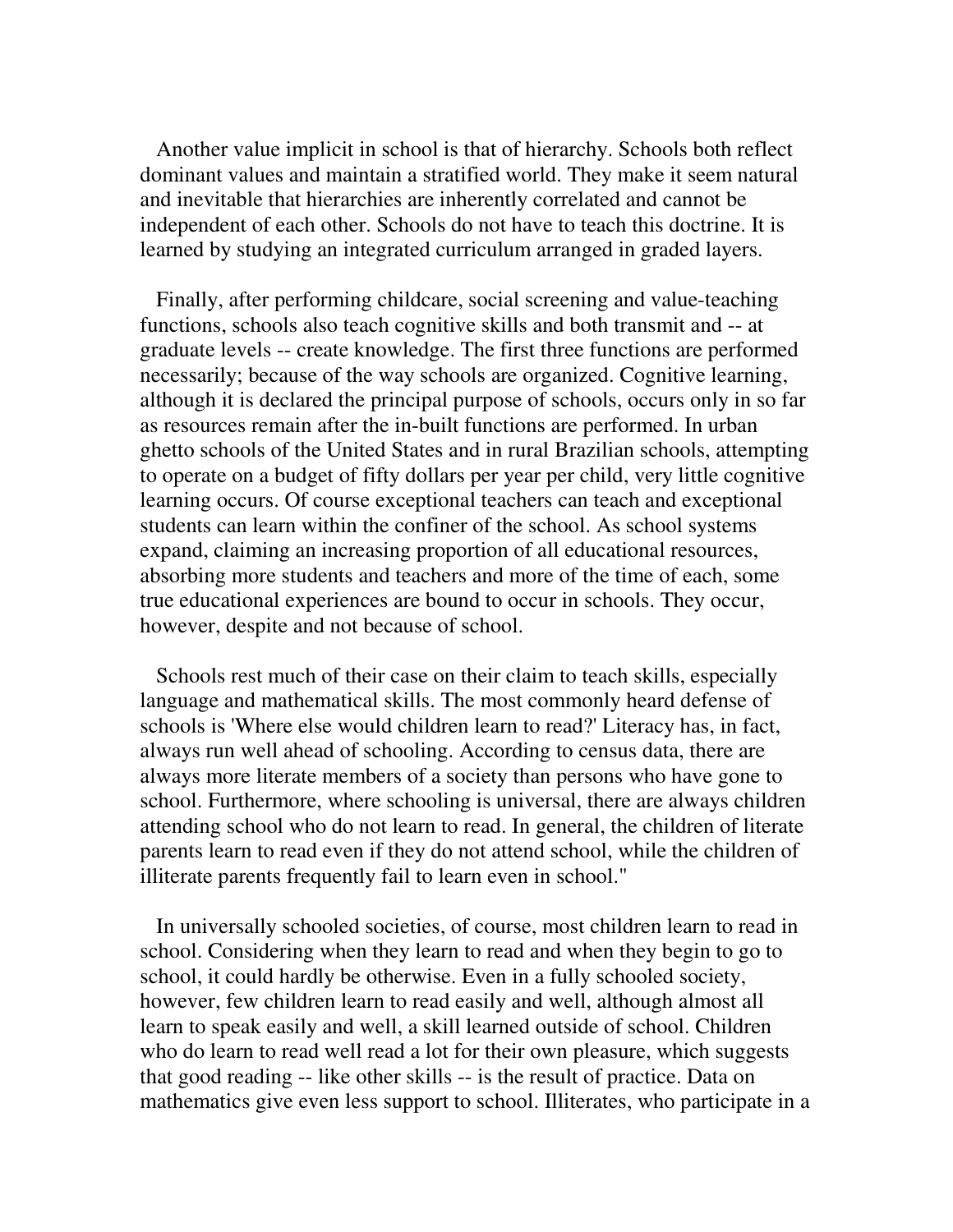Another value implicit in school is that of hierarchy. Schools both reflect dominant values and maintain a stratified world. They make it seem natural and inevitable that hierarchies are inherently correlated and cannot be independent of each other. Schools do not have to teach this doctrine. It is learned by studying an integrated curriculum arranged in graded layers.

 Finally, after performing childcare, social screening and value-teaching functions, schools also teach cognitive skills and both transmit and -- at graduate levels -- create knowledge. The first three functions are performed necessarily; because of the way schools are organized. Cognitive learning, although it is declared the principal purpose of schools, occurs only in so far as resources remain after the in-built functions are performed. In urban ghetto schools of the United States and in rural Brazilian schools, attempting to operate on a budget of fifty dollars per year per child, very little cognitive learning occurs. Of course exceptional teachers can teach and exceptional students can learn within the confiner of the school. As school systems expand, claiming an increasing proportion of all educational resources, absorbing more students and teachers and more of the time of each, some true educational experiences are bound to occur in schools. They occur, however, despite and not because of school.

 Schools rest much of their case on their claim to teach skills, especially language and mathematical skills. The most commonly heard defense of schools is 'Where else would children learn to read?' Literacy has, in fact, always run well ahead of schooling. According to census data, there are always more literate members of a society than persons who have gone to school. Furthermore, where schooling is universal, there are always children attending school who do not learn to read. In general, the children of literate parents learn to read even if they do not attend school, while the children of illiterate parents frequently fail to learn even in school."

 In universally schooled societies, of course, most children learn to read in school. Considering when they learn to read and when they begin to go to school, it could hardly be otherwise. Even in a fully schooled society, however, few children learn to read easily and well, although almost all learn to speak easily and well, a skill learned outside of school. Children who do learn to read well read a lot for their own pleasure, which suggests that good reading -- like other skills -- is the result of practice. Data on mathematics give even less support to school. Illiterates, who participate in a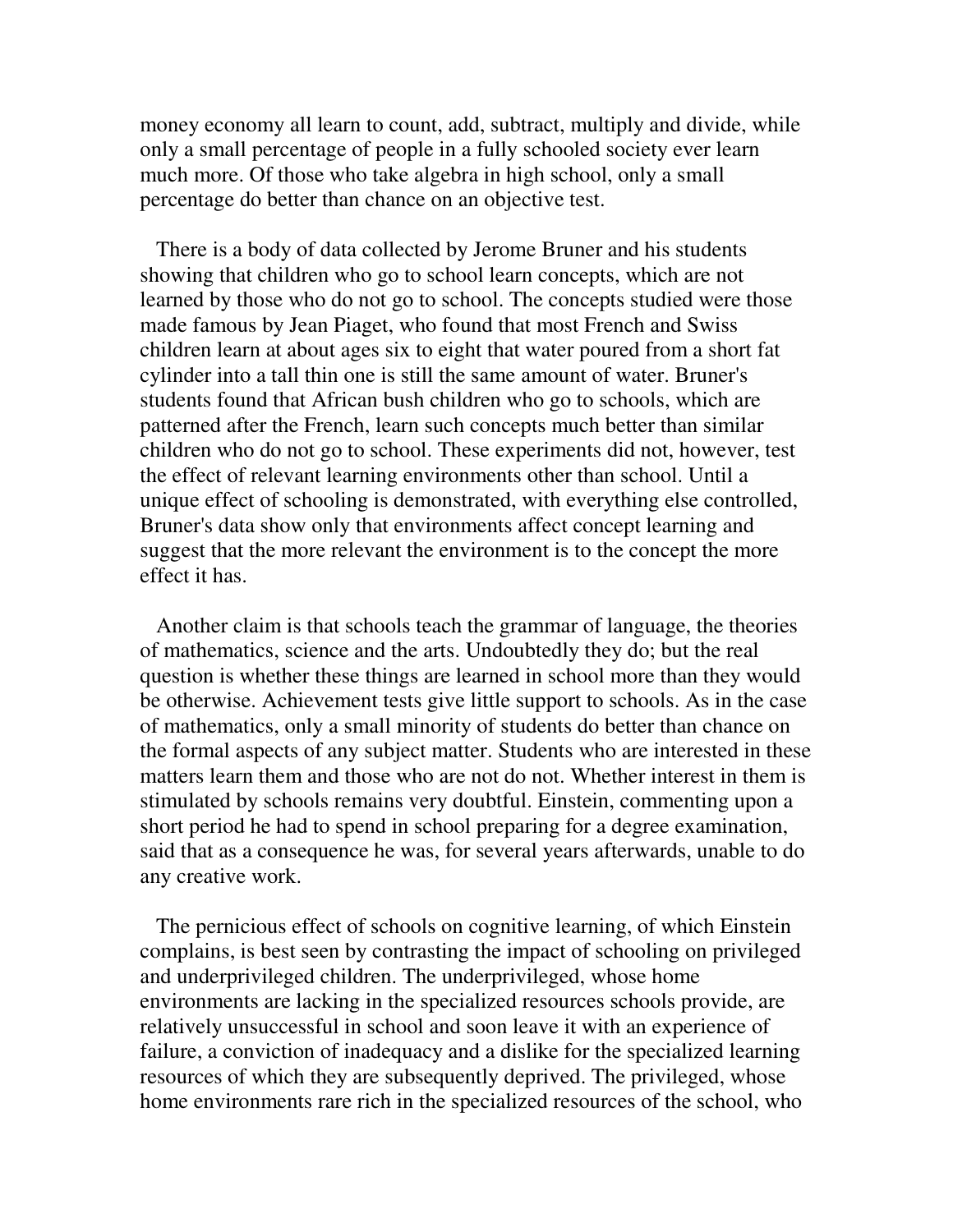money economy all learn to count, add, subtract, multiply and divide, while only a small percentage of people in a fully schooled society ever learn much more. Of those who take algebra in high school, only a small percentage do better than chance on an objective test.

 There is a body of data collected by Jerome Bruner and his students showing that children who go to school learn concepts, which are not learned by those who do not go to school. The concepts studied were those made famous by Jean Piaget, who found that most French and Swiss children learn at about ages six to eight that water poured from a short fat cylinder into a tall thin one is still the same amount of water. Bruner's students found that African bush children who go to schools, which are patterned after the French, learn such concepts much better than similar children who do not go to school. These experiments did not, however, test the effect of relevant learning environments other than school. Until a unique effect of schooling is demonstrated, with everything else controlled, Bruner's data show only that environments affect concept learning and suggest that the more relevant the environment is to the concept the more effect it has.

 Another claim is that schools teach the grammar of language, the theories of mathematics, science and the arts. Undoubtedly they do; but the real question is whether these things are learned in school more than they would be otherwise. Achievement tests give little support to schools. As in the case of mathematics, only a small minority of students do better than chance on the formal aspects of any subject matter. Students who are interested in these matters learn them and those who are not do not. Whether interest in them is stimulated by schools remains very doubtful. Einstein, commenting upon a short period he had to spend in school preparing for a degree examination, said that as a consequence he was, for several years afterwards, unable to do any creative work.

 The pernicious effect of schools on cognitive learning, of which Einstein complains, is best seen by contrasting the impact of schooling on privileged and underprivileged children. The underprivileged, whose home environments are lacking in the specialized resources schools provide, are relatively unsuccessful in school and soon leave it with an experience of failure, a conviction of inadequacy and a dislike for the specialized learning resources of which they are subsequently deprived. The privileged, whose home environments rare rich in the specialized resources of the school, who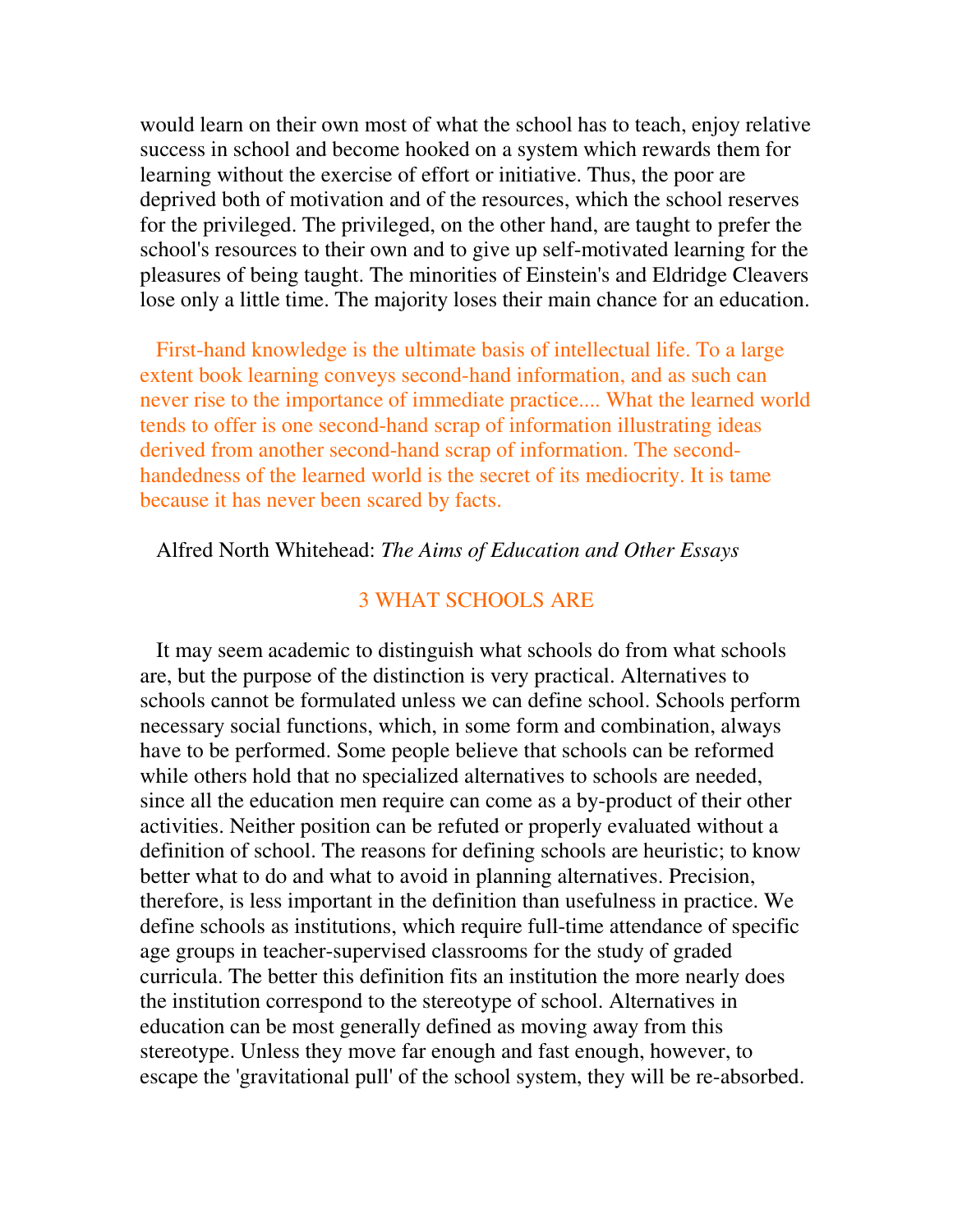would learn on their own most of what the school has to teach, enjoy relative success in school and become hooked on a system which rewards them for learning without the exercise of effort or initiative. Thus, the poor are deprived both of motivation and of the resources, which the school reserves for the privileged. The privileged, on the other hand, are taught to prefer the school's resources to their own and to give up self-motivated learning for the pleasures of being taught. The minorities of Einstein's and Eldridge Cleavers lose only a little time. The majority loses their main chance for an education.

 First-hand knowledge is the ultimate basis of intellectual life. To a large extent book learning conveys second-hand information, and as such can never rise to the importance of immediate practice.... What the learned world tends to offer is one second-hand scrap of information illustrating ideas derived from another second-hand scrap of information. The secondhandedness of the learned world is the secret of its mediocrity. It is tame because it has never been scared by facts.

#### Alfred North Whitehead: *The Aims of Education and Other Essays*

# 3 WHAT SCHOOLS ARE

 It may seem academic to distinguish what schools do from what schools are, but the purpose of the distinction is very practical. Alternatives to schools cannot be formulated unless we can define school. Schools perform necessary social functions, which, in some form and combination, always have to be performed. Some people believe that schools can be reformed while others hold that no specialized alternatives to schools are needed, since all the education men require can come as a by-product of their other activities. Neither position can be refuted or properly evaluated without a definition of school. The reasons for defining schools are heuristic; to know better what to do and what to avoid in planning alternatives. Precision, therefore, is less important in the definition than usefulness in practice. We define schools as institutions, which require full-time attendance of specific age groups in teacher-supervised classrooms for the study of graded curricula. The better this definition fits an institution the more nearly does the institution correspond to the stereotype of school. Alternatives in education can be most generally defined as moving away from this stereotype. Unless they move far enough and fast enough, however, to escape the 'gravitational pull' of the school system, they will be re-absorbed.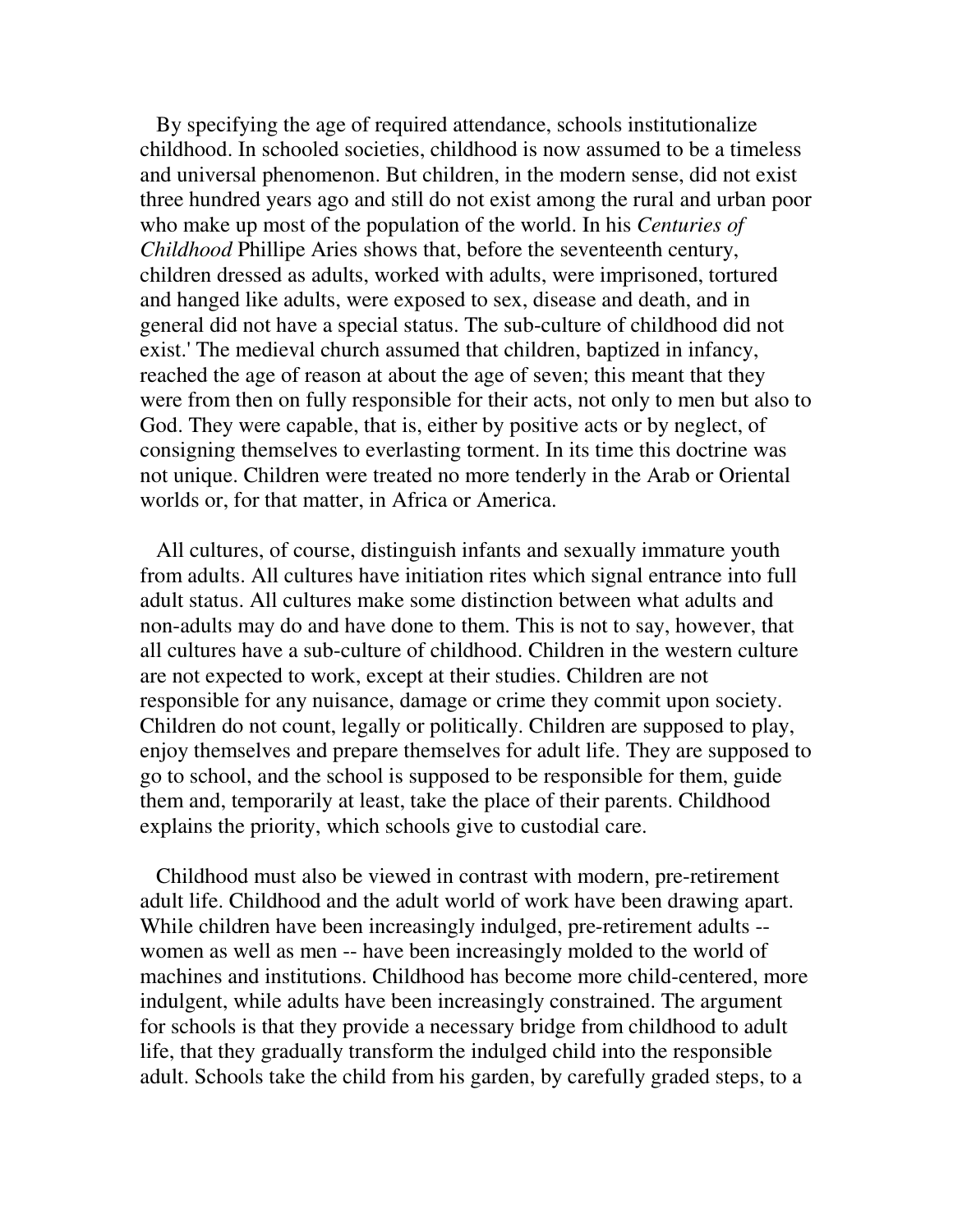By specifying the age of required attendance, schools institutionalize childhood. In schooled societies, childhood is now assumed to be a timeless and universal phenomenon. But children, in the modern sense, did not exist three hundred years ago and still do not exist among the rural and urban poor who make up most of the population of the world. In his *Centuries of Childhood* Phillipe Aries shows that, before the seventeenth century, children dressed as adults, worked with adults, were imprisoned, tortured and hanged like adults, were exposed to sex, disease and death, and in general did not have a special status. The sub-culture of childhood did not exist.' The medieval church assumed that children, baptized in infancy, reached the age of reason at about the age of seven; this meant that they were from then on fully responsible for their acts, not only to men but also to God. They were capable, that is, either by positive acts or by neglect, of consigning themselves to everlasting torment. In its time this doctrine was not unique. Children were treated no more tenderly in the Arab or Oriental worlds or, for that matter, in Africa or America.

 All cultures, of course, distinguish infants and sexually immature youth from adults. All cultures have initiation rites which signal entrance into full adult status. All cultures make some distinction between what adults and non-adults may do and have done to them. This is not to say, however, that all cultures have a sub-culture of childhood. Children in the western culture are not expected to work, except at their studies. Children are not responsible for any nuisance, damage or crime they commit upon society. Children do not count, legally or politically. Children are supposed to play, enjoy themselves and prepare themselves for adult life. They are supposed to go to school, and the school is supposed to be responsible for them, guide them and, temporarily at least, take the place of their parents. Childhood explains the priority, which schools give to custodial care.

 Childhood must also be viewed in contrast with modern, pre-retirement adult life. Childhood and the adult world of work have been drawing apart. While children have been increasingly indulged, pre-retirement adults - women as well as men -- have been increasingly molded to the world of machines and institutions. Childhood has become more child-centered, more indulgent, while adults have been increasingly constrained. The argument for schools is that they provide a necessary bridge from childhood to adult life, that they gradually transform the indulged child into the responsible adult. Schools take the child from his garden, by carefully graded steps, to a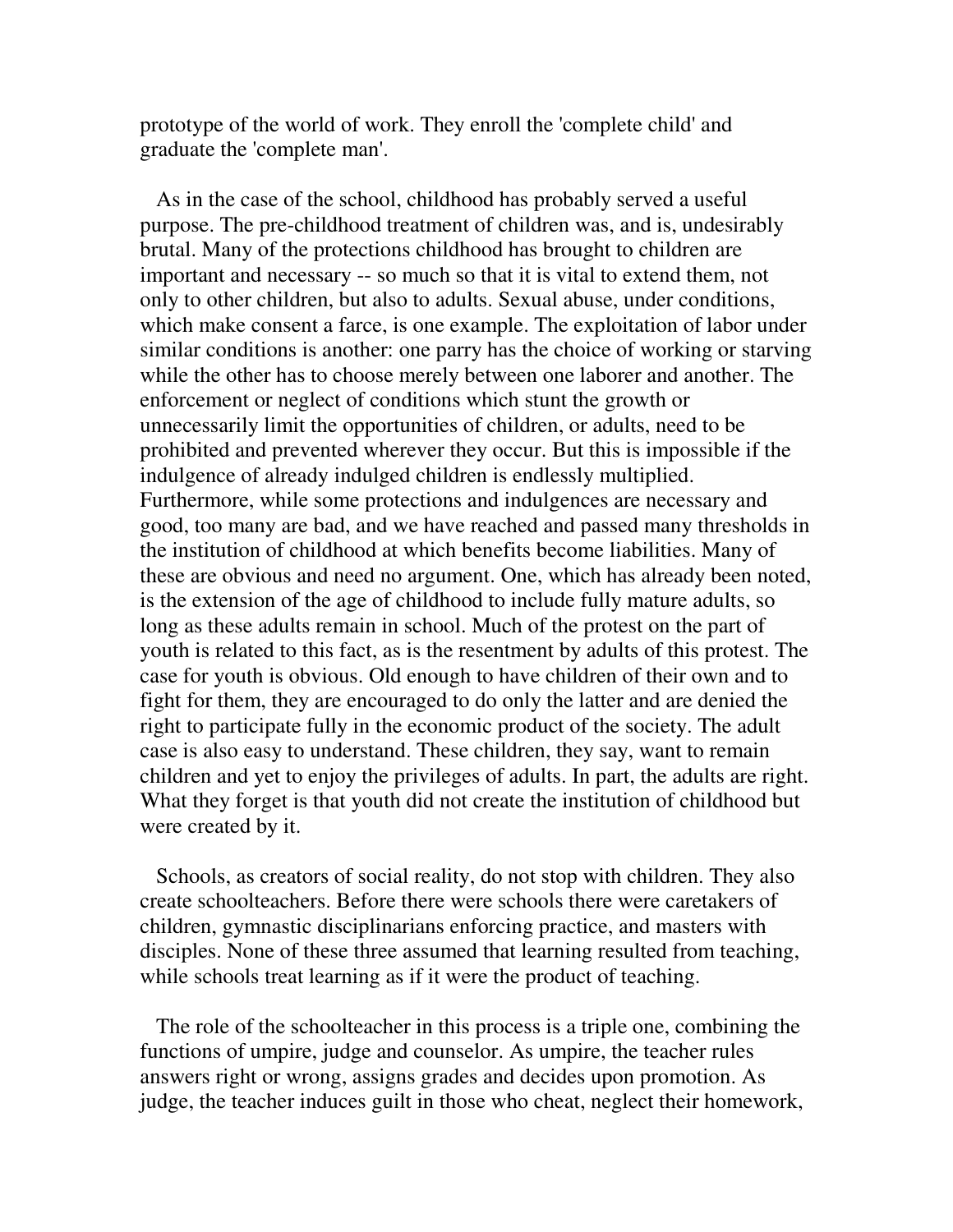prototype of the world of work. They enroll the 'complete child' and graduate the 'complete man'.

 As in the case of the school, childhood has probably served a useful purpose. The pre-childhood treatment of children was, and is, undesirably brutal. Many of the protections childhood has brought to children are important and necessary -- so much so that it is vital to extend them, not only to other children, but also to adults. Sexual abuse, under conditions, which make consent a farce, is one example. The exploitation of labor under similar conditions is another: one parry has the choice of working or starving while the other has to choose merely between one laborer and another. The enforcement or neglect of conditions which stunt the growth or unnecessarily limit the opportunities of children, or adults, need to be prohibited and prevented wherever they occur. But this is impossible if the indulgence of already indulged children is endlessly multiplied. Furthermore, while some protections and indulgences are necessary and good, too many are bad, and we have reached and passed many thresholds in the institution of childhood at which benefits become liabilities. Many of these are obvious and need no argument. One, which has already been noted, is the extension of the age of childhood to include fully mature adults, so long as these adults remain in school. Much of the protest on the part of youth is related to this fact, as is the resentment by adults of this protest. The case for youth is obvious. Old enough to have children of their own and to fight for them, they are encouraged to do only the latter and are denied the right to participate fully in the economic product of the society. The adult case is also easy to understand. These children, they say, want to remain children and yet to enjoy the privileges of adults. In part, the adults are right. What they forget is that youth did not create the institution of childhood but were created by it.

 Schools, as creators of social reality, do not stop with children. They also create schoolteachers. Before there were schools there were caretakers of children, gymnastic disciplinarians enforcing practice, and masters with disciples. None of these three assumed that learning resulted from teaching, while schools treat learning as if it were the product of teaching.

 The role of the schoolteacher in this process is a triple one, combining the functions of umpire, judge and counselor. As umpire, the teacher rules answers right or wrong, assigns grades and decides upon promotion. As judge, the teacher induces guilt in those who cheat, neglect their homework,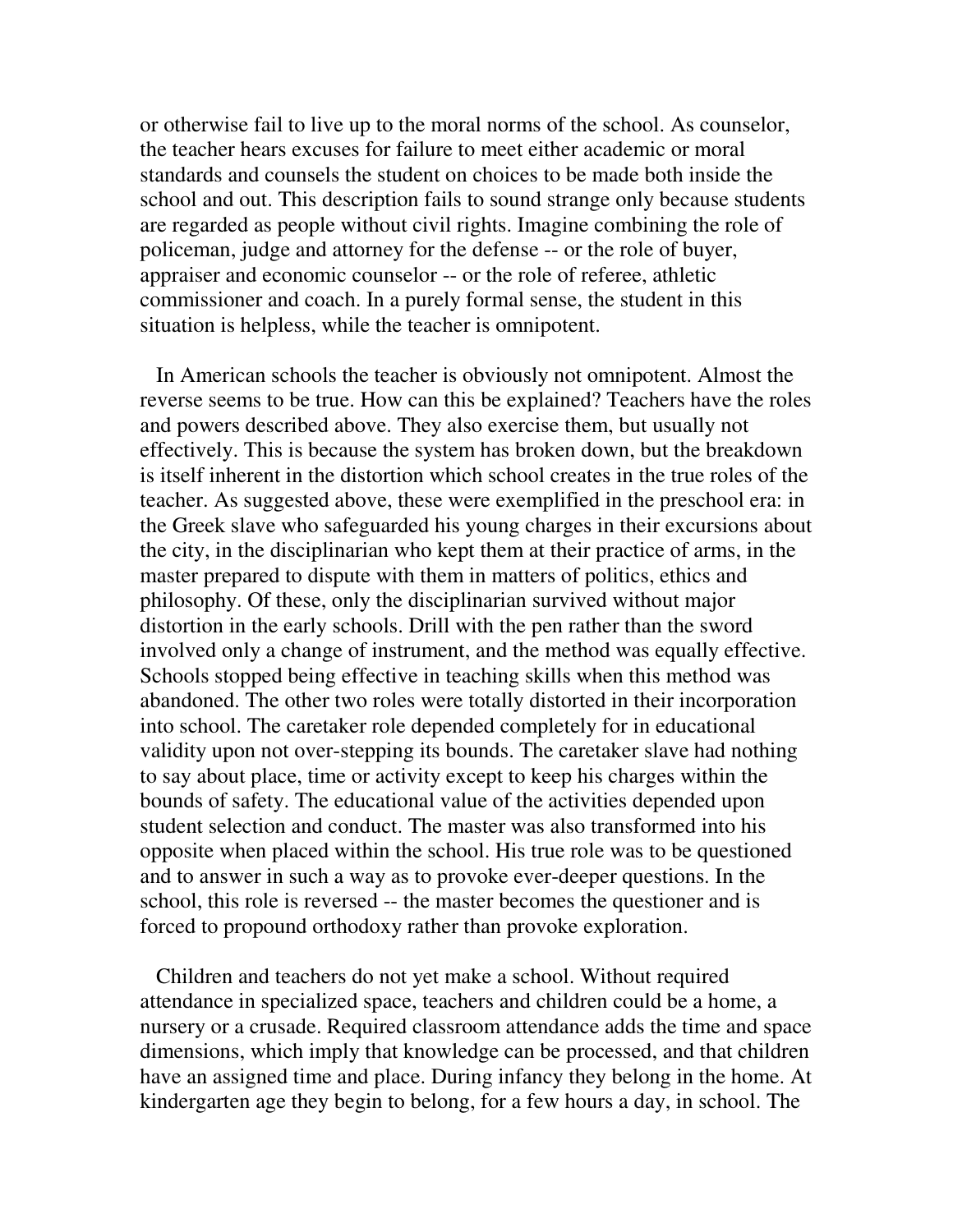or otherwise fail to live up to the moral norms of the school. As counselor, the teacher hears excuses for failure to meet either academic or moral standards and counsels the student on choices to be made both inside the school and out. This description fails to sound strange only because students are regarded as people without civil rights. Imagine combining the role of policeman, judge and attorney for the defense -- or the role of buyer, appraiser and economic counselor -- or the role of referee, athletic commissioner and coach. In a purely formal sense, the student in this situation is helpless, while the teacher is omnipotent.

 In American schools the teacher is obviously not omnipotent. Almost the reverse seems to be true. How can this be explained? Teachers have the roles and powers described above. They also exercise them, but usually not effectively. This is because the system has broken down, but the breakdown is itself inherent in the distortion which school creates in the true roles of the teacher. As suggested above, these were exemplified in the preschool era: in the Greek slave who safeguarded his young charges in their excursions about the city, in the disciplinarian who kept them at their practice of arms, in the master prepared to dispute with them in matters of politics, ethics and philosophy. Of these, only the disciplinarian survived without major distortion in the early schools. Drill with the pen rather than the sword involved only a change of instrument, and the method was equally effective. Schools stopped being effective in teaching skills when this method was abandoned. The other two roles were totally distorted in their incorporation into school. The caretaker role depended completely for in educational validity upon not over-stepping its bounds. The caretaker slave had nothing to say about place, time or activity except to keep his charges within the bounds of safety. The educational value of the activities depended upon student selection and conduct. The master was also transformed into his opposite when placed within the school. His true role was to be questioned and to answer in such a way as to provoke ever-deeper questions. In the school, this role is reversed -- the master becomes the questioner and is forced to propound orthodoxy rather than provoke exploration.

 Children and teachers do not yet make a school. Without required attendance in specialized space, teachers and children could be a home, a nursery or a crusade. Required classroom attendance adds the time and space dimensions, which imply that knowledge can be processed, and that children have an assigned time and place. During infancy they belong in the home. At kindergarten age they begin to belong, for a few hours a day, in school. The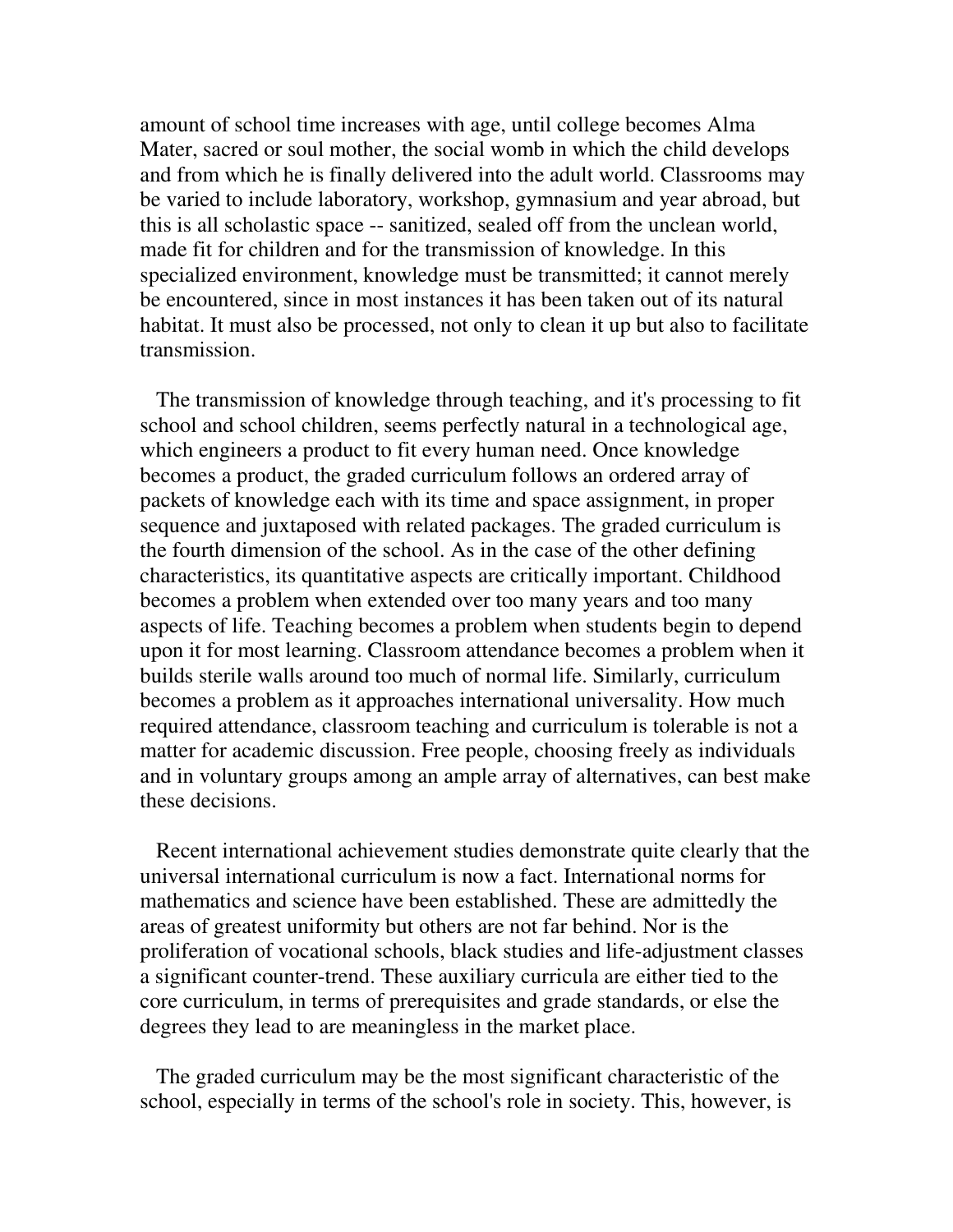amount of school time increases with age, until college becomes Alma Mater, sacred or soul mother, the social womb in which the child develops and from which he is finally delivered into the adult world. Classrooms may be varied to include laboratory, workshop, gymnasium and year abroad, but this is all scholastic space -- sanitized, sealed off from the unclean world, made fit for children and for the transmission of knowledge. In this specialized environment, knowledge must be transmitted; it cannot merely be encountered, since in most instances it has been taken out of its natural habitat. It must also be processed, not only to clean it up but also to facilitate transmission.

 The transmission of knowledge through teaching, and it's processing to fit school and school children, seems perfectly natural in a technological age, which engineers a product to fit every human need. Once knowledge becomes a product, the graded curriculum follows an ordered array of packets of knowledge each with its time and space assignment, in proper sequence and juxtaposed with related packages. The graded curriculum is the fourth dimension of the school. As in the case of the other defining characteristics, its quantitative aspects are critically important. Childhood becomes a problem when extended over too many years and too many aspects of life. Teaching becomes a problem when students begin to depend upon it for most learning. Classroom attendance becomes a problem when it builds sterile walls around too much of normal life. Similarly, curriculum becomes a problem as it approaches international universality. How much required attendance, classroom teaching and curriculum is tolerable is not a matter for academic discussion. Free people, choosing freely as individuals and in voluntary groups among an ample array of alternatives, can best make these decisions.

 Recent international achievement studies demonstrate quite clearly that the universal international curriculum is now a fact. International norms for mathematics and science have been established. These are admittedly the areas of greatest uniformity but others are not far behind. Nor is the proliferation of vocational schools, black studies and life-adjustment classes a significant counter-trend. These auxiliary curricula are either tied to the core curriculum, in terms of prerequisites and grade standards, or else the degrees they lead to are meaningless in the market place.

 The graded curriculum may be the most significant characteristic of the school, especially in terms of the school's role in society. This, however, is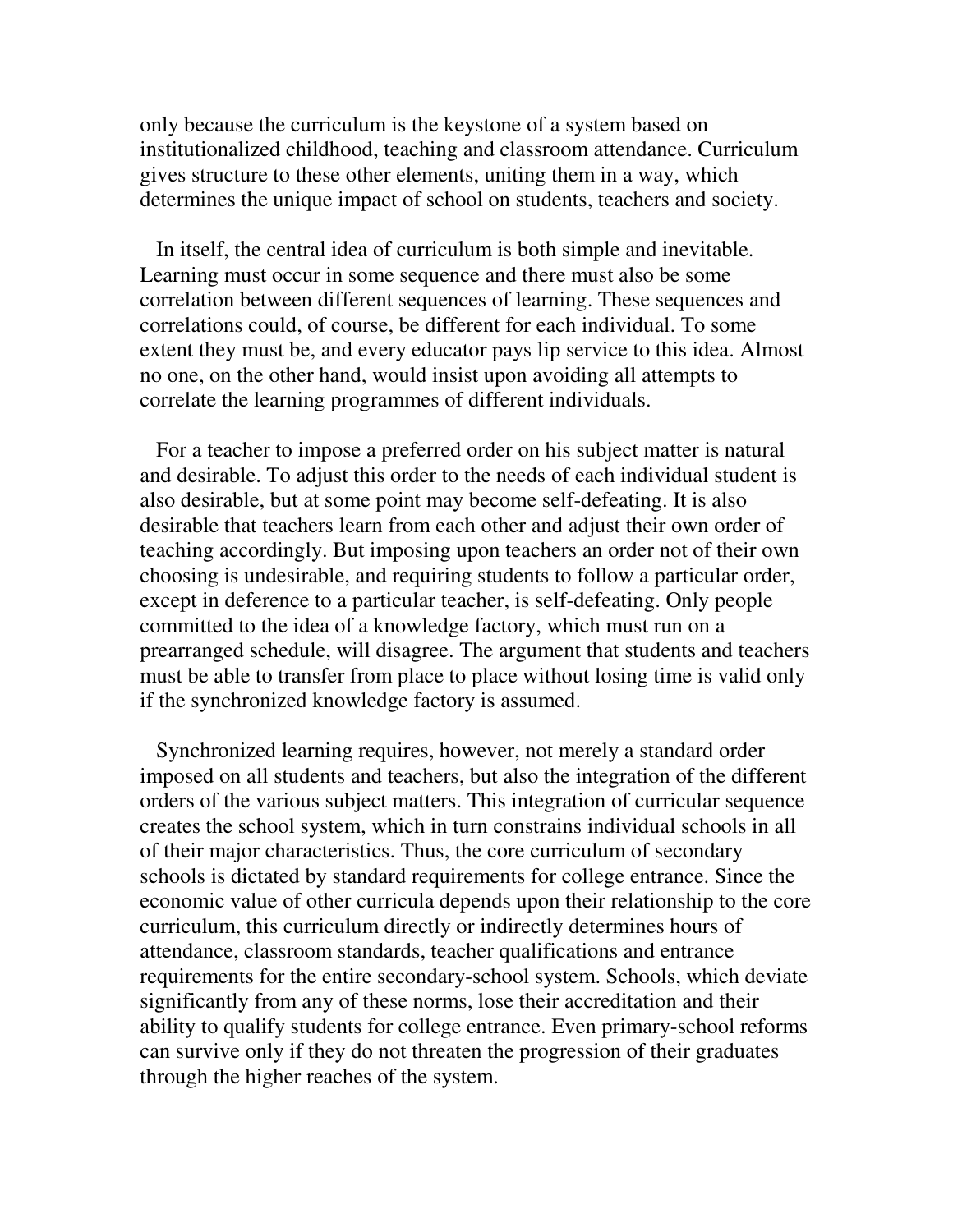only because the curriculum is the keystone of a system based on institutionalized childhood, teaching and classroom attendance. Curriculum gives structure to these other elements, uniting them in a way, which determines the unique impact of school on students, teachers and society.

 In itself, the central idea of curriculum is both simple and inevitable. Learning must occur in some sequence and there must also be some correlation between different sequences of learning. These sequences and correlations could, of course, be different for each individual. To some extent they must be, and every educator pays lip service to this idea. Almost no one, on the other hand, would insist upon avoiding all attempts to correlate the learning programmes of different individuals.

 For a teacher to impose a preferred order on his subject matter is natural and desirable. To adjust this order to the needs of each individual student is also desirable, but at some point may become self-defeating. It is also desirable that teachers learn from each other and adjust their own order of teaching accordingly. But imposing upon teachers an order not of their own choosing is undesirable, and requiring students to follow a particular order, except in deference to a particular teacher, is self-defeating. Only people committed to the idea of a knowledge factory, which must run on a prearranged schedule, will disagree. The argument that students and teachers must be able to transfer from place to place without losing time is valid only if the synchronized knowledge factory is assumed.

 Synchronized learning requires, however, not merely a standard order imposed on all students and teachers, but also the integration of the different orders of the various subject matters. This integration of curricular sequence creates the school system, which in turn constrains individual schools in all of their major characteristics. Thus, the core curriculum of secondary schools is dictated by standard requirements for college entrance. Since the economic value of other curricula depends upon their relationship to the core curriculum, this curriculum directly or indirectly determines hours of attendance, classroom standards, teacher qualifications and entrance requirements for the entire secondary-school system. Schools, which deviate significantly from any of these norms, lose their accreditation and their ability to qualify students for college entrance. Even primary-school reforms can survive only if they do not threaten the progression of their graduates through the higher reaches of the system.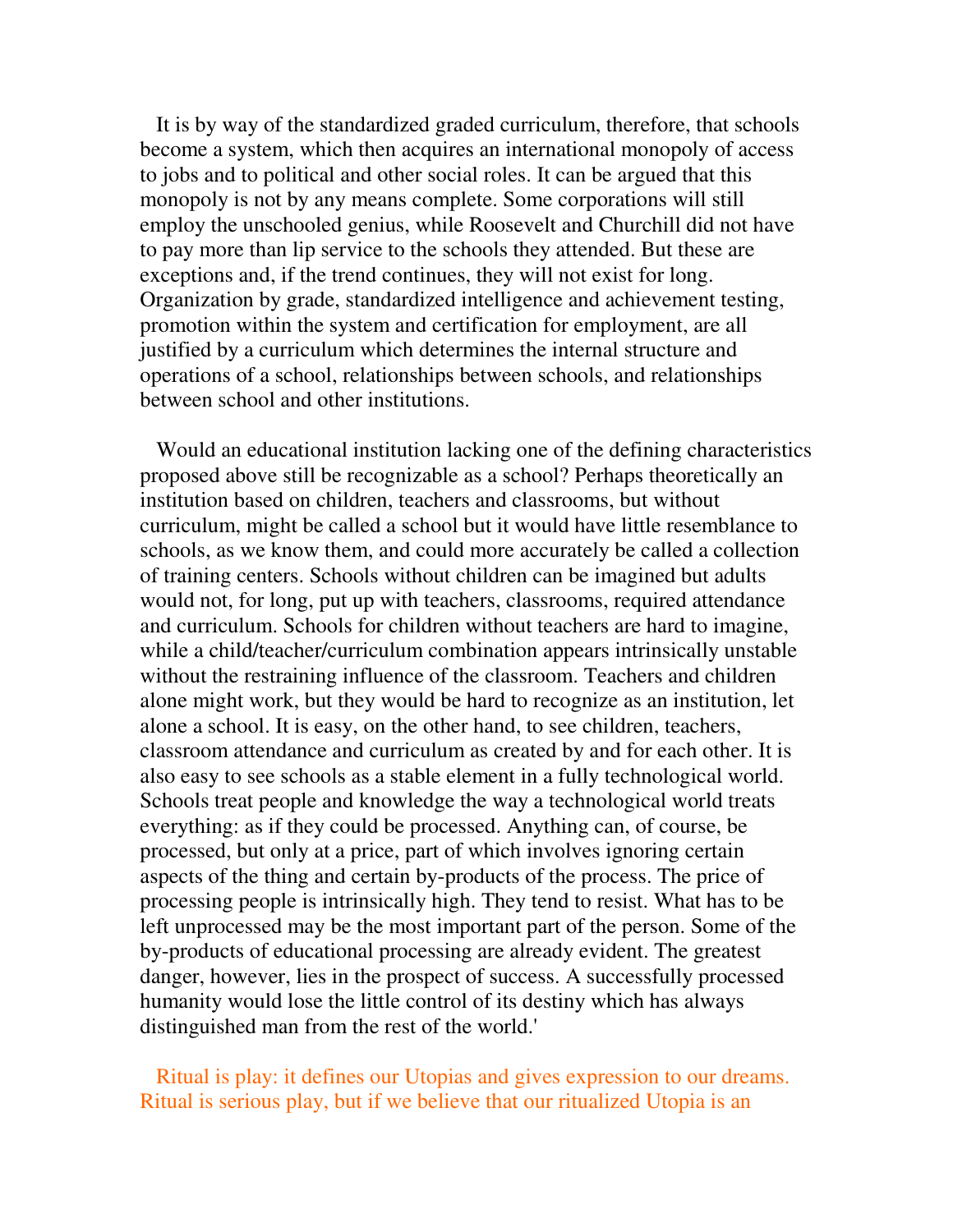It is by way of the standardized graded curriculum, therefore, that schools become a system, which then acquires an international monopoly of access to jobs and to political and other social roles. It can be argued that this monopoly is not by any means complete. Some corporations will still employ the unschooled genius, while Roosevelt and Churchill did not have to pay more than lip service to the schools they attended. But these are exceptions and, if the trend continues, they will not exist for long. Organization by grade, standardized intelligence and achievement testing, promotion within the system and certification for employment, are all justified by a curriculum which determines the internal structure and operations of a school, relationships between schools, and relationships between school and other institutions.

 Would an educational institution lacking one of the defining characteristics proposed above still be recognizable as a school? Perhaps theoretically an institution based on children, teachers and classrooms, but without curriculum, might be called a school but it would have little resemblance to schools, as we know them, and could more accurately be called a collection of training centers. Schools without children can be imagined but adults would not, for long, put up with teachers, classrooms, required attendance and curriculum. Schools for children without teachers are hard to imagine, while a child/teacher/curriculum combination appears intrinsically unstable without the restraining influence of the classroom. Teachers and children alone might work, but they would be hard to recognize as an institution, let alone a school. It is easy, on the other hand, to see children, teachers, classroom attendance and curriculum as created by and for each other. It is also easy to see schools as a stable element in a fully technological world. Schools treat people and knowledge the way a technological world treats everything: as if they could be processed. Anything can, of course, be processed, but only at a price, part of which involves ignoring certain aspects of the thing and certain by-products of the process. The price of processing people is intrinsically high. They tend to resist. What has to be left unprocessed may be the most important part of the person. Some of the by-products of educational processing are already evident. The greatest danger, however, lies in the prospect of success. A successfully processed humanity would lose the little control of its destiny which has always distinguished man from the rest of the world.'

 Ritual is play: it defines our Utopias and gives expression to our dreams. Ritual is serious play, but if we believe that our ritualized Utopia is an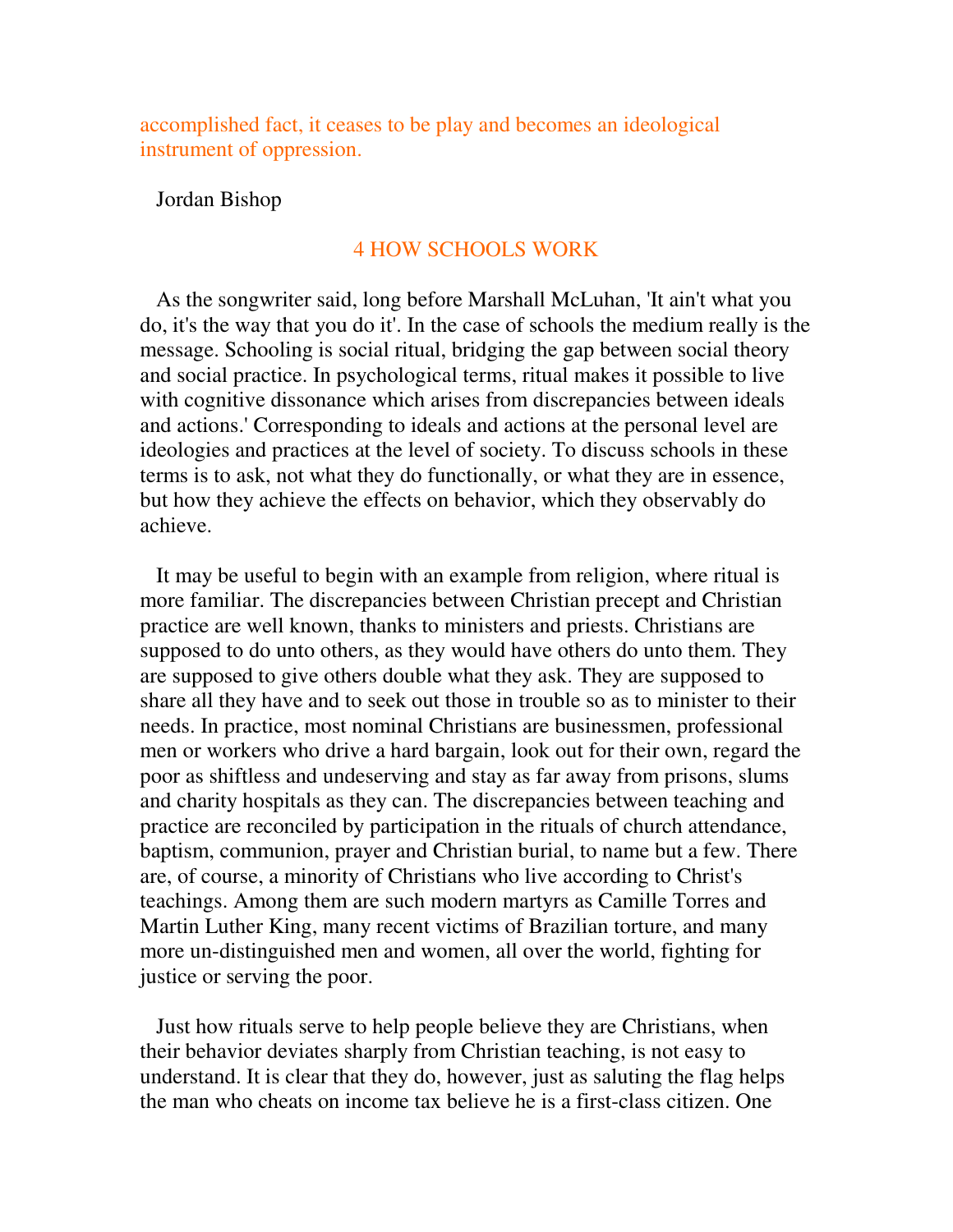accomplished fact, it ceases to be play and becomes an ideological instrument of oppression.

Jordan Bishop

# 4 HOW SCHOOLS WORK

 As the songwriter said, long before Marshall McLuhan, 'It ain't what you do, it's the way that you do it'. In the case of schools the medium really is the message. Schooling is social ritual, bridging the gap between social theory and social practice. In psychological terms, ritual makes it possible to live with cognitive dissonance which arises from discrepancies between ideals and actions.' Corresponding to ideals and actions at the personal level are ideologies and practices at the level of society. To discuss schools in these terms is to ask, not what they do functionally, or what they are in essence, but how they achieve the effects on behavior, which they observably do achieve.

 It may be useful to begin with an example from religion, where ritual is more familiar. The discrepancies between Christian precept and Christian practice are well known, thanks to ministers and priests. Christians are supposed to do unto others, as they would have others do unto them. They are supposed to give others double what they ask. They are supposed to share all they have and to seek out those in trouble so as to minister to their needs. In practice, most nominal Christians are businessmen, professional men or workers who drive a hard bargain, look out for their own, regard the poor as shiftless and undeserving and stay as far away from prisons, slums and charity hospitals as they can. The discrepancies between teaching and practice are reconciled by participation in the rituals of church attendance, baptism, communion, prayer and Christian burial, to name but a few. There are, of course, a minority of Christians who live according to Christ's teachings. Among them are such modern martyrs as Camille Torres and Martin Luther King, many recent victims of Brazilian torture, and many more un-distinguished men and women, all over the world, fighting for justice or serving the poor.

 Just how rituals serve to help people believe they are Christians, when their behavior deviates sharply from Christian teaching, is not easy to understand. It is clear that they do, however, just as saluting the flag helps the man who cheats on income tax believe he is a first-class citizen. One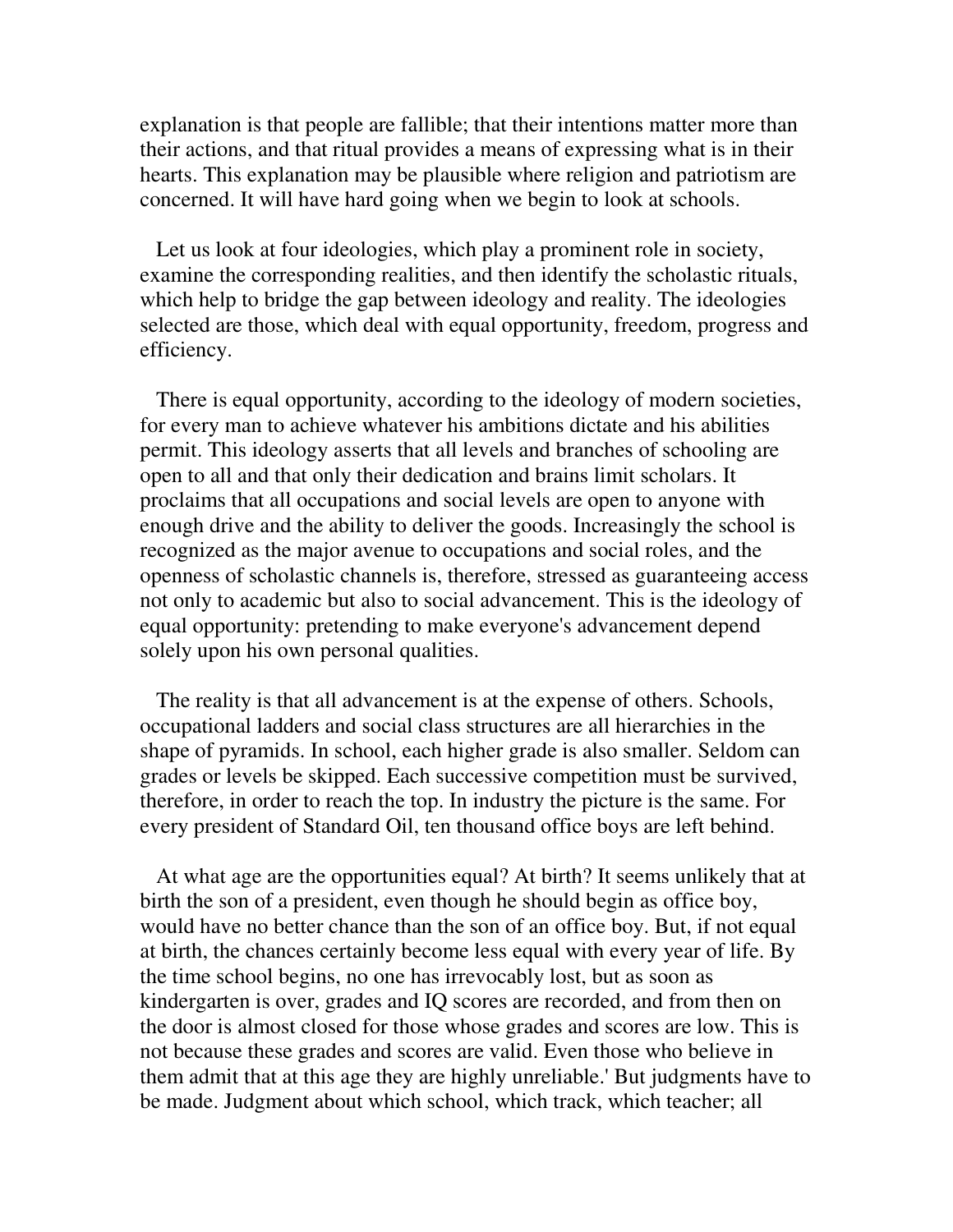explanation is that people are fallible; that their intentions matter more than their actions, and that ritual provides a means of expressing what is in their hearts. This explanation may be plausible where religion and patriotism are concerned. It will have hard going when we begin to look at schools.

 Let us look at four ideologies, which play a prominent role in society, examine the corresponding realities, and then identify the scholastic rituals, which help to bridge the gap between ideology and reality. The ideologies selected are those, which deal with equal opportunity, freedom, progress and efficiency.

 There is equal opportunity, according to the ideology of modern societies, for every man to achieve whatever his ambitions dictate and his abilities permit. This ideology asserts that all levels and branches of schooling are open to all and that only their dedication and brains limit scholars. It proclaims that all occupations and social levels are open to anyone with enough drive and the ability to deliver the goods. Increasingly the school is recognized as the major avenue to occupations and social roles, and the openness of scholastic channels is, therefore, stressed as guaranteeing access not only to academic but also to social advancement. This is the ideology of equal opportunity: pretending to make everyone's advancement depend solely upon his own personal qualities.

 The reality is that all advancement is at the expense of others. Schools, occupational ladders and social class structures are all hierarchies in the shape of pyramids. In school, each higher grade is also smaller. Seldom can grades or levels be skipped. Each successive competition must be survived, therefore, in order to reach the top. In industry the picture is the same. For every president of Standard Oil, ten thousand office boys are left behind.

 At what age are the opportunities equal? At birth? It seems unlikely that at birth the son of a president, even though he should begin as office boy, would have no better chance than the son of an office boy. But, if not equal at birth, the chances certainly become less equal with every year of life. By the time school begins, no one has irrevocably lost, but as soon as kindergarten is over, grades and IQ scores are recorded, and from then on the door is almost closed for those whose grades and scores are low. This is not because these grades and scores are valid. Even those who believe in them admit that at this age they are highly unreliable.' But judgments have to be made. Judgment about which school, which track, which teacher; all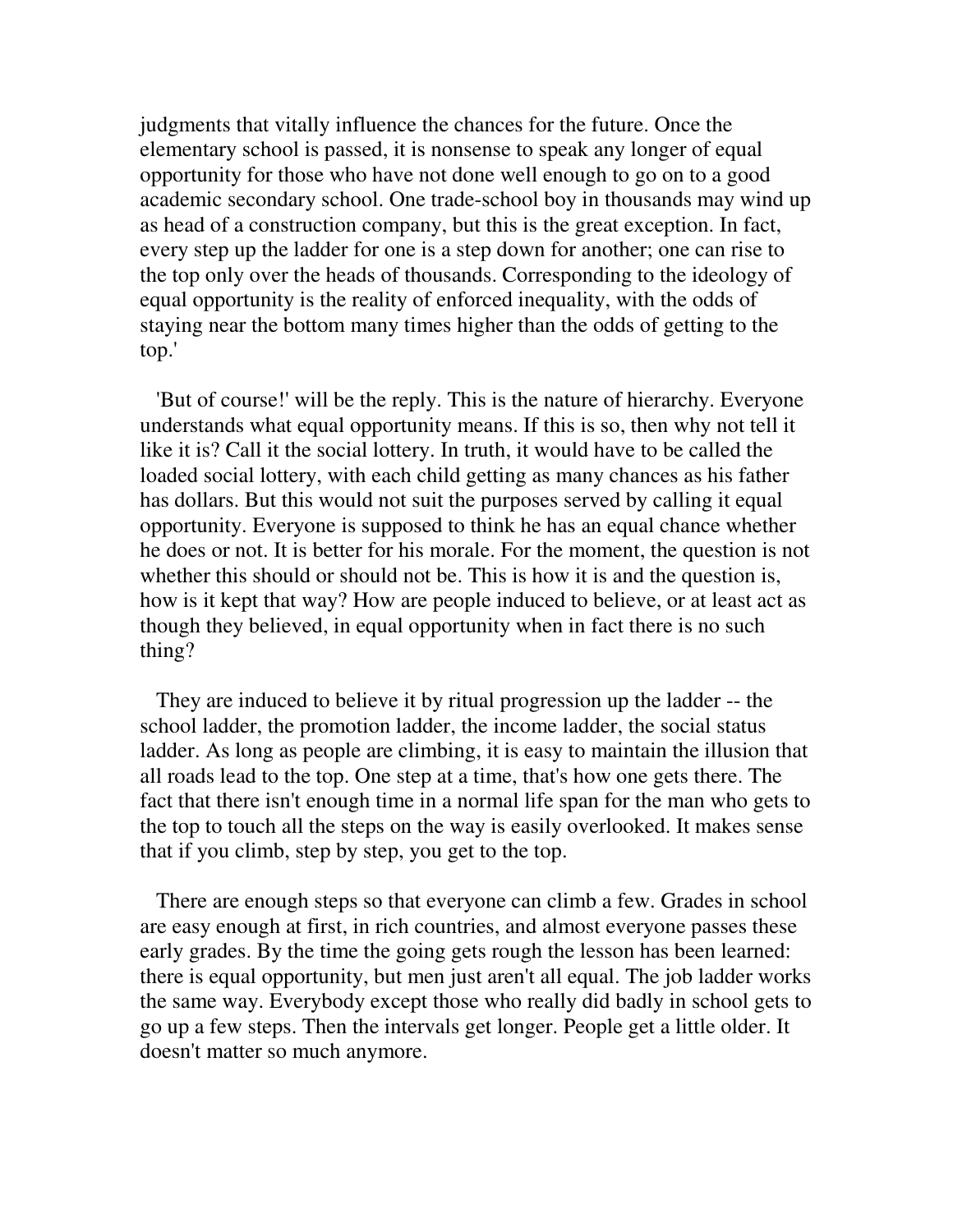judgments that vitally influence the chances for the future. Once the elementary school is passed, it is nonsense to speak any longer of equal opportunity for those who have not done well enough to go on to a good academic secondary school. One trade-school boy in thousands may wind up as head of a construction company, but this is the great exception. In fact, every step up the ladder for one is a step down for another; one can rise to the top only over the heads of thousands. Corresponding to the ideology of equal opportunity is the reality of enforced inequality, with the odds of staying near the bottom many times higher than the odds of getting to the top.'

 'But of course!' will be the reply. This is the nature of hierarchy. Everyone understands what equal opportunity means. If this is so, then why not tell it like it is? Call it the social lottery. In truth, it would have to be called the loaded social lottery, with each child getting as many chances as his father has dollars. But this would not suit the purposes served by calling it equal opportunity. Everyone is supposed to think he has an equal chance whether he does or not. It is better for his morale. For the moment, the question is not whether this should or should not be. This is how it is and the question is, how is it kept that way? How are people induced to believe, or at least act as though they believed, in equal opportunity when in fact there is no such thing?

 They are induced to believe it by ritual progression up the ladder -- the school ladder, the promotion ladder, the income ladder, the social status ladder. As long as people are climbing, it is easy to maintain the illusion that all roads lead to the top. One step at a time, that's how one gets there. The fact that there isn't enough time in a normal life span for the man who gets to the top to touch all the steps on the way is easily overlooked. It makes sense that if you climb, step by step, you get to the top.

 There are enough steps so that everyone can climb a few. Grades in school are easy enough at first, in rich countries, and almost everyone passes these early grades. By the time the going gets rough the lesson has been learned: there is equal opportunity, but men just aren't all equal. The job ladder works the same way. Everybody except those who really did badly in school gets to go up a few steps. Then the intervals get longer. People get a little older. It doesn't matter so much anymore.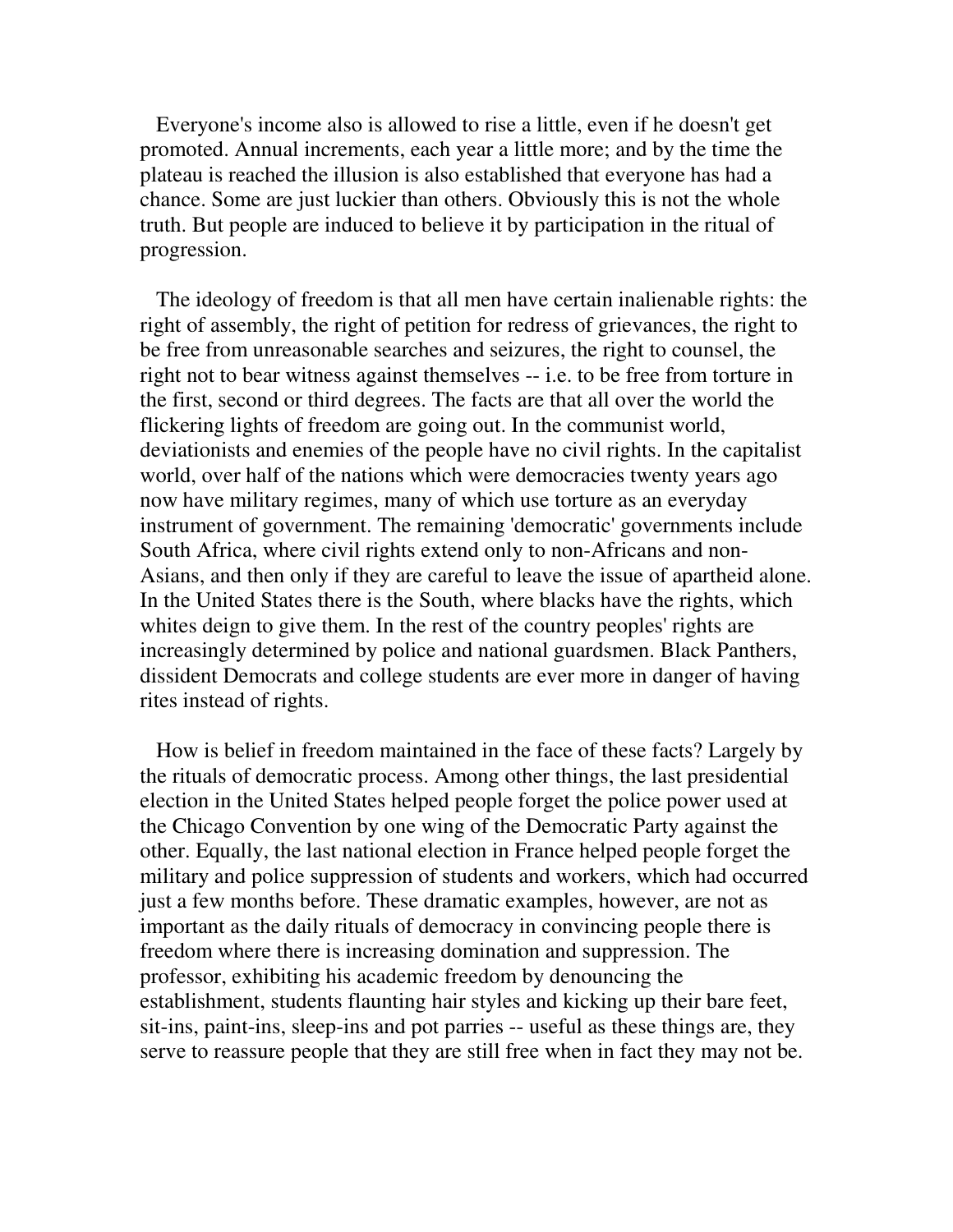Everyone's income also is allowed to rise a little, even if he doesn't get promoted. Annual increments, each year a little more; and by the time the plateau is reached the illusion is also established that everyone has had a chance. Some are just luckier than others. Obviously this is not the whole truth. But people are induced to believe it by participation in the ritual of progression.

 The ideology of freedom is that all men have certain inalienable rights: the right of assembly, the right of petition for redress of grievances, the right to be free from unreasonable searches and seizures, the right to counsel, the right not to bear witness against themselves -- i.e. to be free from torture in the first, second or third degrees. The facts are that all over the world the flickering lights of freedom are going out. In the communist world, deviationists and enemies of the people have no civil rights. In the capitalist world, over half of the nations which were democracies twenty years ago now have military regimes, many of which use torture as an everyday instrument of government. The remaining 'democratic' governments include South Africa, where civil rights extend only to non-Africans and non-Asians, and then only if they are careful to leave the issue of apartheid alone. In the United States there is the South, where blacks have the rights, which whites deign to give them. In the rest of the country peoples' rights are increasingly determined by police and national guardsmen. Black Panthers, dissident Democrats and college students are ever more in danger of having rites instead of rights.

 How is belief in freedom maintained in the face of these facts? Largely by the rituals of democratic process. Among other things, the last presidential election in the United States helped people forget the police power used at the Chicago Convention by one wing of the Democratic Party against the other. Equally, the last national election in France helped people forget the military and police suppression of students and workers, which had occurred just a few months before. These dramatic examples, however, are not as important as the daily rituals of democracy in convincing people there is freedom where there is increasing domination and suppression. The professor, exhibiting his academic freedom by denouncing the establishment, students flaunting hair styles and kicking up their bare feet, sit-ins, paint-ins, sleep-ins and pot parries -- useful as these things are, they serve to reassure people that they are still free when in fact they may not be.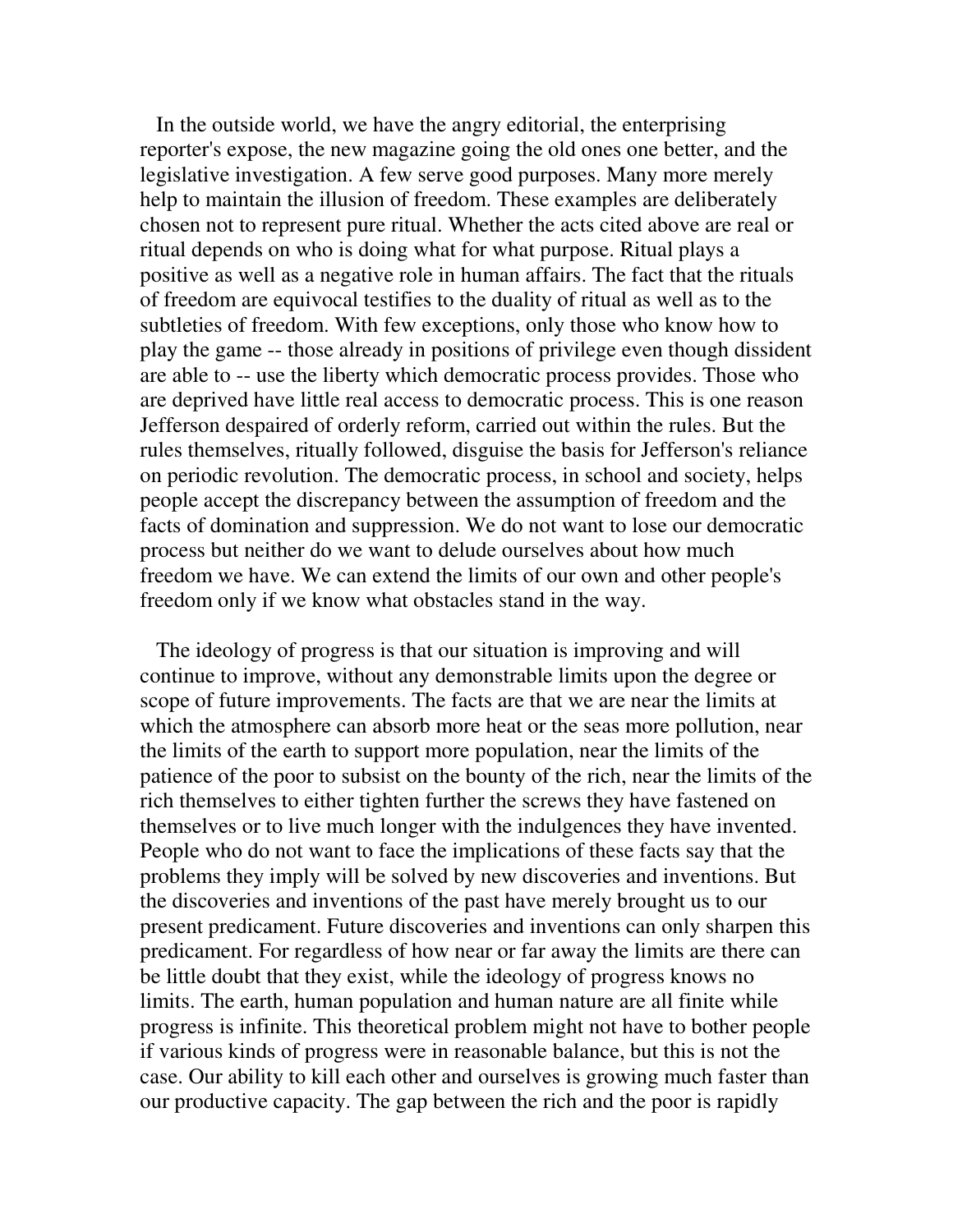In the outside world, we have the angry editorial, the enterprising reporter's expose, the new magazine going the old ones one better, and the legislative investigation. A few serve good purposes. Many more merely help to maintain the illusion of freedom. These examples are deliberately chosen not to represent pure ritual. Whether the acts cited above are real or ritual depends on who is doing what for what purpose. Ritual plays a positive as well as a negative role in human affairs. The fact that the rituals of freedom are equivocal testifies to the duality of ritual as well as to the subtleties of freedom. With few exceptions, only those who know how to play the game -- those already in positions of privilege even though dissident are able to -- use the liberty which democratic process provides. Those who are deprived have little real access to democratic process. This is one reason Jefferson despaired of orderly reform, carried out within the rules. But the rules themselves, ritually followed, disguise the basis for Jefferson's reliance on periodic revolution. The democratic process, in school and society, helps people accept the discrepancy between the assumption of freedom and the facts of domination and suppression. We do not want to lose our democratic process but neither do we want to delude ourselves about how much freedom we have. We can extend the limits of our own and other people's freedom only if we know what obstacles stand in the way.

 The ideology of progress is that our situation is improving and will continue to improve, without any demonstrable limits upon the degree or scope of future improvements. The facts are that we are near the limits at which the atmosphere can absorb more heat or the seas more pollution, near the limits of the earth to support more population, near the limits of the patience of the poor to subsist on the bounty of the rich, near the limits of the rich themselves to either tighten further the screws they have fastened on themselves or to live much longer with the indulgences they have invented. People who do not want to face the implications of these facts say that the problems they imply will be solved by new discoveries and inventions. But the discoveries and inventions of the past have merely brought us to our present predicament. Future discoveries and inventions can only sharpen this predicament. For regardless of how near or far away the limits are there can be little doubt that they exist, while the ideology of progress knows no limits. The earth, human population and human nature are all finite while progress is infinite. This theoretical problem might not have to bother people if various kinds of progress were in reasonable balance, but this is not the case. Our ability to kill each other and ourselves is growing much faster than our productive capacity. The gap between the rich and the poor is rapidly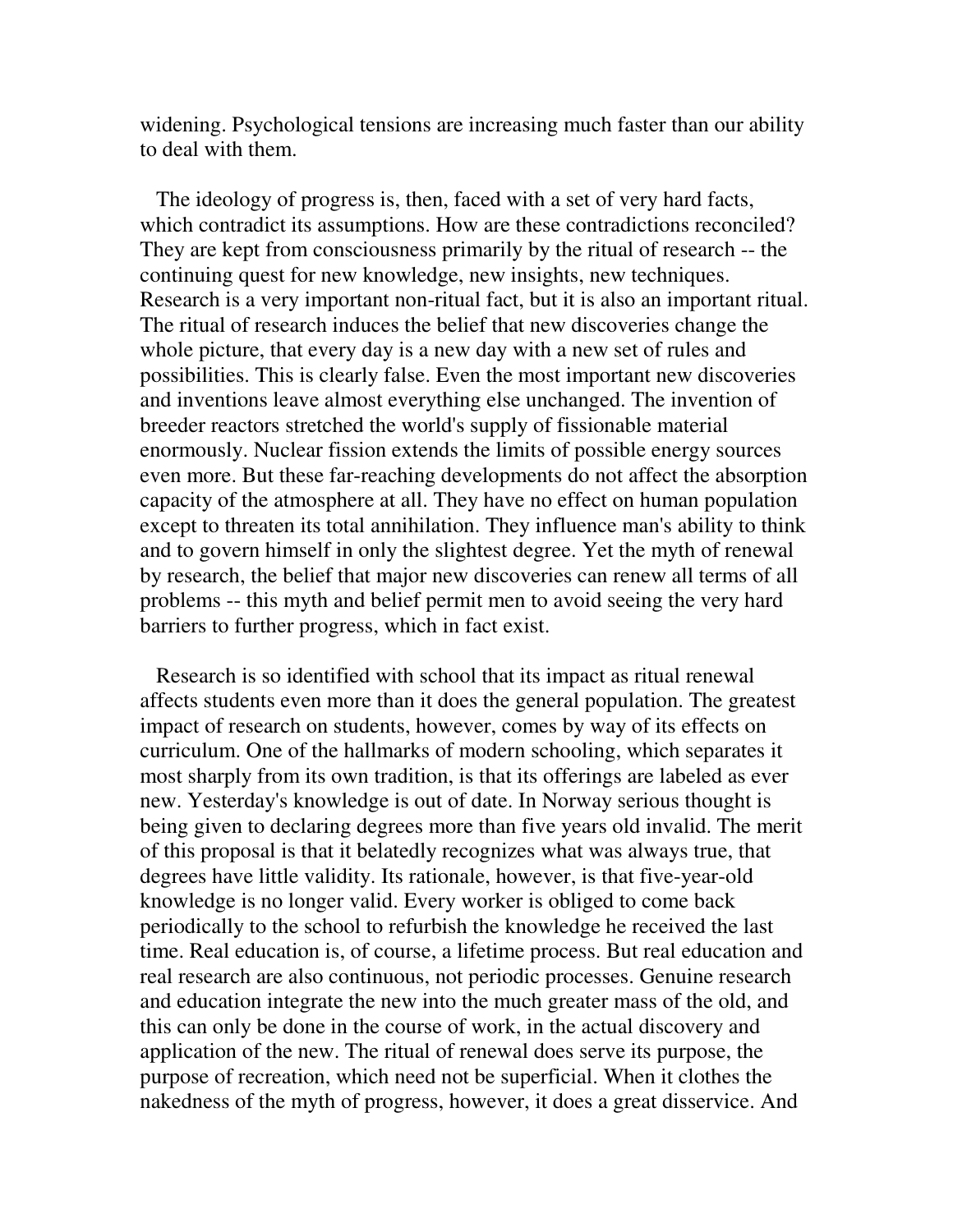widening. Psychological tensions are increasing much faster than our ability to deal with them.

 The ideology of progress is, then, faced with a set of very hard facts, which contradict its assumptions. How are these contradictions reconciled? They are kept from consciousness primarily by the ritual of research -- the continuing quest for new knowledge, new insights, new techniques. Research is a very important non-ritual fact, but it is also an important ritual. The ritual of research induces the belief that new discoveries change the whole picture, that every day is a new day with a new set of rules and possibilities. This is clearly false. Even the most important new discoveries and inventions leave almost everything else unchanged. The invention of breeder reactors stretched the world's supply of fissionable material enormously. Nuclear fission extends the limits of possible energy sources even more. But these far-reaching developments do not affect the absorption capacity of the atmosphere at all. They have no effect on human population except to threaten its total annihilation. They influence man's ability to think and to govern himself in only the slightest degree. Yet the myth of renewal by research, the belief that major new discoveries can renew all terms of all problems -- this myth and belief permit men to avoid seeing the very hard barriers to further progress, which in fact exist.

 Research is so identified with school that its impact as ritual renewal affects students even more than it does the general population. The greatest impact of research on students, however, comes by way of its effects on curriculum. One of the hallmarks of modern schooling, which separates it most sharply from its own tradition, is that its offerings are labeled as ever new. Yesterday's knowledge is out of date. In Norway serious thought is being given to declaring degrees more than five years old invalid. The merit of this proposal is that it belatedly recognizes what was always true, that degrees have little validity. Its rationale, however, is that five-year-old knowledge is no longer valid. Every worker is obliged to come back periodically to the school to refurbish the knowledge he received the last time. Real education is, of course, a lifetime process. But real education and real research are also continuous, not periodic processes. Genuine research and education integrate the new into the much greater mass of the old, and this can only be done in the course of work, in the actual discovery and application of the new. The ritual of renewal does serve its purpose, the purpose of recreation, which need not be superficial. When it clothes the nakedness of the myth of progress, however, it does a great disservice. And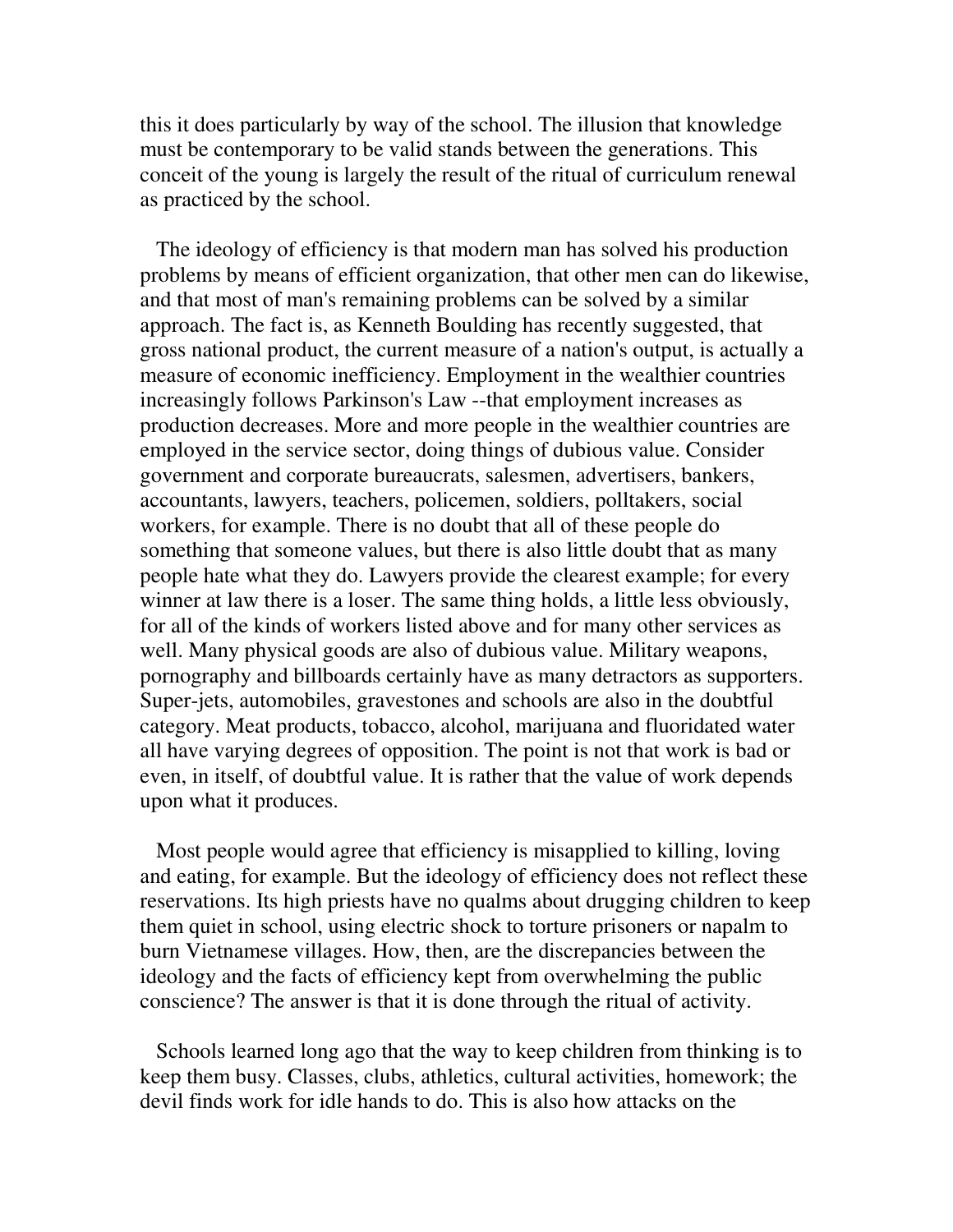this it does particularly by way of the school. The illusion that knowledge must be contemporary to be valid stands between the generations. This conceit of the young is largely the result of the ritual of curriculum renewal as practiced by the school.

 The ideology of efficiency is that modern man has solved his production problems by means of efficient organization, that other men can do likewise, and that most of man's remaining problems can be solved by a similar approach. The fact is, as Kenneth Boulding has recently suggested, that gross national product, the current measure of a nation's output, is actually a measure of economic inefficiency. Employment in the wealthier countries increasingly follows Parkinson's Law --that employment increases as production decreases. More and more people in the wealthier countries are employed in the service sector, doing things of dubious value. Consider government and corporate bureaucrats, salesmen, advertisers, bankers, accountants, lawyers, teachers, policemen, soldiers, polltakers, social workers, for example. There is no doubt that all of these people do something that someone values, but there is also little doubt that as many people hate what they do. Lawyers provide the clearest example; for every winner at law there is a loser. The same thing holds, a little less obviously, for all of the kinds of workers listed above and for many other services as well. Many physical goods are also of dubious value. Military weapons, pornography and billboards certainly have as many detractors as supporters. Super-jets, automobiles, gravestones and schools are also in the doubtful category. Meat products, tobacco, alcohol, marijuana and fluoridated water all have varying degrees of opposition. The point is not that work is bad or even, in itself, of doubtful value. It is rather that the value of work depends upon what it produces.

 Most people would agree that efficiency is misapplied to killing, loving and eating, for example. But the ideology of efficiency does not reflect these reservations. Its high priests have no qualms about drugging children to keep them quiet in school, using electric shock to torture prisoners or napalm to burn Vietnamese villages. How, then, are the discrepancies between the ideology and the facts of efficiency kept from overwhelming the public conscience? The answer is that it is done through the ritual of activity.

 Schools learned long ago that the way to keep children from thinking is to keep them busy. Classes, clubs, athletics, cultural activities, homework; the devil finds work for idle hands to do. This is also how attacks on the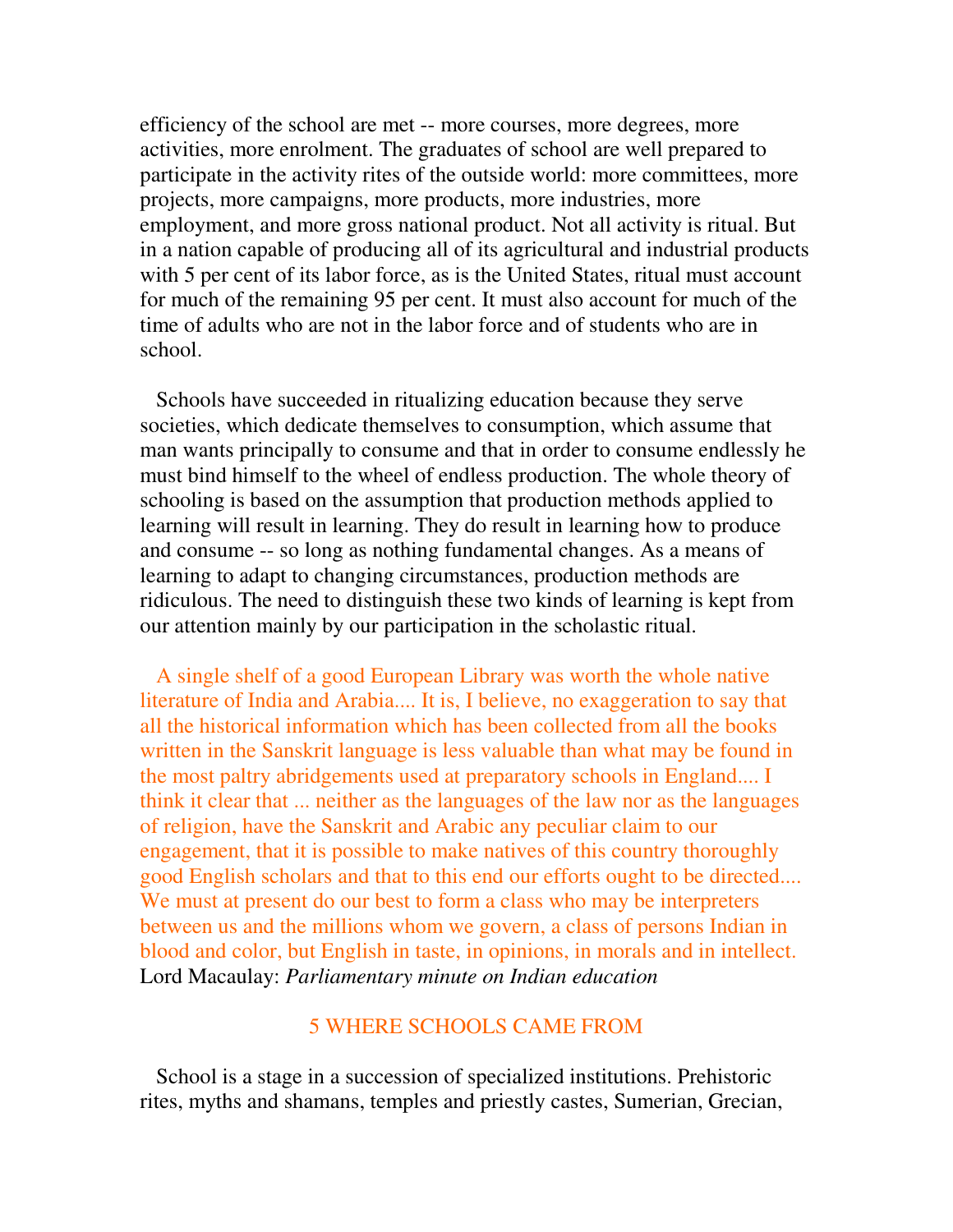efficiency of the school are met -- more courses, more degrees, more activities, more enrolment. The graduates of school are well prepared to participate in the activity rites of the outside world: more committees, more projects, more campaigns, more products, more industries, more employment, and more gross national product. Not all activity is ritual. But in a nation capable of producing all of its agricultural and industrial products with 5 per cent of its labor force, as is the United States, ritual must account for much of the remaining 95 per cent. It must also account for much of the time of adults who are not in the labor force and of students who are in school.

 Schools have succeeded in ritualizing education because they serve societies, which dedicate themselves to consumption, which assume that man wants principally to consume and that in order to consume endlessly he must bind himself to the wheel of endless production. The whole theory of schooling is based on the assumption that production methods applied to learning will result in learning. They do result in learning how to produce and consume -- so long as nothing fundamental changes. As a means of learning to adapt to changing circumstances, production methods are ridiculous. The need to distinguish these two kinds of learning is kept from our attention mainly by our participation in the scholastic ritual.

 A single shelf of a good European Library was worth the whole native literature of India and Arabia.... It is, I believe, no exaggeration to say that all the historical information which has been collected from all the books written in the Sanskrit language is less valuable than what may be found in the most paltry abridgements used at preparatory schools in England.... I think it clear that ... neither as the languages of the law nor as the languages of religion, have the Sanskrit and Arabic any peculiar claim to our engagement, that it is possible to make natives of this country thoroughly good English scholars and that to this end our efforts ought to be directed.... We must at present do our best to form a class who may be interpreters between us and the millions whom we govern, a class of persons Indian in blood and color, but English in taste, in opinions, in morals and in intellect. Lord Macaulay: *Parliamentary minute on Indian education*

# 5 WHERE SCHOOLS CAME FROM

 School is a stage in a succession of specialized institutions. Prehistoric rites, myths and shamans, temples and priestly castes, Sumerian, Grecian,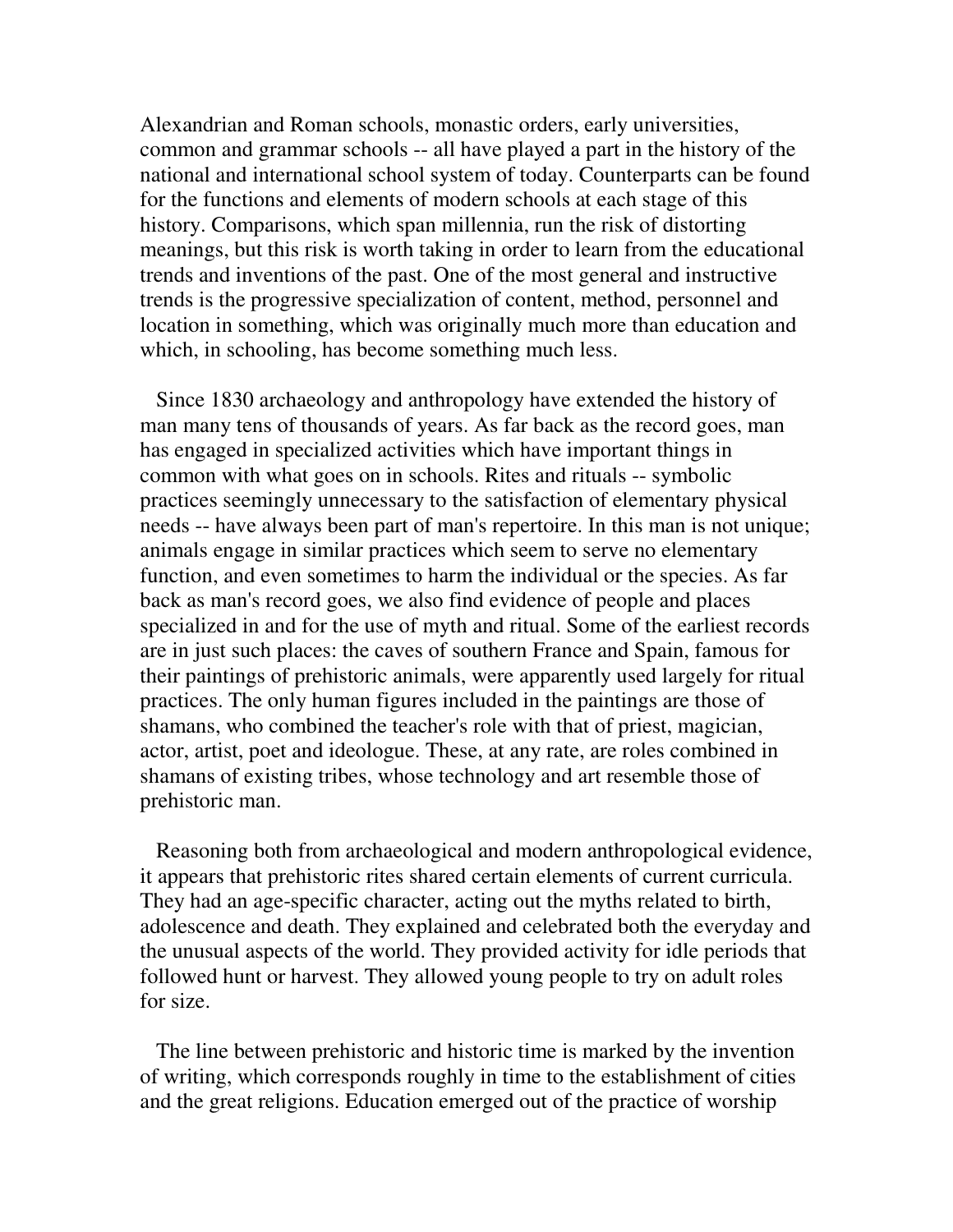Alexandrian and Roman schools, monastic orders, early universities, common and grammar schools -- all have played a part in the history of the national and international school system of today. Counterparts can be found for the functions and elements of modern schools at each stage of this history. Comparisons, which span millennia, run the risk of distorting meanings, but this risk is worth taking in order to learn from the educational trends and inventions of the past. One of the most general and instructive trends is the progressive specialization of content, method, personnel and location in something, which was originally much more than education and which, in schooling, has become something much less.

 Since 1830 archaeology and anthropology have extended the history of man many tens of thousands of years. As far back as the record goes, man has engaged in specialized activities which have important things in common with what goes on in schools. Rites and rituals -- symbolic practices seemingly unnecessary to the satisfaction of elementary physical needs -- have always been part of man's repertoire. In this man is not unique; animals engage in similar practices which seem to serve no elementary function, and even sometimes to harm the individual or the species. As far back as man's record goes, we also find evidence of people and places specialized in and for the use of myth and ritual. Some of the earliest records are in just such places: the caves of southern France and Spain, famous for their paintings of prehistoric animals, were apparently used largely for ritual practices. The only human figures included in the paintings are those of shamans, who combined the teacher's role with that of priest, magician, actor, artist, poet and ideologue. These, at any rate, are roles combined in shamans of existing tribes, whose technology and art resemble those of prehistoric man.

 Reasoning both from archaeological and modern anthropological evidence, it appears that prehistoric rites shared certain elements of current curricula. They had an age-specific character, acting out the myths related to birth, adolescence and death. They explained and celebrated both the everyday and the unusual aspects of the world. They provided activity for idle periods that followed hunt or harvest. They allowed young people to try on adult roles for size.

 The line between prehistoric and historic time is marked by the invention of writing, which corresponds roughly in time to the establishment of cities and the great religions. Education emerged out of the practice of worship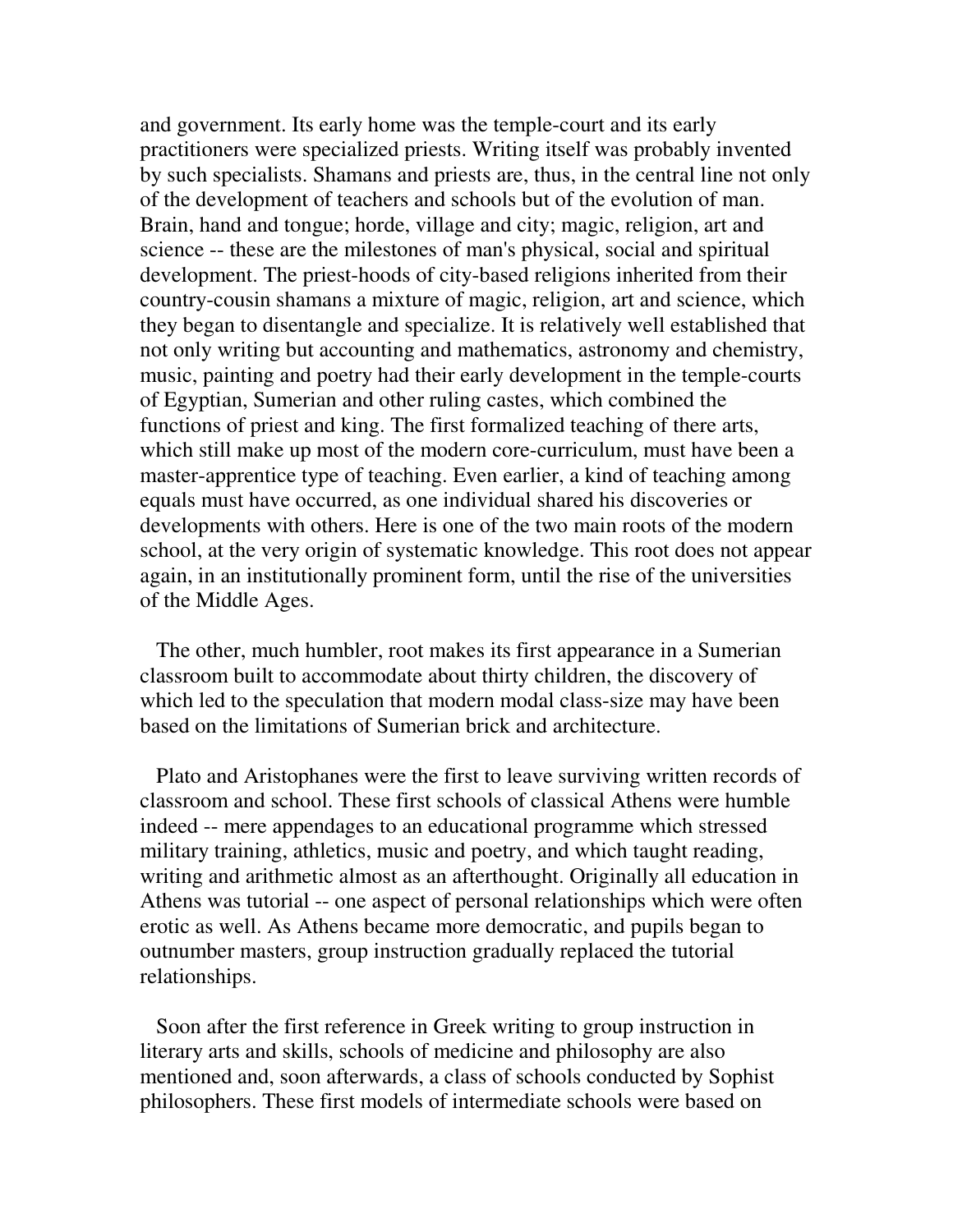and government. Its early home was the temple-court and its early practitioners were specialized priests. Writing itself was probably invented by such specialists. Shamans and priests are, thus, in the central line not only of the development of teachers and schools but of the evolution of man. Brain, hand and tongue; horde, village and city; magic, religion, art and science -- these are the milestones of man's physical, social and spiritual development. The priest-hoods of city-based religions inherited from their country-cousin shamans a mixture of magic, religion, art and science, which they began to disentangle and specialize. It is relatively well established that not only writing but accounting and mathematics, astronomy and chemistry, music, painting and poetry had their early development in the temple-courts of Egyptian, Sumerian and other ruling castes, which combined the functions of priest and king. The first formalized teaching of there arts, which still make up most of the modern core-curriculum, must have been a master-apprentice type of teaching. Even earlier, a kind of teaching among equals must have occurred, as one individual shared his discoveries or developments with others. Here is one of the two main roots of the modern school, at the very origin of systematic knowledge. This root does not appear again, in an institutionally prominent form, until the rise of the universities of the Middle Ages.

 The other, much humbler, root makes its first appearance in a Sumerian classroom built to accommodate about thirty children, the discovery of which led to the speculation that modern modal class-size may have been based on the limitations of Sumerian brick and architecture.

 Plato and Aristophanes were the first to leave surviving written records of classroom and school. These first schools of classical Athens were humble indeed -- mere appendages to an educational programme which stressed military training, athletics, music and poetry, and which taught reading, writing and arithmetic almost as an afterthought. Originally all education in Athens was tutorial -- one aspect of personal relationships which were often erotic as well. As Athens became more democratic, and pupils began to outnumber masters, group instruction gradually replaced the tutorial relationships.

 Soon after the first reference in Greek writing to group instruction in literary arts and skills, schools of medicine and philosophy are also mentioned and, soon afterwards, a class of schools conducted by Sophist philosophers. These first models of intermediate schools were based on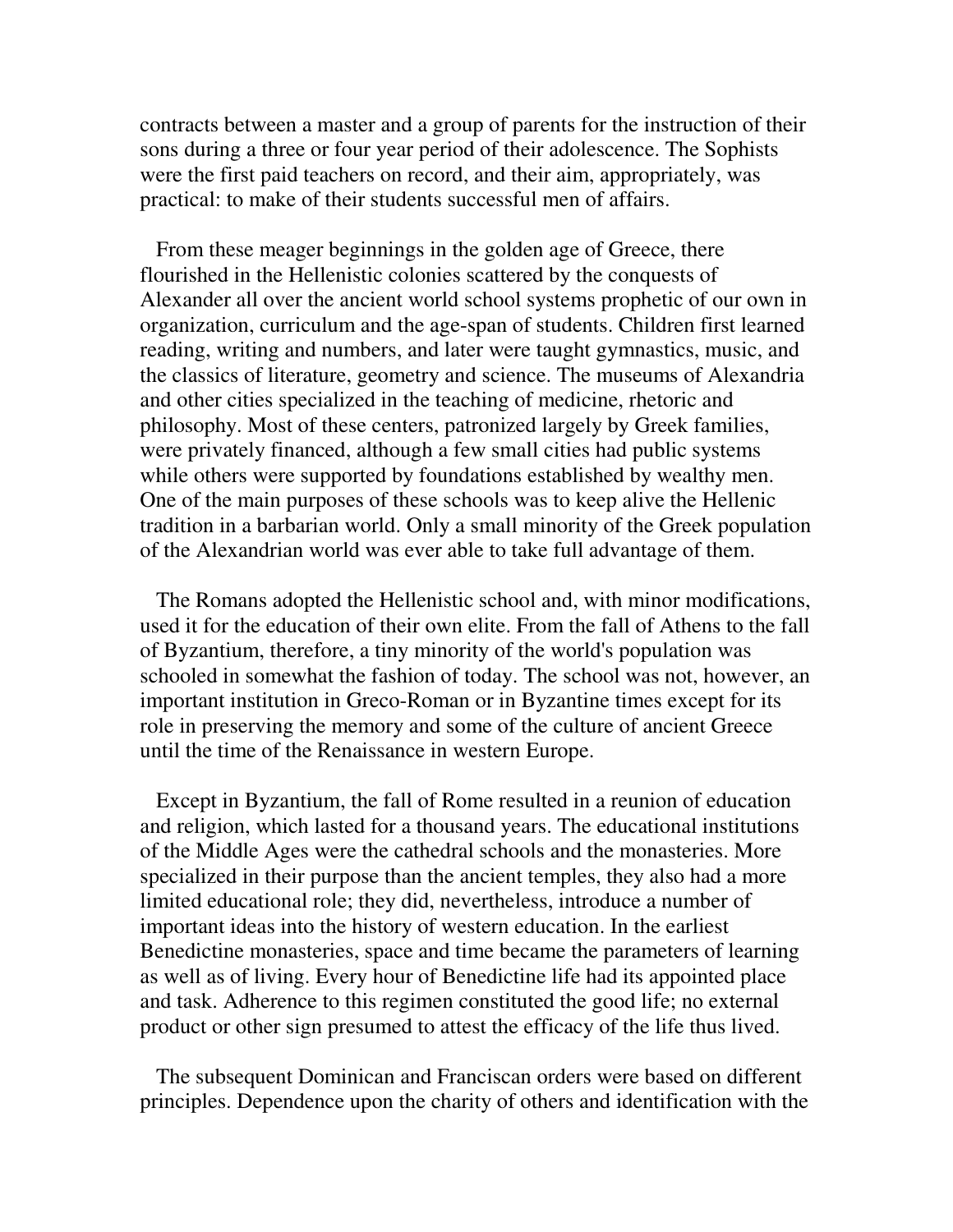contracts between a master and a group of parents for the instruction of their sons during a three or four year period of their adolescence. The Sophists were the first paid teachers on record, and their aim, appropriately, was practical: to make of their students successful men of affairs.

 From these meager beginnings in the golden age of Greece, there flourished in the Hellenistic colonies scattered by the conquests of Alexander all over the ancient world school systems prophetic of our own in organization, curriculum and the age-span of students. Children first learned reading, writing and numbers, and later were taught gymnastics, music, and the classics of literature, geometry and science. The museums of Alexandria and other cities specialized in the teaching of medicine, rhetoric and philosophy. Most of these centers, patronized largely by Greek families, were privately financed, although a few small cities had public systems while others were supported by foundations established by wealthy men. One of the main purposes of these schools was to keep alive the Hellenic tradition in a barbarian world. Only a small minority of the Greek population of the Alexandrian world was ever able to take full advantage of them.

 The Romans adopted the Hellenistic school and, with minor modifications, used it for the education of their own elite. From the fall of Athens to the fall of Byzantium, therefore, a tiny minority of the world's population was schooled in somewhat the fashion of today. The school was not, however, an important institution in Greco-Roman or in Byzantine times except for its role in preserving the memory and some of the culture of ancient Greece until the time of the Renaissance in western Europe.

 Except in Byzantium, the fall of Rome resulted in a reunion of education and religion, which lasted for a thousand years. The educational institutions of the Middle Ages were the cathedral schools and the monasteries. More specialized in their purpose than the ancient temples, they also had a more limited educational role; they did, nevertheless, introduce a number of important ideas into the history of western education. In the earliest Benedictine monasteries, space and time became the parameters of learning as well as of living. Every hour of Benedictine life had its appointed place and task. Adherence to this regimen constituted the good life; no external product or other sign presumed to attest the efficacy of the life thus lived.

 The subsequent Dominican and Franciscan orders were based on different principles. Dependence upon the charity of others and identification with the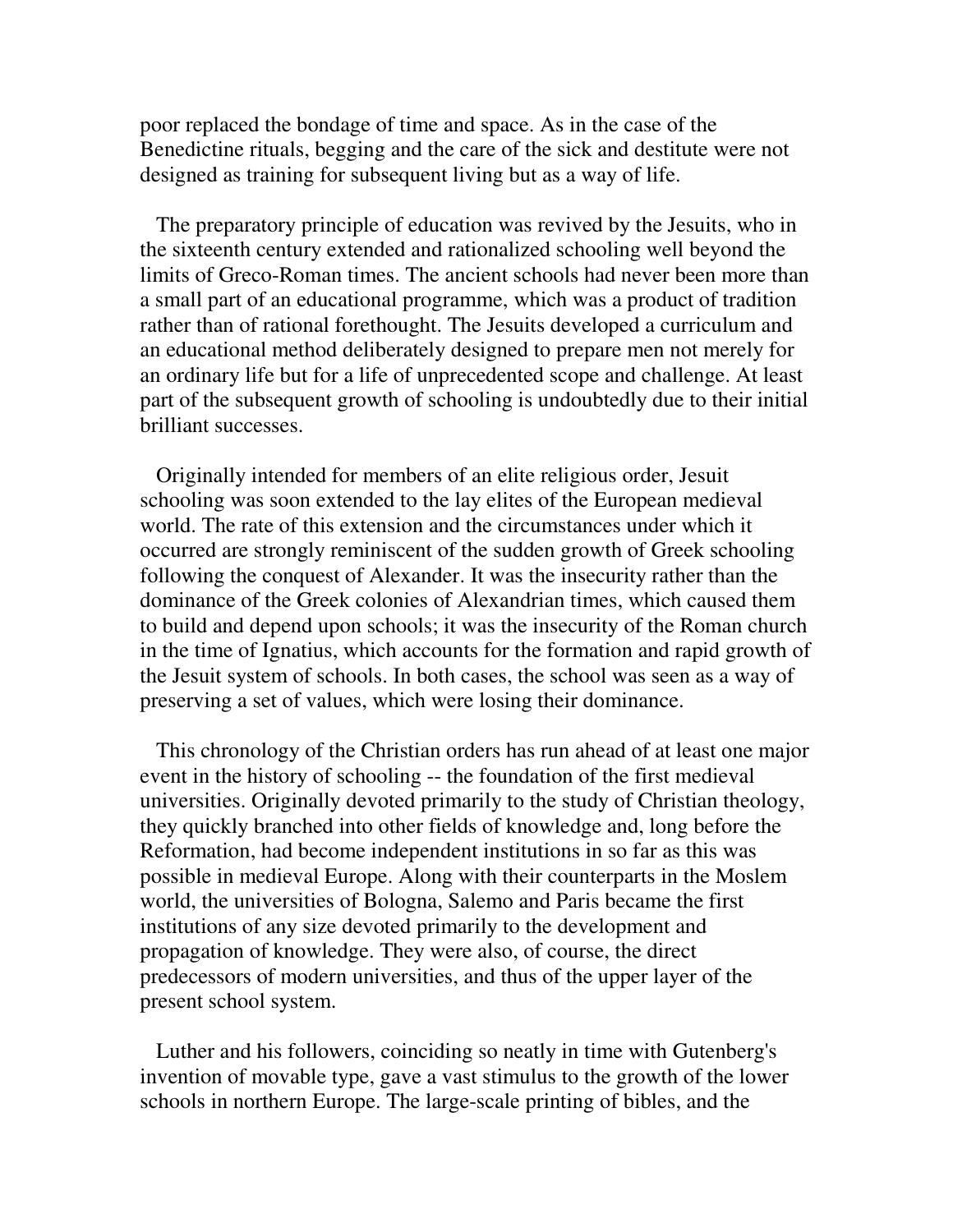poor replaced the bondage of time and space. As in the case of the Benedictine rituals, begging and the care of the sick and destitute were not designed as training for subsequent living but as a way of life.

 The preparatory principle of education was revived by the Jesuits, who in the sixteenth century extended and rationalized schooling well beyond the limits of Greco-Roman times. The ancient schools had never been more than a small part of an educational programme, which was a product of tradition rather than of rational forethought. The Jesuits developed a curriculum and an educational method deliberately designed to prepare men not merely for an ordinary life but for a life of unprecedented scope and challenge. At least part of the subsequent growth of schooling is undoubtedly due to their initial brilliant successes.

 Originally intended for members of an elite religious order, Jesuit schooling was soon extended to the lay elites of the European medieval world. The rate of this extension and the circumstances under which it occurred are strongly reminiscent of the sudden growth of Greek schooling following the conquest of Alexander. It was the insecurity rather than the dominance of the Greek colonies of Alexandrian times, which caused them to build and depend upon schools; it was the insecurity of the Roman church in the time of Ignatius, which accounts for the formation and rapid growth of the Jesuit system of schools. In both cases, the school was seen as a way of preserving a set of values, which were losing their dominance.

 This chronology of the Christian orders has run ahead of at least one major event in the history of schooling -- the foundation of the first medieval universities. Originally devoted primarily to the study of Christian theology, they quickly branched into other fields of knowledge and, long before the Reformation, had become independent institutions in so far as this was possible in medieval Europe. Along with their counterparts in the Moslem world, the universities of Bologna, Salemo and Paris became the first institutions of any size devoted primarily to the development and propagation of knowledge. They were also, of course, the direct predecessors of modern universities, and thus of the upper layer of the present school system.

 Luther and his followers, coinciding so neatly in time with Gutenberg's invention of movable type, gave a vast stimulus to the growth of the lower schools in northern Europe. The large-scale printing of bibles, and the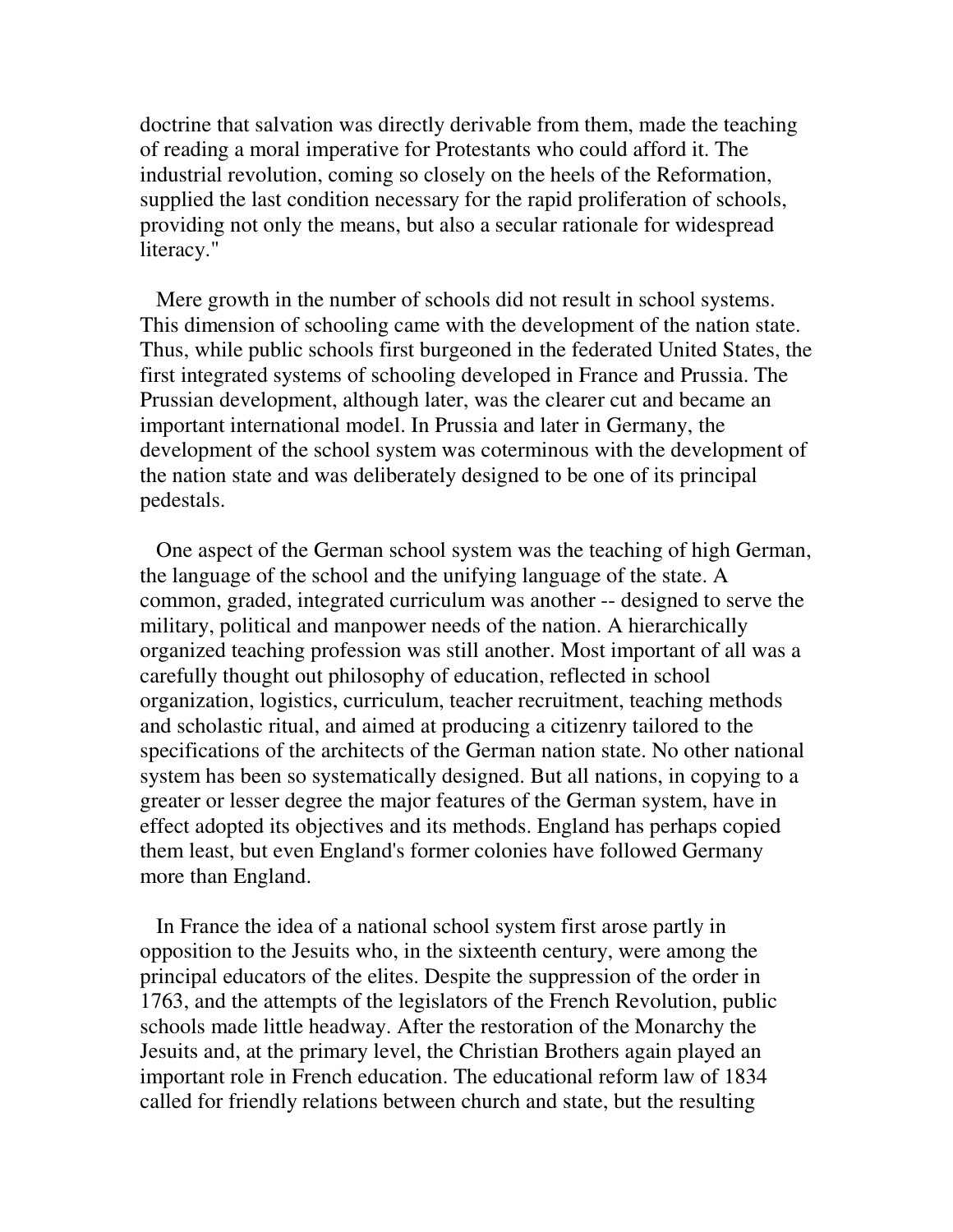doctrine that salvation was directly derivable from them, made the teaching of reading a moral imperative for Protestants who could afford it. The industrial revolution, coming so closely on the heels of the Reformation, supplied the last condition necessary for the rapid proliferation of schools, providing not only the means, but also a secular rationale for widespread literacy."

 Mere growth in the number of schools did not result in school systems. This dimension of schooling came with the development of the nation state. Thus, while public schools first burgeoned in the federated United States, the first integrated systems of schooling developed in France and Prussia. The Prussian development, although later, was the clearer cut and became an important international model. In Prussia and later in Germany, the development of the school system was coterminous with the development of the nation state and was deliberately designed to be one of its principal pedestals.

 One aspect of the German school system was the teaching of high German, the language of the school and the unifying language of the state. A common, graded, integrated curriculum was another -- designed to serve the military, political and manpower needs of the nation. A hierarchically organized teaching profession was still another. Most important of all was a carefully thought out philosophy of education, reflected in school organization, logistics, curriculum, teacher recruitment, teaching methods and scholastic ritual, and aimed at producing a citizenry tailored to the specifications of the architects of the German nation state. No other national system has been so systematically designed. But all nations, in copying to a greater or lesser degree the major features of the German system, have in effect adopted its objectives and its methods. England has perhaps copied them least, but even England's former colonies have followed Germany more than England.

 In France the idea of a national school system first arose partly in opposition to the Jesuits who, in the sixteenth century, were among the principal educators of the elites. Despite the suppression of the order in 1763, and the attempts of the legislators of the French Revolution, public schools made little headway. After the restoration of the Monarchy the Jesuits and, at the primary level, the Christian Brothers again played an important role in French education. The educational reform law of 1834 called for friendly relations between church and state, but the resulting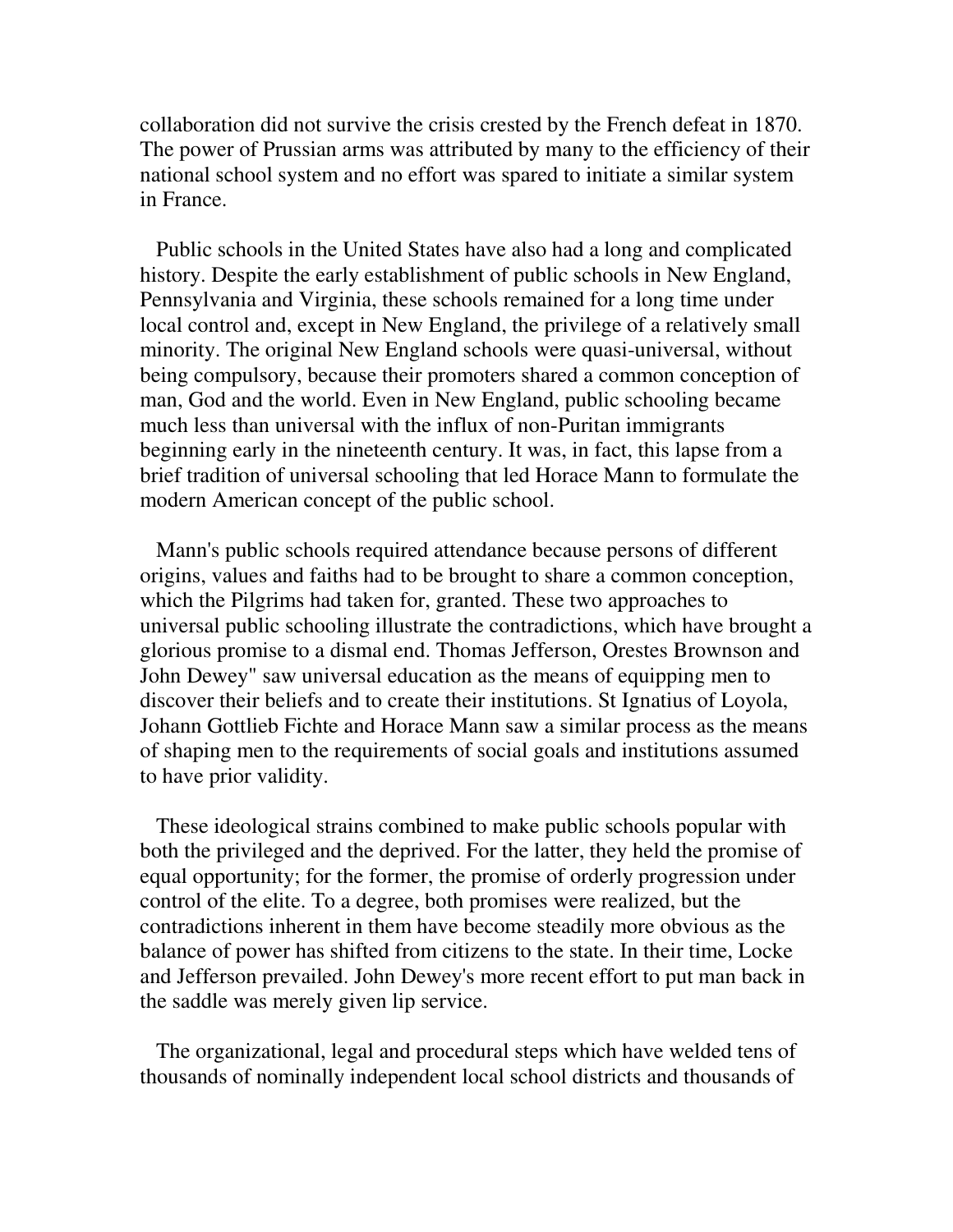collaboration did not survive the crisis crested by the French defeat in 1870. The power of Prussian arms was attributed by many to the efficiency of their national school system and no effort was spared to initiate a similar system in France.

 Public schools in the United States have also had a long and complicated history. Despite the early establishment of public schools in New England, Pennsylvania and Virginia, these schools remained for a long time under local control and, except in New England, the privilege of a relatively small minority. The original New England schools were quasi-universal, without being compulsory, because their promoters shared a common conception of man, God and the world. Even in New England, public schooling became much less than universal with the influx of non-Puritan immigrants beginning early in the nineteenth century. It was, in fact, this lapse from a brief tradition of universal schooling that led Horace Mann to formulate the modern American concept of the public school.

 Mann's public schools required attendance because persons of different origins, values and faiths had to be brought to share a common conception, which the Pilgrims had taken for, granted. These two approaches to universal public schooling illustrate the contradictions, which have brought a glorious promise to a dismal end. Thomas Jefferson, Orestes Brownson and John Dewey" saw universal education as the means of equipping men to discover their beliefs and to create their institutions. St Ignatius of Loyola, Johann Gottlieb Fichte and Horace Mann saw a similar process as the means of shaping men to the requirements of social goals and institutions assumed to have prior validity.

 These ideological strains combined to make public schools popular with both the privileged and the deprived. For the latter, they held the promise of equal opportunity; for the former, the promise of orderly progression under control of the elite. To a degree, both promises were realized, but the contradictions inherent in them have become steadily more obvious as the balance of power has shifted from citizens to the state. In their time, Locke and Jefferson prevailed. John Dewey's more recent effort to put man back in the saddle was merely given lip service.

 The organizational, legal and procedural steps which have welded tens of thousands of nominally independent local school districts and thousands of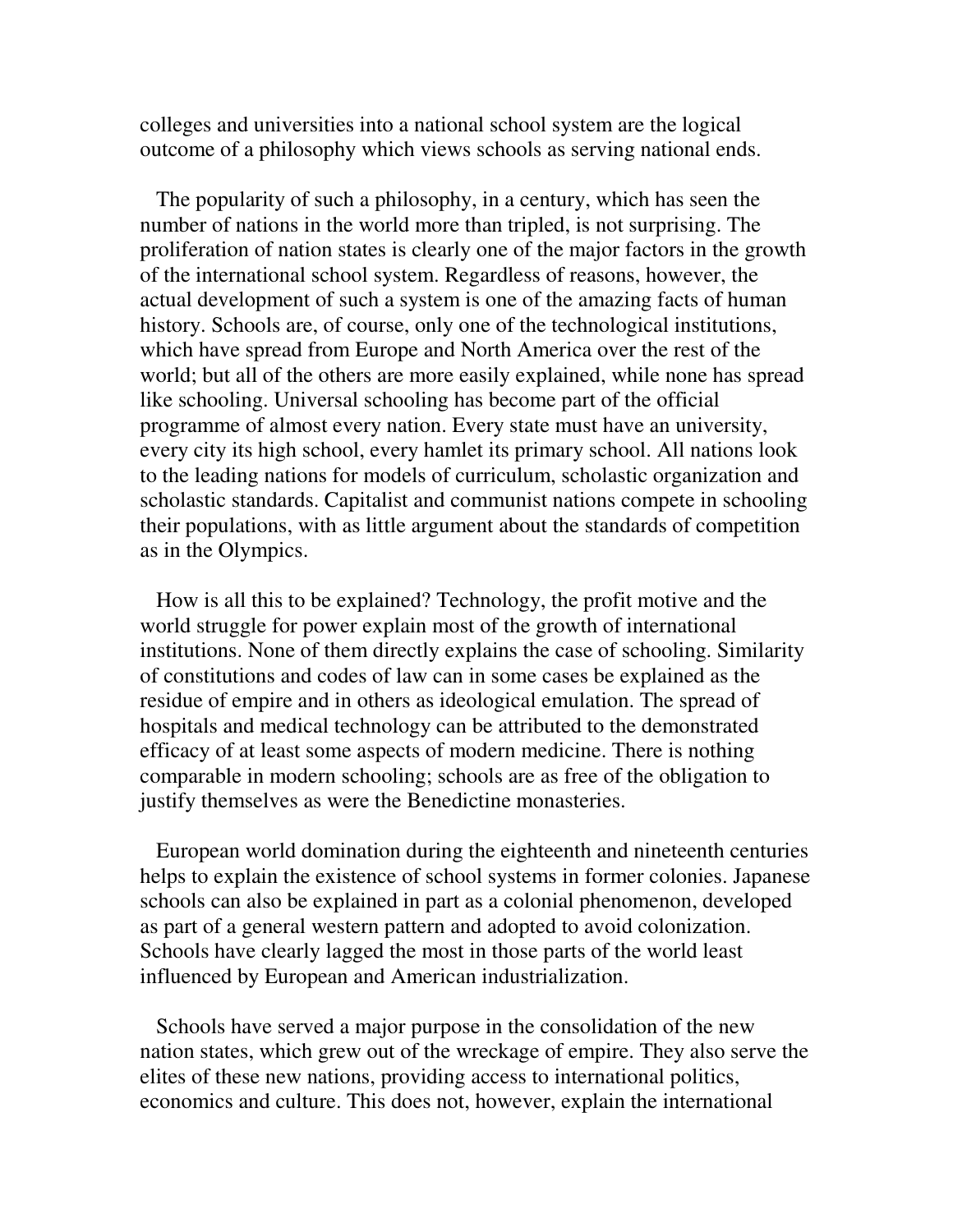colleges and universities into a national school system are the logical outcome of a philosophy which views schools as serving national ends.

 The popularity of such a philosophy, in a century, which has seen the number of nations in the world more than tripled, is not surprising. The proliferation of nation states is clearly one of the major factors in the growth of the international school system. Regardless of reasons, however, the actual development of such a system is one of the amazing facts of human history. Schools are, of course, only one of the technological institutions, which have spread from Europe and North America over the rest of the world; but all of the others are more easily explained, while none has spread like schooling. Universal schooling has become part of the official programme of almost every nation. Every state must have an university, every city its high school, every hamlet its primary school. All nations look to the leading nations for models of curriculum, scholastic organization and scholastic standards. Capitalist and communist nations compete in schooling their populations, with as little argument about the standards of competition as in the Olympics.

 How is all this to be explained? Technology, the profit motive and the world struggle for power explain most of the growth of international institutions. None of them directly explains the case of schooling. Similarity of constitutions and codes of law can in some cases be explained as the residue of empire and in others as ideological emulation. The spread of hospitals and medical technology can be attributed to the demonstrated efficacy of at least some aspects of modern medicine. There is nothing comparable in modern schooling; schools are as free of the obligation to justify themselves as were the Benedictine monasteries.

 European world domination during the eighteenth and nineteenth centuries helps to explain the existence of school systems in former colonies. Japanese schools can also be explained in part as a colonial phenomenon, developed as part of a general western pattern and adopted to avoid colonization. Schools have clearly lagged the most in those parts of the world least influenced by European and American industrialization.

 Schools have served a major purpose in the consolidation of the new nation states, which grew out of the wreckage of empire. They also serve the elites of these new nations, providing access to international politics, economics and culture. This does not, however, explain the international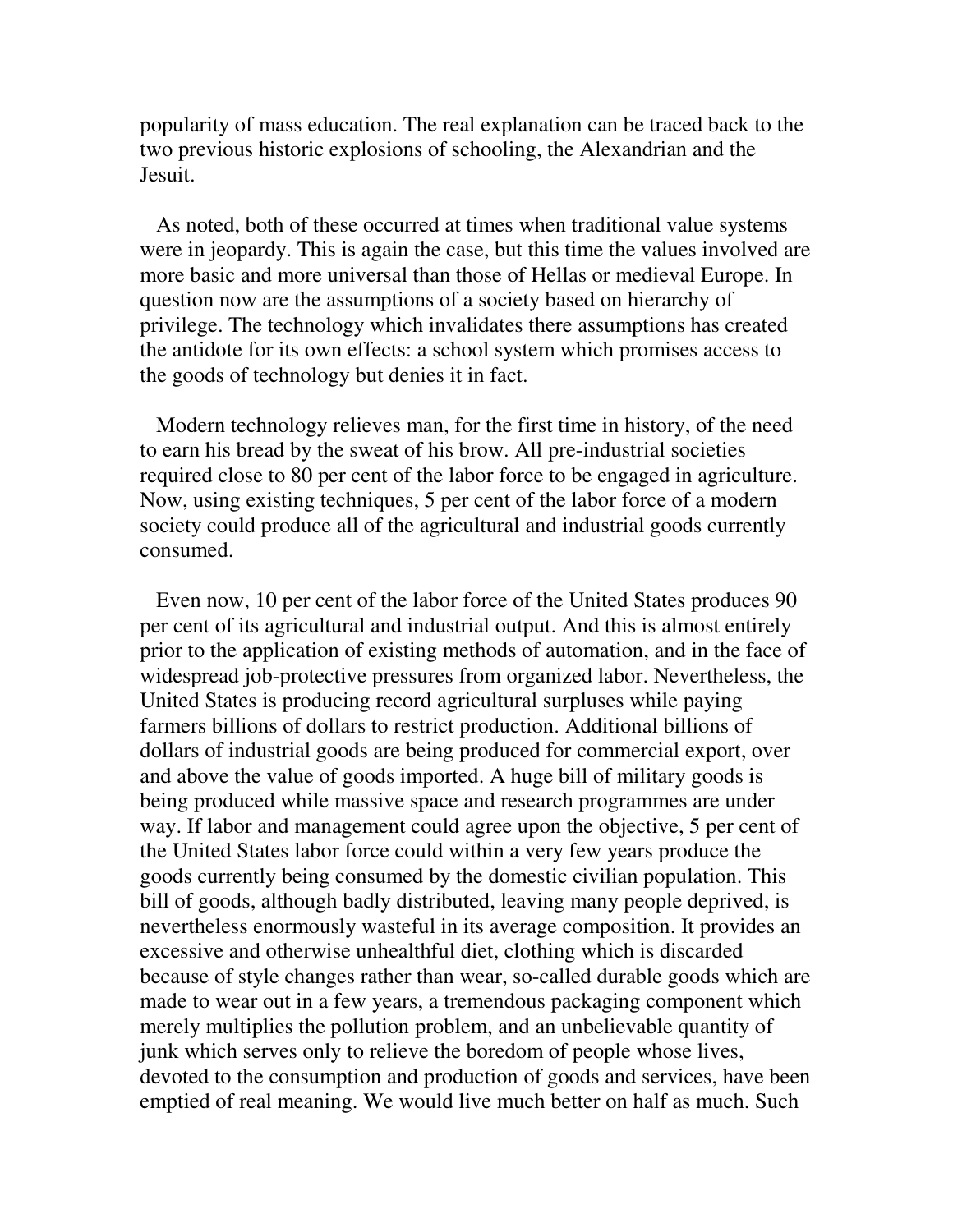popularity of mass education. The real explanation can be traced back to the two previous historic explosions of schooling, the Alexandrian and the Jesuit.

 As noted, both of these occurred at times when traditional value systems were in jeopardy. This is again the case, but this time the values involved are more basic and more universal than those of Hellas or medieval Europe. In question now are the assumptions of a society based on hierarchy of privilege. The technology which invalidates there assumptions has created the antidote for its own effects: a school system which promises access to the goods of technology but denies it in fact.

 Modern technology relieves man, for the first time in history, of the need to earn his bread by the sweat of his brow. All pre-industrial societies required close to 80 per cent of the labor force to be engaged in agriculture. Now, using existing techniques, 5 per cent of the labor force of a modern society could produce all of the agricultural and industrial goods currently consumed.

 Even now, 10 per cent of the labor force of the United States produces 90 per cent of its agricultural and industrial output. And this is almost entirely prior to the application of existing methods of automation, and in the face of widespread job-protective pressures from organized labor. Nevertheless, the United States is producing record agricultural surpluses while paying farmers billions of dollars to restrict production. Additional billions of dollars of industrial goods are being produced for commercial export, over and above the value of goods imported. A huge bill of military goods is being produced while massive space and research programmes are under way. If labor and management could agree upon the objective, 5 per cent of the United States labor force could within a very few years produce the goods currently being consumed by the domestic civilian population. This bill of goods, although badly distributed, leaving many people deprived, is nevertheless enormously wasteful in its average composition. It provides an excessive and otherwise unhealthful diet, clothing which is discarded because of style changes rather than wear, so-called durable goods which are made to wear out in a few years, a tremendous packaging component which merely multiplies the pollution problem, and an unbelievable quantity of junk which serves only to relieve the boredom of people whose lives, devoted to the consumption and production of goods and services, have been emptied of real meaning. We would live much better on half as much. Such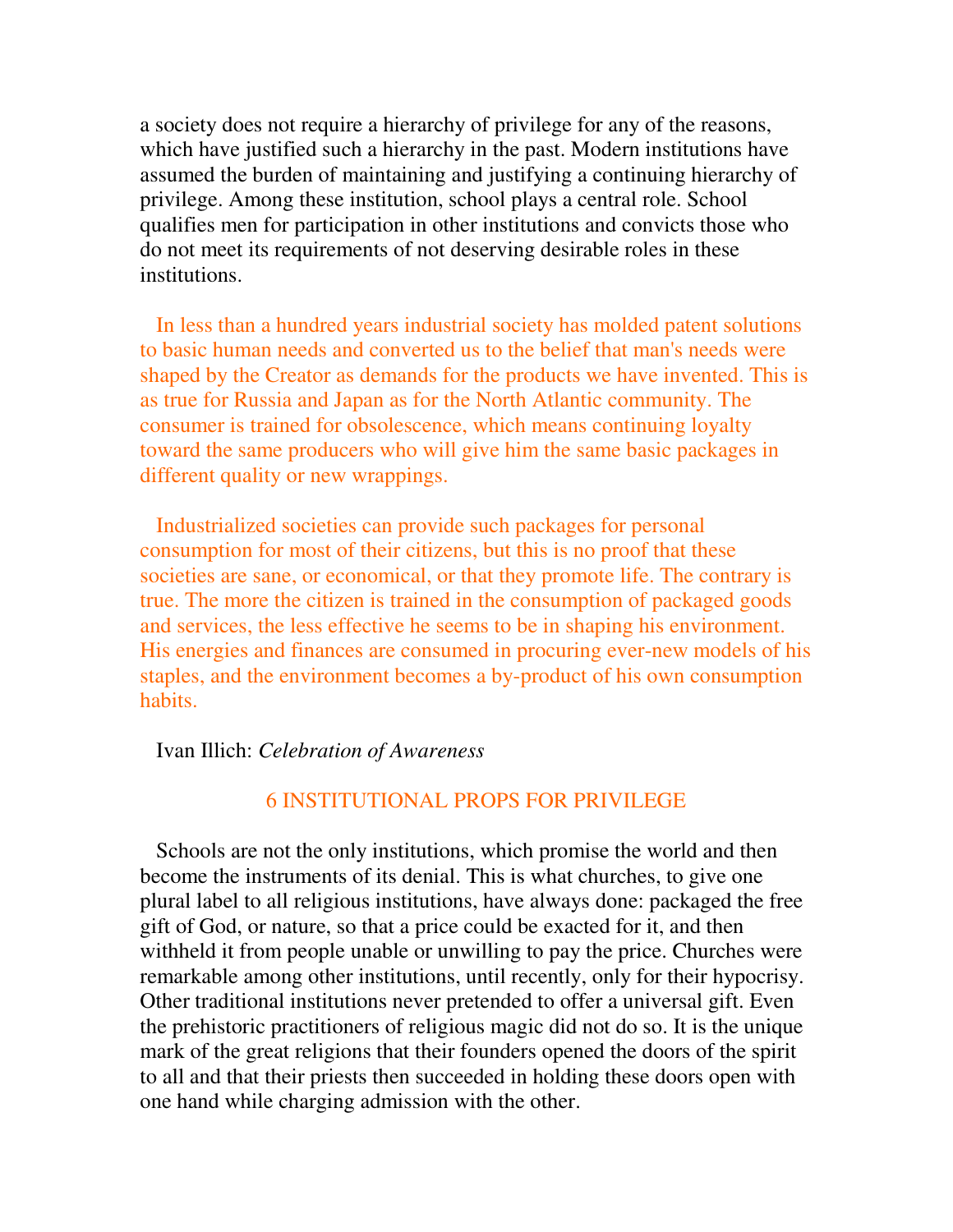a society does not require a hierarchy of privilege for any of the reasons, which have justified such a hierarchy in the past. Modern institutions have assumed the burden of maintaining and justifying a continuing hierarchy of privilege. Among these institution, school plays a central role. School qualifies men for participation in other institutions and convicts those who do not meet its requirements of not deserving desirable roles in these institutions.

 In less than a hundred years industrial society has molded patent solutions to basic human needs and converted us to the belief that man's needs were shaped by the Creator as demands for the products we have invented. This is as true for Russia and Japan as for the North Atlantic community. The consumer is trained for obsolescence, which means continuing loyalty toward the same producers who will give him the same basic packages in different quality or new wrappings.

 Industrialized societies can provide such packages for personal consumption for most of their citizens, but this is no proof that these societies are sane, or economical, or that they promote life. The contrary is true. The more the citizen is trained in the consumption of packaged goods and services, the less effective he seems to be in shaping his environment. His energies and finances are consumed in procuring ever-new models of his staples, and the environment becomes a by-product of his own consumption habits.

#### Ivan Illich: *Celebration of Awareness*

# 6 INSTITUTIONAL PROPS FOR PRIVILEGE

 Schools are not the only institutions, which promise the world and then become the instruments of its denial. This is what churches, to give one plural label to all religious institutions, have always done: packaged the free gift of God, or nature, so that a price could be exacted for it, and then withheld it from people unable or unwilling to pay the price. Churches were remarkable among other institutions, until recently, only for their hypocrisy. Other traditional institutions never pretended to offer a universal gift. Even the prehistoric practitioners of religious magic did not do so. It is the unique mark of the great religions that their founders opened the doors of the spirit to all and that their priests then succeeded in holding these doors open with one hand while charging admission with the other.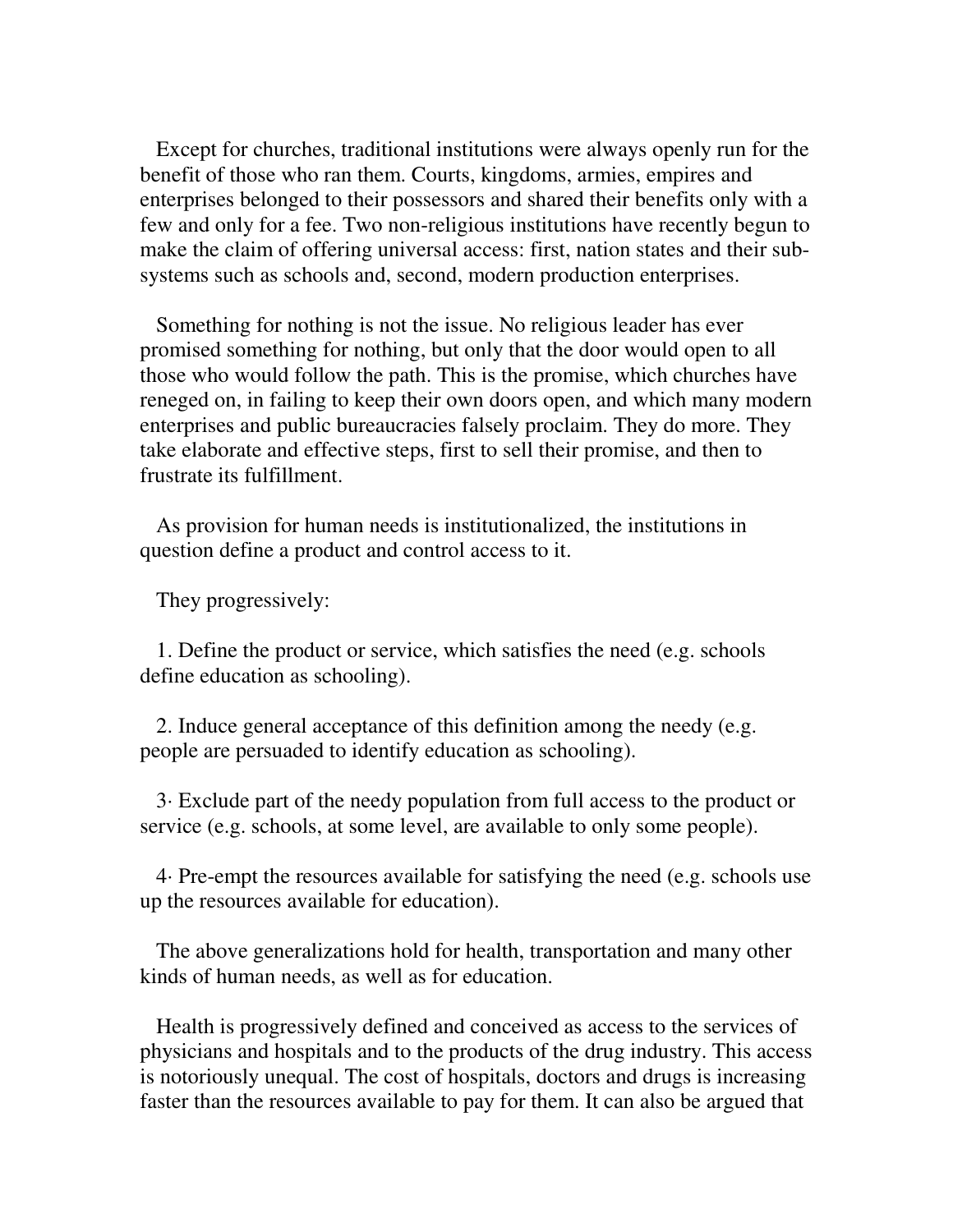Except for churches, traditional institutions were always openly run for the benefit of those who ran them. Courts, kingdoms, armies, empires and enterprises belonged to their possessors and shared their benefits only with a few and only for a fee. Two non-religious institutions have recently begun to make the claim of offering universal access: first, nation states and their subsystems such as schools and, second, modern production enterprises.

 Something for nothing is not the issue. No religious leader has ever promised something for nothing, but only that the door would open to all those who would follow the path. This is the promise, which churches have reneged on, in failing to keep their own doors open, and which many modern enterprises and public bureaucracies falsely proclaim. They do more. They take elaborate and effective steps, first to sell their promise, and then to frustrate its fulfillment.

 As provision for human needs is institutionalized, the institutions in question define a product and control access to it.

They progressively:

 1. Define the product or service, which satisfies the need (e.g. schools define education as schooling).

 2. Induce general acceptance of this definition among the needy (e.g. people are persuaded to identify education as schooling).

 3· Exclude part of the needy population from full access to the product or service (e.g. schools, at some level, are available to only some people).

 4· Pre-empt the resources available for satisfying the need (e.g. schools use up the resources available for education).

 The above generalizations hold for health, transportation and many other kinds of human needs, as well as for education.

 Health is progressively defined and conceived as access to the services of physicians and hospitals and to the products of the drug industry. This access is notoriously unequal. The cost of hospitals, doctors and drugs is increasing faster than the resources available to pay for them. It can also be argued that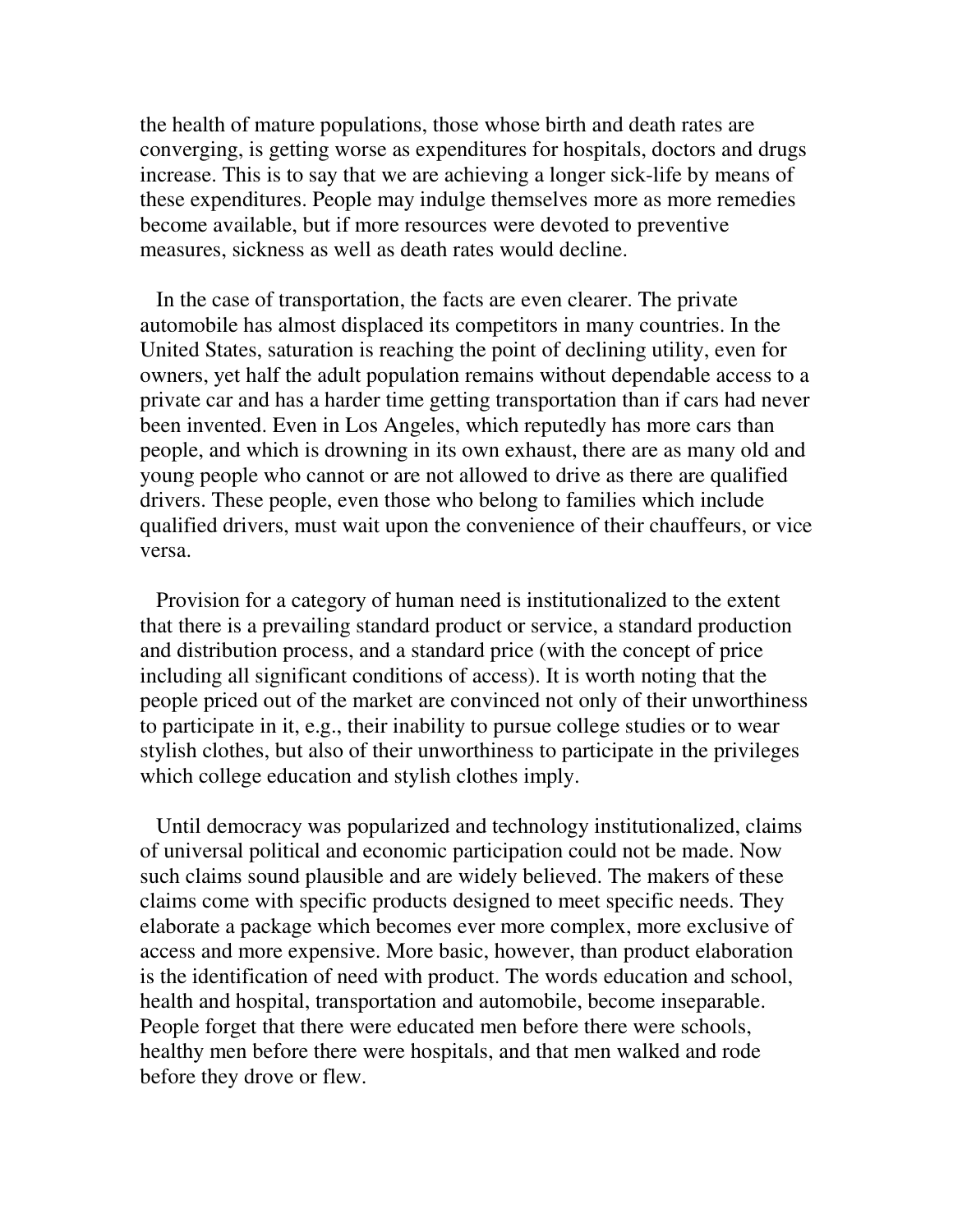the health of mature populations, those whose birth and death rates are converging, is getting worse as expenditures for hospitals, doctors and drugs increase. This is to say that we are achieving a longer sick-life by means of these expenditures. People may indulge themselves more as more remedies become available, but if more resources were devoted to preventive measures, sickness as well as death rates would decline.

 In the case of transportation, the facts are even clearer. The private automobile has almost displaced its competitors in many countries. In the United States, saturation is reaching the point of declining utility, even for owners, yet half the adult population remains without dependable access to a private car and has a harder time getting transportation than if cars had never been invented. Even in Los Angeles, which reputedly has more cars than people, and which is drowning in its own exhaust, there are as many old and young people who cannot or are not allowed to drive as there are qualified drivers. These people, even those who belong to families which include qualified drivers, must wait upon the convenience of their chauffeurs, or vice versa.

 Provision for a category of human need is institutionalized to the extent that there is a prevailing standard product or service, a standard production and distribution process, and a standard price (with the concept of price including all significant conditions of access). It is worth noting that the people priced out of the market are convinced not only of their unworthiness to participate in it, e.g., their inability to pursue college studies or to wear stylish clothes, but also of their unworthiness to participate in the privileges which college education and stylish clothes imply.

 Until democracy was popularized and technology institutionalized, claims of universal political and economic participation could not be made. Now such claims sound plausible and are widely believed. The makers of these claims come with specific products designed to meet specific needs. They elaborate a package which becomes ever more complex, more exclusive of access and more expensive. More basic, however, than product elaboration is the identification of need with product. The words education and school, health and hospital, transportation and automobile, become inseparable. People forget that there were educated men before there were schools, healthy men before there were hospitals, and that men walked and rode before they drove or flew.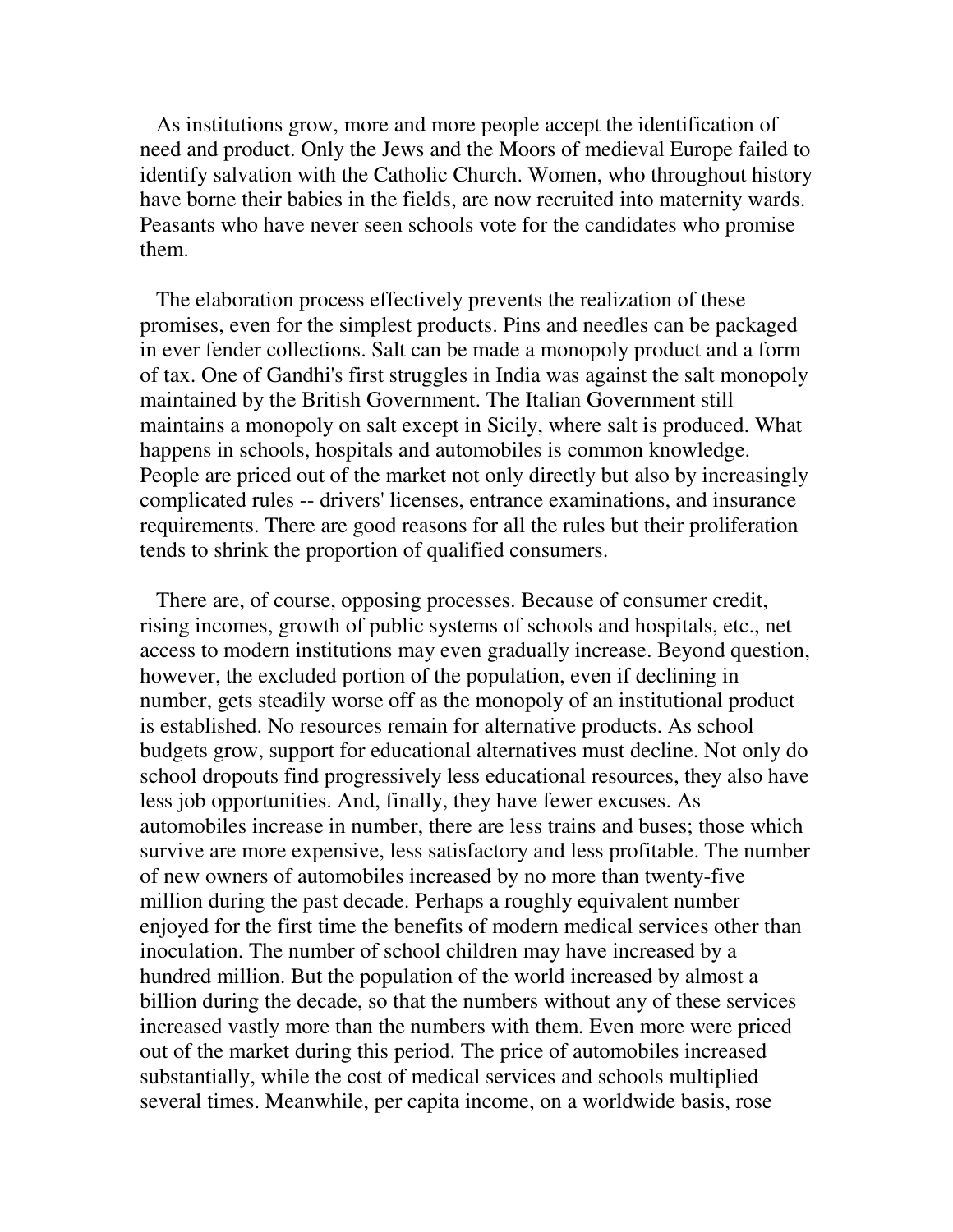As institutions grow, more and more people accept the identification of need and product. Only the Jews and the Moors of medieval Europe failed to identify salvation with the Catholic Church. Women, who throughout history have borne their babies in the fields, are now recruited into maternity wards. Peasants who have never seen schools vote for the candidates who promise them.

 The elaboration process effectively prevents the realization of these promises, even for the simplest products. Pins and needles can be packaged in ever fender collections. Salt can be made a monopoly product and a form of tax. One of Gandhi's first struggles in India was against the salt monopoly maintained by the British Government. The Italian Government still maintains a monopoly on salt except in Sicily, where salt is produced. What happens in schools, hospitals and automobiles is common knowledge. People are priced out of the market not only directly but also by increasingly complicated rules -- drivers' licenses, entrance examinations, and insurance requirements. There are good reasons for all the rules but their proliferation tends to shrink the proportion of qualified consumers.

 There are, of course, opposing processes. Because of consumer credit, rising incomes, growth of public systems of schools and hospitals, etc., net access to modern institutions may even gradually increase. Beyond question, however, the excluded portion of the population, even if declining in number, gets steadily worse off as the monopoly of an institutional product is established. No resources remain for alternative products. As school budgets grow, support for educational alternatives must decline. Not only do school dropouts find progressively less educational resources, they also have less job opportunities. And, finally, they have fewer excuses. As automobiles increase in number, there are less trains and buses; those which survive are more expensive, less satisfactory and less profitable. The number of new owners of automobiles increased by no more than twenty-five million during the past decade. Perhaps a roughly equivalent number enjoyed for the first time the benefits of modern medical services other than inoculation. The number of school children may have increased by a hundred million. But the population of the world increased by almost a billion during the decade, so that the numbers without any of these services increased vastly more than the numbers with them. Even more were priced out of the market during this period. The price of automobiles increased substantially, while the cost of medical services and schools multiplied several times. Meanwhile, per capita income, on a worldwide basis, rose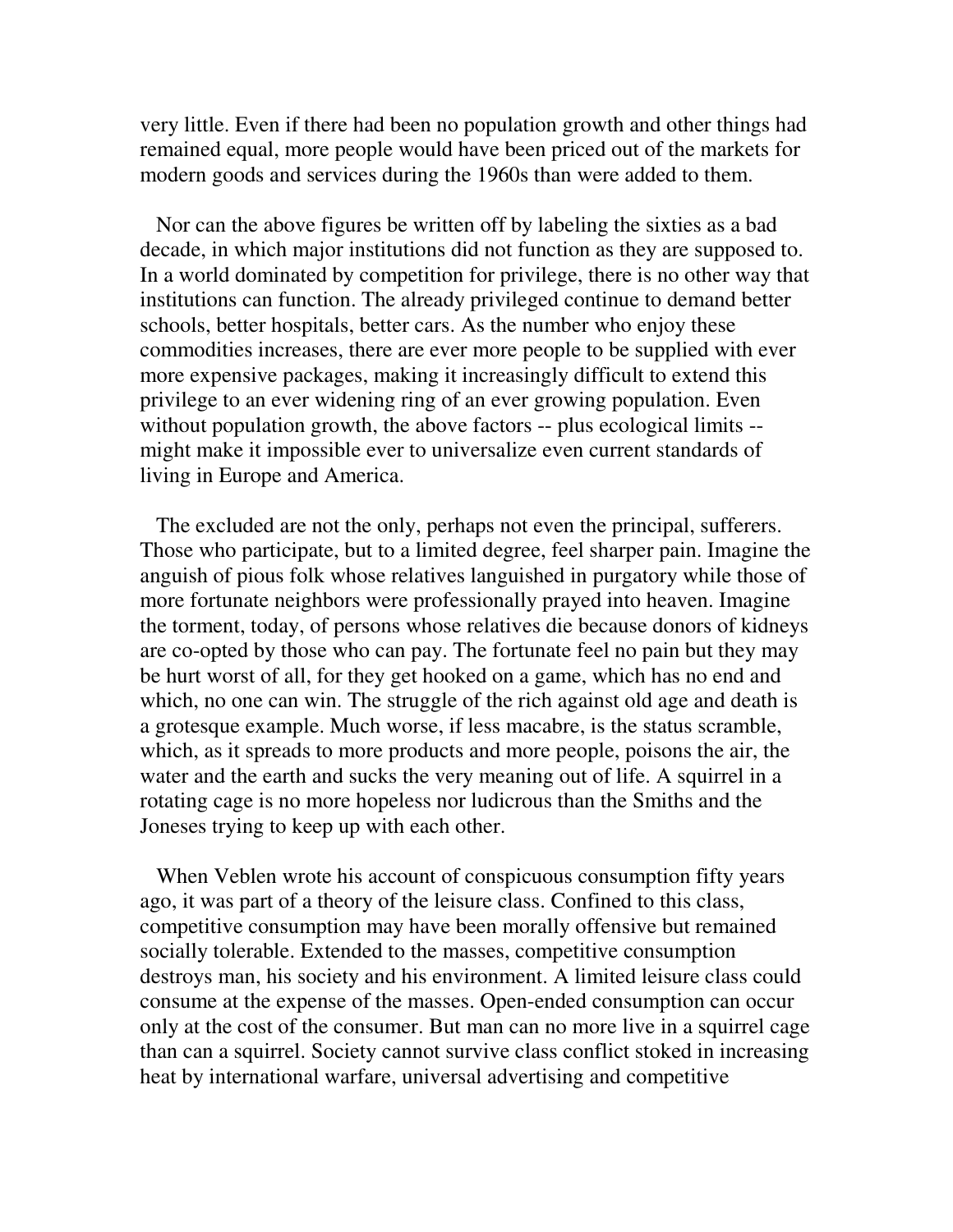very little. Even if there had been no population growth and other things had remained equal, more people would have been priced out of the markets for modern goods and services during the 1960s than were added to them.

 Nor can the above figures be written off by labeling the sixties as a bad decade, in which major institutions did not function as they are supposed to. In a world dominated by competition for privilege, there is no other way that institutions can function. The already privileged continue to demand better schools, better hospitals, better cars. As the number who enjoy these commodities increases, there are ever more people to be supplied with ever more expensive packages, making it increasingly difficult to extend this privilege to an ever widening ring of an ever growing population. Even without population growth, the above factors -- plus ecological limits - might make it impossible ever to universalize even current standards of living in Europe and America.

 The excluded are not the only, perhaps not even the principal, sufferers. Those who participate, but to a limited degree, feel sharper pain. Imagine the anguish of pious folk whose relatives languished in purgatory while those of more fortunate neighbors were professionally prayed into heaven. Imagine the torment, today, of persons whose relatives die because donors of kidneys are co-opted by those who can pay. The fortunate feel no pain but they may be hurt worst of all, for they get hooked on a game, which has no end and which, no one can win. The struggle of the rich against old age and death is a grotesque example. Much worse, if less macabre, is the status scramble, which, as it spreads to more products and more people, poisons the air, the water and the earth and sucks the very meaning out of life. A squirrel in a rotating cage is no more hopeless nor ludicrous than the Smiths and the Joneses trying to keep up with each other.

 When Veblen wrote his account of conspicuous consumption fifty years ago, it was part of a theory of the leisure class. Confined to this class, competitive consumption may have been morally offensive but remained socially tolerable. Extended to the masses, competitive consumption destroys man, his society and his environment. A limited leisure class could consume at the expense of the masses. Open-ended consumption can occur only at the cost of the consumer. But man can no more live in a squirrel cage than can a squirrel. Society cannot survive class conflict stoked in increasing heat by international warfare, universal advertising and competitive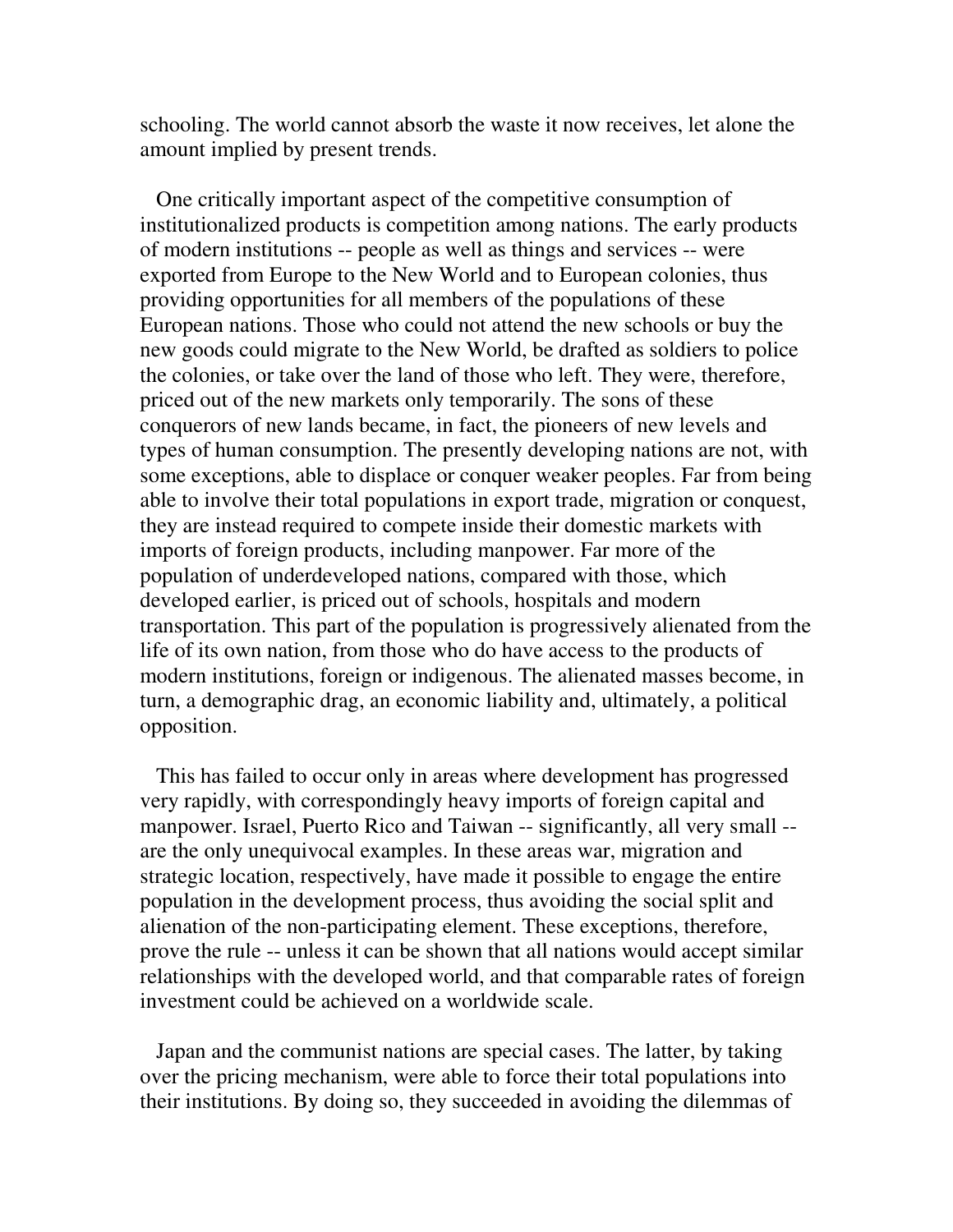schooling. The world cannot absorb the waste it now receives, let alone the amount implied by present trends.

 One critically important aspect of the competitive consumption of institutionalized products is competition among nations. The early products of modern institutions -- people as well as things and services -- were exported from Europe to the New World and to European colonies, thus providing opportunities for all members of the populations of these European nations. Those who could not attend the new schools or buy the new goods could migrate to the New World, be drafted as soldiers to police the colonies, or take over the land of those who left. They were, therefore, priced out of the new markets only temporarily. The sons of these conquerors of new lands became, in fact, the pioneers of new levels and types of human consumption. The presently developing nations are not, with some exceptions, able to displace or conquer weaker peoples. Far from being able to involve their total populations in export trade, migration or conquest, they are instead required to compete inside their domestic markets with imports of foreign products, including manpower. Far more of the population of underdeveloped nations, compared with those, which developed earlier, is priced out of schools, hospitals and modern transportation. This part of the population is progressively alienated from the life of its own nation, from those who do have access to the products of modern institutions, foreign or indigenous. The alienated masses become, in turn, a demographic drag, an economic liability and, ultimately, a political opposition.

 This has failed to occur only in areas where development has progressed very rapidly, with correspondingly heavy imports of foreign capital and manpower. Israel, Puerto Rico and Taiwan -- significantly, all very small - are the only unequivocal examples. In these areas war, migration and strategic location, respectively, have made it possible to engage the entire population in the development process, thus avoiding the social split and alienation of the non-participating element. These exceptions, therefore, prove the rule -- unless it can be shown that all nations would accept similar relationships with the developed world, and that comparable rates of foreign investment could be achieved on a worldwide scale.

 Japan and the communist nations are special cases. The latter, by taking over the pricing mechanism, were able to force their total populations into their institutions. By doing so, they succeeded in avoiding the dilemmas of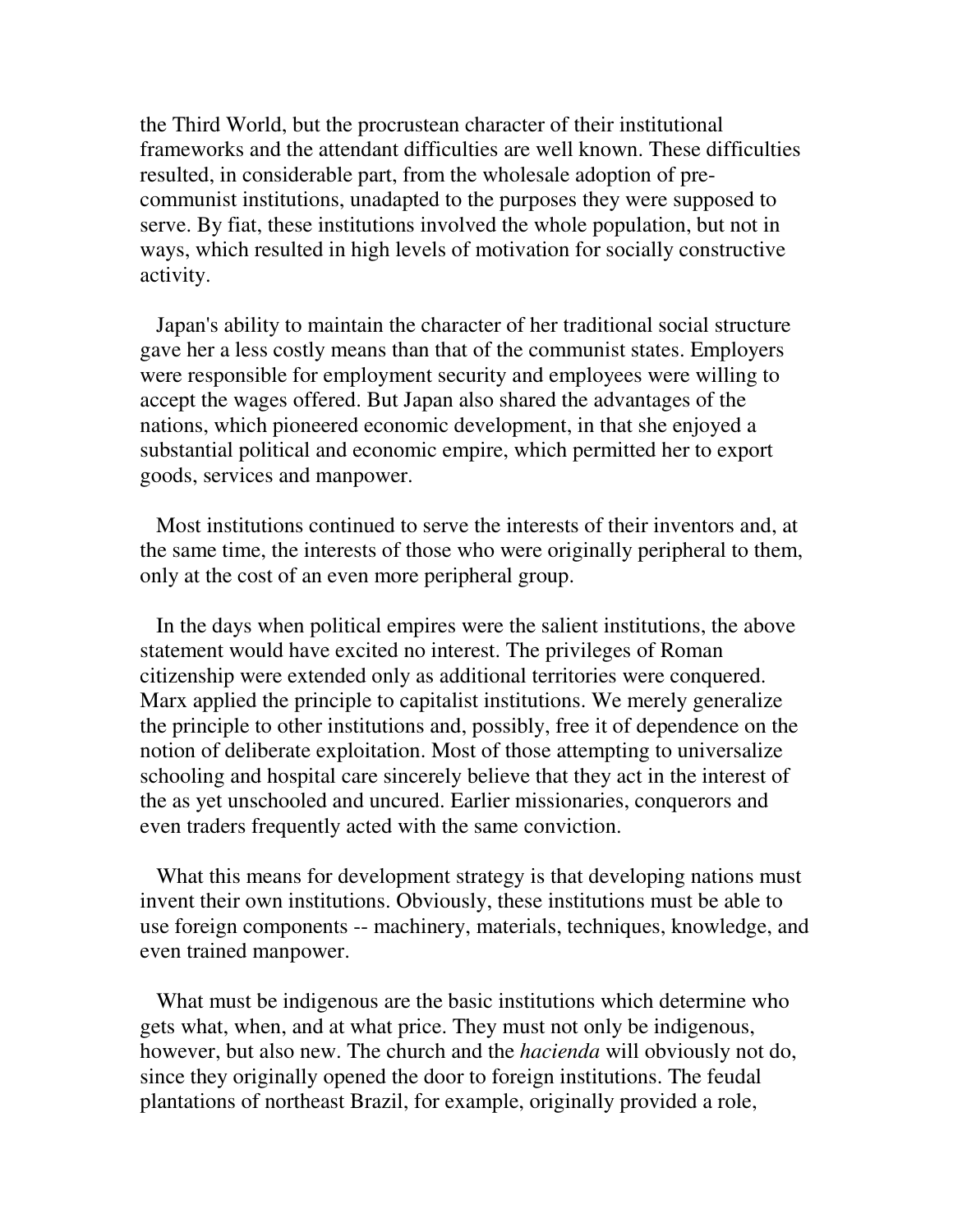the Third World, but the procrustean character of their institutional frameworks and the attendant difficulties are well known. These difficulties resulted, in considerable part, from the wholesale adoption of precommunist institutions, unadapted to the purposes they were supposed to serve. By fiat, these institutions involved the whole population, but not in ways, which resulted in high levels of motivation for socially constructive activity.

 Japan's ability to maintain the character of her traditional social structure gave her a less costly means than that of the communist states. Employers were responsible for employment security and employees were willing to accept the wages offered. But Japan also shared the advantages of the nations, which pioneered economic development, in that she enjoyed a substantial political and economic empire, which permitted her to export goods, services and manpower.

 Most institutions continued to serve the interests of their inventors and, at the same time, the interests of those who were originally peripheral to them, only at the cost of an even more peripheral group.

 In the days when political empires were the salient institutions, the above statement would have excited no interest. The privileges of Roman citizenship were extended only as additional territories were conquered. Marx applied the principle to capitalist institutions. We merely generalize the principle to other institutions and, possibly, free it of dependence on the notion of deliberate exploitation. Most of those attempting to universalize schooling and hospital care sincerely believe that they act in the interest of the as yet unschooled and uncured. Earlier missionaries, conquerors and even traders frequently acted with the same conviction.

 What this means for development strategy is that developing nations must invent their own institutions. Obviously, these institutions must be able to use foreign components -- machinery, materials, techniques, knowledge, and even trained manpower.

 What must be indigenous are the basic institutions which determine who gets what, when, and at what price. They must not only be indigenous, however, but also new. The church and the *hacienda* will obviously not do, since they originally opened the door to foreign institutions. The feudal plantations of northeast Brazil, for example, originally provided a role,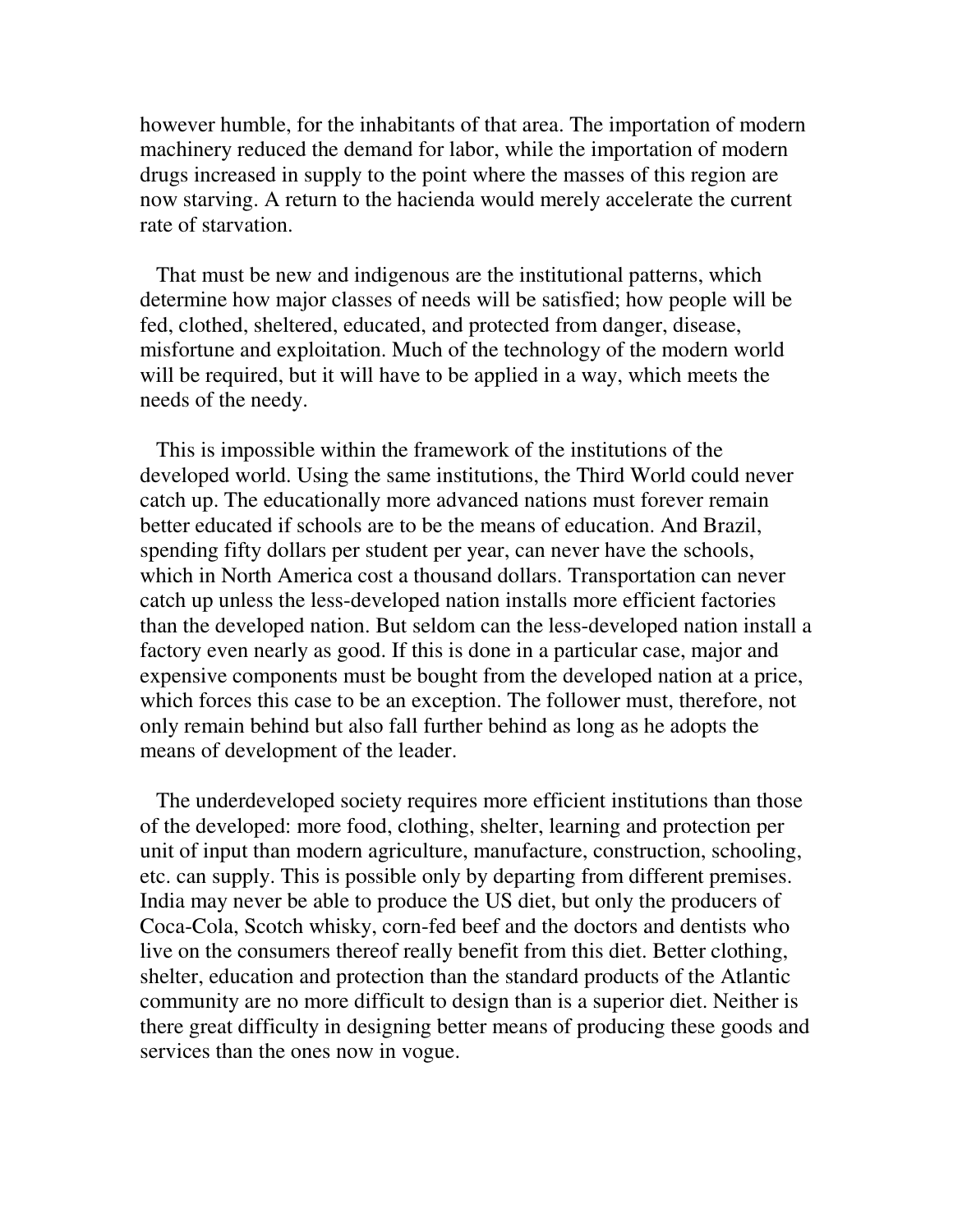however humble, for the inhabitants of that area. The importation of modern machinery reduced the demand for labor, while the importation of modern drugs increased in supply to the point where the masses of this region are now starving. A return to the hacienda would merely accelerate the current rate of starvation.

 That must be new and indigenous are the institutional patterns, which determine how major classes of needs will be satisfied; how people will be fed, clothed, sheltered, educated, and protected from danger, disease, misfortune and exploitation. Much of the technology of the modern world will be required, but it will have to be applied in a way, which meets the needs of the needy.

 This is impossible within the framework of the institutions of the developed world. Using the same institutions, the Third World could never catch up. The educationally more advanced nations must forever remain better educated if schools are to be the means of education. And Brazil, spending fifty dollars per student per year, can never have the schools, which in North America cost a thousand dollars. Transportation can never catch up unless the less-developed nation installs more efficient factories than the developed nation. But seldom can the less-developed nation install a factory even nearly as good. If this is done in a particular case, major and expensive components must be bought from the developed nation at a price, which forces this case to be an exception. The follower must, therefore, not only remain behind but also fall further behind as long as he adopts the means of development of the leader.

 The underdeveloped society requires more efficient institutions than those of the developed: more food, clothing, shelter, learning and protection per unit of input than modern agriculture, manufacture, construction, schooling, etc. can supply. This is possible only by departing from different premises. India may never be able to produce the US diet, but only the producers of Coca-Cola, Scotch whisky, corn-fed beef and the doctors and dentists who live on the consumers thereof really benefit from this diet. Better clothing, shelter, education and protection than the standard products of the Atlantic community are no more difficult to design than is a superior diet. Neither is there great difficulty in designing better means of producing these goods and services than the ones now in vogue.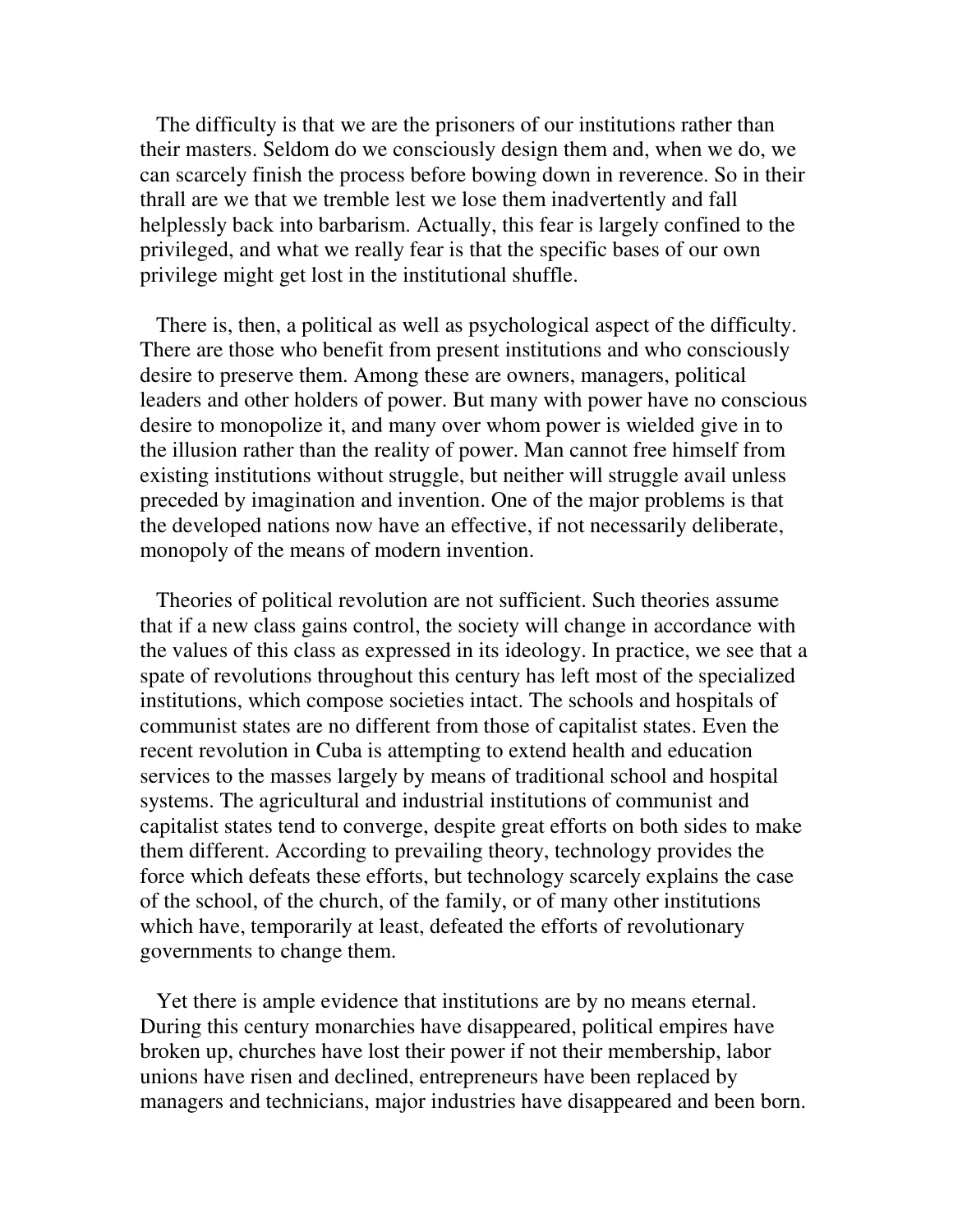The difficulty is that we are the prisoners of our institutions rather than their masters. Seldom do we consciously design them and, when we do, we can scarcely finish the process before bowing down in reverence. So in their thrall are we that we tremble lest we lose them inadvertently and fall helplessly back into barbarism. Actually, this fear is largely confined to the privileged, and what we really fear is that the specific bases of our own privilege might get lost in the institutional shuffle.

 There is, then, a political as well as psychological aspect of the difficulty. There are those who benefit from present institutions and who consciously desire to preserve them. Among these are owners, managers, political leaders and other holders of power. But many with power have no conscious desire to monopolize it, and many over whom power is wielded give in to the illusion rather than the reality of power. Man cannot free himself from existing institutions without struggle, but neither will struggle avail unless preceded by imagination and invention. One of the major problems is that the developed nations now have an effective, if not necessarily deliberate, monopoly of the means of modern invention.

 Theories of political revolution are not sufficient. Such theories assume that if a new class gains control, the society will change in accordance with the values of this class as expressed in its ideology. In practice, we see that a spate of revolutions throughout this century has left most of the specialized institutions, which compose societies intact. The schools and hospitals of communist states are no different from those of capitalist states. Even the recent revolution in Cuba is attempting to extend health and education services to the masses largely by means of traditional school and hospital systems. The agricultural and industrial institutions of communist and capitalist states tend to converge, despite great efforts on both sides to make them different. According to prevailing theory, technology provides the force which defeats these efforts, but technology scarcely explains the case of the school, of the church, of the family, or of many other institutions which have, temporarily at least, defeated the efforts of revolutionary governments to change them.

 Yet there is ample evidence that institutions are by no means eternal. During this century monarchies have disappeared, political empires have broken up, churches have lost their power if not their membership, labor unions have risen and declined, entrepreneurs have been replaced by managers and technicians, major industries have disappeared and been born.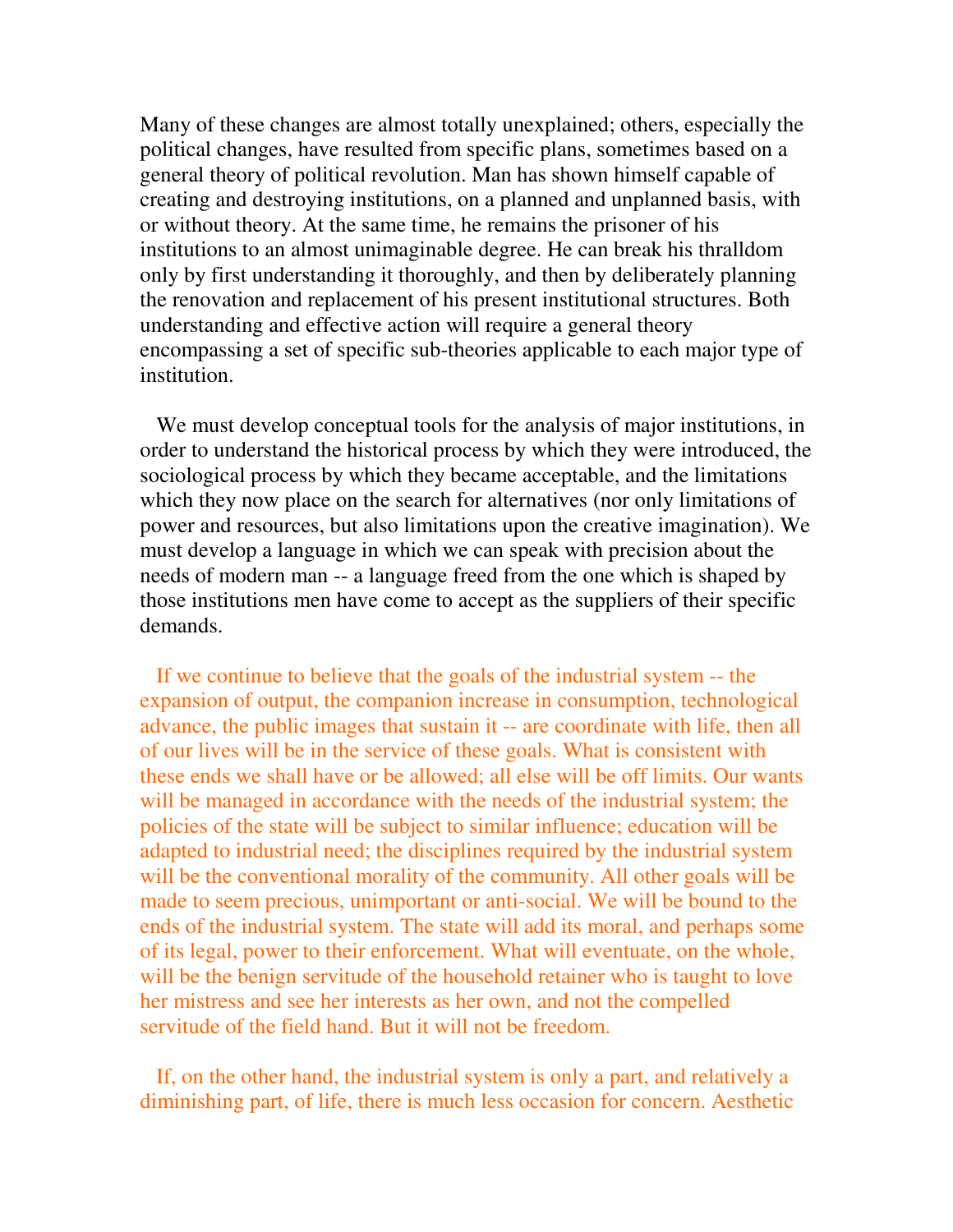Many of these changes are almost totally unexplained; others, especially the political changes, have resulted from specific plans, sometimes based on a general theory of political revolution. Man has shown himself capable of creating and destroying institutions, on a planned and unplanned basis, with or without theory. At the same time, he remains the prisoner of his institutions to an almost unimaginable degree. He can break his thralldom only by first understanding it thoroughly, and then by deliberately planning the renovation and replacement of his present institutional structures. Both understanding and effective action will require a general theory encompassing a set of specific sub-theories applicable to each major type of institution.

 We must develop conceptual tools for the analysis of major institutions, in order to understand the historical process by which they were introduced, the sociological process by which they became acceptable, and the limitations which they now place on the search for alternatives (nor only limitations of power and resources, but also limitations upon the creative imagination). We must develop a language in which we can speak with precision about the needs of modern man -- a language freed from the one which is shaped by those institutions men have come to accept as the suppliers of their specific demands.

 If we continue to believe that the goals of the industrial system -- the expansion of output, the companion increase in consumption, technological advance, the public images that sustain it -- are coordinate with life, then all of our lives will be in the service of these goals. What is consistent with these ends we shall have or be allowed; all else will be off limits. Our wants will be managed in accordance with the needs of the industrial system; the policies of the state will be subject to similar influence; education will be adapted to industrial need; the disciplines required by the industrial system will be the conventional morality of the community. All other goals will be made to seem precious, unimportant or anti-social. We will be bound to the ends of the industrial system. The state will add its moral, and perhaps some of its legal, power to their enforcement. What will eventuate, on the whole, will be the benign servitude of the household retainer who is taught to love her mistress and see her interests as her own, and not the compelled servitude of the field hand. But it will not be freedom.

 If, on the other hand, the industrial system is only a part, and relatively a diminishing part, of life, there is much less occasion for concern. Aesthetic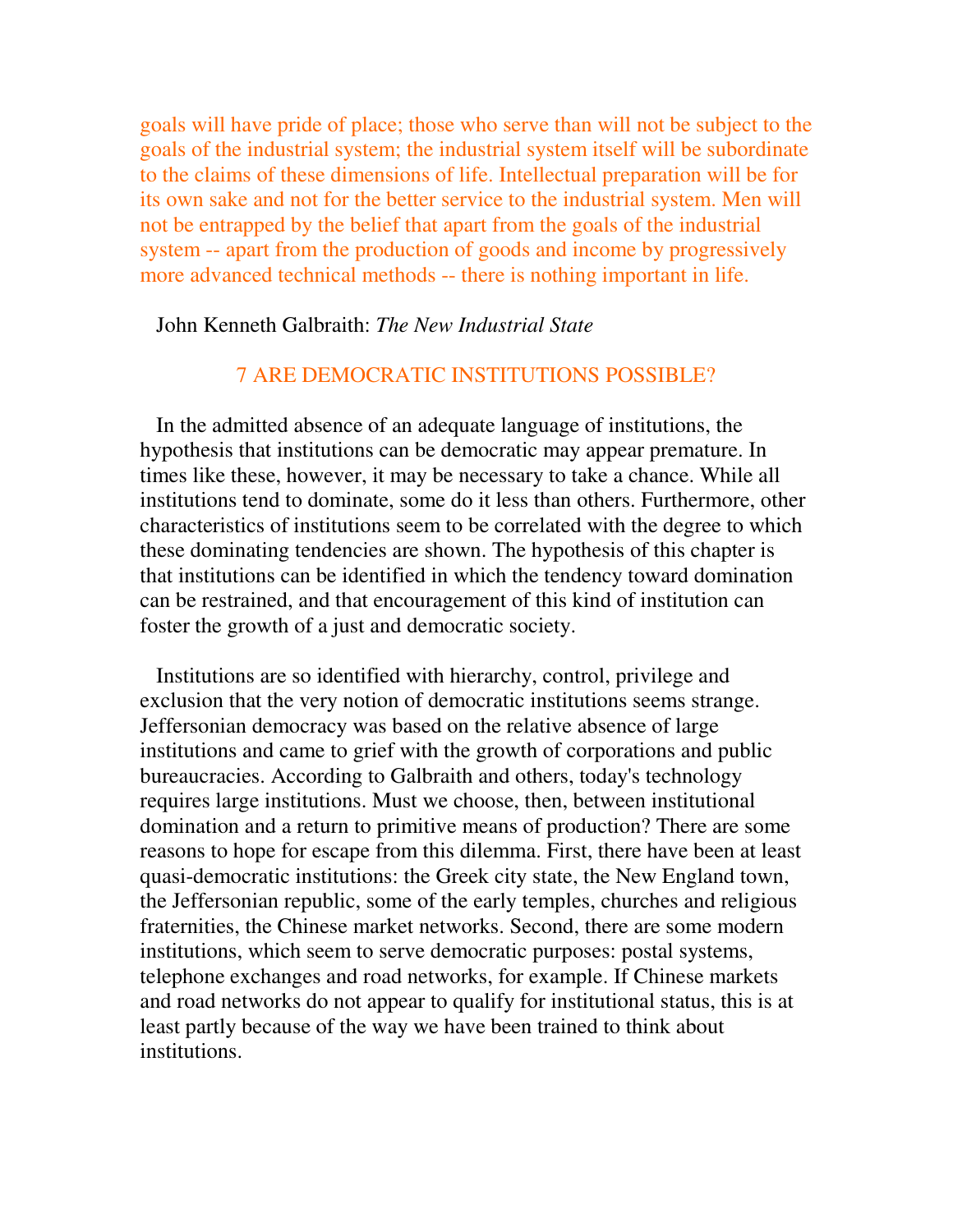goals will have pride of place; those who serve than will not be subject to the goals of the industrial system; the industrial system itself will be subordinate to the claims of these dimensions of life. Intellectual preparation will be for its own sake and not for the better service to the industrial system. Men will not be entrapped by the belief that apart from the goals of the industrial system -- apart from the production of goods and income by progressively more advanced technical methods -- there is nothing important in life.

#### John Kenneth Galbraith: *The New Industrial State*

### 7 ARE DEMOCRATIC INSTITUTIONS POSSIBLE?

 In the admitted absence of an adequate language of institutions, the hypothesis that institutions can be democratic may appear premature. In times like these, however, it may be necessary to take a chance. While all institutions tend to dominate, some do it less than others. Furthermore, other characteristics of institutions seem to be correlated with the degree to which these dominating tendencies are shown. The hypothesis of this chapter is that institutions can be identified in which the tendency toward domination can be restrained, and that encouragement of this kind of institution can foster the growth of a just and democratic society.

 Institutions are so identified with hierarchy, control, privilege and exclusion that the very notion of democratic institutions seems strange. Jeffersonian democracy was based on the relative absence of large institutions and came to grief with the growth of corporations and public bureaucracies. According to Galbraith and others, today's technology requires large institutions. Must we choose, then, between institutional domination and a return to primitive means of production? There are some reasons to hope for escape from this dilemma. First, there have been at least quasi-democratic institutions: the Greek city state, the New England town, the Jeffersonian republic, some of the early temples, churches and religious fraternities, the Chinese market networks. Second, there are some modern institutions, which seem to serve democratic purposes: postal systems, telephone exchanges and road networks, for example. If Chinese markets and road networks do not appear to qualify for institutional status, this is at least partly because of the way we have been trained to think about institutions.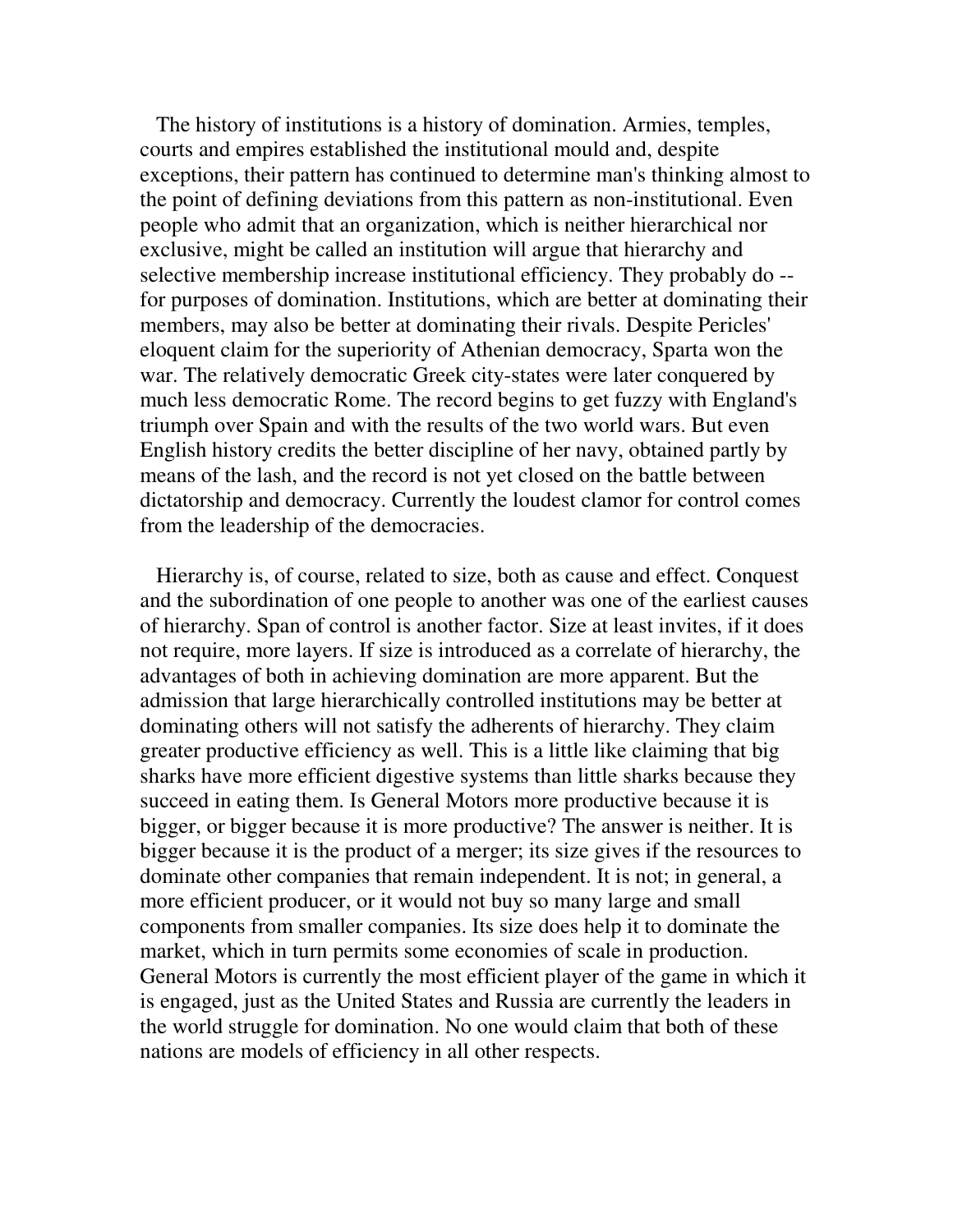The history of institutions is a history of domination. Armies, temples, courts and empires established the institutional mould and, despite exceptions, their pattern has continued to determine man's thinking almost to the point of defining deviations from this pattern as non-institutional. Even people who admit that an organization, which is neither hierarchical nor exclusive, might be called an institution will argue that hierarchy and selective membership increase institutional efficiency. They probably do - for purposes of domination. Institutions, which are better at dominating their members, may also be better at dominating their rivals. Despite Pericles' eloquent claim for the superiority of Athenian democracy, Sparta won the war. The relatively democratic Greek city-states were later conquered by much less democratic Rome. The record begins to get fuzzy with England's triumph over Spain and with the results of the two world wars. But even English history credits the better discipline of her navy, obtained partly by means of the lash, and the record is not yet closed on the battle between dictatorship and democracy. Currently the loudest clamor for control comes from the leadership of the democracies.

 Hierarchy is, of course, related to size, both as cause and effect. Conquest and the subordination of one people to another was one of the earliest causes of hierarchy. Span of control is another factor. Size at least invites, if it does not require, more layers. If size is introduced as a correlate of hierarchy, the advantages of both in achieving domination are more apparent. But the admission that large hierarchically controlled institutions may be better at dominating others will not satisfy the adherents of hierarchy. They claim greater productive efficiency as well. This is a little like claiming that big sharks have more efficient digestive systems than little sharks because they succeed in eating them. Is General Motors more productive because it is bigger, or bigger because it is more productive? The answer is neither. It is bigger because it is the product of a merger; its size gives if the resources to dominate other companies that remain independent. It is not; in general, a more efficient producer, or it would not buy so many large and small components from smaller companies. Its size does help it to dominate the market, which in turn permits some economies of scale in production. General Motors is currently the most efficient player of the game in which it is engaged, just as the United States and Russia are currently the leaders in the world struggle for domination. No one would claim that both of these nations are models of efficiency in all other respects.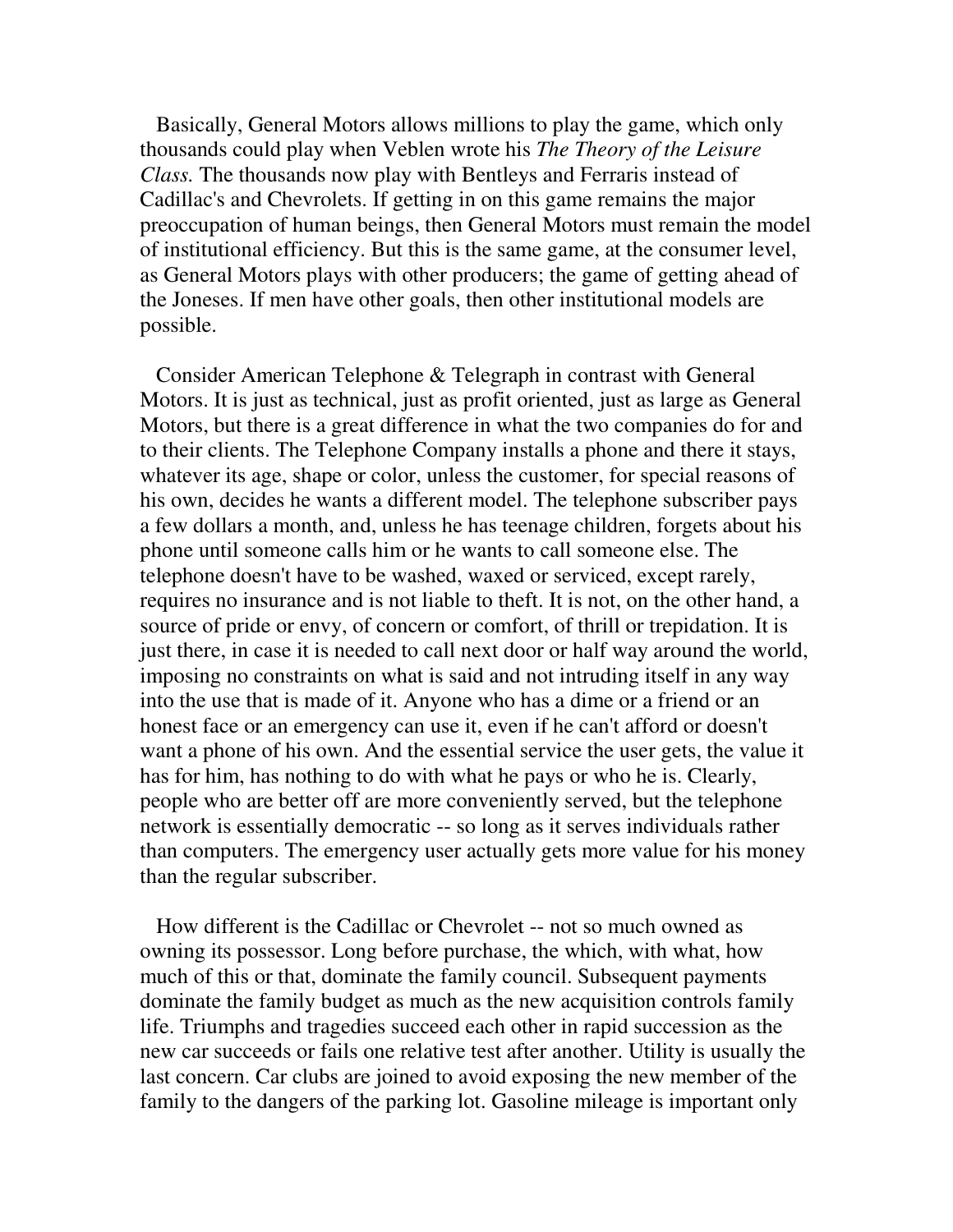Basically, General Motors allows millions to play the game, which only thousands could play when Veblen wrote his *The Theory of the Leisure Class.* The thousands now play with Bentleys and Ferraris instead of Cadillac's and Chevrolets. If getting in on this game remains the major preoccupation of human beings, then General Motors must remain the model of institutional efficiency. But this is the same game, at the consumer level, as General Motors plays with other producers; the game of getting ahead of the Joneses. If men have other goals, then other institutional models are possible.

 Consider American Telephone & Telegraph in contrast with General Motors. It is just as technical, just as profit oriented, just as large as General Motors, but there is a great difference in what the two companies do for and to their clients. The Telephone Company installs a phone and there it stays, whatever its age, shape or color, unless the customer, for special reasons of his own, decides he wants a different model. The telephone subscriber pays a few dollars a month, and, unless he has teenage children, forgets about his phone until someone calls him or he wants to call someone else. The telephone doesn't have to be washed, waxed or serviced, except rarely, requires no insurance and is not liable to theft. It is not, on the other hand, a source of pride or envy, of concern or comfort, of thrill or trepidation. It is just there, in case it is needed to call next door or half way around the world, imposing no constraints on what is said and not intruding itself in any way into the use that is made of it. Anyone who has a dime or a friend or an honest face or an emergency can use it, even if he can't afford or doesn't want a phone of his own. And the essential service the user gets, the value it has for him, has nothing to do with what he pays or who he is. Clearly, people who are better off are more conveniently served, but the telephone network is essentially democratic -- so long as it serves individuals rather than computers. The emergency user actually gets more value for his money than the regular subscriber.

 How different is the Cadillac or Chevrolet -- not so much owned as owning its possessor. Long before purchase, the which, with what, how much of this or that, dominate the family council. Subsequent payments dominate the family budget as much as the new acquisition controls family life. Triumphs and tragedies succeed each other in rapid succession as the new car succeeds or fails one relative test after another. Utility is usually the last concern. Car clubs are joined to avoid exposing the new member of the family to the dangers of the parking lot. Gasoline mileage is important only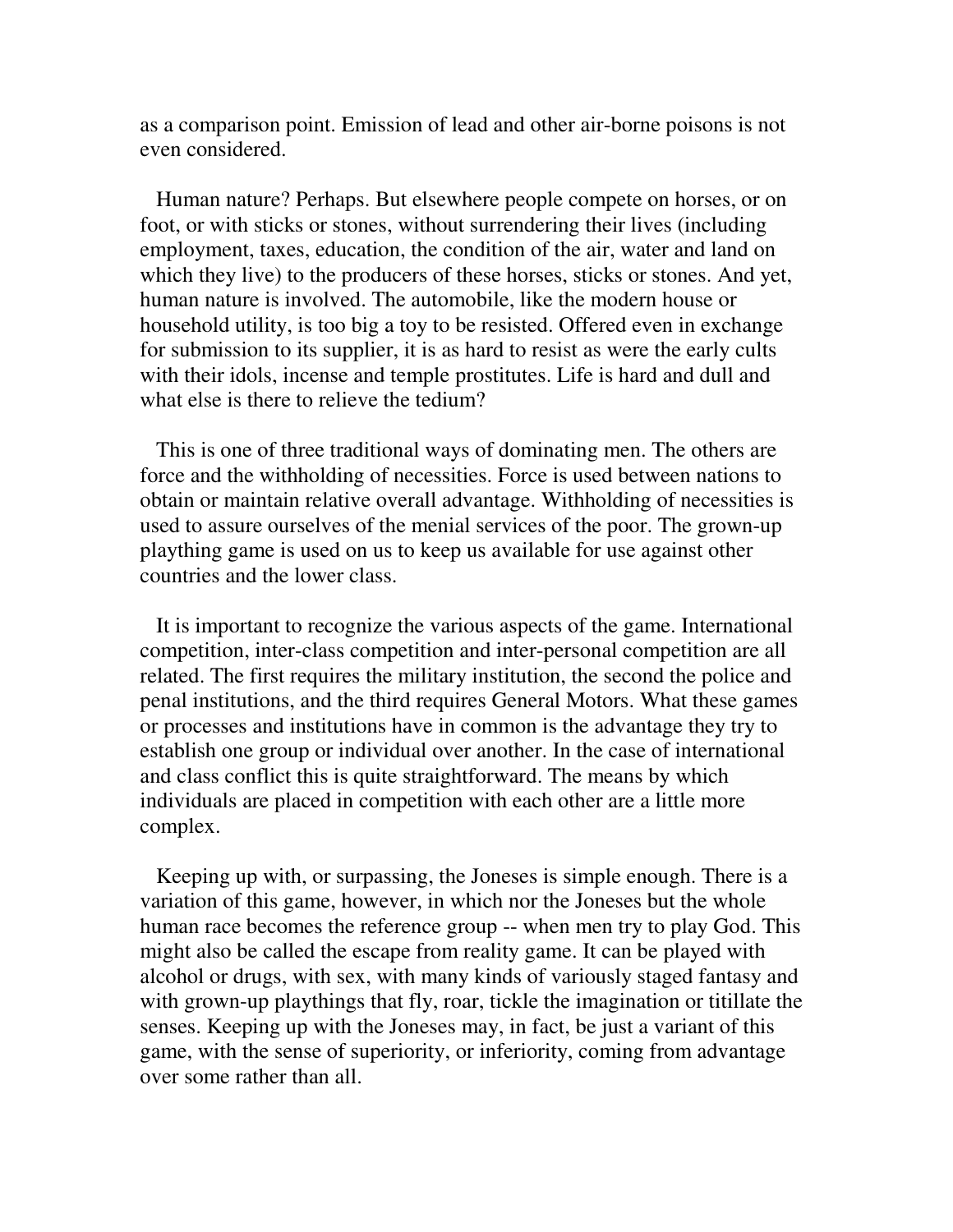as a comparison point. Emission of lead and other air-borne poisons is not even considered.

 Human nature? Perhaps. But elsewhere people compete on horses, or on foot, or with sticks or stones, without surrendering their lives (including employment, taxes, education, the condition of the air, water and land on which they live) to the producers of these horses, sticks or stones. And yet, human nature is involved. The automobile, like the modern house or household utility, is too big a toy to be resisted. Offered even in exchange for submission to its supplier, it is as hard to resist as were the early cults with their idols, incense and temple prostitutes. Life is hard and dull and what else is there to relieve the tedium?

 This is one of three traditional ways of dominating men. The others are force and the withholding of necessities. Force is used between nations to obtain or maintain relative overall advantage. Withholding of necessities is used to assure ourselves of the menial services of the poor. The grown-up plaything game is used on us to keep us available for use against other countries and the lower class.

 It is important to recognize the various aspects of the game. International competition, inter-class competition and inter-personal competition are all related. The first requires the military institution, the second the police and penal institutions, and the third requires General Motors. What these games or processes and institutions have in common is the advantage they try to establish one group or individual over another. In the case of international and class conflict this is quite straightforward. The means by which individuals are placed in competition with each other are a little more complex.

 Keeping up with, or surpassing, the Joneses is simple enough. There is a variation of this game, however, in which nor the Joneses but the whole human race becomes the reference group -- when men try to play God. This might also be called the escape from reality game. It can be played with alcohol or drugs, with sex, with many kinds of variously staged fantasy and with grown-up playthings that fly, roar, tickle the imagination or titillate the senses. Keeping up with the Joneses may, in fact, be just a variant of this game, with the sense of superiority, or inferiority, coming from advantage over some rather than all.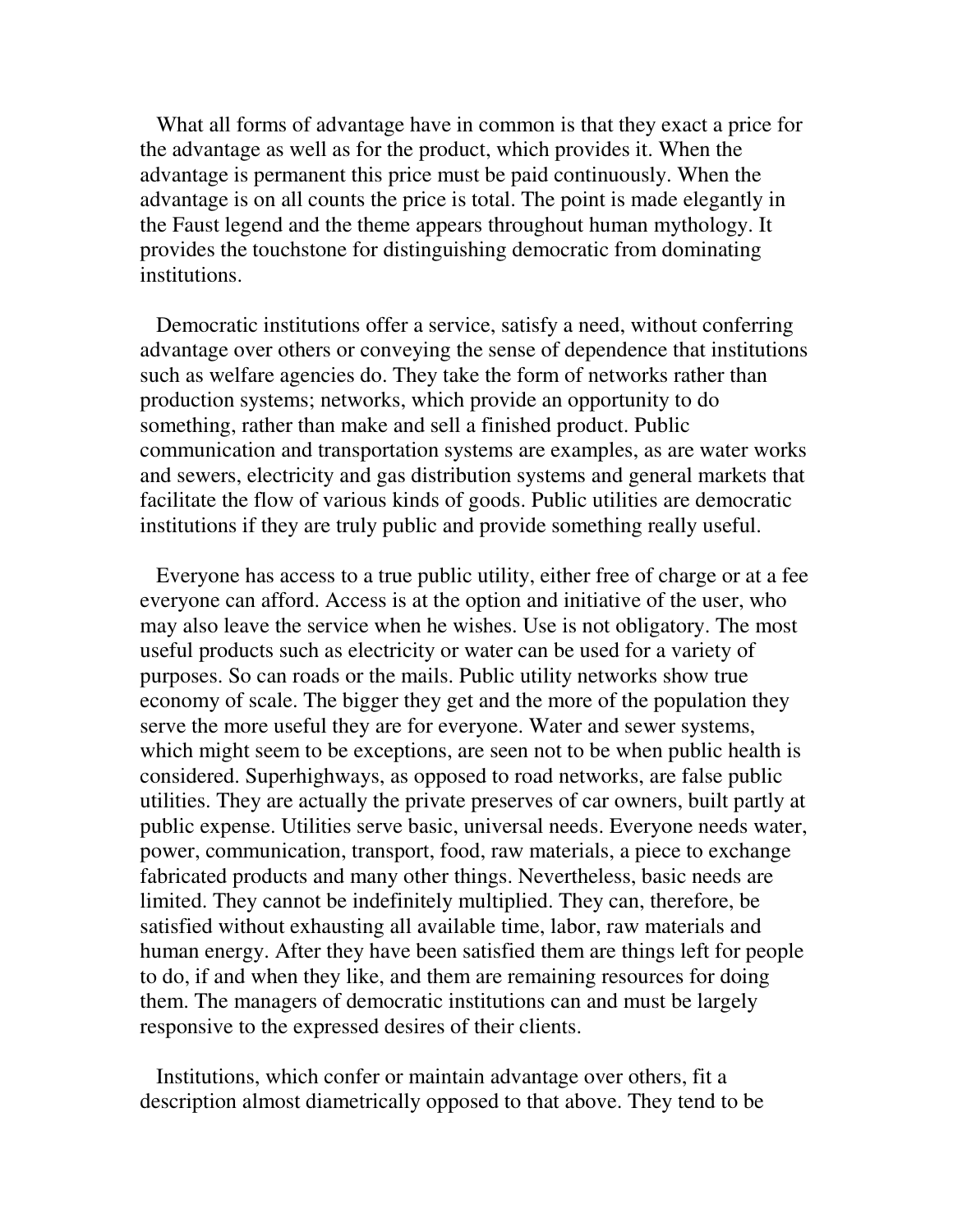What all forms of advantage have in common is that they exact a price for the advantage as well as for the product, which provides it. When the advantage is permanent this price must be paid continuously. When the advantage is on all counts the price is total. The point is made elegantly in the Faust legend and the theme appears throughout human mythology. It provides the touchstone for distinguishing democratic from dominating institutions.

 Democratic institutions offer a service, satisfy a need, without conferring advantage over others or conveying the sense of dependence that institutions such as welfare agencies do. They take the form of networks rather than production systems; networks, which provide an opportunity to do something, rather than make and sell a finished product. Public communication and transportation systems are examples, as are water works and sewers, electricity and gas distribution systems and general markets that facilitate the flow of various kinds of goods. Public utilities are democratic institutions if they are truly public and provide something really useful.

 Everyone has access to a true public utility, either free of charge or at a fee everyone can afford. Access is at the option and initiative of the user, who may also leave the service when he wishes. Use is not obligatory. The most useful products such as electricity or water can be used for a variety of purposes. So can roads or the mails. Public utility networks show true economy of scale. The bigger they get and the more of the population they serve the more useful they are for everyone. Water and sewer systems, which might seem to be exceptions, are seen not to be when public health is considered. Superhighways, as opposed to road networks, are false public utilities. They are actually the private preserves of car owners, built partly at public expense. Utilities serve basic, universal needs. Everyone needs water, power, communication, transport, food, raw materials, a piece to exchange fabricated products and many other things. Nevertheless, basic needs are limited. They cannot be indefinitely multiplied. They can, therefore, be satisfied without exhausting all available time, labor, raw materials and human energy. After they have been satisfied them are things left for people to do, if and when they like, and them are remaining resources for doing them. The managers of democratic institutions can and must be largely responsive to the expressed desires of their clients.

 Institutions, which confer or maintain advantage over others, fit a description almost diametrically opposed to that above. They tend to be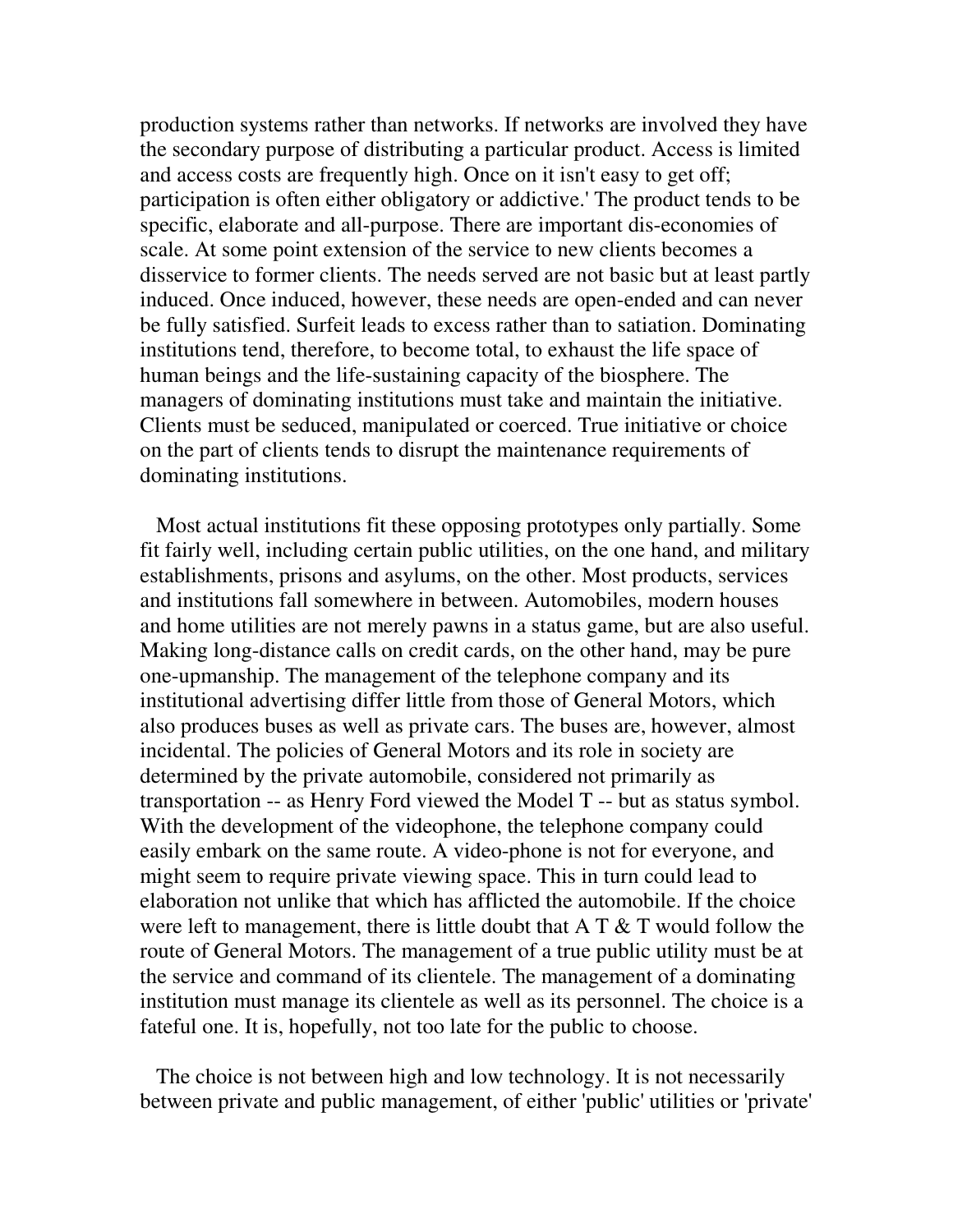production systems rather than networks. If networks are involved they have the secondary purpose of distributing a particular product. Access is limited and access costs are frequently high. Once on it isn't easy to get off; participation is often either obligatory or addictive.' The product tends to be specific, elaborate and all-purpose. There are important dis-economies of scale. At some point extension of the service to new clients becomes a disservice to former clients. The needs served are not basic but at least partly induced. Once induced, however, these needs are open-ended and can never be fully satisfied. Surfeit leads to excess rather than to satiation. Dominating institutions tend, therefore, to become total, to exhaust the life space of human beings and the life-sustaining capacity of the biosphere. The managers of dominating institutions must take and maintain the initiative. Clients must be seduced, manipulated or coerced. True initiative or choice on the part of clients tends to disrupt the maintenance requirements of dominating institutions.

 Most actual institutions fit these opposing prototypes only partially. Some fit fairly well, including certain public utilities, on the one hand, and military establishments, prisons and asylums, on the other. Most products, services and institutions fall somewhere in between. Automobiles, modern houses and home utilities are not merely pawns in a status game, but are also useful. Making long-distance calls on credit cards, on the other hand, may be pure one-upmanship. The management of the telephone company and its institutional advertising differ little from those of General Motors, which also produces buses as well as private cars. The buses are, however, almost incidental. The policies of General Motors and its role in society are determined by the private automobile, considered not primarily as transportation -- as Henry Ford viewed the Model T -- but as status symbol. With the development of the videophone, the telephone company could easily embark on the same route. A video-phone is not for everyone, and might seem to require private viewing space. This in turn could lead to elaboration not unlike that which has afflicted the automobile. If the choice were left to management, there is little doubt that  $A T \& T$  would follow the route of General Motors. The management of a true public utility must be at the service and command of its clientele. The management of a dominating institution must manage its clientele as well as its personnel. The choice is a fateful one. It is, hopefully, not too late for the public to choose.

 The choice is not between high and low technology. It is not necessarily between private and public management, of either 'public' utilities or 'private'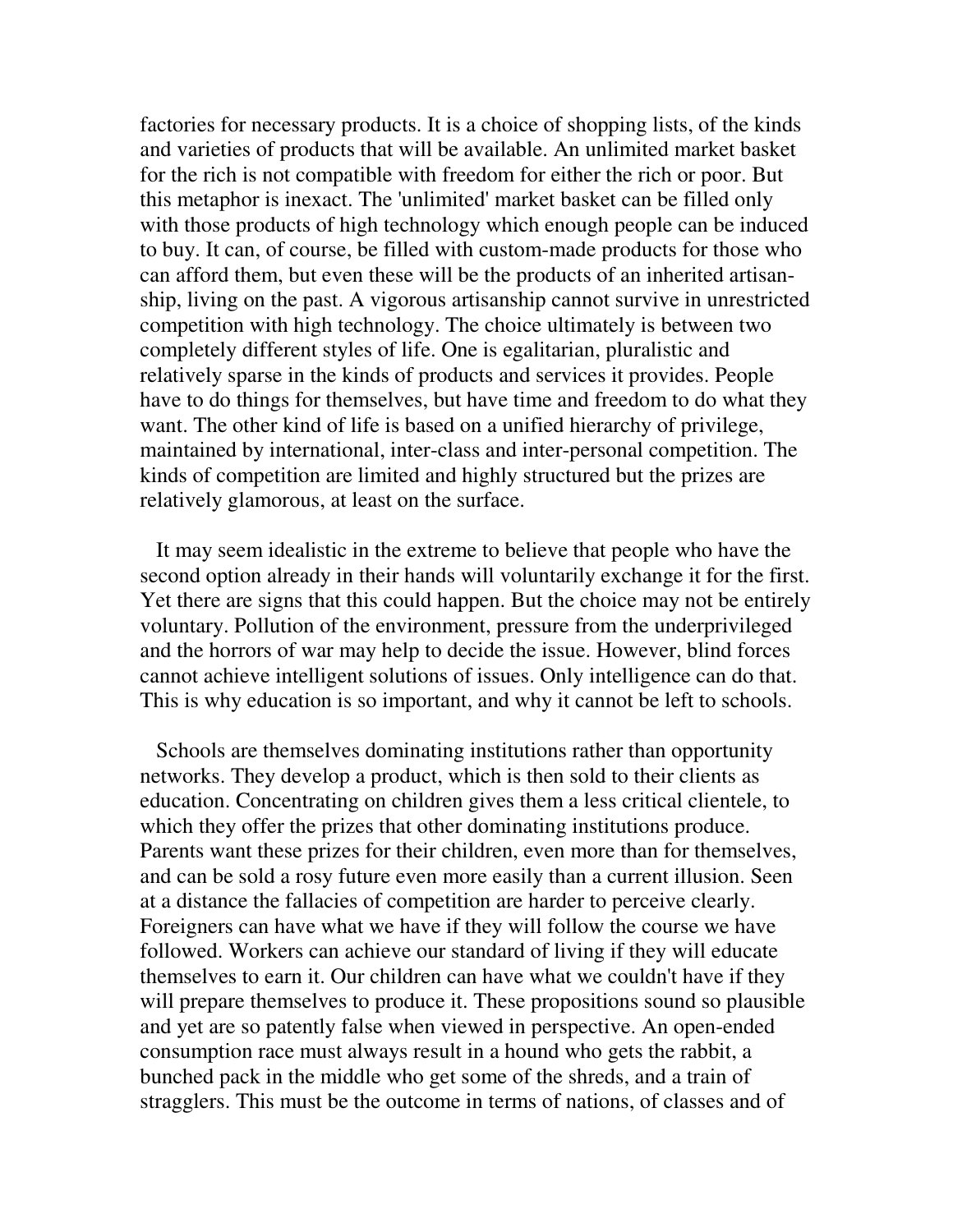factories for necessary products. It is a choice of shopping lists, of the kinds and varieties of products that will be available. An unlimited market basket for the rich is not compatible with freedom for either the rich or poor. But this metaphor is inexact. The 'unlimited' market basket can be filled only with those products of high technology which enough people can be induced to buy. It can, of course, be filled with custom-made products for those who can afford them, but even these will be the products of an inherited artisanship, living on the past. A vigorous artisanship cannot survive in unrestricted competition with high technology. The choice ultimately is between two completely different styles of life. One is egalitarian, pluralistic and relatively sparse in the kinds of products and services it provides. People have to do things for themselves, but have time and freedom to do what they want. The other kind of life is based on a unified hierarchy of privilege, maintained by international, inter-class and inter-personal competition. The kinds of competition are limited and highly structured but the prizes are relatively glamorous, at least on the surface.

 It may seem idealistic in the extreme to believe that people who have the second option already in their hands will voluntarily exchange it for the first. Yet there are signs that this could happen. But the choice may not be entirely voluntary. Pollution of the environment, pressure from the underprivileged and the horrors of war may help to decide the issue. However, blind forces cannot achieve intelligent solutions of issues. Only intelligence can do that. This is why education is so important, and why it cannot be left to schools.

 Schools are themselves dominating institutions rather than opportunity networks. They develop a product, which is then sold to their clients as education. Concentrating on children gives them a less critical clientele, to which they offer the prizes that other dominating institutions produce. Parents want these prizes for their children, even more than for themselves, and can be sold a rosy future even more easily than a current illusion. Seen at a distance the fallacies of competition are harder to perceive clearly. Foreigners can have what we have if they will follow the course we have followed. Workers can achieve our standard of living if they will educate themselves to earn it. Our children can have what we couldn't have if they will prepare themselves to produce it. These propositions sound so plausible and yet are so patently false when viewed in perspective. An open-ended consumption race must always result in a hound who gets the rabbit, a bunched pack in the middle who get some of the shreds, and a train of stragglers. This must be the outcome in terms of nations, of classes and of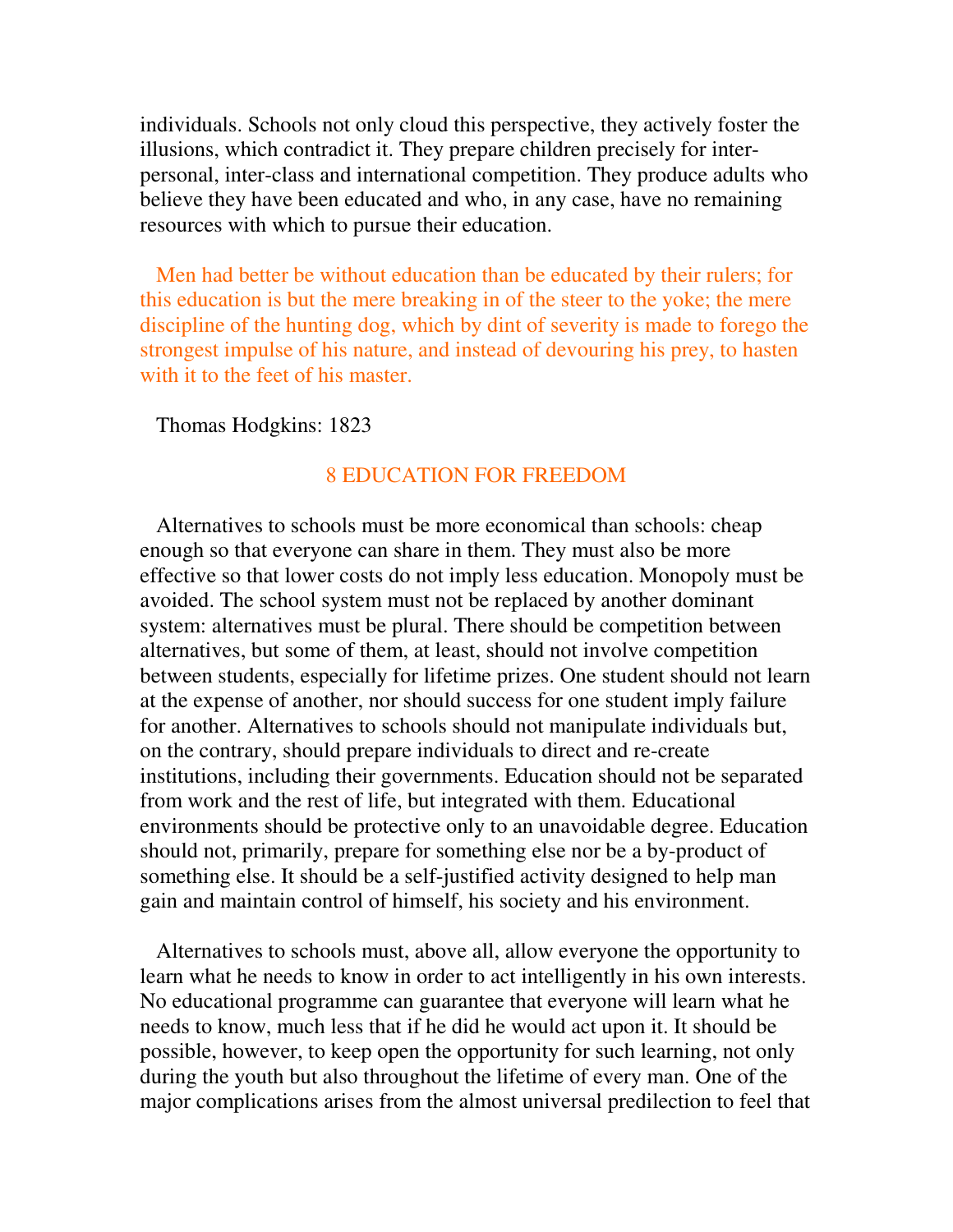individuals. Schools not only cloud this perspective, they actively foster the illusions, which contradict it. They prepare children precisely for interpersonal, inter-class and international competition. They produce adults who believe they have been educated and who, in any case, have no remaining resources with which to pursue their education.

 Men had better be without education than be educated by their rulers; for this education is but the mere breaking in of the steer to the yoke; the mere discipline of the hunting dog, which by dint of severity is made to forego the strongest impulse of his nature, and instead of devouring his prey, to hasten with it to the feet of his master.

Thomas Hodgkins: 1823

### 8 EDUCATION FOR FREEDOM

 Alternatives to schools must be more economical than schools: cheap enough so that everyone can share in them. They must also be more effective so that lower costs do not imply less education. Monopoly must be avoided. The school system must not be replaced by another dominant system: alternatives must be plural. There should be competition between alternatives, but some of them, at least, should not involve competition between students, especially for lifetime prizes. One student should not learn at the expense of another, nor should success for one student imply failure for another. Alternatives to schools should not manipulate individuals but, on the contrary, should prepare individuals to direct and re-create institutions, including their governments. Education should not be separated from work and the rest of life, but integrated with them. Educational environments should be protective only to an unavoidable degree. Education should not, primarily, prepare for something else nor be a by-product of something else. It should be a self-justified activity designed to help man gain and maintain control of himself, his society and his environment.

 Alternatives to schools must, above all, allow everyone the opportunity to learn what he needs to know in order to act intelligently in his own interests. No educational programme can guarantee that everyone will learn what he needs to know, much less that if he did he would act upon it. It should be possible, however, to keep open the opportunity for such learning, not only during the youth but also throughout the lifetime of every man. One of the major complications arises from the almost universal predilection to feel that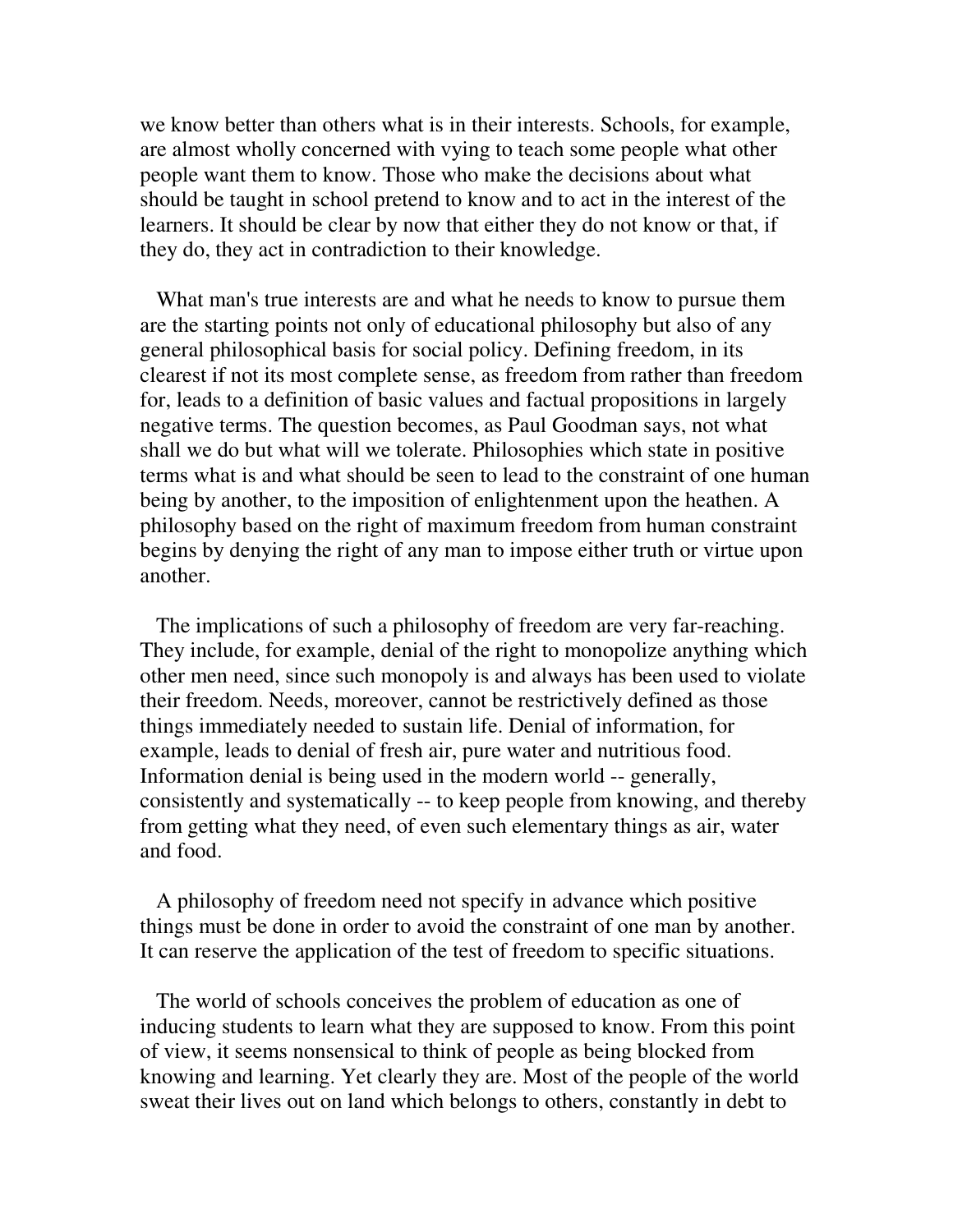we know better than others what is in their interests. Schools, for example, are almost wholly concerned with vying to teach some people what other people want them to know. Those who make the decisions about what should be taught in school pretend to know and to act in the interest of the learners. It should be clear by now that either they do not know or that, if they do, they act in contradiction to their knowledge.

 What man's true interests are and what he needs to know to pursue them are the starting points not only of educational philosophy but also of any general philosophical basis for social policy. Defining freedom, in its clearest if not its most complete sense, as freedom from rather than freedom for, leads to a definition of basic values and factual propositions in largely negative terms. The question becomes, as Paul Goodman says, not what shall we do but what will we tolerate. Philosophies which state in positive terms what is and what should be seen to lead to the constraint of one human being by another, to the imposition of enlightenment upon the heathen. A philosophy based on the right of maximum freedom from human constraint begins by denying the right of any man to impose either truth or virtue upon another.

 The implications of such a philosophy of freedom are very far-reaching. They include, for example, denial of the right to monopolize anything which other men need, since such monopoly is and always has been used to violate their freedom. Needs, moreover, cannot be restrictively defined as those things immediately needed to sustain life. Denial of information, for example, leads to denial of fresh air, pure water and nutritious food. Information denial is being used in the modern world -- generally, consistently and systematically -- to keep people from knowing, and thereby from getting what they need, of even such elementary things as air, water and food.

 A philosophy of freedom need not specify in advance which positive things must be done in order to avoid the constraint of one man by another. It can reserve the application of the test of freedom to specific situations.

 The world of schools conceives the problem of education as one of inducing students to learn what they are supposed to know. From this point of view, it seems nonsensical to think of people as being blocked from knowing and learning. Yet clearly they are. Most of the people of the world sweat their lives out on land which belongs to others, constantly in debt to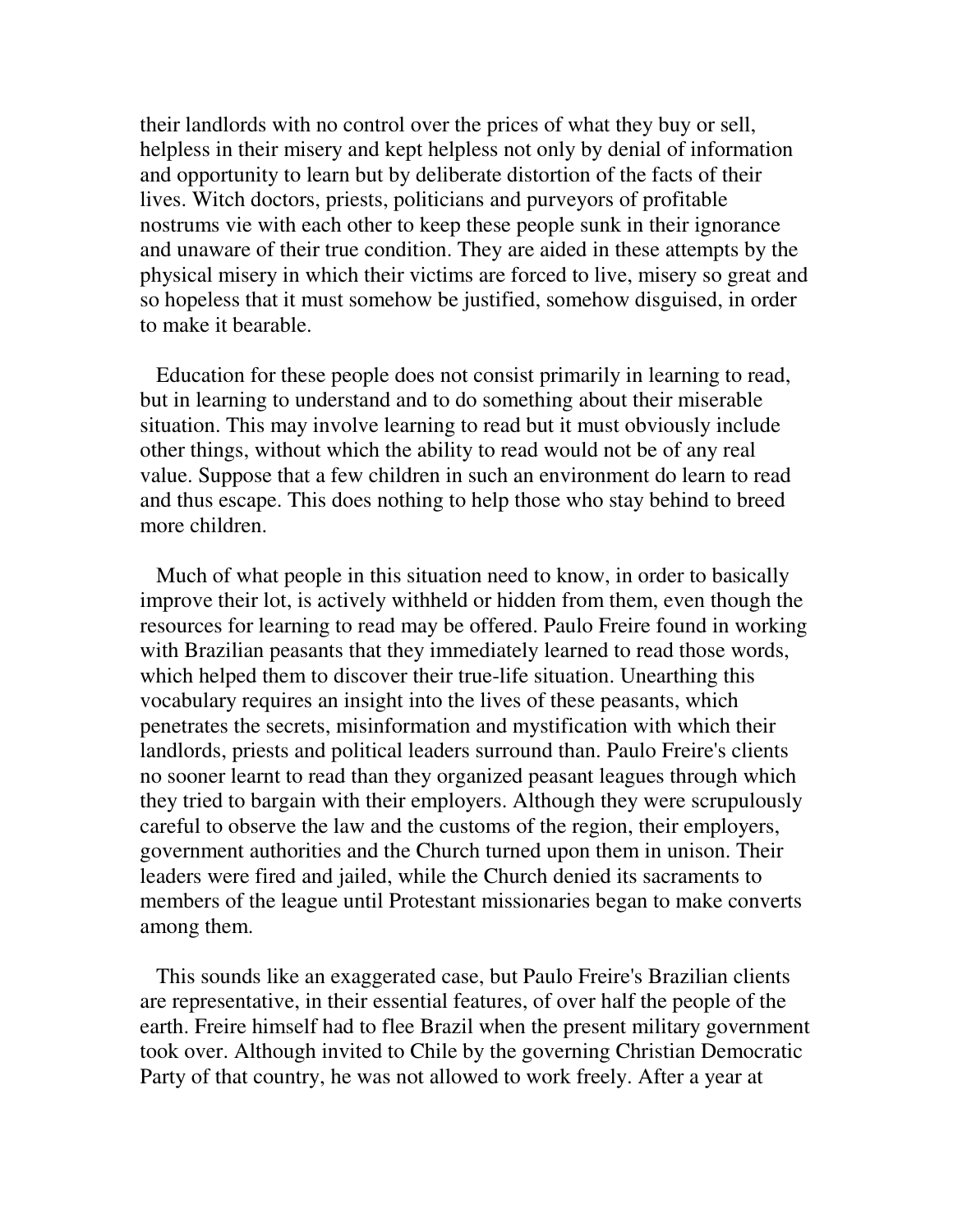their landlords with no control over the prices of what they buy or sell, helpless in their misery and kept helpless not only by denial of information and opportunity to learn but by deliberate distortion of the facts of their lives. Witch doctors, priests, politicians and purveyors of profitable nostrums vie with each other to keep these people sunk in their ignorance and unaware of their true condition. They are aided in these attempts by the physical misery in which their victims are forced to live, misery so great and so hopeless that it must somehow be justified, somehow disguised, in order to make it bearable.

 Education for these people does not consist primarily in learning to read, but in learning to understand and to do something about their miserable situation. This may involve learning to read but it must obviously include other things, without which the ability to read would not be of any real value. Suppose that a few children in such an environment do learn to read and thus escape. This does nothing to help those who stay behind to breed more children.

 Much of what people in this situation need to know, in order to basically improve their lot, is actively withheld or hidden from them, even though the resources for learning to read may be offered. Paulo Freire found in working with Brazilian peasants that they immediately learned to read those words, which helped them to discover their true-life situation. Unearthing this vocabulary requires an insight into the lives of these peasants, which penetrates the secrets, misinformation and mystification with which their landlords, priests and political leaders surround than. Paulo Freire's clients no sooner learnt to read than they organized peasant leagues through which they tried to bargain with their employers. Although they were scrupulously careful to observe the law and the customs of the region, their employers, government authorities and the Church turned upon them in unison. Their leaders were fired and jailed, while the Church denied its sacraments to members of the league until Protestant missionaries began to make converts among them.

 This sounds like an exaggerated case, but Paulo Freire's Brazilian clients are representative, in their essential features, of over half the people of the earth. Freire himself had to flee Brazil when the present military government took over. Although invited to Chile by the governing Christian Democratic Party of that country, he was not allowed to work freely. After a year at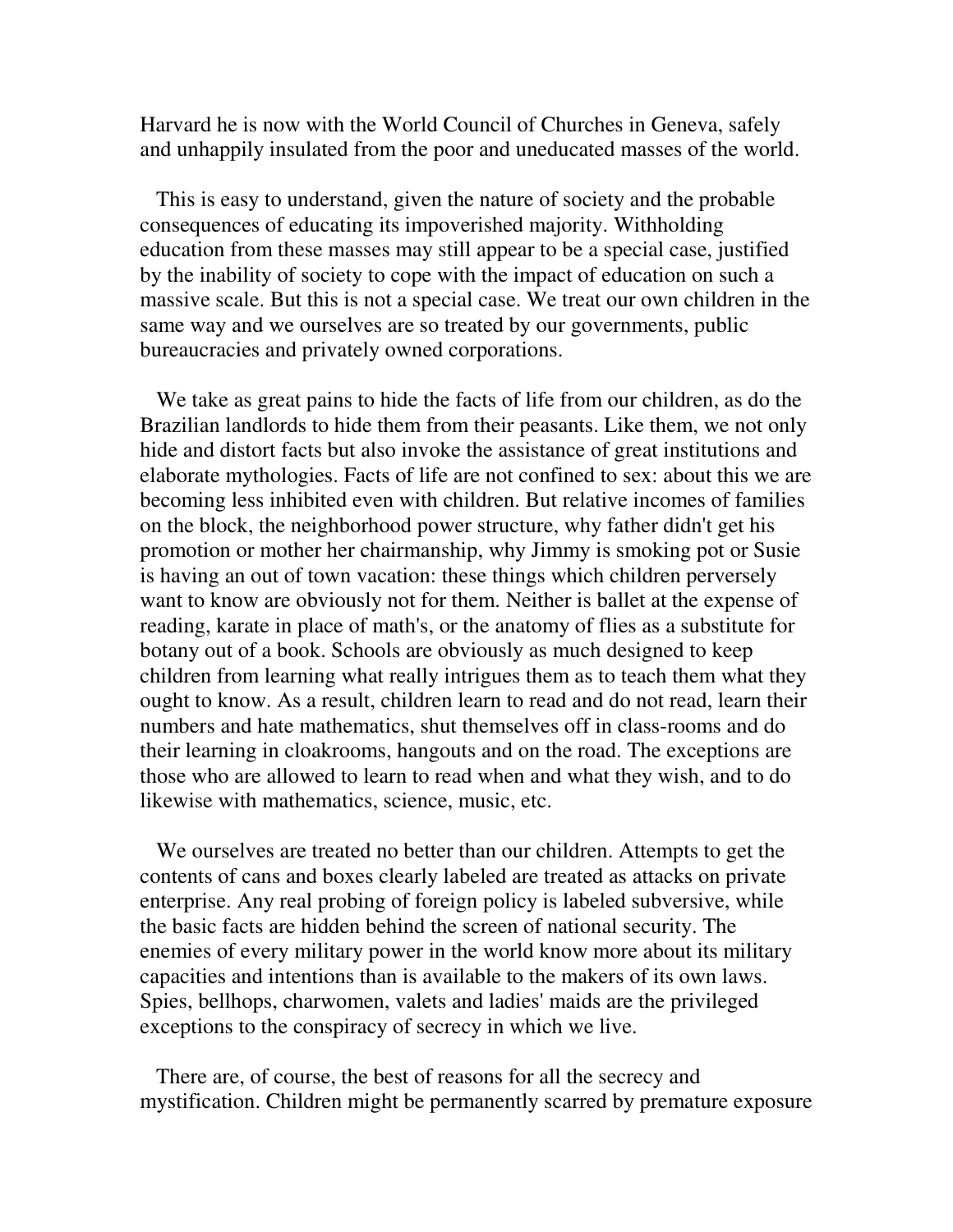Harvard he is now with the World Council of Churches in Geneva, safely and unhappily insulated from the poor and uneducated masses of the world.

 This is easy to understand, given the nature of society and the probable consequences of educating its impoverished majority. Withholding education from these masses may still appear to be a special case, justified by the inability of society to cope with the impact of education on such a massive scale. But this is not a special case. We treat our own children in the same way and we ourselves are so treated by our governments, public bureaucracies and privately owned corporations.

 We take as great pains to hide the facts of life from our children, as do the Brazilian landlords to hide them from their peasants. Like them, we not only hide and distort facts but also invoke the assistance of great institutions and elaborate mythologies. Facts of life are not confined to sex: about this we are becoming less inhibited even with children. But relative incomes of families on the block, the neighborhood power structure, why father didn't get his promotion or mother her chairmanship, why Jimmy is smoking pot or Susie is having an out of town vacation: these things which children perversely want to know are obviously not for them. Neither is ballet at the expense of reading, karate in place of math's, or the anatomy of flies as a substitute for botany out of a book. Schools are obviously as much designed to keep children from learning what really intrigues them as to teach them what they ought to know. As a result, children learn to read and do not read, learn their numbers and hate mathematics, shut themselves off in class-rooms and do their learning in cloakrooms, hangouts and on the road. The exceptions are those who are allowed to learn to read when and what they wish, and to do likewise with mathematics, science, music, etc.

 We ourselves are treated no better than our children. Attempts to get the contents of cans and boxes clearly labeled are treated as attacks on private enterprise. Any real probing of foreign policy is labeled subversive, while the basic facts are hidden behind the screen of national security. The enemies of every military power in the world know more about its military capacities and intentions than is available to the makers of its own laws. Spies, bellhops, charwomen, valets and ladies' maids are the privileged exceptions to the conspiracy of secrecy in which we live.

 There are, of course, the best of reasons for all the secrecy and mystification. Children might be permanently scarred by premature exposure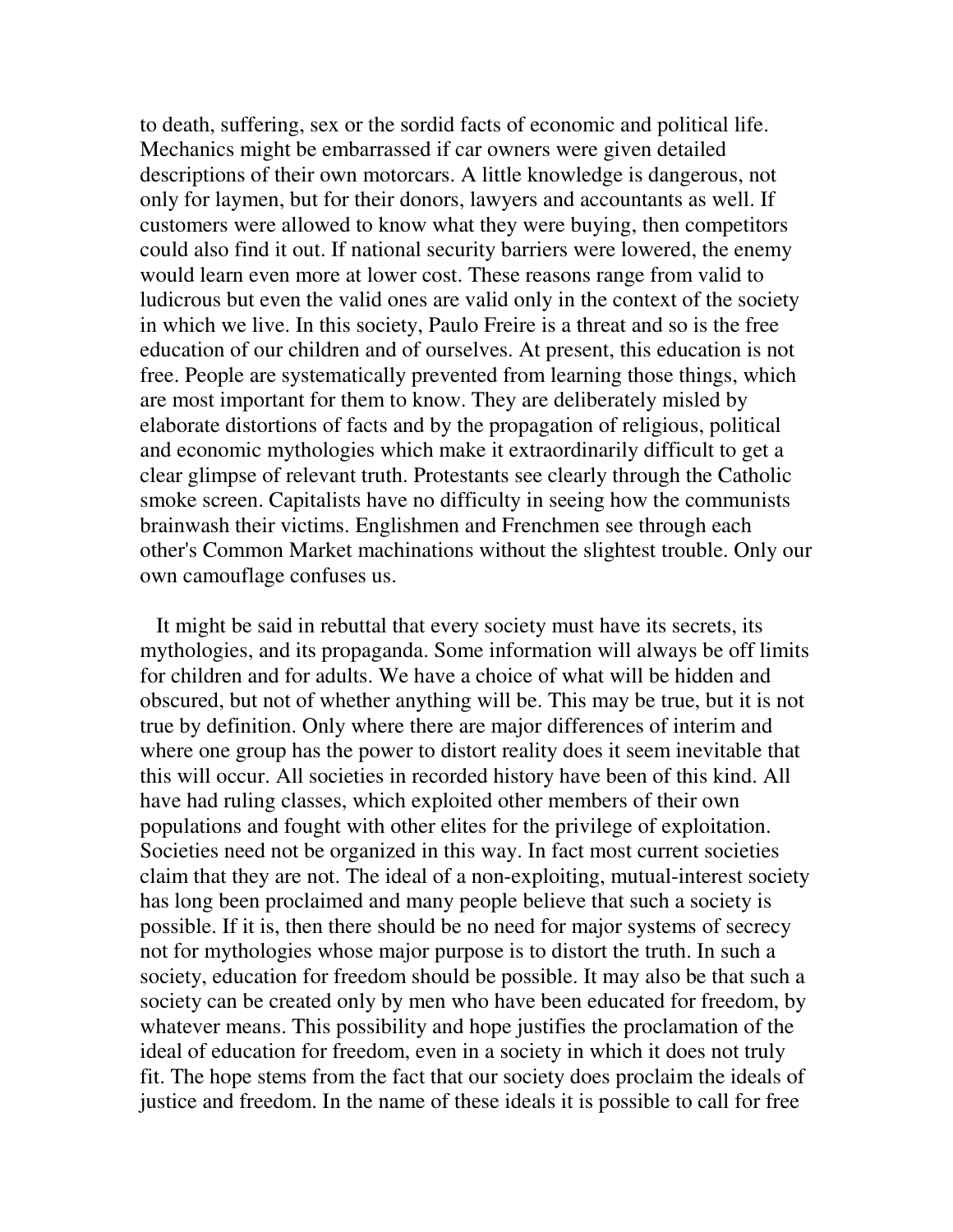to death, suffering, sex or the sordid facts of economic and political life. Mechanics might be embarrassed if car owners were given detailed descriptions of their own motorcars. A little knowledge is dangerous, not only for laymen, but for their donors, lawyers and accountants as well. If customers were allowed to know what they were buying, then competitors could also find it out. If national security barriers were lowered, the enemy would learn even more at lower cost. These reasons range from valid to ludicrous but even the valid ones are valid only in the context of the society in which we live. In this society, Paulo Freire is a threat and so is the free education of our children and of ourselves. At present, this education is not free. People are systematically prevented from learning those things, which are most important for them to know. They are deliberately misled by elaborate distortions of facts and by the propagation of religious, political and economic mythologies which make it extraordinarily difficult to get a clear glimpse of relevant truth. Protestants see clearly through the Catholic smoke screen. Capitalists have no difficulty in seeing how the communists brainwash their victims. Englishmen and Frenchmen see through each other's Common Market machinations without the slightest trouble. Only our own camouflage confuses us.

 It might be said in rebuttal that every society must have its secrets, its mythologies, and its propaganda. Some information will always be off limits for children and for adults. We have a choice of what will be hidden and obscured, but not of whether anything will be. This may be true, but it is not true by definition. Only where there are major differences of interim and where one group has the power to distort reality does it seem inevitable that this will occur. All societies in recorded history have been of this kind. All have had ruling classes, which exploited other members of their own populations and fought with other elites for the privilege of exploitation. Societies need not be organized in this way. In fact most current societies claim that they are not. The ideal of a non-exploiting, mutual-interest society has long been proclaimed and many people believe that such a society is possible. If it is, then there should be no need for major systems of secrecy not for mythologies whose major purpose is to distort the truth. In such a society, education for freedom should be possible. It may also be that such a society can be created only by men who have been educated for freedom, by whatever means. This possibility and hope justifies the proclamation of the ideal of education for freedom, even in a society in which it does not truly fit. The hope stems from the fact that our society does proclaim the ideals of justice and freedom. In the name of these ideals it is possible to call for free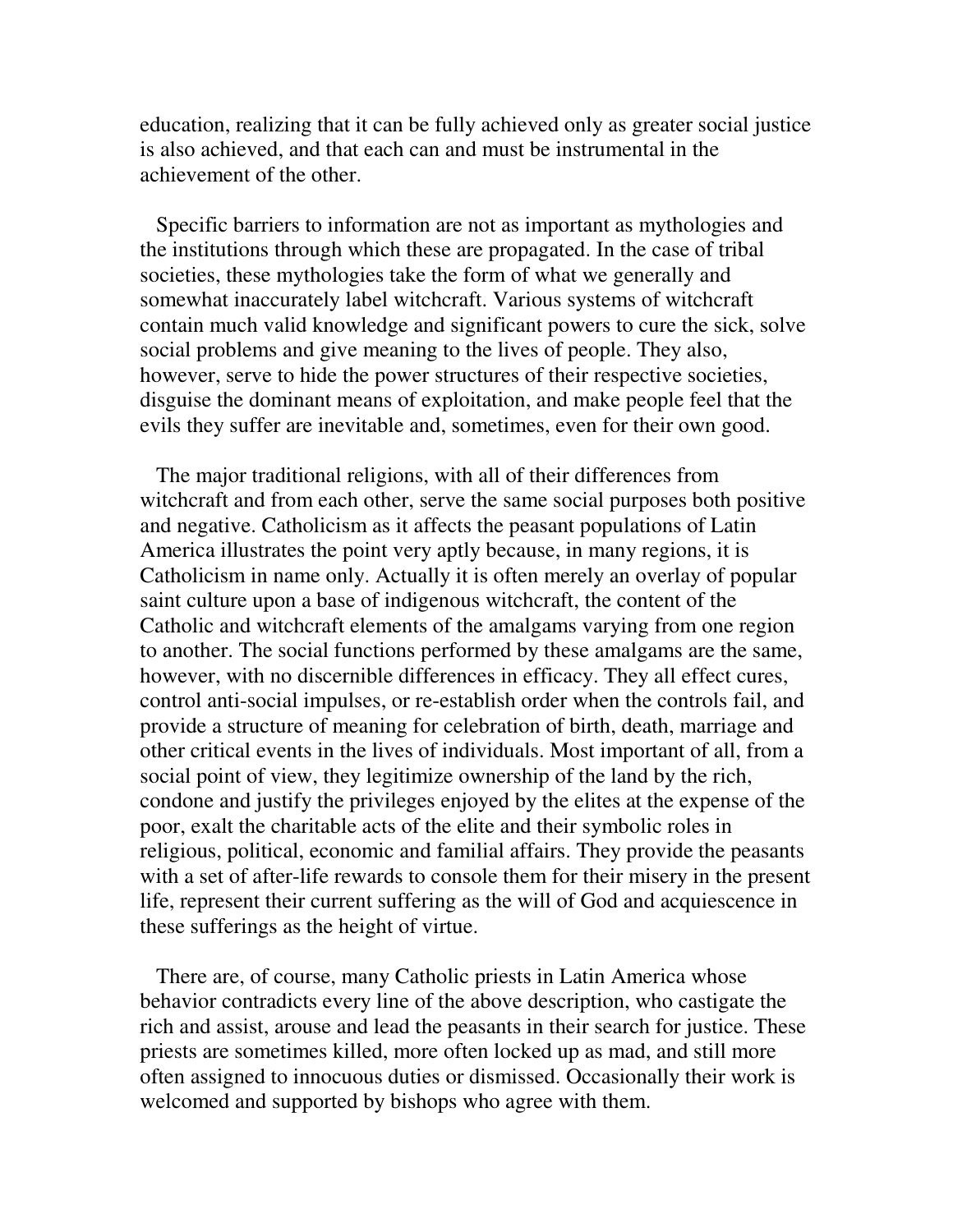education, realizing that it can be fully achieved only as greater social justice is also achieved, and that each can and must be instrumental in the achievement of the other.

 Specific barriers to information are not as important as mythologies and the institutions through which these are propagated. In the case of tribal societies, these mythologies take the form of what we generally and somewhat inaccurately label witchcraft. Various systems of witchcraft contain much valid knowledge and significant powers to cure the sick, solve social problems and give meaning to the lives of people. They also, however, serve to hide the power structures of their respective societies, disguise the dominant means of exploitation, and make people feel that the evils they suffer are inevitable and, sometimes, even for their own good.

 The major traditional religions, with all of their differences from witchcraft and from each other, serve the same social purposes both positive and negative. Catholicism as it affects the peasant populations of Latin America illustrates the point very aptly because, in many regions, it is Catholicism in name only. Actually it is often merely an overlay of popular saint culture upon a base of indigenous witchcraft, the content of the Catholic and witchcraft elements of the amalgams varying from one region to another. The social functions performed by these amalgams are the same, however, with no discernible differences in efficacy. They all effect cures, control anti-social impulses, or re-establish order when the controls fail, and provide a structure of meaning for celebration of birth, death, marriage and other critical events in the lives of individuals. Most important of all, from a social point of view, they legitimize ownership of the land by the rich, condone and justify the privileges enjoyed by the elites at the expense of the poor, exalt the charitable acts of the elite and their symbolic roles in religious, political, economic and familial affairs. They provide the peasants with a set of after-life rewards to console them for their misery in the present life, represent their current suffering as the will of God and acquiescence in these sufferings as the height of virtue.

 There are, of course, many Catholic priests in Latin America whose behavior contradicts every line of the above description, who castigate the rich and assist, arouse and lead the peasants in their search for justice. These priests are sometimes killed, more often locked up as mad, and still more often assigned to innocuous duties or dismissed. Occasionally their work is welcomed and supported by bishops who agree with them.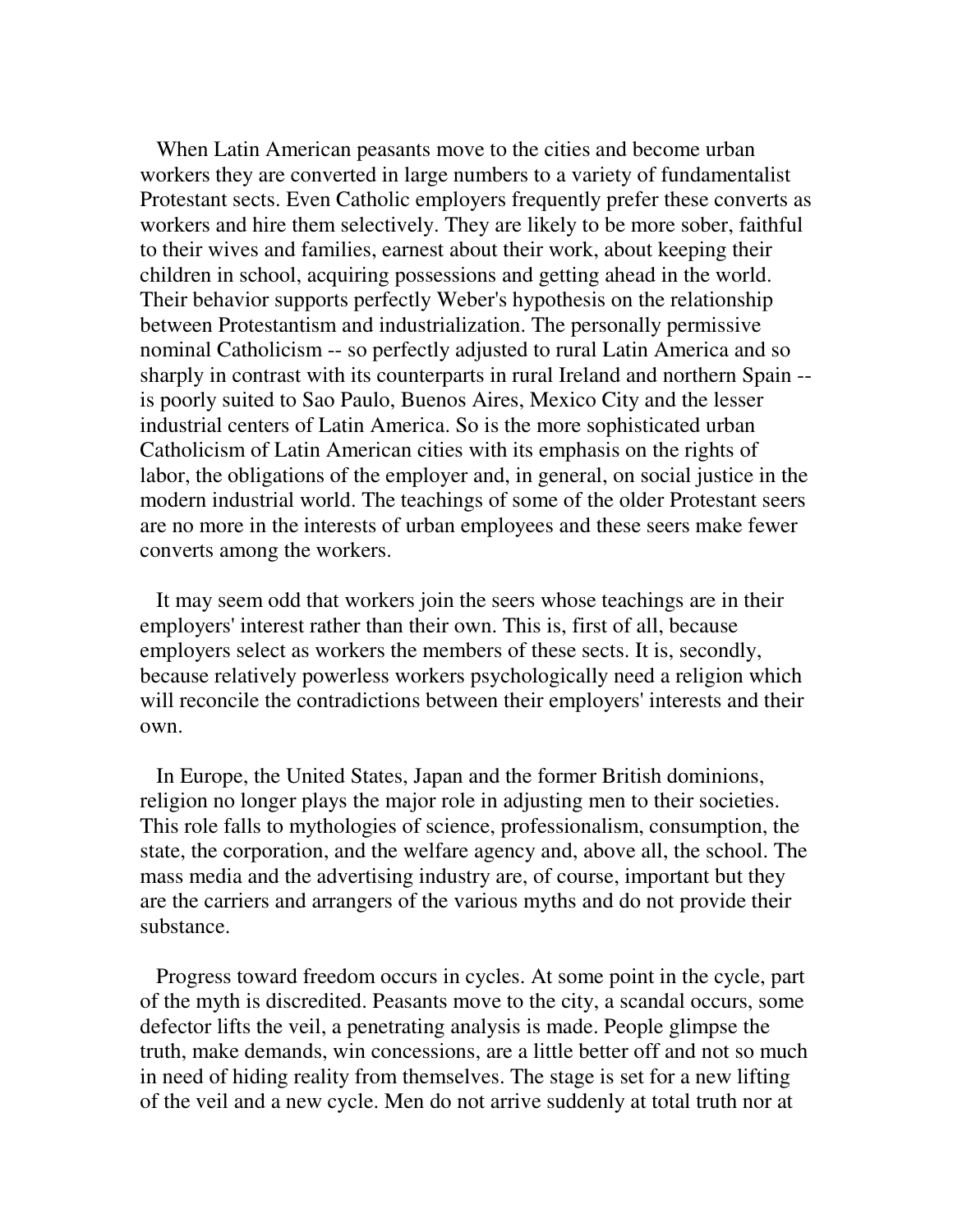When Latin American peasants move to the cities and become urban workers they are converted in large numbers to a variety of fundamentalist Protestant sects. Even Catholic employers frequently prefer these converts as workers and hire them selectively. They are likely to be more sober, faithful to their wives and families, earnest about their work, about keeping their children in school, acquiring possessions and getting ahead in the world. Their behavior supports perfectly Weber's hypothesis on the relationship between Protestantism and industrialization. The personally permissive nominal Catholicism -- so perfectly adjusted to rural Latin America and so sharply in contrast with its counterparts in rural Ireland and northern Spain - is poorly suited to Sao Paulo, Buenos Aires, Mexico City and the lesser industrial centers of Latin America. So is the more sophisticated urban Catholicism of Latin American cities with its emphasis on the rights of labor, the obligations of the employer and, in general, on social justice in the modern industrial world. The teachings of some of the older Protestant seers are no more in the interests of urban employees and these seers make fewer converts among the workers.

 It may seem odd that workers join the seers whose teachings are in their employers' interest rather than their own. This is, first of all, because employers select as workers the members of these sects. It is, secondly, because relatively powerless workers psychologically need a religion which will reconcile the contradictions between their employers' interests and their own.

 In Europe, the United States, Japan and the former British dominions, religion no longer plays the major role in adjusting men to their societies. This role falls to mythologies of science, professionalism, consumption, the state, the corporation, and the welfare agency and, above all, the school. The mass media and the advertising industry are, of course, important but they are the carriers and arrangers of the various myths and do not provide their substance.

 Progress toward freedom occurs in cycles. At some point in the cycle, part of the myth is discredited. Peasants move to the city, a scandal occurs, some defector lifts the veil, a penetrating analysis is made. People glimpse the truth, make demands, win concessions, are a little better off and not so much in need of hiding reality from themselves. The stage is set for a new lifting of the veil and a new cycle. Men do not arrive suddenly at total truth nor at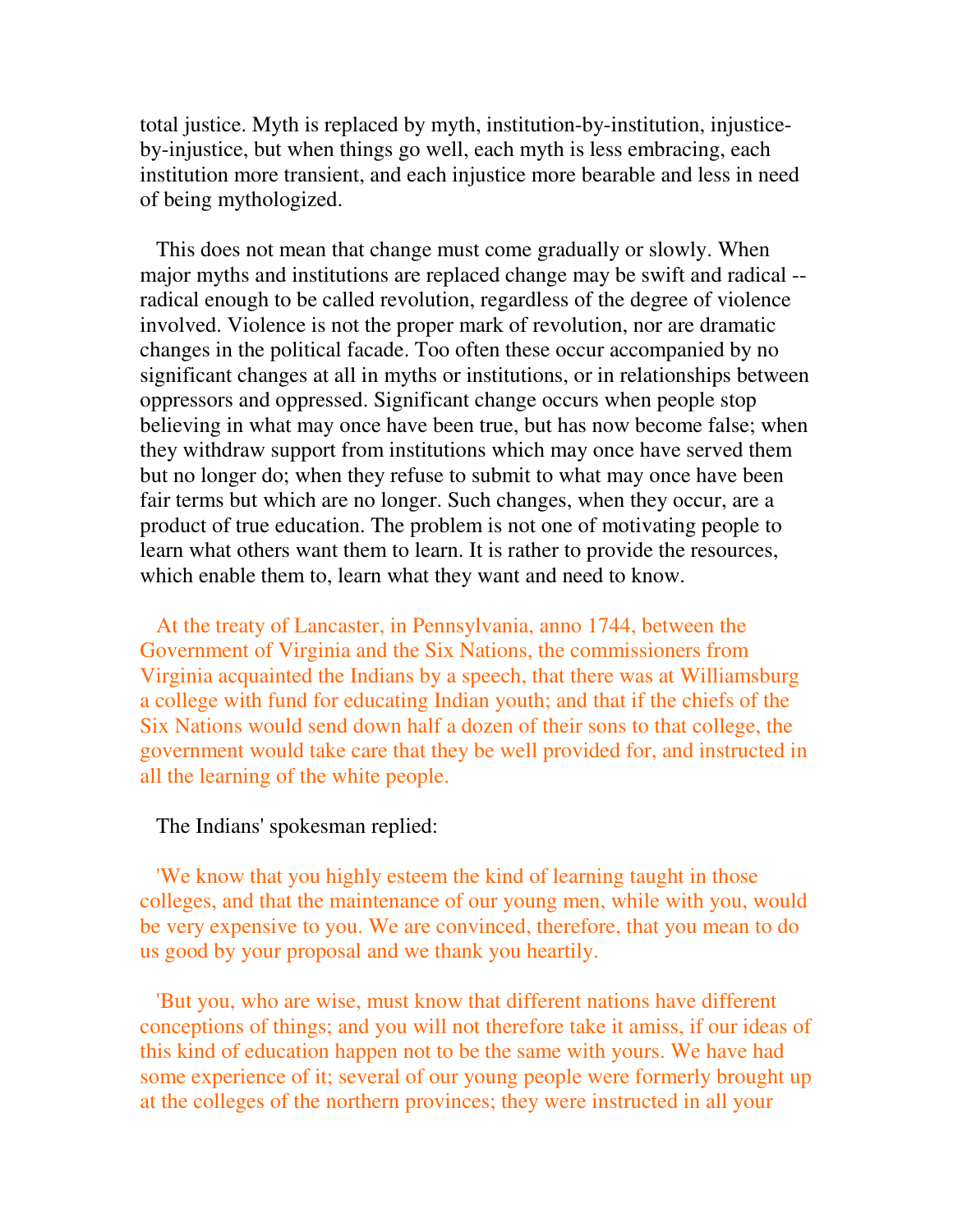total justice. Myth is replaced by myth, institution-by-institution, injusticeby-injustice, but when things go well, each myth is less embracing, each institution more transient, and each injustice more bearable and less in need of being mythologized.

 This does not mean that change must come gradually or slowly. When major myths and institutions are replaced change may be swift and radical - radical enough to be called revolution, regardless of the degree of violence involved. Violence is not the proper mark of revolution, nor are dramatic changes in the political facade. Too often these occur accompanied by no significant changes at all in myths or institutions, or in relationships between oppressors and oppressed. Significant change occurs when people stop believing in what may once have been true, but has now become false; when they withdraw support from institutions which may once have served them but no longer do; when they refuse to submit to what may once have been fair terms but which are no longer. Such changes, when they occur, are a product of true education. The problem is not one of motivating people to learn what others want them to learn. It is rather to provide the resources, which enable them to, learn what they want and need to know.

 At the treaty of Lancaster, in Pennsylvania, anno 1744, between the Government of Virginia and the Six Nations, the commissioners from Virginia acquainted the Indians by a speech, that there was at Williamsburg a college with fund for educating Indian youth; and that if the chiefs of the Six Nations would send down half a dozen of their sons to that college, the government would take care that they be well provided for, and instructed in all the learning of the white people.

#### The Indians' spokesman replied:

 'We know that you highly esteem the kind of learning taught in those colleges, and that the maintenance of our young men, while with you, would be very expensive to you. We are convinced, therefore, that you mean to do us good by your proposal and we thank you heartily.

 'But you, who are wise, must know that different nations have different conceptions of things; and you will not therefore take it amiss, if our ideas of this kind of education happen not to be the same with yours. We have had some experience of it; several of our young people were formerly brought up at the colleges of the northern provinces; they were instructed in all your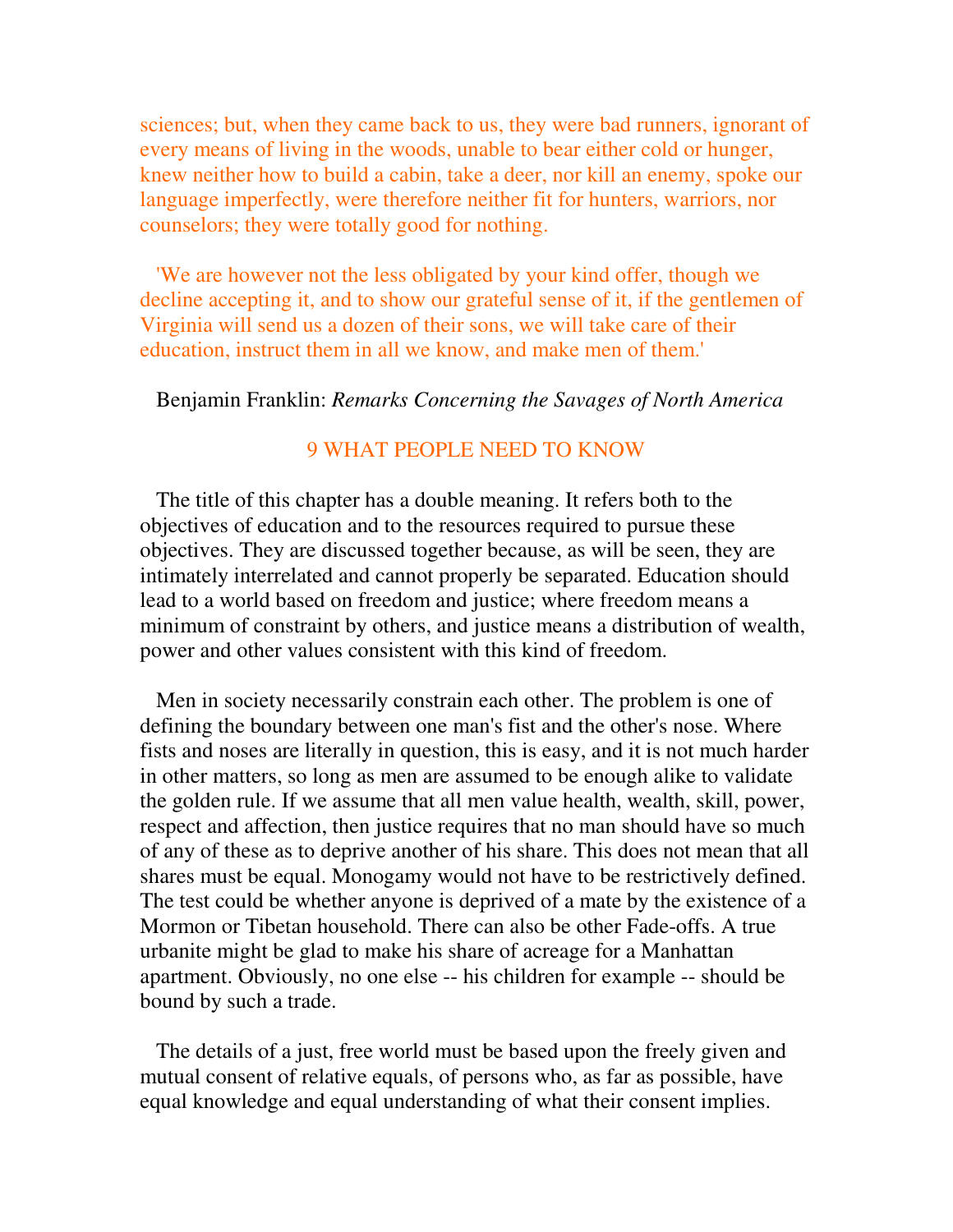sciences; but, when they came back to us, they were bad runners, ignorant of every means of living in the woods, unable to bear either cold or hunger, knew neither how to build a cabin, take a deer, nor kill an enemy, spoke our language imperfectly, were therefore neither fit for hunters, warriors, nor counselors; they were totally good for nothing.

 'We are however not the less obligated by your kind offer, though we decline accepting it, and to show our grateful sense of it, if the gentlemen of Virginia will send us a dozen of their sons, we will take care of their education, instruct them in all we know, and make men of them.'

Benjamin Franklin: *Remarks Concerning the Savages of North America*

## 9 WHAT PEOPLE NEED TO KNOW

 The title of this chapter has a double meaning. It refers both to the objectives of education and to the resources required to pursue these objectives. They are discussed together because, as will be seen, they are intimately interrelated and cannot properly be separated. Education should lead to a world based on freedom and justice; where freedom means a minimum of constraint by others, and justice means a distribution of wealth, power and other values consistent with this kind of freedom.

 Men in society necessarily constrain each other. The problem is one of defining the boundary between one man's fist and the other's nose. Where fists and noses are literally in question, this is easy, and it is not much harder in other matters, so long as men are assumed to be enough alike to validate the golden rule. If we assume that all men value health, wealth, skill, power, respect and affection, then justice requires that no man should have so much of any of these as to deprive another of his share. This does not mean that all shares must be equal. Monogamy would not have to be restrictively defined. The test could be whether anyone is deprived of a mate by the existence of a Mormon or Tibetan household. There can also be other Fade-offs. A true urbanite might be glad to make his share of acreage for a Manhattan apartment. Obviously, no one else -- his children for example -- should be bound by such a trade.

 The details of a just, free world must be based upon the freely given and mutual consent of relative equals, of persons who, as far as possible, have equal knowledge and equal understanding of what their consent implies.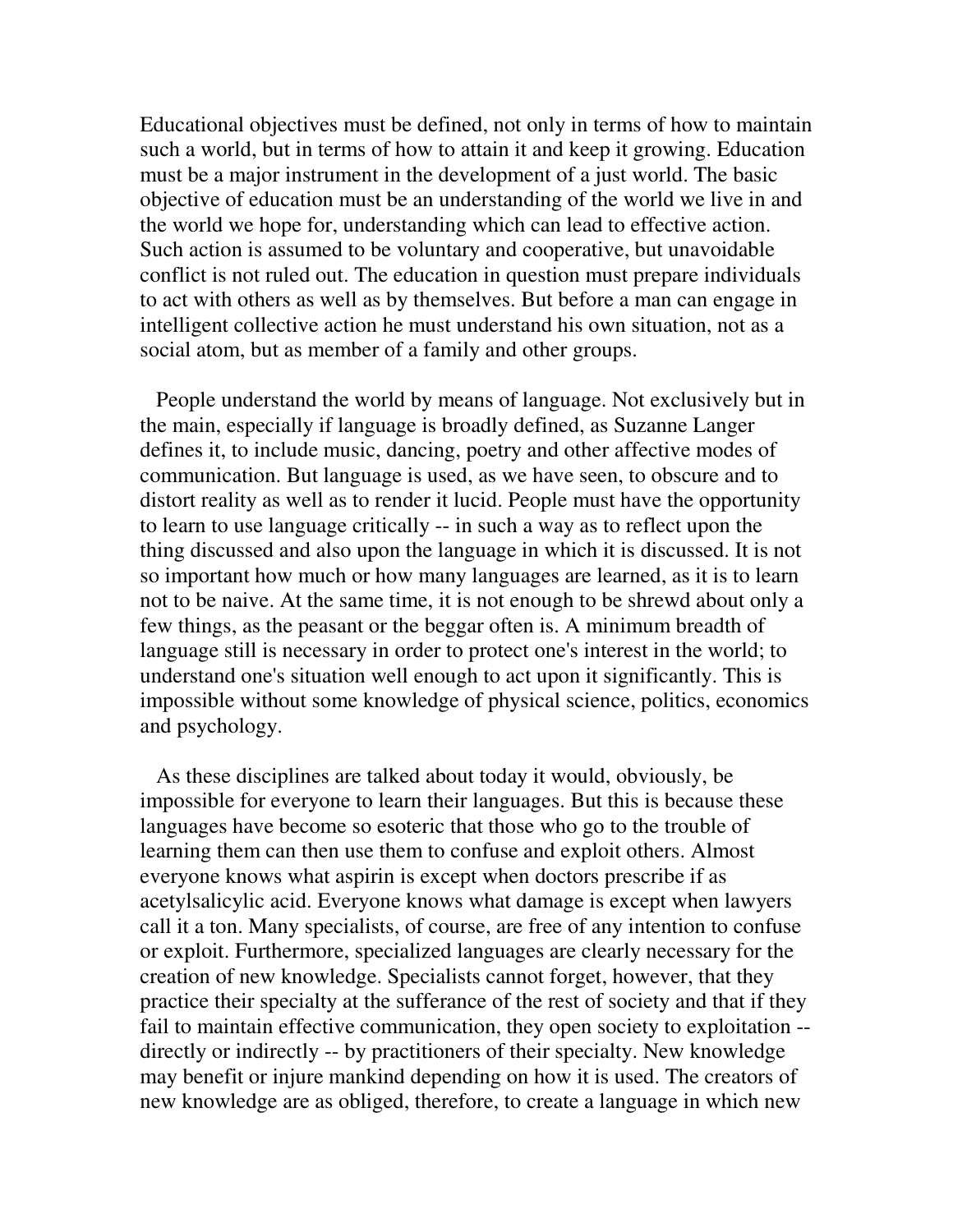Educational objectives must be defined, not only in terms of how to maintain such a world, but in terms of how to attain it and keep it growing. Education must be a major instrument in the development of a just world. The basic objective of education must be an understanding of the world we live in and the world we hope for, understanding which can lead to effective action. Such action is assumed to be voluntary and cooperative, but unavoidable conflict is not ruled out. The education in question must prepare individuals to act with others as well as by themselves. But before a man can engage in intelligent collective action he must understand his own situation, not as a social atom, but as member of a family and other groups.

 People understand the world by means of language. Not exclusively but in the main, especially if language is broadly defined, as Suzanne Langer defines it, to include music, dancing, poetry and other affective modes of communication. But language is used, as we have seen, to obscure and to distort reality as well as to render it lucid. People must have the opportunity to learn to use language critically -- in such a way as to reflect upon the thing discussed and also upon the language in which it is discussed. It is not so important how much or how many languages are learned, as it is to learn not to be naive. At the same time, it is not enough to be shrewd about only a few things, as the peasant or the beggar often is. A minimum breadth of language still is necessary in order to protect one's interest in the world; to understand one's situation well enough to act upon it significantly. This is impossible without some knowledge of physical science, politics, economics and psychology.

 As these disciplines are talked about today it would, obviously, be impossible for everyone to learn their languages. But this is because these languages have become so esoteric that those who go to the trouble of learning them can then use them to confuse and exploit others. Almost everyone knows what aspirin is except when doctors prescribe if as acetylsalicylic acid. Everyone knows what damage is except when lawyers call it a ton. Many specialists, of course, are free of any intention to confuse or exploit. Furthermore, specialized languages are clearly necessary for the creation of new knowledge. Specialists cannot forget, however, that they practice their specialty at the sufferance of the rest of society and that if they fail to maintain effective communication, they open society to exploitation - directly or indirectly -- by practitioners of their specialty. New knowledge may benefit or injure mankind depending on how it is used. The creators of new knowledge are as obliged, therefore, to create a language in which new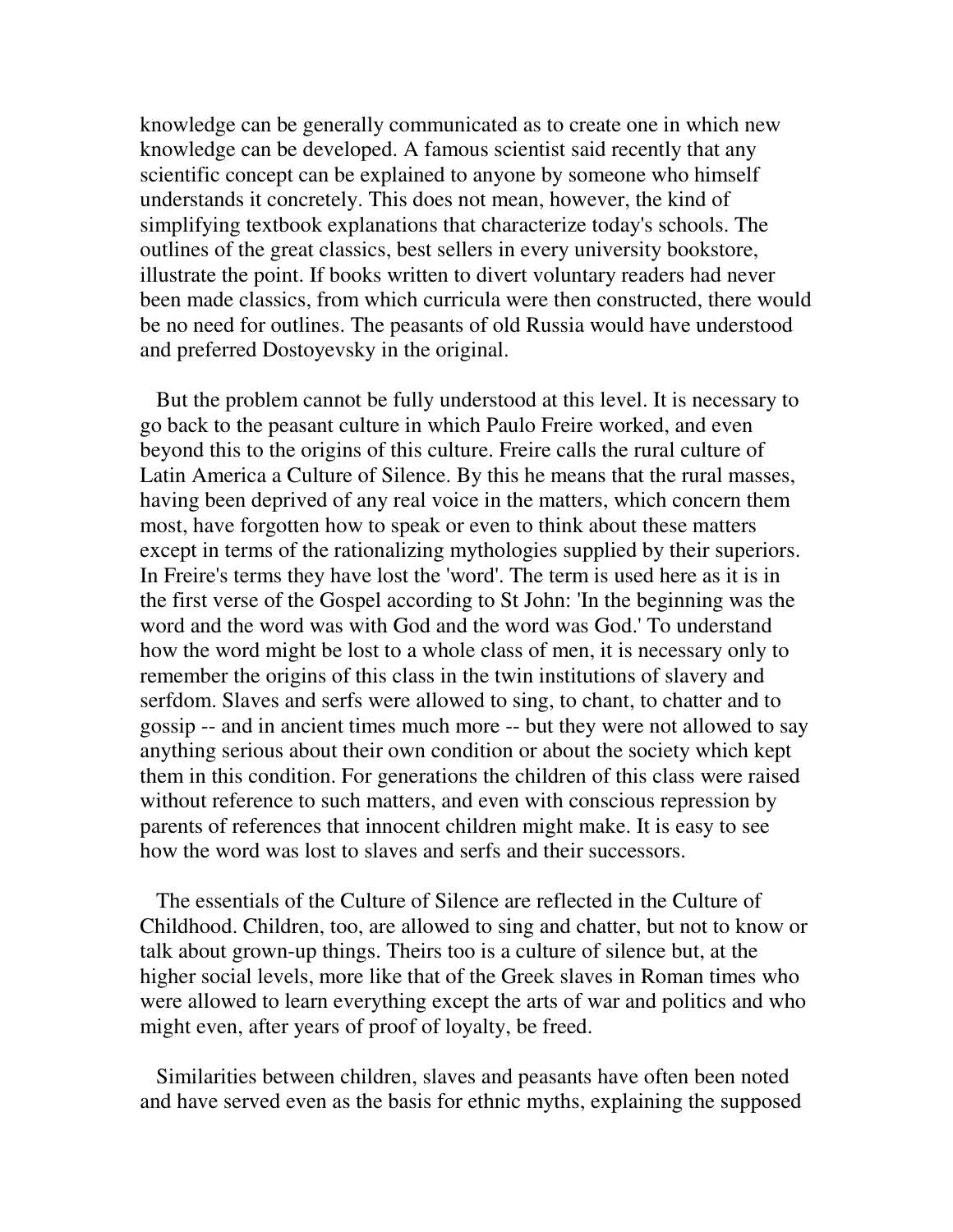knowledge can be generally communicated as to create one in which new knowledge can be developed. A famous scientist said recently that any scientific concept can be explained to anyone by someone who himself understands it concretely. This does not mean, however, the kind of simplifying textbook explanations that characterize today's schools. The outlines of the great classics, best sellers in every university bookstore, illustrate the point. If books written to divert voluntary readers had never been made classics, from which curricula were then constructed, there would be no need for outlines. The peasants of old Russia would have understood and preferred Dostoyevsky in the original.

 But the problem cannot be fully understood at this level. It is necessary to go back to the peasant culture in which Paulo Freire worked, and even beyond this to the origins of this culture. Freire calls the rural culture of Latin America a Culture of Silence. By this he means that the rural masses, having been deprived of any real voice in the matters, which concern them most, have forgotten how to speak or even to think about these matters except in terms of the rationalizing mythologies supplied by their superiors. In Freire's terms they have lost the 'word'. The term is used here as it is in the first verse of the Gospel according to St John: 'In the beginning was the word and the word was with God and the word was God.' To understand how the word might be lost to a whole class of men, it is necessary only to remember the origins of this class in the twin institutions of slavery and serfdom. Slaves and serfs were allowed to sing, to chant, to chatter and to gossip -- and in ancient times much more -- but they were not allowed to say anything serious about their own condition or about the society which kept them in this condition. For generations the children of this class were raised without reference to such matters, and even with conscious repression by parents of references that innocent children might make. It is easy to see how the word was lost to slaves and serfs and their successors.

 The essentials of the Culture of Silence are reflected in the Culture of Childhood. Children, too, are allowed to sing and chatter, but not to know or talk about grown-up things. Theirs too is a culture of silence but, at the higher social levels, more like that of the Greek slaves in Roman times who were allowed to learn everything except the arts of war and politics and who might even, after years of proof of loyalty, be freed.

 Similarities between children, slaves and peasants have often been noted and have served even as the basis for ethnic myths, explaining the supposed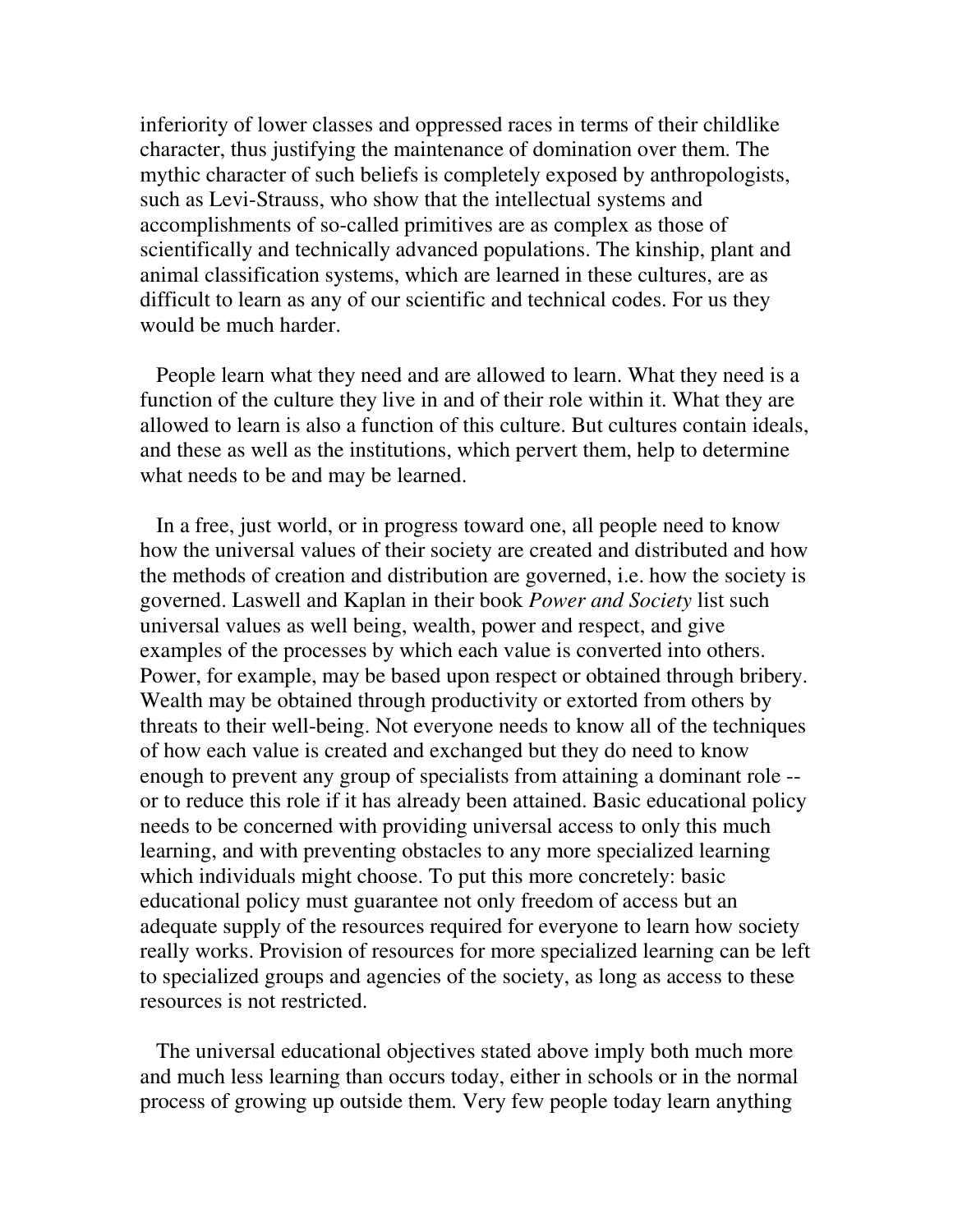inferiority of lower classes and oppressed races in terms of their childlike character, thus justifying the maintenance of domination over them. The mythic character of such beliefs is completely exposed by anthropologists, such as Levi-Strauss, who show that the intellectual systems and accomplishments of so-called primitives are as complex as those of scientifically and technically advanced populations. The kinship, plant and animal classification systems, which are learned in these cultures, are as difficult to learn as any of our scientific and technical codes. For us they would be much harder.

 People learn what they need and are allowed to learn. What they need is a function of the culture they live in and of their role within it. What they are allowed to learn is also a function of this culture. But cultures contain ideals, and these as well as the institutions, which pervert them, help to determine what needs to be and may be learned.

 In a free, just world, or in progress toward one, all people need to know how the universal values of their society are created and distributed and how the methods of creation and distribution are governed, i.e. how the society is governed. Laswell and Kaplan in their book *Power and Society* list such universal values as well being, wealth, power and respect, and give examples of the processes by which each value is converted into others. Power, for example, may be based upon respect or obtained through bribery. Wealth may be obtained through productivity or extorted from others by threats to their well-being. Not everyone needs to know all of the techniques of how each value is created and exchanged but they do need to know enough to prevent any group of specialists from attaining a dominant role - or to reduce this role if it has already been attained. Basic educational policy needs to be concerned with providing universal access to only this much learning, and with preventing obstacles to any more specialized learning which individuals might choose. To put this more concretely: basic educational policy must guarantee not only freedom of access but an adequate supply of the resources required for everyone to learn how society really works. Provision of resources for more specialized learning can be left to specialized groups and agencies of the society, as long as access to these resources is not restricted.

 The universal educational objectives stated above imply both much more and much less learning than occurs today, either in schools or in the normal process of growing up outside them. Very few people today learn anything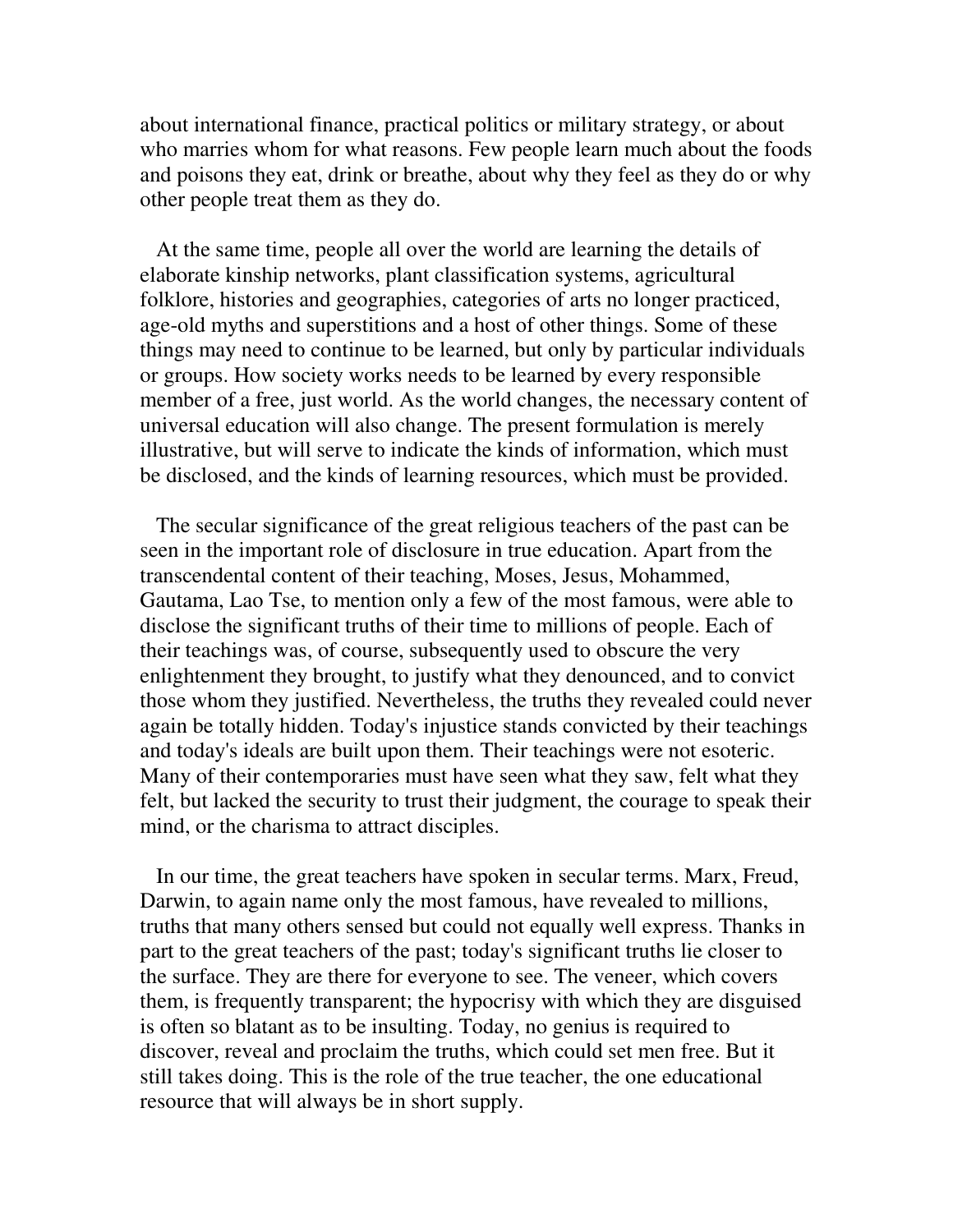about international finance, practical politics or military strategy, or about who marries whom for what reasons. Few people learn much about the foods and poisons they eat, drink or breathe, about why they feel as they do or why other people treat them as they do.

 At the same time, people all over the world are learning the details of elaborate kinship networks, plant classification systems, agricultural folklore, histories and geographies, categories of arts no longer practiced, age-old myths and superstitions and a host of other things. Some of these things may need to continue to be learned, but only by particular individuals or groups. How society works needs to be learned by every responsible member of a free, just world. As the world changes, the necessary content of universal education will also change. The present formulation is merely illustrative, but will serve to indicate the kinds of information, which must be disclosed, and the kinds of learning resources, which must be provided.

 The secular significance of the great religious teachers of the past can be seen in the important role of disclosure in true education. Apart from the transcendental content of their teaching, Moses, Jesus, Mohammed, Gautama, Lao Tse, to mention only a few of the most famous, were able to disclose the significant truths of their time to millions of people. Each of their teachings was, of course, subsequently used to obscure the very enlightenment they brought, to justify what they denounced, and to convict those whom they justified. Nevertheless, the truths they revealed could never again be totally hidden. Today's injustice stands convicted by their teachings and today's ideals are built upon them. Their teachings were not esoteric. Many of their contemporaries must have seen what they saw, felt what they felt, but lacked the security to trust their judgment, the courage to speak their mind, or the charisma to attract disciples.

 In our time, the great teachers have spoken in secular terms. Marx, Freud, Darwin, to again name only the most famous, have revealed to millions, truths that many others sensed but could not equally well express. Thanks in part to the great teachers of the past; today's significant truths lie closer to the surface. They are there for everyone to see. The veneer, which covers them, is frequently transparent; the hypocrisy with which they are disguised is often so blatant as to be insulting. Today, no genius is required to discover, reveal and proclaim the truths, which could set men free. But it still takes doing. This is the role of the true teacher, the one educational resource that will always be in short supply.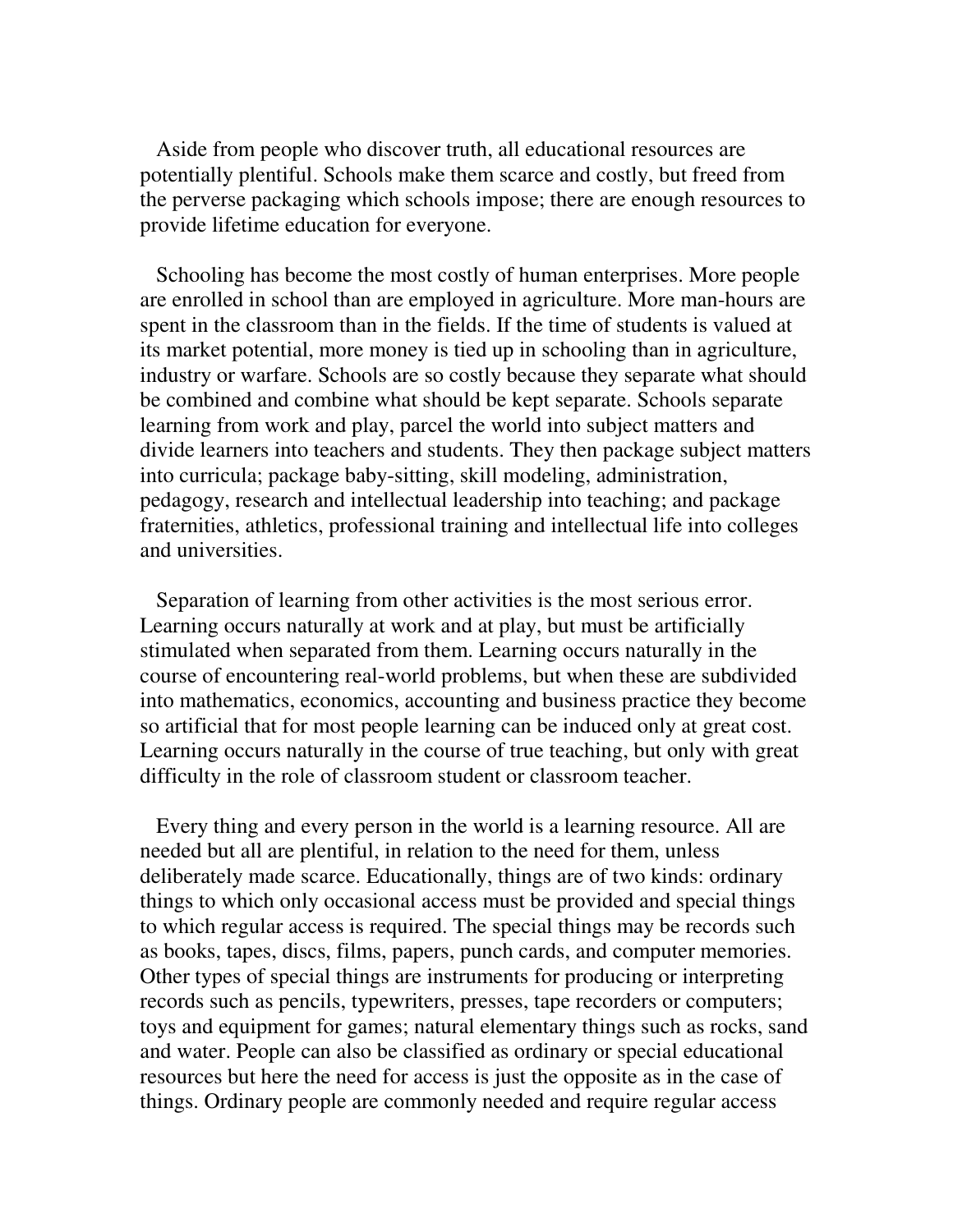Aside from people who discover truth, all educational resources are potentially plentiful. Schools make them scarce and costly, but freed from the perverse packaging which schools impose; there are enough resources to provide lifetime education for everyone.

 Schooling has become the most costly of human enterprises. More people are enrolled in school than are employed in agriculture. More man-hours are spent in the classroom than in the fields. If the time of students is valued at its market potential, more money is tied up in schooling than in agriculture, industry or warfare. Schools are so costly because they separate what should be combined and combine what should be kept separate. Schools separate learning from work and play, parcel the world into subject matters and divide learners into teachers and students. They then package subject matters into curricula; package baby-sitting, skill modeling, administration, pedagogy, research and intellectual leadership into teaching; and package fraternities, athletics, professional training and intellectual life into colleges and universities.

 Separation of learning from other activities is the most serious error. Learning occurs naturally at work and at play, but must be artificially stimulated when separated from them. Learning occurs naturally in the course of encountering real-world problems, but when these are subdivided into mathematics, economics, accounting and business practice they become so artificial that for most people learning can be induced only at great cost. Learning occurs naturally in the course of true teaching, but only with great difficulty in the role of classroom student or classroom teacher.

 Every thing and every person in the world is a learning resource. All are needed but all are plentiful, in relation to the need for them, unless deliberately made scarce. Educationally, things are of two kinds: ordinary things to which only occasional access must be provided and special things to which regular access is required. The special things may be records such as books, tapes, discs, films, papers, punch cards, and computer memories. Other types of special things are instruments for producing or interpreting records such as pencils, typewriters, presses, tape recorders or computers; toys and equipment for games; natural elementary things such as rocks, sand and water. People can also be classified as ordinary or special educational resources but here the need for access is just the opposite as in the case of things. Ordinary people are commonly needed and require regular access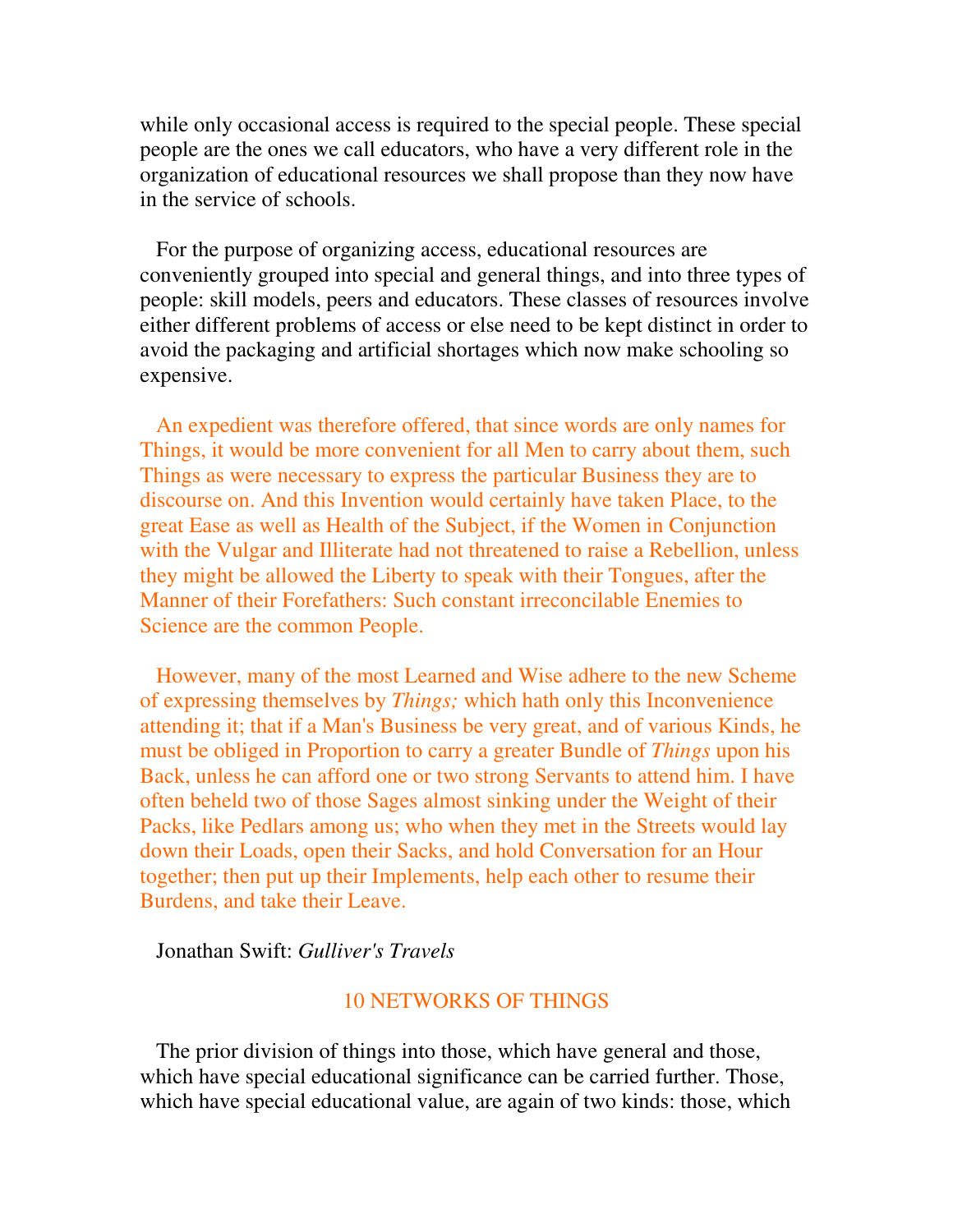while only occasional access is required to the special people. These special people are the ones we call educators, who have a very different role in the organization of educational resources we shall propose than they now have in the service of schools.

 For the purpose of organizing access, educational resources are conveniently grouped into special and general things, and into three types of people: skill models, peers and educators. These classes of resources involve either different problems of access or else need to be kept distinct in order to avoid the packaging and artificial shortages which now make schooling so expensive.

 An expedient was therefore offered, that since words are only names for Things, it would be more convenient for all Men to carry about them, such Things as were necessary to express the particular Business they are to discourse on. And this Invention would certainly have taken Place, to the great Ease as well as Health of the Subject, if the Women in Conjunction with the Vulgar and Illiterate had not threatened to raise a Rebellion, unless they might be allowed the Liberty to speak with their Tongues, after the Manner of their Forefathers: Such constant irreconcilable Enemies to Science are the common People.

 However, many of the most Learned and Wise adhere to the new Scheme of expressing themselves by *Things;* which hath only this Inconvenience attending it; that if a Man's Business be very great, and of various Kinds, he must be obliged in Proportion to carry a greater Bundle of *Things* upon his Back, unless he can afford one or two strong Servants to attend him. I have often beheld two of those Sages almost sinking under the Weight of their Packs, like Pedlars among us; who when they met in the Streets would lay down their Loads, open their Sacks, and hold Conversation for an Hour together; then put up their Implements, help each other to resume their Burdens, and take their Leave.

Jonathan Swift: *Gulliver's Travels*

# 10 NETWORKS OF THINGS

 The prior division of things into those, which have general and those, which have special educational significance can be carried further. Those, which have special educational value, are again of two kinds: those, which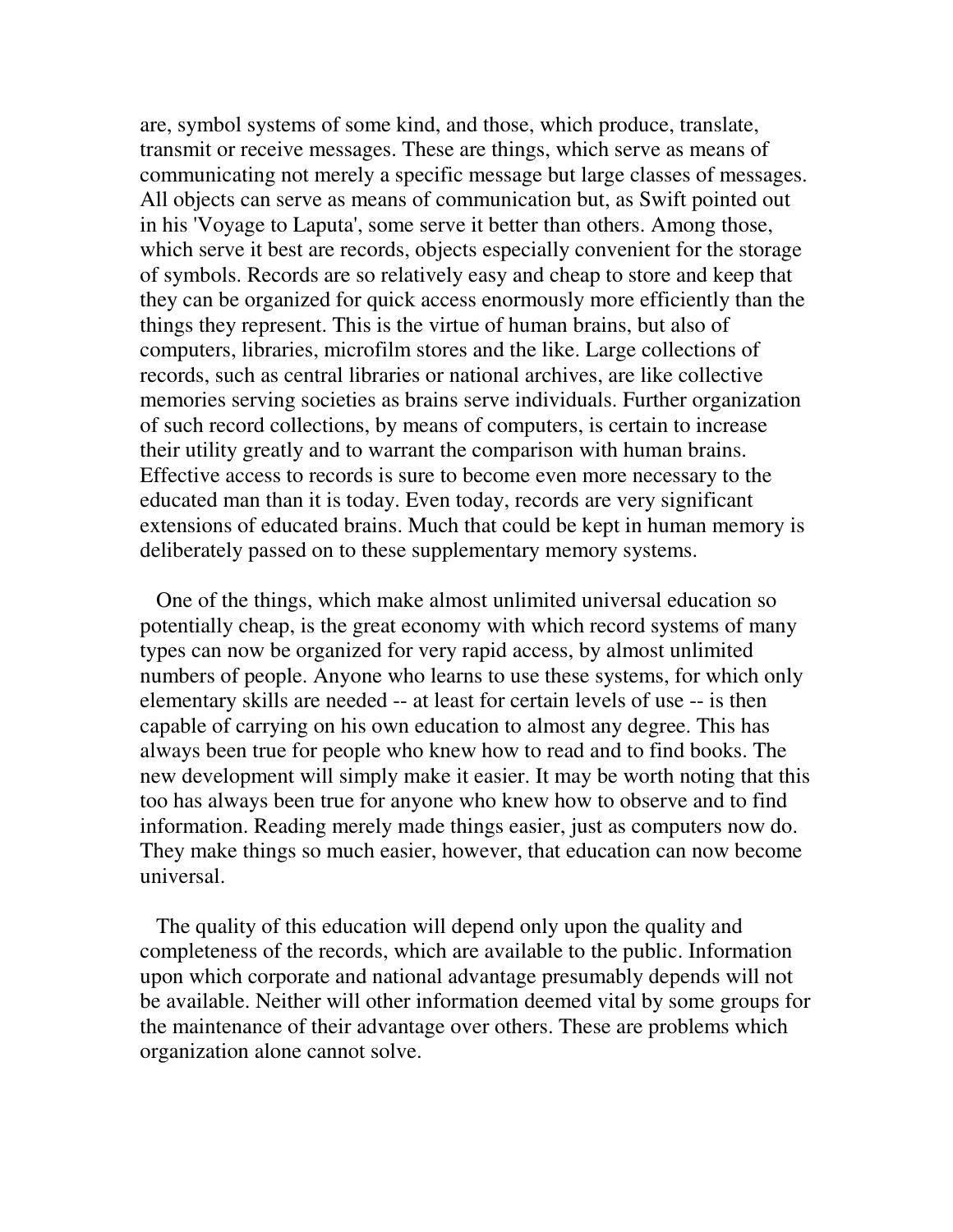are, symbol systems of some kind, and those, which produce, translate, transmit or receive messages. These are things, which serve as means of communicating not merely a specific message but large classes of messages. All objects can serve as means of communication but, as Swift pointed out in his 'Voyage to Laputa', some serve it better than others. Among those, which serve it best are records, objects especially convenient for the storage of symbols. Records are so relatively easy and cheap to store and keep that they can be organized for quick access enormously more efficiently than the things they represent. This is the virtue of human brains, but also of computers, libraries, microfilm stores and the like. Large collections of records, such as central libraries or national archives, are like collective memories serving societies as brains serve individuals. Further organization of such record collections, by means of computers, is certain to increase their utility greatly and to warrant the comparison with human brains. Effective access to records is sure to become even more necessary to the educated man than it is today. Even today, records are very significant extensions of educated brains. Much that could be kept in human memory is deliberately passed on to these supplementary memory systems.

 One of the things, which make almost unlimited universal education so potentially cheap, is the great economy with which record systems of many types can now be organized for very rapid access, by almost unlimited numbers of people. Anyone who learns to use these systems, for which only elementary skills are needed -- at least for certain levels of use -- is then capable of carrying on his own education to almost any degree. This has always been true for people who knew how to read and to find books. The new development will simply make it easier. It may be worth noting that this too has always been true for anyone who knew how to observe and to find information. Reading merely made things easier, just as computers now do. They make things so much easier, however, that education can now become universal.

 The quality of this education will depend only upon the quality and completeness of the records, which are available to the public. Information upon which corporate and national advantage presumably depends will not be available. Neither will other information deemed vital by some groups for the maintenance of their advantage over others. These are problems which organization alone cannot solve.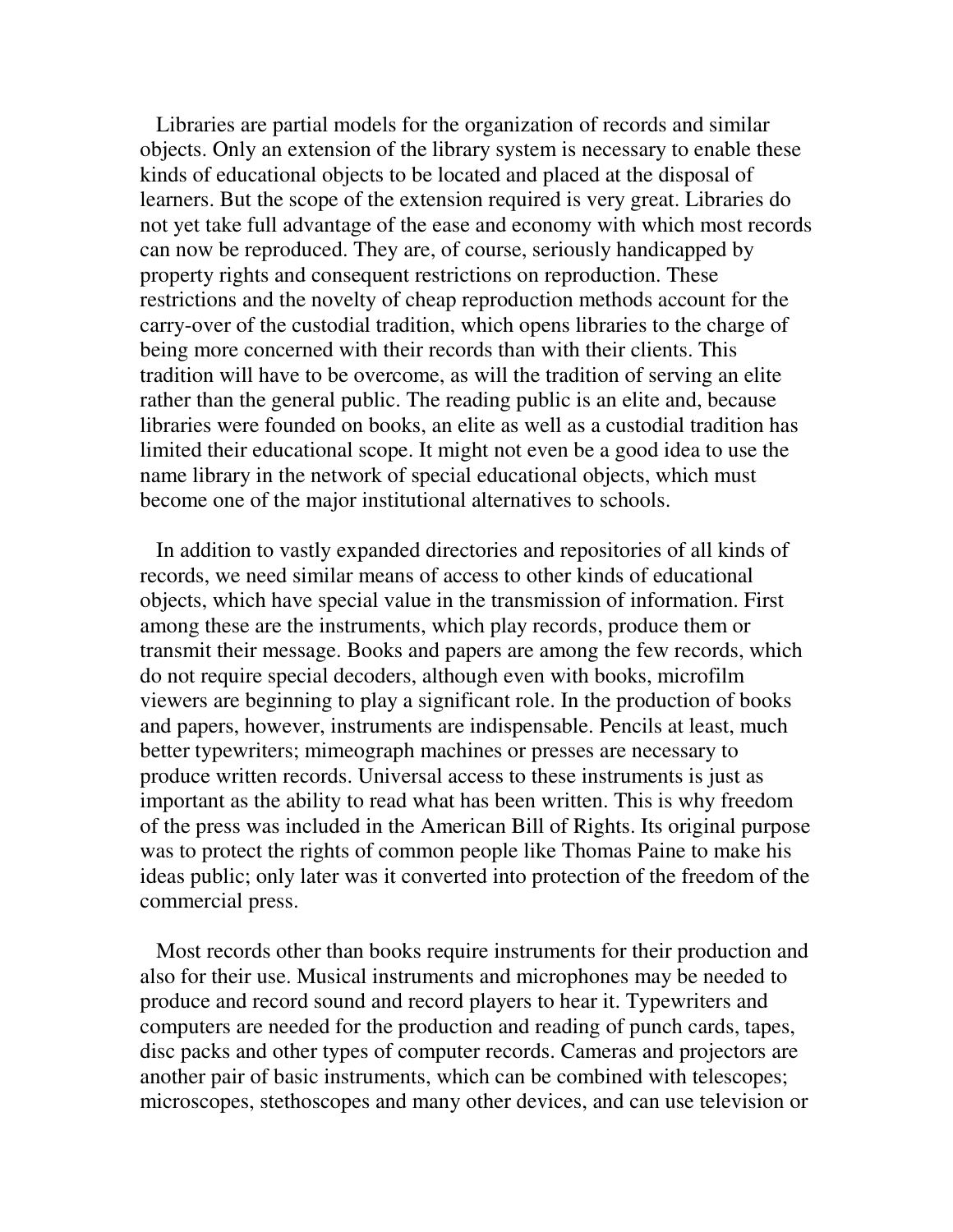Libraries are partial models for the organization of records and similar objects. Only an extension of the library system is necessary to enable these kinds of educational objects to be located and placed at the disposal of learners. But the scope of the extension required is very great. Libraries do not yet take full advantage of the ease and economy with which most records can now be reproduced. They are, of course, seriously handicapped by property rights and consequent restrictions on reproduction. These restrictions and the novelty of cheap reproduction methods account for the carry-over of the custodial tradition, which opens libraries to the charge of being more concerned with their records than with their clients. This tradition will have to be overcome, as will the tradition of serving an elite rather than the general public. The reading public is an elite and, because libraries were founded on books, an elite as well as a custodial tradition has limited their educational scope. It might not even be a good idea to use the name library in the network of special educational objects, which must become one of the major institutional alternatives to schools.

 In addition to vastly expanded directories and repositories of all kinds of records, we need similar means of access to other kinds of educational objects, which have special value in the transmission of information. First among these are the instruments, which play records, produce them or transmit their message. Books and papers are among the few records, which do not require special decoders, although even with books, microfilm viewers are beginning to play a significant role. In the production of books and papers, however, instruments are indispensable. Pencils at least, much better typewriters; mimeograph machines or presses are necessary to produce written records. Universal access to these instruments is just as important as the ability to read what has been written. This is why freedom of the press was included in the American Bill of Rights. Its original purpose was to protect the rights of common people like Thomas Paine to make his ideas public; only later was it converted into protection of the freedom of the commercial press.

 Most records other than books require instruments for their production and also for their use. Musical instruments and microphones may be needed to produce and record sound and record players to hear it. Typewriters and computers are needed for the production and reading of punch cards, tapes, disc packs and other types of computer records. Cameras and projectors are another pair of basic instruments, which can be combined with telescopes; microscopes, stethoscopes and many other devices, and can use television or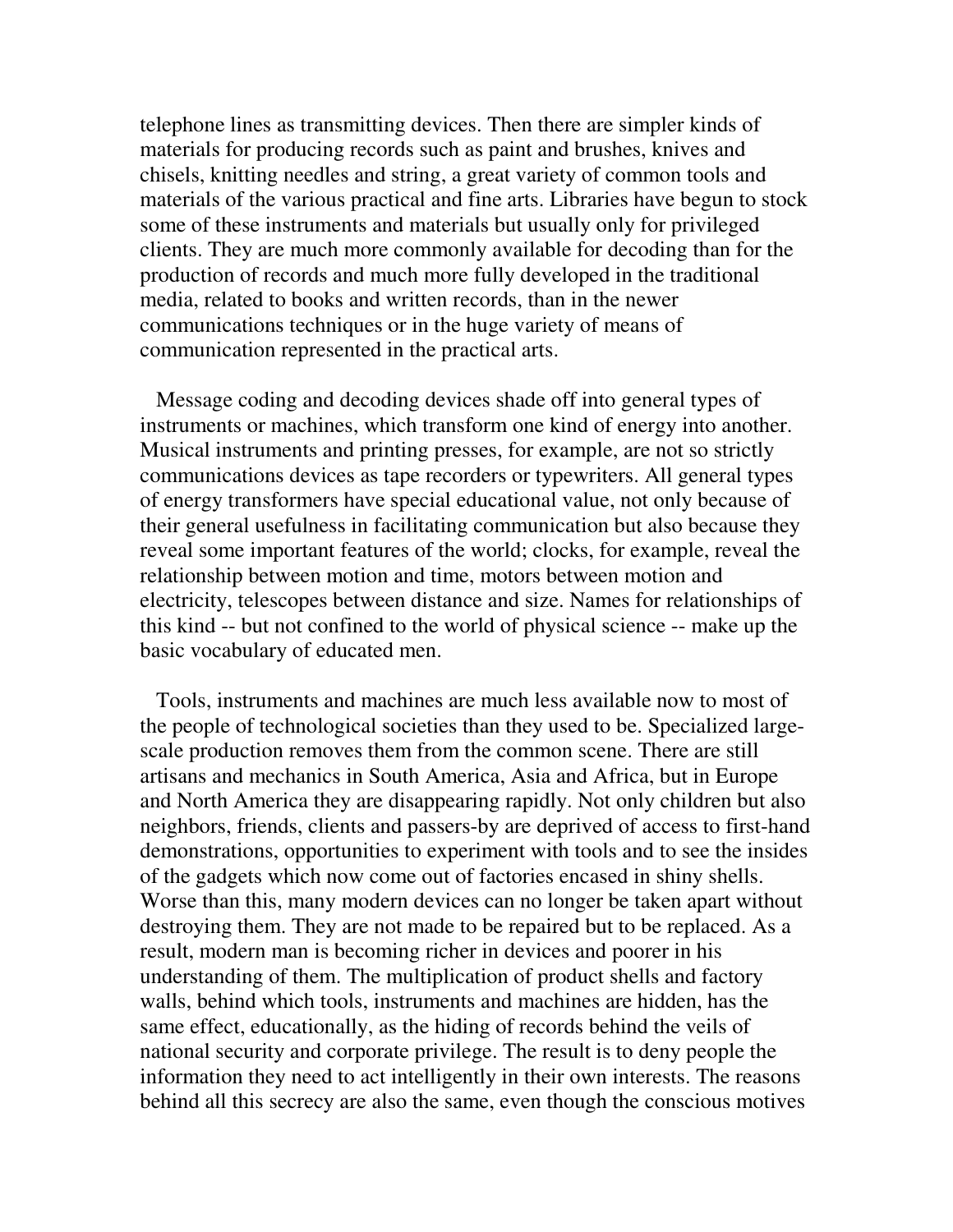telephone lines as transmitting devices. Then there are simpler kinds of materials for producing records such as paint and brushes, knives and chisels, knitting needles and string, a great variety of common tools and materials of the various practical and fine arts. Libraries have begun to stock some of these instruments and materials but usually only for privileged clients. They are much more commonly available for decoding than for the production of records and much more fully developed in the traditional media, related to books and written records, than in the newer communications techniques or in the huge variety of means of communication represented in the practical arts.

 Message coding and decoding devices shade off into general types of instruments or machines, which transform one kind of energy into another. Musical instruments and printing presses, for example, are not so strictly communications devices as tape recorders or typewriters. All general types of energy transformers have special educational value, not only because of their general usefulness in facilitating communication but also because they reveal some important features of the world; clocks, for example, reveal the relationship between motion and time, motors between motion and electricity, telescopes between distance and size. Names for relationships of this kind -- but not confined to the world of physical science -- make up the basic vocabulary of educated men.

 Tools, instruments and machines are much less available now to most of the people of technological societies than they used to be. Specialized largescale production removes them from the common scene. There are still artisans and mechanics in South America, Asia and Africa, but in Europe and North America they are disappearing rapidly. Not only children but also neighbors, friends, clients and passers-by are deprived of access to first-hand demonstrations, opportunities to experiment with tools and to see the insides of the gadgets which now come out of factories encased in shiny shells. Worse than this, many modern devices can no longer be taken apart without destroying them. They are not made to be repaired but to be replaced. As a result, modern man is becoming richer in devices and poorer in his understanding of them. The multiplication of product shells and factory walls, behind which tools, instruments and machines are hidden, has the same effect, educationally, as the hiding of records behind the veils of national security and corporate privilege. The result is to deny people the information they need to act intelligently in their own interests. The reasons behind all this secrecy are also the same, even though the conscious motives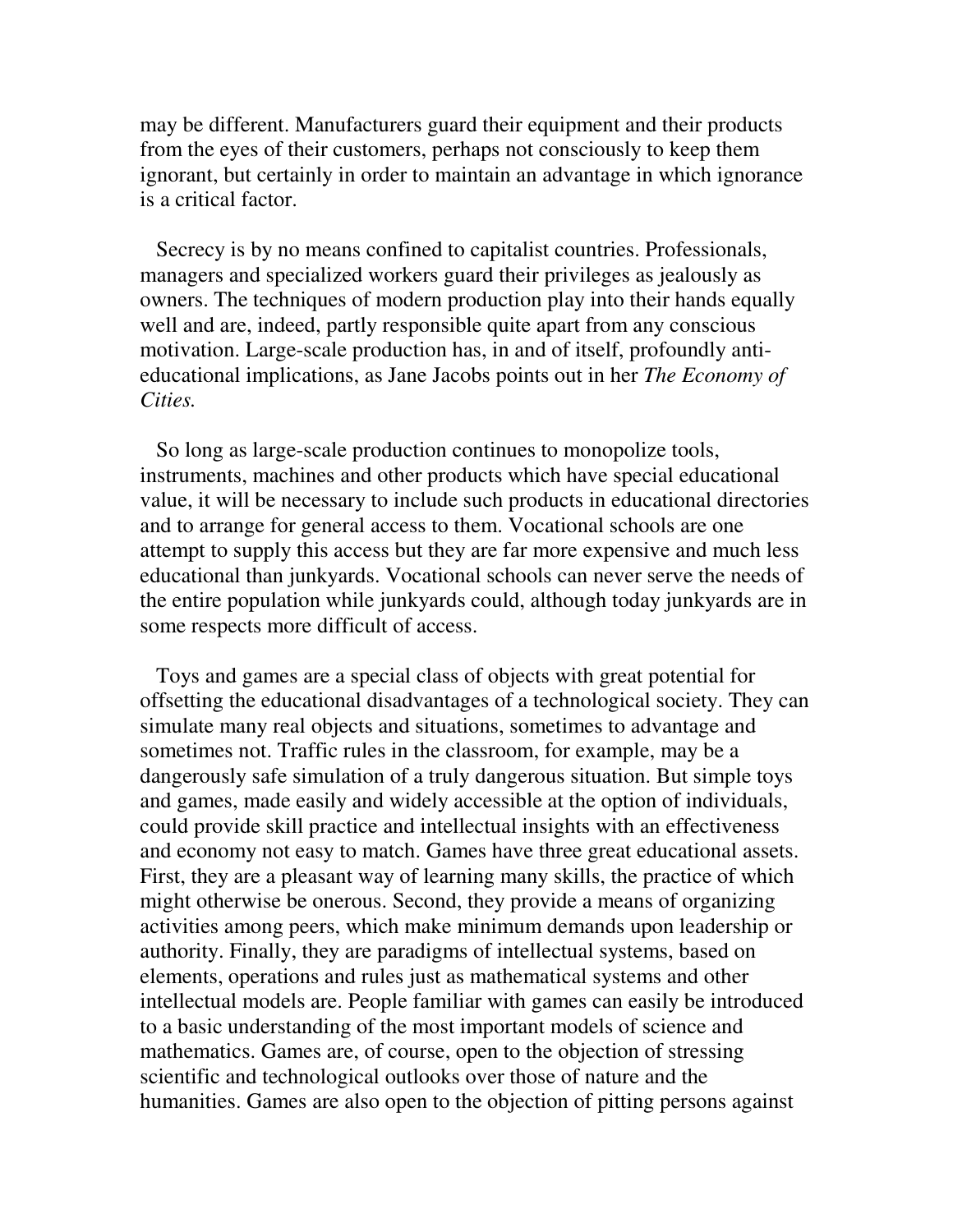may be different. Manufacturers guard their equipment and their products from the eyes of their customers, perhaps not consciously to keep them ignorant, but certainly in order to maintain an advantage in which ignorance is a critical factor.

 Secrecy is by no means confined to capitalist countries. Professionals, managers and specialized workers guard their privileges as jealously as owners. The techniques of modern production play into their hands equally well and are, indeed, partly responsible quite apart from any conscious motivation. Large-scale production has, in and of itself, profoundly antieducational implications, as Jane Jacobs points out in her *The Economy of Cities.* 

 So long as large-scale production continues to monopolize tools, instruments, machines and other products which have special educational value, it will be necessary to include such products in educational directories and to arrange for general access to them. Vocational schools are one attempt to supply this access but they are far more expensive and much less educational than junkyards. Vocational schools can never serve the needs of the entire population while junkyards could, although today junkyards are in some respects more difficult of access.

 Toys and games are a special class of objects with great potential for offsetting the educational disadvantages of a technological society. They can simulate many real objects and situations, sometimes to advantage and sometimes not. Traffic rules in the classroom, for example, may be a dangerously safe simulation of a truly dangerous situation. But simple toys and games, made easily and widely accessible at the option of individuals, could provide skill practice and intellectual insights with an effectiveness and economy not easy to match. Games have three great educational assets. First, they are a pleasant way of learning many skills, the practice of which might otherwise be onerous. Second, they provide a means of organizing activities among peers, which make minimum demands upon leadership or authority. Finally, they are paradigms of intellectual systems, based on elements, operations and rules just as mathematical systems and other intellectual models are. People familiar with games can easily be introduced to a basic understanding of the most important models of science and mathematics. Games are, of course, open to the objection of stressing scientific and technological outlooks over those of nature and the humanities. Games are also open to the objection of pitting persons against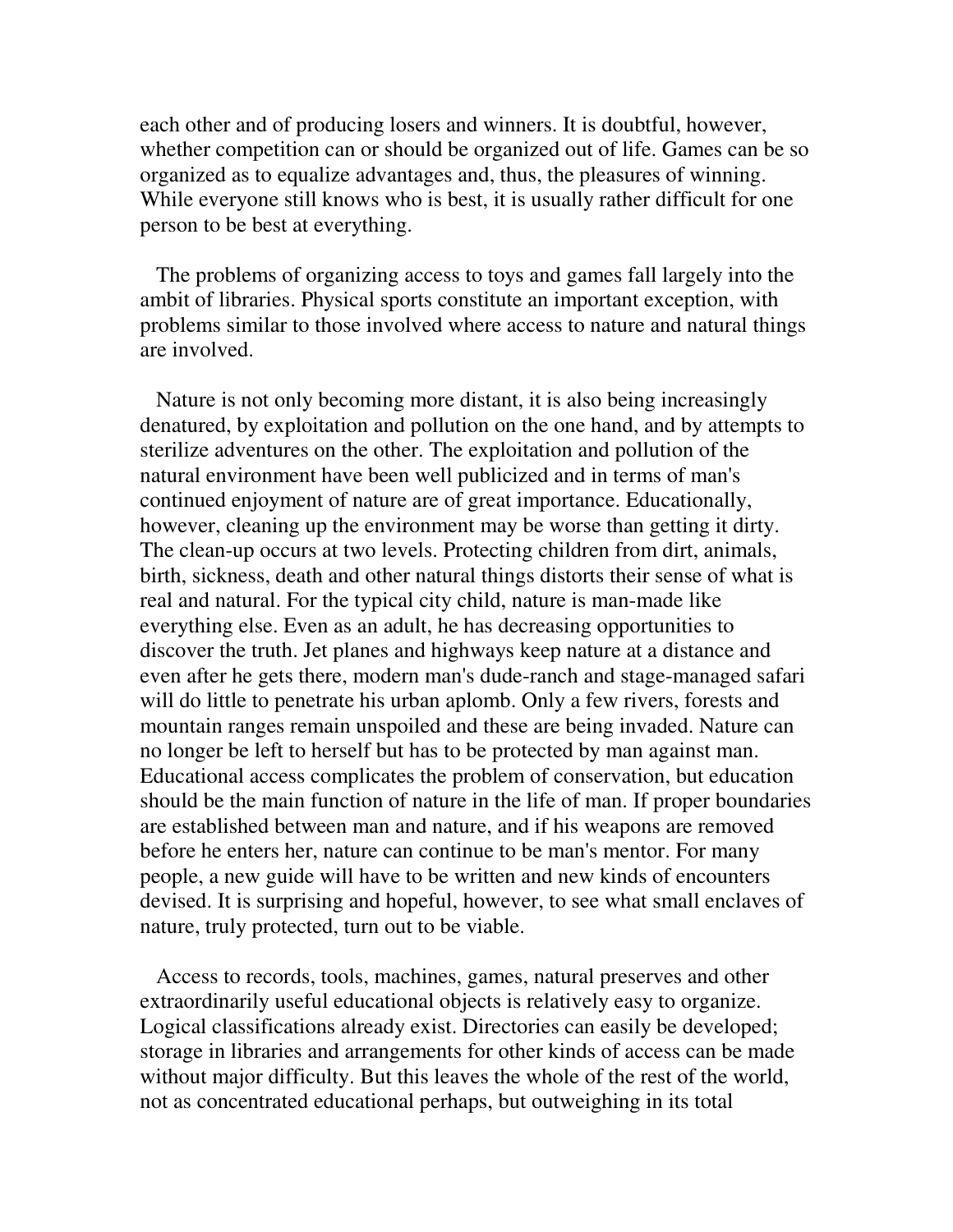each other and of producing losers and winners. It is doubtful, however, whether competition can or should be organized out of life. Games can be so organized as to equalize advantages and, thus, the pleasures of winning. While everyone still knows who is best, it is usually rather difficult for one person to be best at everything.

 The problems of organizing access to toys and games fall largely into the ambit of libraries. Physical sports constitute an important exception, with problems similar to those involved where access to nature and natural things are involved.

 Nature is not only becoming more distant, it is also being increasingly denatured, by exploitation and pollution on the one hand, and by attempts to sterilize adventures on the other. The exploitation and pollution of the natural environment have been well publicized and in terms of man's continued enjoyment of nature are of great importance. Educationally, however, cleaning up the environment may be worse than getting it dirty. The clean-up occurs at two levels. Protecting children from dirt, animals, birth, sickness, death and other natural things distorts their sense of what is real and natural. For the typical city child, nature is man-made like everything else. Even as an adult, he has decreasing opportunities to discover the truth. Jet planes and highways keep nature at a distance and even after he gets there, modern man's dude-ranch and stage-managed safari will do little to penetrate his urban aplomb. Only a few rivers, forests and mountain ranges remain unspoiled and these are being invaded. Nature can no longer be left to herself but has to be protected by man against man. Educational access complicates the problem of conservation, but education should be the main function of nature in the life of man. If proper boundaries are established between man and nature, and if his weapons are removed before he enters her, nature can continue to be man's mentor. For many people, a new guide will have to be written and new kinds of encounters devised. It is surprising and hopeful, however, to see what small enclaves of nature, truly protected, turn out to be viable.

 Access to records, tools, machines, games, natural preserves and other extraordinarily useful educational objects is relatively easy to organize. Logical classifications already exist. Directories can easily be developed; storage in libraries and arrangements for other kinds of access can be made without major difficulty. But this leaves the whole of the rest of the world, not as concentrated educational perhaps, but outweighing in its total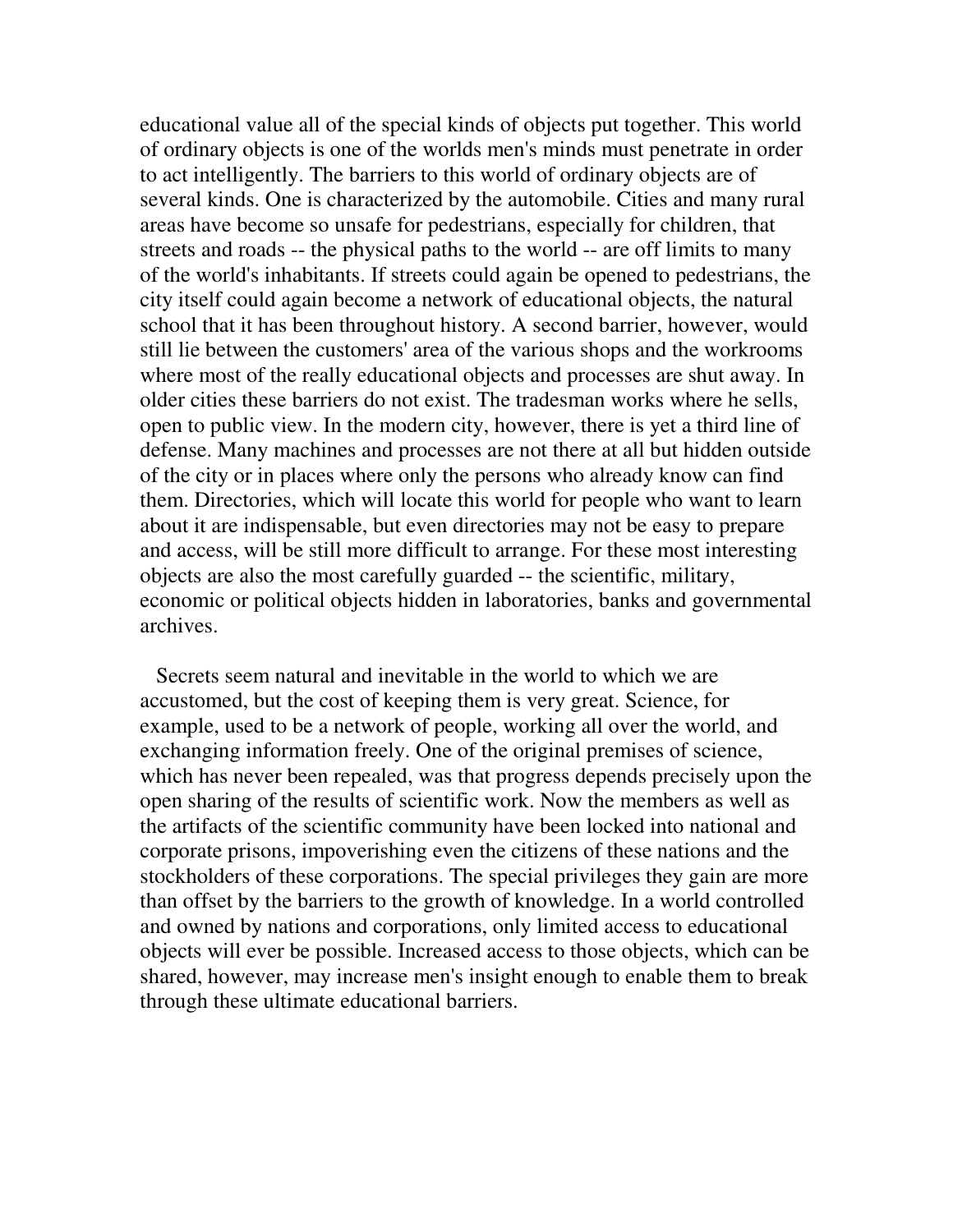educational value all of the special kinds of objects put together. This world of ordinary objects is one of the worlds men's minds must penetrate in order to act intelligently. The barriers to this world of ordinary objects are of several kinds. One is characterized by the automobile. Cities and many rural areas have become so unsafe for pedestrians, especially for children, that streets and roads -- the physical paths to the world -- are off limits to many of the world's inhabitants. If streets could again be opened to pedestrians, the city itself could again become a network of educational objects, the natural school that it has been throughout history. A second barrier, however, would still lie between the customers' area of the various shops and the workrooms where most of the really educational objects and processes are shut away. In older cities these barriers do not exist. The tradesman works where he sells, open to public view. In the modern city, however, there is yet a third line of defense. Many machines and processes are not there at all but hidden outside of the city or in places where only the persons who already know can find them. Directories, which will locate this world for people who want to learn about it are indispensable, but even directories may not be easy to prepare and access, will be still more difficult to arrange. For these most interesting objects are also the most carefully guarded -- the scientific, military, economic or political objects hidden in laboratories, banks and governmental archives.

 Secrets seem natural and inevitable in the world to which we are accustomed, but the cost of keeping them is very great. Science, for example, used to be a network of people, working all over the world, and exchanging information freely. One of the original premises of science, which has never been repealed, was that progress depends precisely upon the open sharing of the results of scientific work. Now the members as well as the artifacts of the scientific community have been locked into national and corporate prisons, impoverishing even the citizens of these nations and the stockholders of these corporations. The special privileges they gain are more than offset by the barriers to the growth of knowledge. In a world controlled and owned by nations and corporations, only limited access to educational objects will ever be possible. Increased access to those objects, which can be shared, however, may increase men's insight enough to enable them to break through these ultimate educational barriers.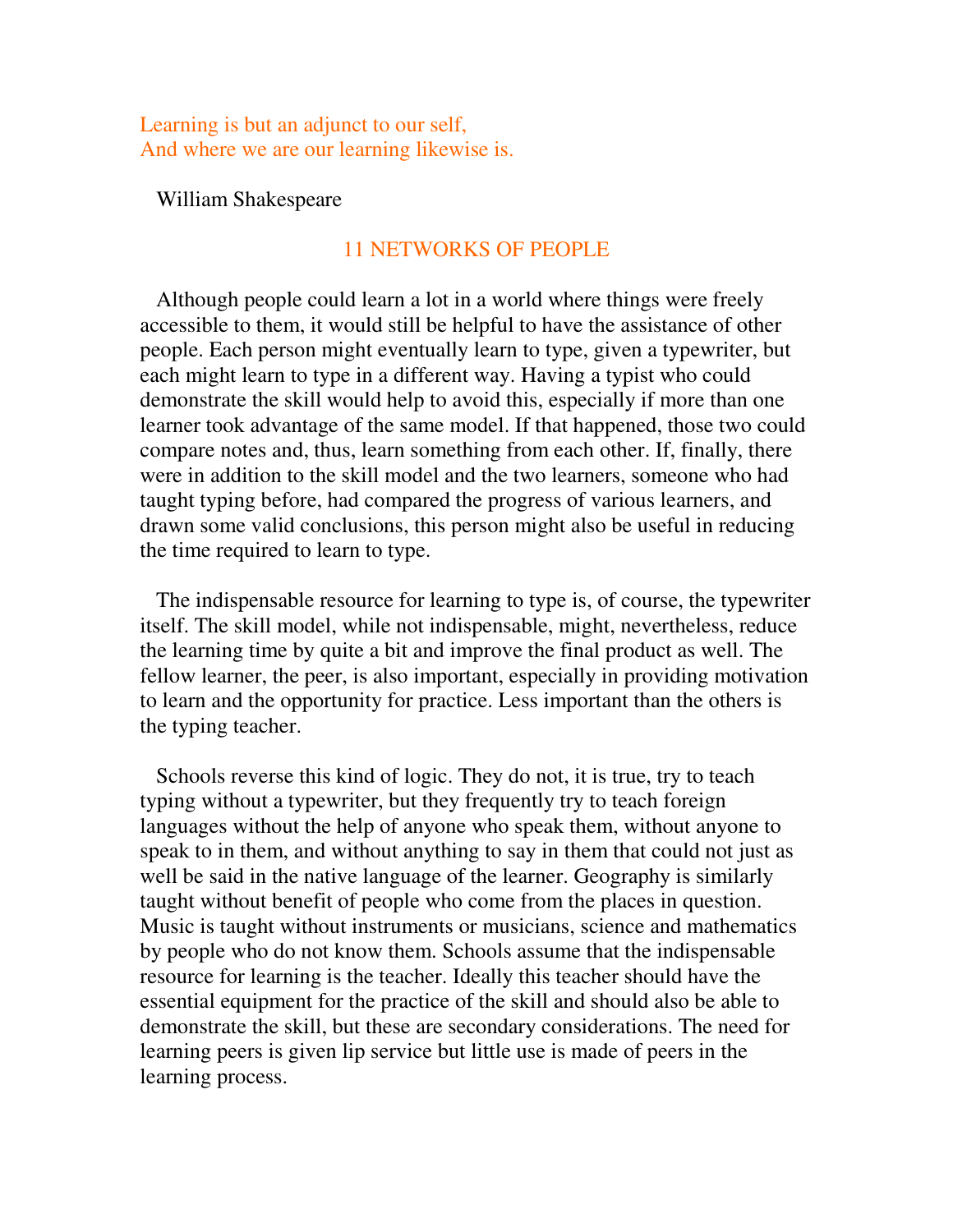Learning is but an adjunct to our self, And where we are our learning likewise is.

William Shakespeare

# 11 NETWORKS OF PEOPLE

 Although people could learn a lot in a world where things were freely accessible to them, it would still be helpful to have the assistance of other people. Each person might eventually learn to type, given a typewriter, but each might learn to type in a different way. Having a typist who could demonstrate the skill would help to avoid this, especially if more than one learner took advantage of the same model. If that happened, those two could compare notes and, thus, learn something from each other. If, finally, there were in addition to the skill model and the two learners, someone who had taught typing before, had compared the progress of various learners, and drawn some valid conclusions, this person might also be useful in reducing the time required to learn to type.

 The indispensable resource for learning to type is, of course, the typewriter itself. The skill model, while not indispensable, might, nevertheless, reduce the learning time by quite a bit and improve the final product as well. The fellow learner, the peer, is also important, especially in providing motivation to learn and the opportunity for practice. Less important than the others is the typing teacher.

 Schools reverse this kind of logic. They do not, it is true, try to teach typing without a typewriter, but they frequently try to teach foreign languages without the help of anyone who speak them, without anyone to speak to in them, and without anything to say in them that could not just as well be said in the native language of the learner. Geography is similarly taught without benefit of people who come from the places in question. Music is taught without instruments or musicians, science and mathematics by people who do not know them. Schools assume that the indispensable resource for learning is the teacher. Ideally this teacher should have the essential equipment for the practice of the skill and should also be able to demonstrate the skill, but these are secondary considerations. The need for learning peers is given lip service but little use is made of peers in the learning process.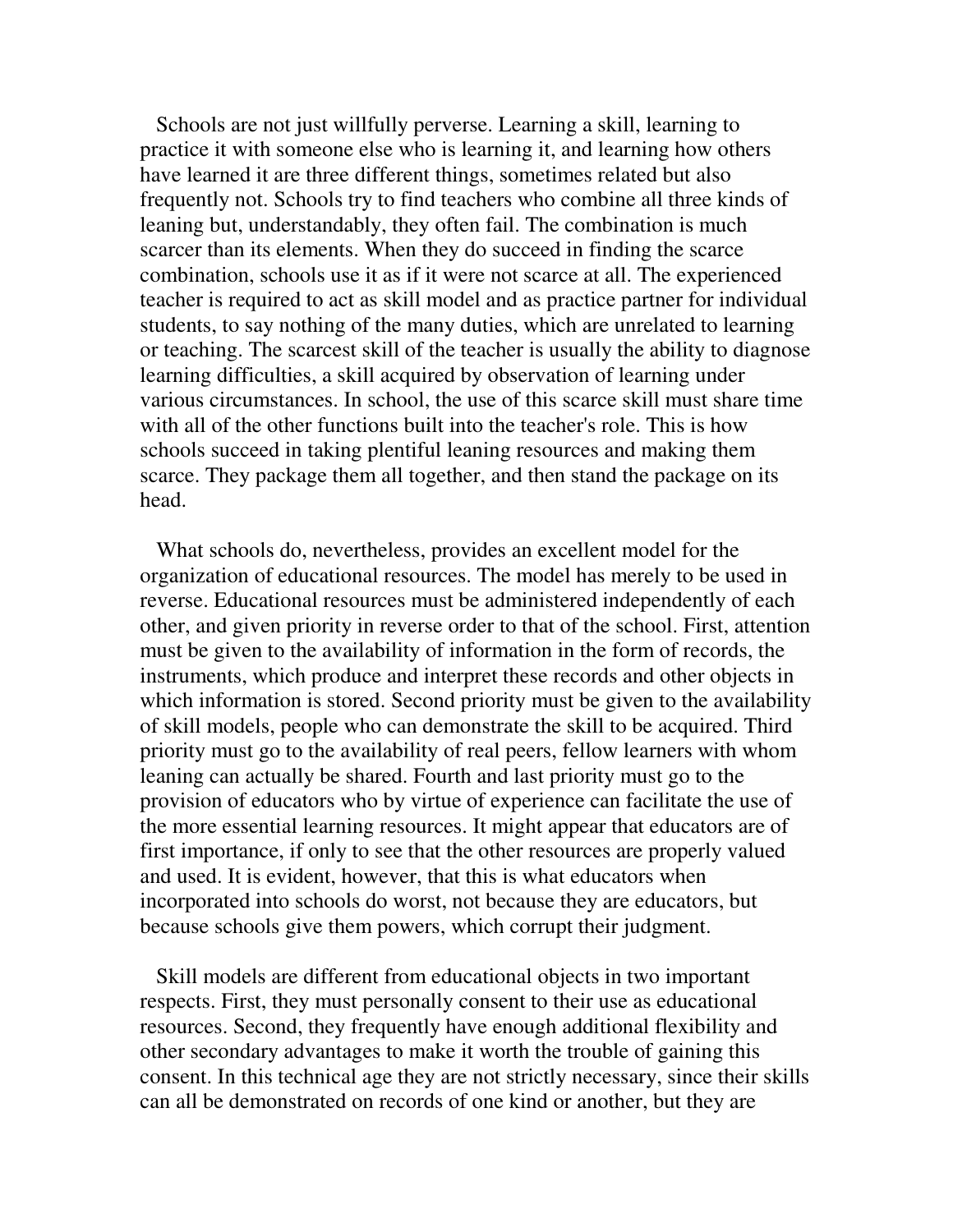Schools are not just willfully perverse. Learning a skill, learning to practice it with someone else who is learning it, and learning how others have learned it are three different things, sometimes related but also frequently not. Schools try to find teachers who combine all three kinds of leaning but, understandably, they often fail. The combination is much scarcer than its elements. When they do succeed in finding the scarce combination, schools use it as if it were not scarce at all. The experienced teacher is required to act as skill model and as practice partner for individual students, to say nothing of the many duties, which are unrelated to learning or teaching. The scarcest skill of the teacher is usually the ability to diagnose learning difficulties, a skill acquired by observation of learning under various circumstances. In school, the use of this scarce skill must share time with all of the other functions built into the teacher's role. This is how schools succeed in taking plentiful leaning resources and making them scarce. They package them all together, and then stand the package on its head.

 What schools do, nevertheless, provides an excellent model for the organization of educational resources. The model has merely to be used in reverse. Educational resources must be administered independently of each other, and given priority in reverse order to that of the school. First, attention must be given to the availability of information in the form of records, the instruments, which produce and interpret these records and other objects in which information is stored. Second priority must be given to the availability of skill models, people who can demonstrate the skill to be acquired. Third priority must go to the availability of real peers, fellow learners with whom leaning can actually be shared. Fourth and last priority must go to the provision of educators who by virtue of experience can facilitate the use of the more essential learning resources. It might appear that educators are of first importance, if only to see that the other resources are properly valued and used. It is evident, however, that this is what educators when incorporated into schools do worst, not because they are educators, but because schools give them powers, which corrupt their judgment.

 Skill models are different from educational objects in two important respects. First, they must personally consent to their use as educational resources. Second, they frequently have enough additional flexibility and other secondary advantages to make it worth the trouble of gaining this consent. In this technical age they are not strictly necessary, since their skills can all be demonstrated on records of one kind or another, but they are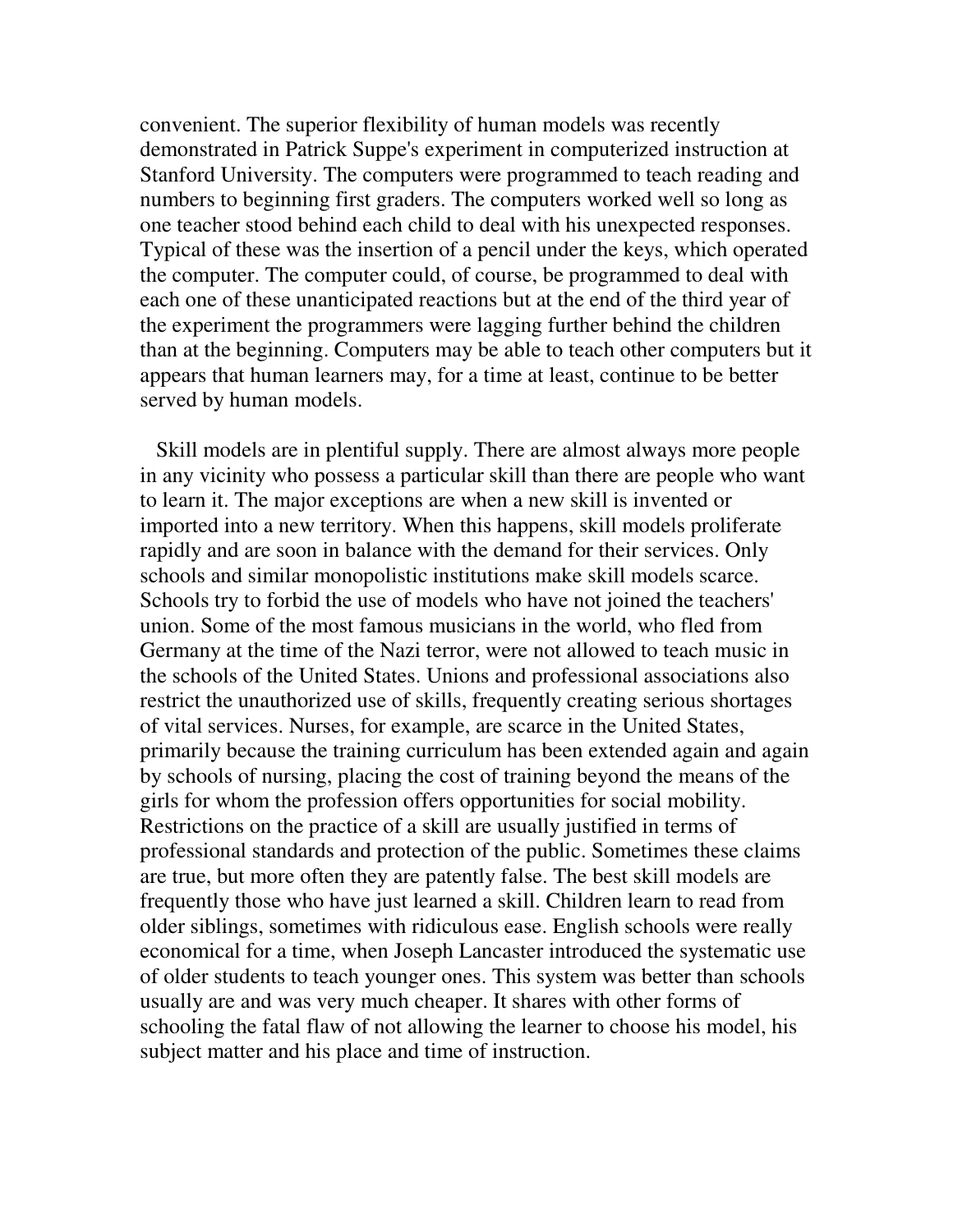convenient. The superior flexibility of human models was recently demonstrated in Patrick Suppe's experiment in computerized instruction at Stanford University. The computers were programmed to teach reading and numbers to beginning first graders. The computers worked well so long as one teacher stood behind each child to deal with his unexpected responses. Typical of these was the insertion of a pencil under the keys, which operated the computer. The computer could, of course, be programmed to deal with each one of these unanticipated reactions but at the end of the third year of the experiment the programmers were lagging further behind the children than at the beginning. Computers may be able to teach other computers but it appears that human learners may, for a time at least, continue to be better served by human models.

 Skill models are in plentiful supply. There are almost always more people in any vicinity who possess a particular skill than there are people who want to learn it. The major exceptions are when a new skill is invented or imported into a new territory. When this happens, skill models proliferate rapidly and are soon in balance with the demand for their services. Only schools and similar monopolistic institutions make skill models scarce. Schools try to forbid the use of models who have not joined the teachers' union. Some of the most famous musicians in the world, who fled from Germany at the time of the Nazi terror, were not allowed to teach music in the schools of the United States. Unions and professional associations also restrict the unauthorized use of skills, frequently creating serious shortages of vital services. Nurses, for example, are scarce in the United States, primarily because the training curriculum has been extended again and again by schools of nursing, placing the cost of training beyond the means of the girls for whom the profession offers opportunities for social mobility. Restrictions on the practice of a skill are usually justified in terms of professional standards and protection of the public. Sometimes these claims are true, but more often they are patently false. The best skill models are frequently those who have just learned a skill. Children learn to read from older siblings, sometimes with ridiculous ease. English schools were really economical for a time, when Joseph Lancaster introduced the systematic use of older students to teach younger ones. This system was better than schools usually are and was very much cheaper. It shares with other forms of schooling the fatal flaw of not allowing the learner to choose his model, his subject matter and his place and time of instruction.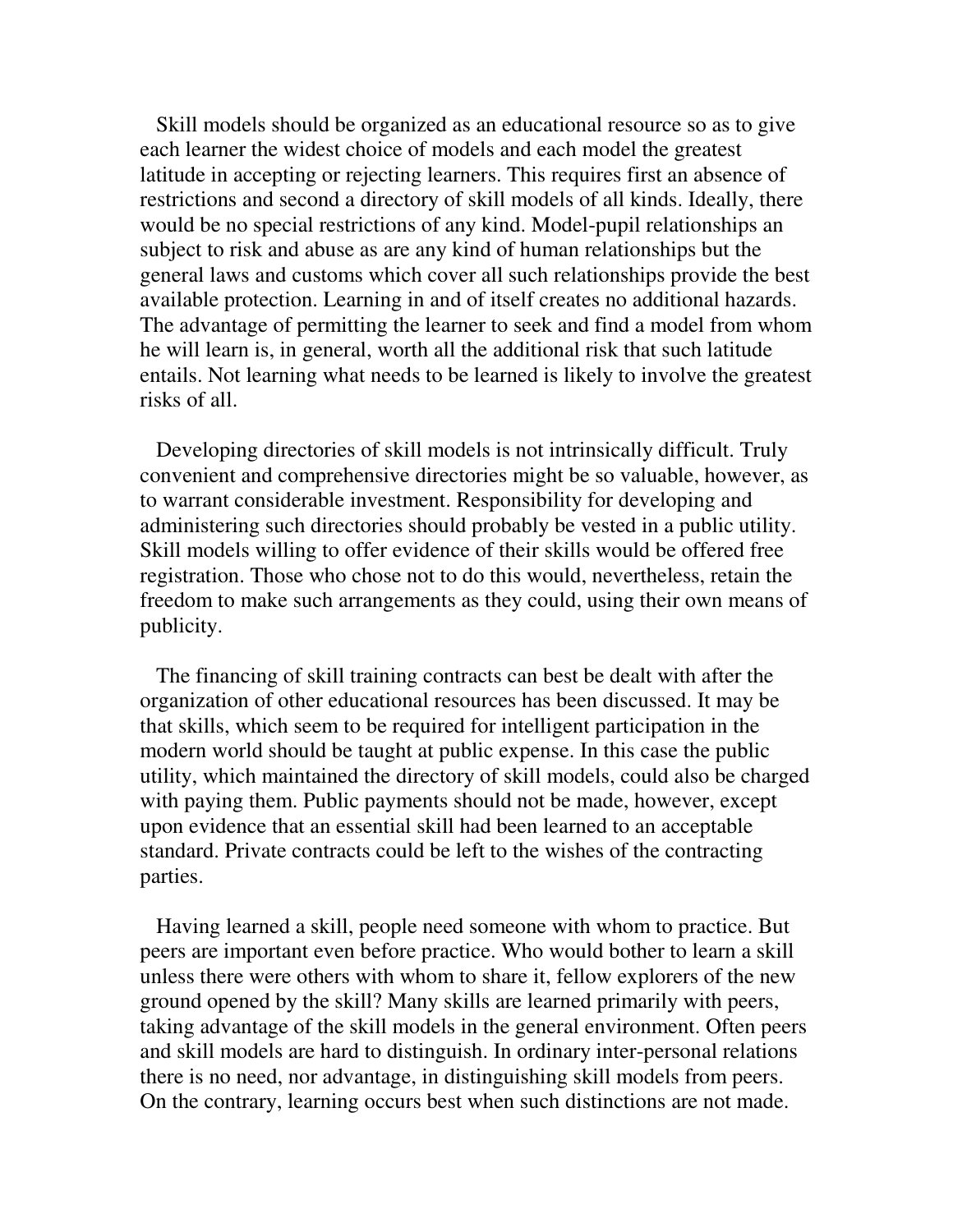Skill models should be organized as an educational resource so as to give each learner the widest choice of models and each model the greatest latitude in accepting or rejecting learners. This requires first an absence of restrictions and second a directory of skill models of all kinds. Ideally, there would be no special restrictions of any kind. Model-pupil relationships an subject to risk and abuse as are any kind of human relationships but the general laws and customs which cover all such relationships provide the best available protection. Learning in and of itself creates no additional hazards. The advantage of permitting the learner to seek and find a model from whom he will learn is, in general, worth all the additional risk that such latitude entails. Not learning what needs to be learned is likely to involve the greatest risks of all.

 Developing directories of skill models is not intrinsically difficult. Truly convenient and comprehensive directories might be so valuable, however, as to warrant considerable investment. Responsibility for developing and administering such directories should probably be vested in a public utility. Skill models willing to offer evidence of their skills would be offered free registration. Those who chose not to do this would, nevertheless, retain the freedom to make such arrangements as they could, using their own means of publicity.

 The financing of skill training contracts can best be dealt with after the organization of other educational resources has been discussed. It may be that skills, which seem to be required for intelligent participation in the modern world should be taught at public expense. In this case the public utility, which maintained the directory of skill models, could also be charged with paying them. Public payments should not be made, however, except upon evidence that an essential skill had been learned to an acceptable standard. Private contracts could be left to the wishes of the contracting parties.

 Having learned a skill, people need someone with whom to practice. But peers are important even before practice. Who would bother to learn a skill unless there were others with whom to share it, fellow explorers of the new ground opened by the skill? Many skills are learned primarily with peers, taking advantage of the skill models in the general environment. Often peers and skill models are hard to distinguish. In ordinary inter-personal relations there is no need, nor advantage, in distinguishing skill models from peers. On the contrary, learning occurs best when such distinctions are not made.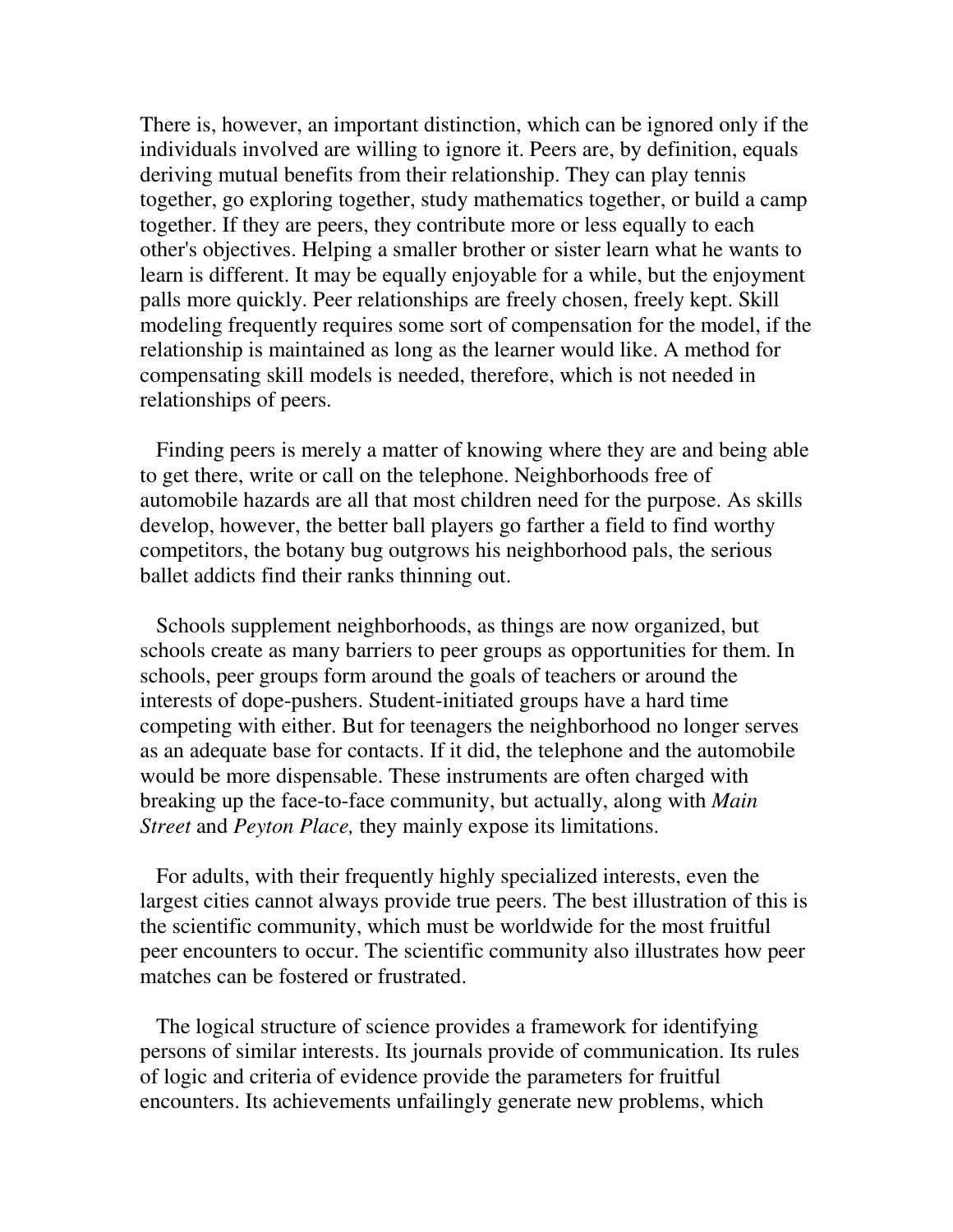There is, however, an important distinction, which can be ignored only if the individuals involved are willing to ignore it. Peers are, by definition, equals deriving mutual benefits from their relationship. They can play tennis together, go exploring together, study mathematics together, or build a camp together. If they are peers, they contribute more or less equally to each other's objectives. Helping a smaller brother or sister learn what he wants to learn is different. It may be equally enjoyable for a while, but the enjoyment palls more quickly. Peer relationships are freely chosen, freely kept. Skill modeling frequently requires some sort of compensation for the model, if the relationship is maintained as long as the learner would like. A method for compensating skill models is needed, therefore, which is not needed in relationships of peers.

 Finding peers is merely a matter of knowing where they are and being able to get there, write or call on the telephone. Neighborhoods free of automobile hazards are all that most children need for the purpose. As skills develop, however, the better ball players go farther a field to find worthy competitors, the botany bug outgrows his neighborhood pals, the serious ballet addicts find their ranks thinning out.

 Schools supplement neighborhoods, as things are now organized, but schools create as many barriers to peer groups as opportunities for them. In schools, peer groups form around the goals of teachers or around the interests of dope-pushers. Student-initiated groups have a hard time competing with either. But for teenagers the neighborhood no longer serves as an adequate base for contacts. If it did, the telephone and the automobile would be more dispensable. These instruments are often charged with breaking up the face-to-face community, but actually, along with *Main Street* and *Peyton Place,* they mainly expose its limitations.

 For adults, with their frequently highly specialized interests, even the largest cities cannot always provide true peers. The best illustration of this is the scientific community, which must be worldwide for the most fruitful peer encounters to occur. The scientific community also illustrates how peer matches can be fostered or frustrated.

 The logical structure of science provides a framework for identifying persons of similar interests. Its journals provide of communication. Its rules of logic and criteria of evidence provide the parameters for fruitful encounters. Its achievements unfailingly generate new problems, which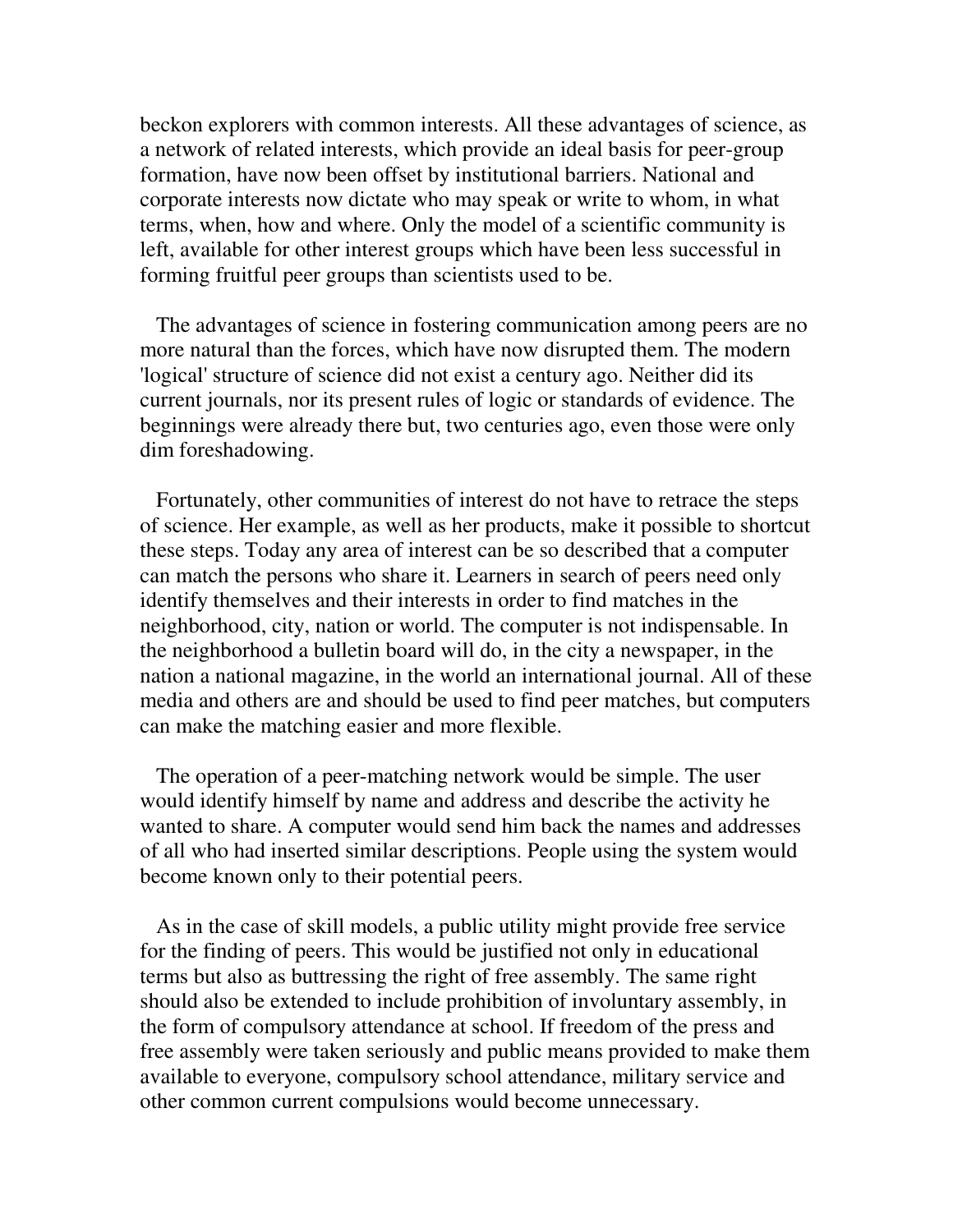beckon explorers with common interests. All these advantages of science, as a network of related interests, which provide an ideal basis for peer-group formation, have now been offset by institutional barriers. National and corporate interests now dictate who may speak or write to whom, in what terms, when, how and where. Only the model of a scientific community is left, available for other interest groups which have been less successful in forming fruitful peer groups than scientists used to be.

 The advantages of science in fostering communication among peers are no more natural than the forces, which have now disrupted them. The modern 'logical' structure of science did not exist a century ago. Neither did its current journals, nor its present rules of logic or standards of evidence. The beginnings were already there but, two centuries ago, even those were only dim foreshadowing.

 Fortunately, other communities of interest do not have to retrace the steps of science. Her example, as well as her products, make it possible to shortcut these steps. Today any area of interest can be so described that a computer can match the persons who share it. Learners in search of peers need only identify themselves and their interests in order to find matches in the neighborhood, city, nation or world. The computer is not indispensable. In the neighborhood a bulletin board will do, in the city a newspaper, in the nation a national magazine, in the world an international journal. All of these media and others are and should be used to find peer matches, but computers can make the matching easier and more flexible.

 The operation of a peer-matching network would be simple. The user would identify himself by name and address and describe the activity he wanted to share. A computer would send him back the names and addresses of all who had inserted similar descriptions. People using the system would become known only to their potential peers.

 As in the case of skill models, a public utility might provide free service for the finding of peers. This would be justified not only in educational terms but also as buttressing the right of free assembly. The same right should also be extended to include prohibition of involuntary assembly, in the form of compulsory attendance at school. If freedom of the press and free assembly were taken seriously and public means provided to make them available to everyone, compulsory school attendance, military service and other common current compulsions would become unnecessary.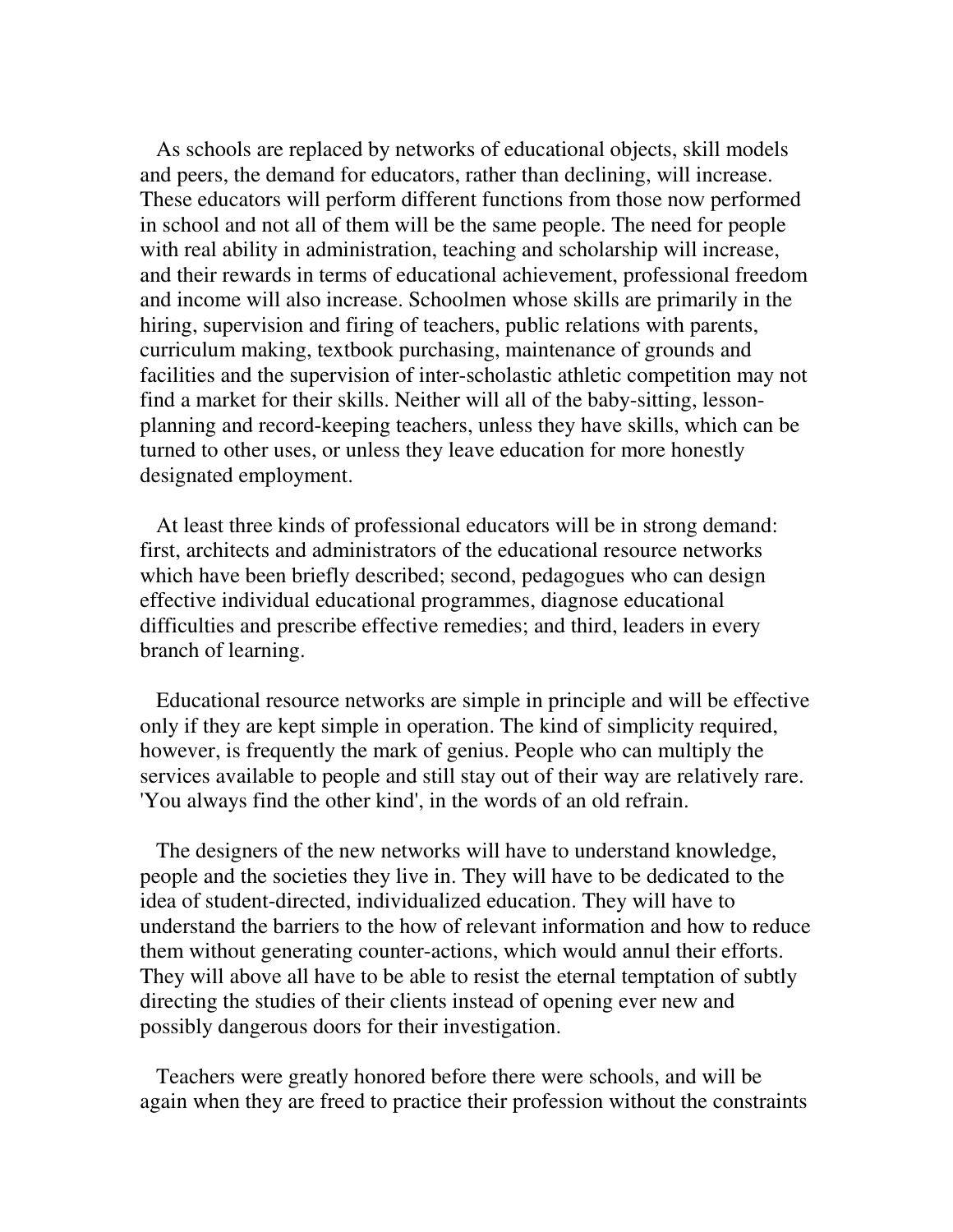As schools are replaced by networks of educational objects, skill models and peers, the demand for educators, rather than declining, will increase. These educators will perform different functions from those now performed in school and not all of them will be the same people. The need for people with real ability in administration, teaching and scholarship will increase, and their rewards in terms of educational achievement, professional freedom and income will also increase. Schoolmen whose skills are primarily in the hiring, supervision and firing of teachers, public relations with parents, curriculum making, textbook purchasing, maintenance of grounds and facilities and the supervision of inter-scholastic athletic competition may not find a market for their skills. Neither will all of the baby-sitting, lessonplanning and record-keeping teachers, unless they have skills, which can be turned to other uses, or unless they leave education for more honestly designated employment.

 At least three kinds of professional educators will be in strong demand: first, architects and administrators of the educational resource networks which have been briefly described; second, pedagogues who can design effective individual educational programmes, diagnose educational difficulties and prescribe effective remedies; and third, leaders in every branch of learning.

 Educational resource networks are simple in principle and will be effective only if they are kept simple in operation. The kind of simplicity required, however, is frequently the mark of genius. People who can multiply the services available to people and still stay out of their way are relatively rare. 'You always find the other kind', in the words of an old refrain.

 The designers of the new networks will have to understand knowledge, people and the societies they live in. They will have to be dedicated to the idea of student-directed, individualized education. They will have to understand the barriers to the how of relevant information and how to reduce them without generating counter-actions, which would annul their efforts. They will above all have to be able to resist the eternal temptation of subtly directing the studies of their clients instead of opening ever new and possibly dangerous doors for their investigation.

 Teachers were greatly honored before there were schools, and will be again when they are freed to practice their profession without the constraints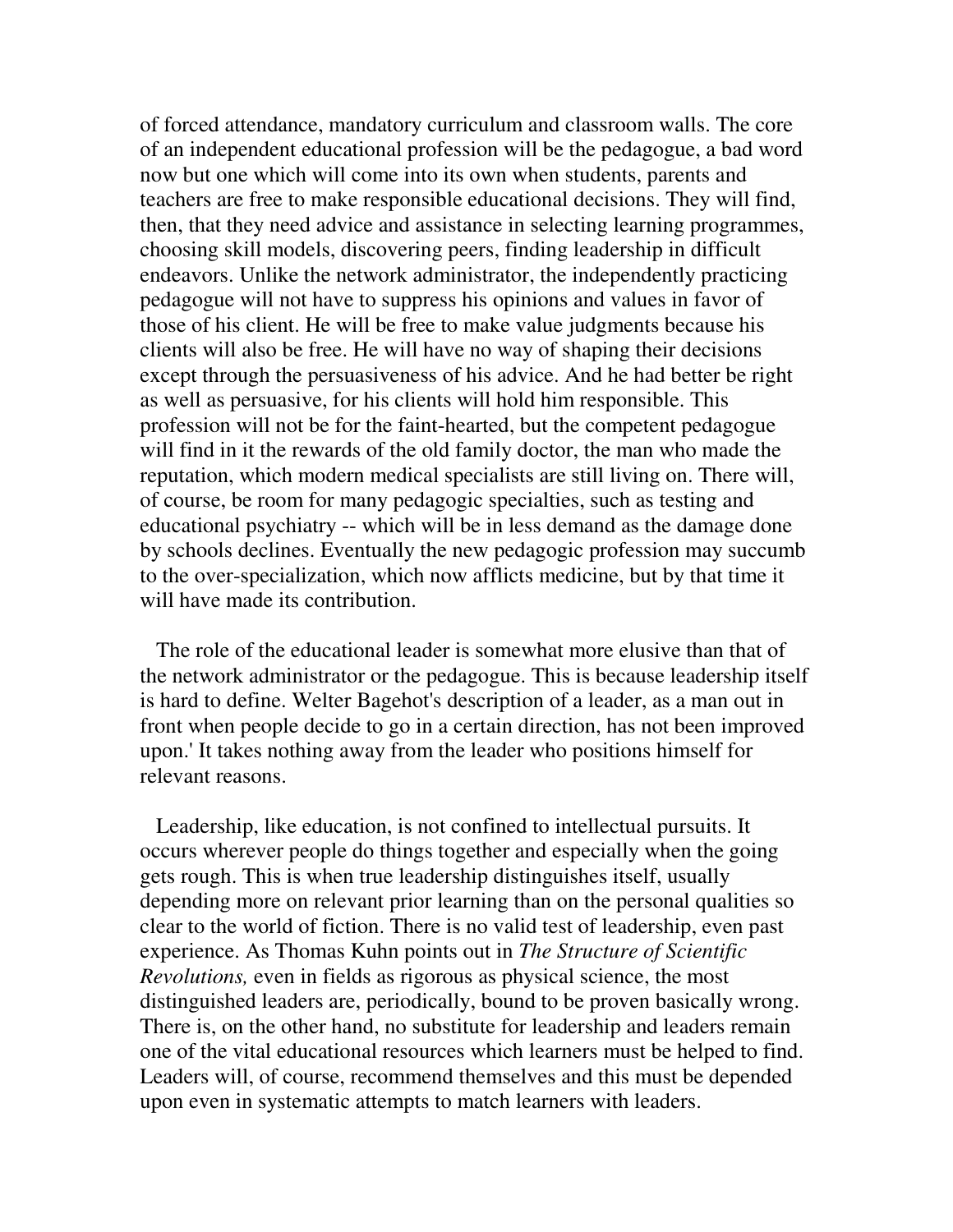of forced attendance, mandatory curriculum and classroom walls. The core of an independent educational profession will be the pedagogue, a bad word now but one which will come into its own when students, parents and teachers are free to make responsible educational decisions. They will find, then, that they need advice and assistance in selecting learning programmes, choosing skill models, discovering peers, finding leadership in difficult endeavors. Unlike the network administrator, the independently practicing pedagogue will not have to suppress his opinions and values in favor of those of his client. He will be free to make value judgments because his clients will also be free. He will have no way of shaping their decisions except through the persuasiveness of his advice. And he had better be right as well as persuasive, for his clients will hold him responsible. This profession will not be for the faint-hearted, but the competent pedagogue will find in it the rewards of the old family doctor, the man who made the reputation, which modern medical specialists are still living on. There will, of course, be room for many pedagogic specialties, such as testing and educational psychiatry -- which will be in less demand as the damage done by schools declines. Eventually the new pedagogic profession may succumb to the over-specialization, which now afflicts medicine, but by that time it will have made its contribution.

 The role of the educational leader is somewhat more elusive than that of the network administrator or the pedagogue. This is because leadership itself is hard to define. Welter Bagehot's description of a leader, as a man out in front when people decide to go in a certain direction, has not been improved upon.' It takes nothing away from the leader who positions himself for relevant reasons.

 Leadership, like education, is not confined to intellectual pursuits. It occurs wherever people do things together and especially when the going gets rough. This is when true leadership distinguishes itself, usually depending more on relevant prior learning than on the personal qualities so clear to the world of fiction. There is no valid test of leadership, even past experience. As Thomas Kuhn points out in *The Structure of Scientific Revolutions,* even in fields as rigorous as physical science, the most distinguished leaders are, periodically, bound to be proven basically wrong. There is, on the other hand, no substitute for leadership and leaders remain one of the vital educational resources which learners must be helped to find. Leaders will, of course, recommend themselves and this must be depended upon even in systematic attempts to match learners with leaders.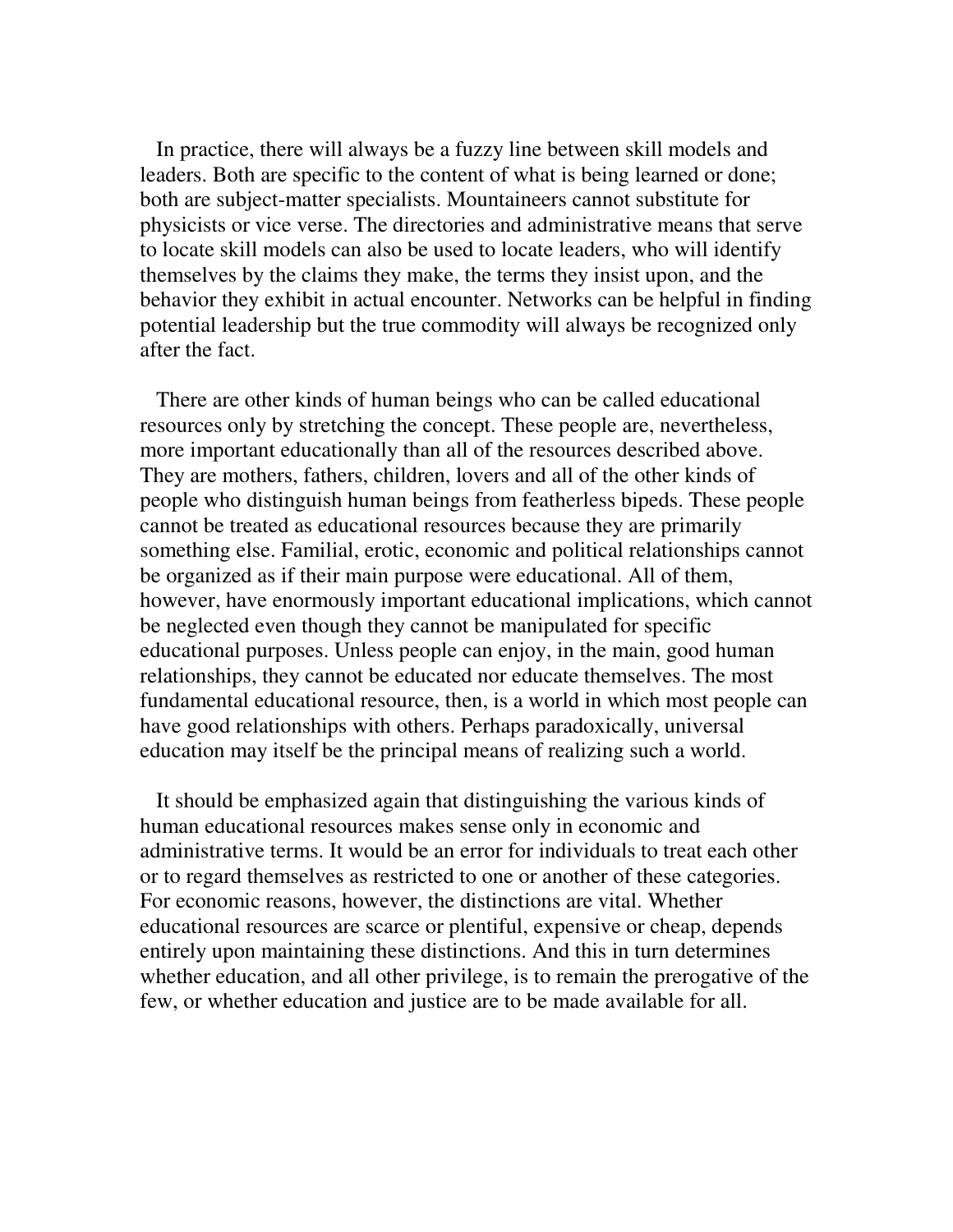In practice, there will always be a fuzzy line between skill models and leaders. Both are specific to the content of what is being learned or done; both are subject-matter specialists. Mountaineers cannot substitute for physicists or vice verse. The directories and administrative means that serve to locate skill models can also be used to locate leaders, who will identify themselves by the claims they make, the terms they insist upon, and the behavior they exhibit in actual encounter. Networks can be helpful in finding potential leadership but the true commodity will always be recognized only after the fact.

 There are other kinds of human beings who can be called educational resources only by stretching the concept. These people are, nevertheless, more important educationally than all of the resources described above. They are mothers, fathers, children, lovers and all of the other kinds of people who distinguish human beings from featherless bipeds. These people cannot be treated as educational resources because they are primarily something else. Familial, erotic, economic and political relationships cannot be organized as if their main purpose were educational. All of them, however, have enormously important educational implications, which cannot be neglected even though they cannot be manipulated for specific educational purposes. Unless people can enjoy, in the main, good human relationships, they cannot be educated nor educate themselves. The most fundamental educational resource, then, is a world in which most people can have good relationships with others. Perhaps paradoxically, universal education may itself be the principal means of realizing such a world.

 It should be emphasized again that distinguishing the various kinds of human educational resources makes sense only in economic and administrative terms. It would be an error for individuals to treat each other or to regard themselves as restricted to one or another of these categories. For economic reasons, however, the distinctions are vital. Whether educational resources are scarce or plentiful, expensive or cheap, depends entirely upon maintaining these distinctions. And this in turn determines whether education, and all other privilege, is to remain the prerogative of the few, or whether education and justice are to be made available for all.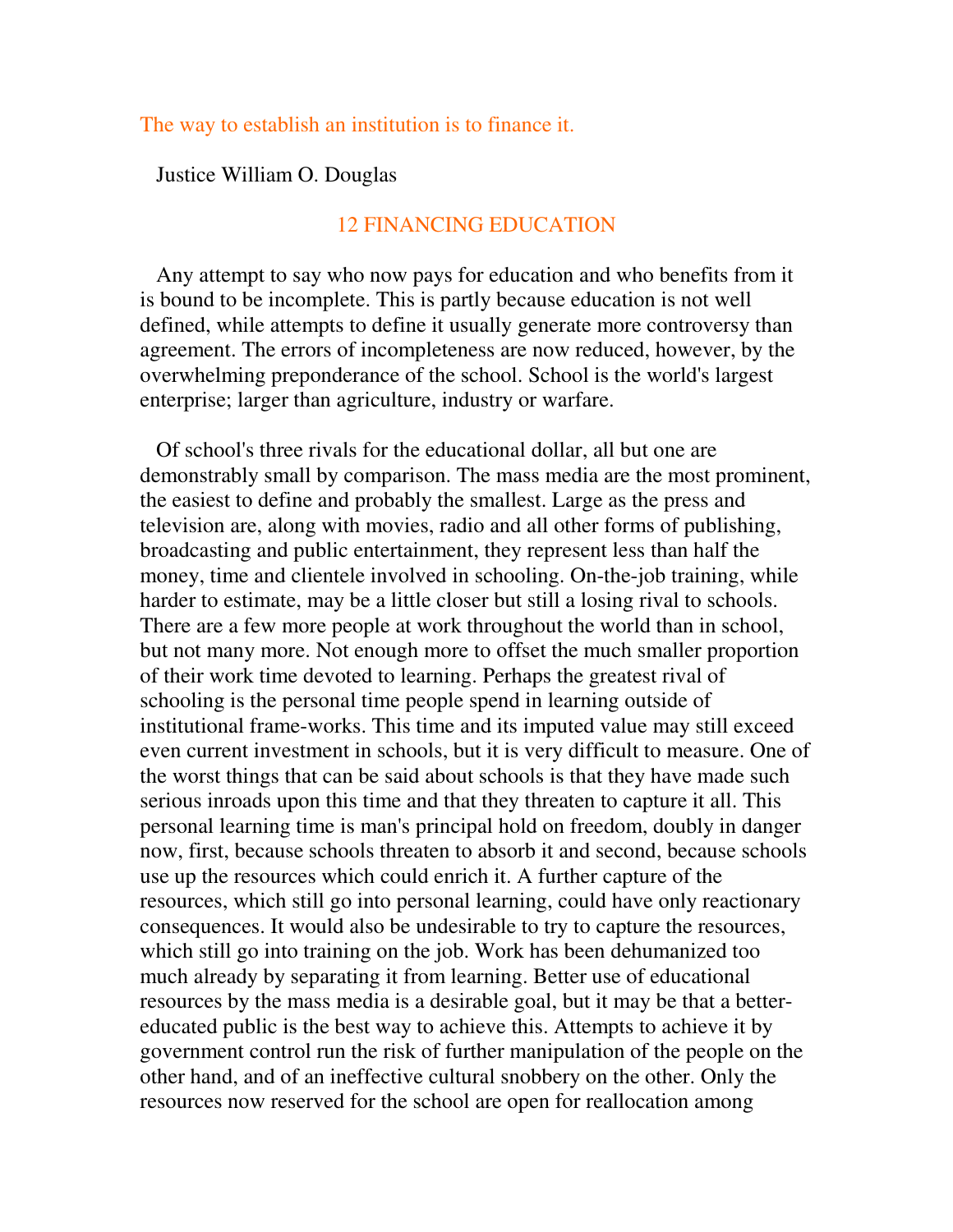The way to establish an institution is to finance it.

Justice William O. Douglas

# 12 FINANCING EDUCATION

 Any attempt to say who now pays for education and who benefits from it is bound to be incomplete. This is partly because education is not well defined, while attempts to define it usually generate more controversy than agreement. The errors of incompleteness are now reduced, however, by the overwhelming preponderance of the school. School is the world's largest enterprise; larger than agriculture, industry or warfare.

 Of school's three rivals for the educational dollar, all but one are demonstrably small by comparison. The mass media are the most prominent, the easiest to define and probably the smallest. Large as the press and television are, along with movies, radio and all other forms of publishing, broadcasting and public entertainment, they represent less than half the money, time and clientele involved in schooling. On-the-job training, while harder to estimate, may be a little closer but still a losing rival to schools. There are a few more people at work throughout the world than in school, but not many more. Not enough more to offset the much smaller proportion of their work time devoted to learning. Perhaps the greatest rival of schooling is the personal time people spend in learning outside of institutional frame-works. This time and its imputed value may still exceed even current investment in schools, but it is very difficult to measure. One of the worst things that can be said about schools is that they have made such serious inroads upon this time and that they threaten to capture it all. This personal learning time is man's principal hold on freedom, doubly in danger now, first, because schools threaten to absorb it and second, because schools use up the resources which could enrich it. A further capture of the resources, which still go into personal learning, could have only reactionary consequences. It would also be undesirable to try to capture the resources, which still go into training on the job. Work has been dehumanized too much already by separating it from learning. Better use of educational resources by the mass media is a desirable goal, but it may be that a bettereducated public is the best way to achieve this. Attempts to achieve it by government control run the risk of further manipulation of the people on the other hand, and of an ineffective cultural snobbery on the other. Only the resources now reserved for the school are open for reallocation among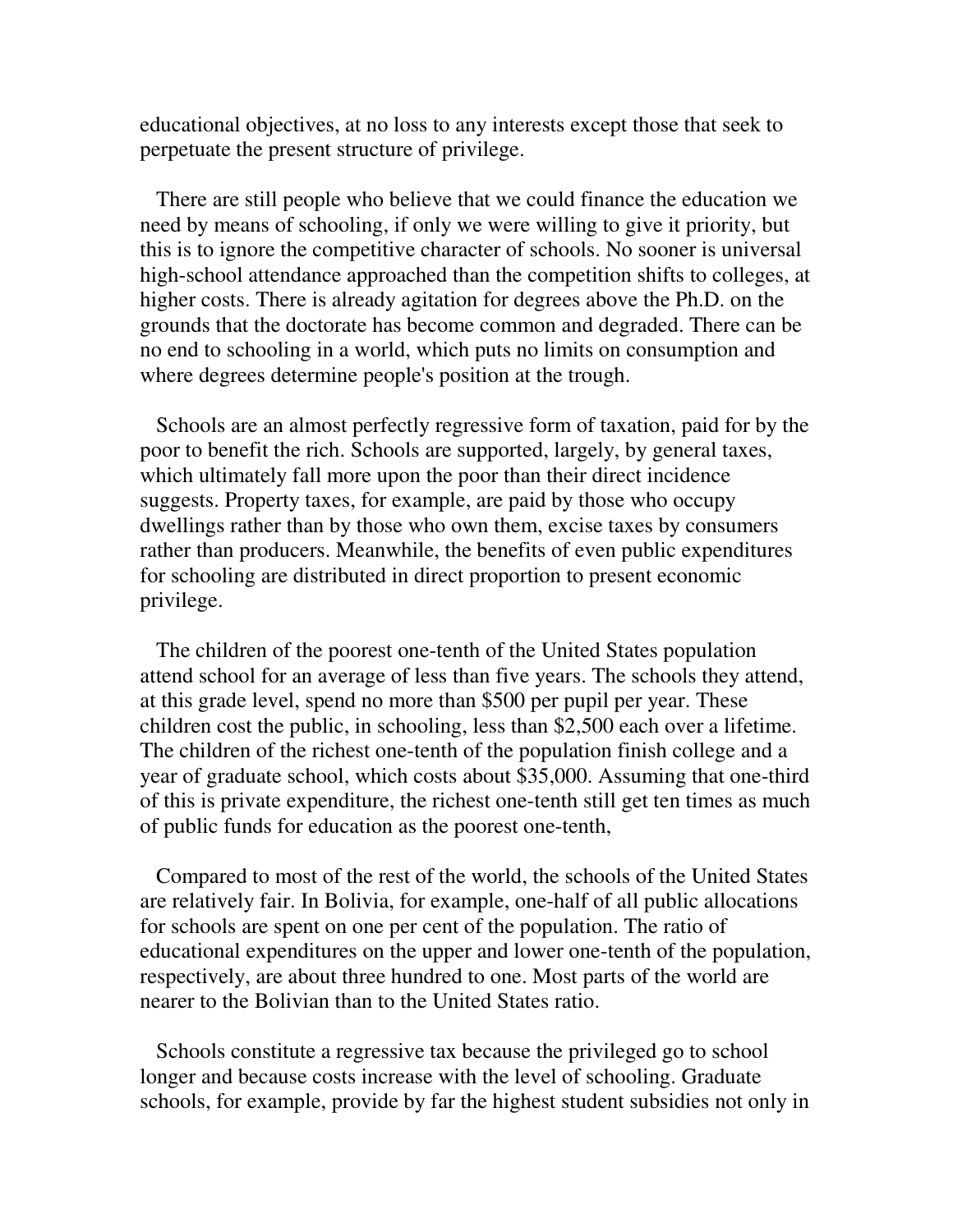educational objectives, at no loss to any interests except those that seek to perpetuate the present structure of privilege.

 There are still people who believe that we could finance the education we need by means of schooling, if only we were willing to give it priority, but this is to ignore the competitive character of schools. No sooner is universal high-school attendance approached than the competition shifts to colleges, at higher costs. There is already agitation for degrees above the Ph.D. on the grounds that the doctorate has become common and degraded. There can be no end to schooling in a world, which puts no limits on consumption and where degrees determine people's position at the trough.

 Schools are an almost perfectly regressive form of taxation, paid for by the poor to benefit the rich. Schools are supported, largely, by general taxes, which ultimately fall more upon the poor than their direct incidence suggests. Property taxes, for example, are paid by those who occupy dwellings rather than by those who own them, excise taxes by consumers rather than producers. Meanwhile, the benefits of even public expenditures for schooling are distributed in direct proportion to present economic privilege.

 The children of the poorest one-tenth of the United States population attend school for an average of less than five years. The schools they attend, at this grade level, spend no more than \$500 per pupil per year. These children cost the public, in schooling, less than \$2,500 each over a lifetime. The children of the richest one-tenth of the population finish college and a year of graduate school, which costs about \$35,000. Assuming that one-third of this is private expenditure, the richest one-tenth still get ten times as much of public funds for education as the poorest one-tenth,

 Compared to most of the rest of the world, the schools of the United States are relatively fair. In Bolivia, for example, one-half of all public allocations for schools are spent on one per cent of the population. The ratio of educational expenditures on the upper and lower one-tenth of the population, respectively, are about three hundred to one. Most parts of the world are nearer to the Bolivian than to the United States ratio.

 Schools constitute a regressive tax because the privileged go to school longer and because costs increase with the level of schooling. Graduate schools, for example, provide by far the highest student subsidies not only in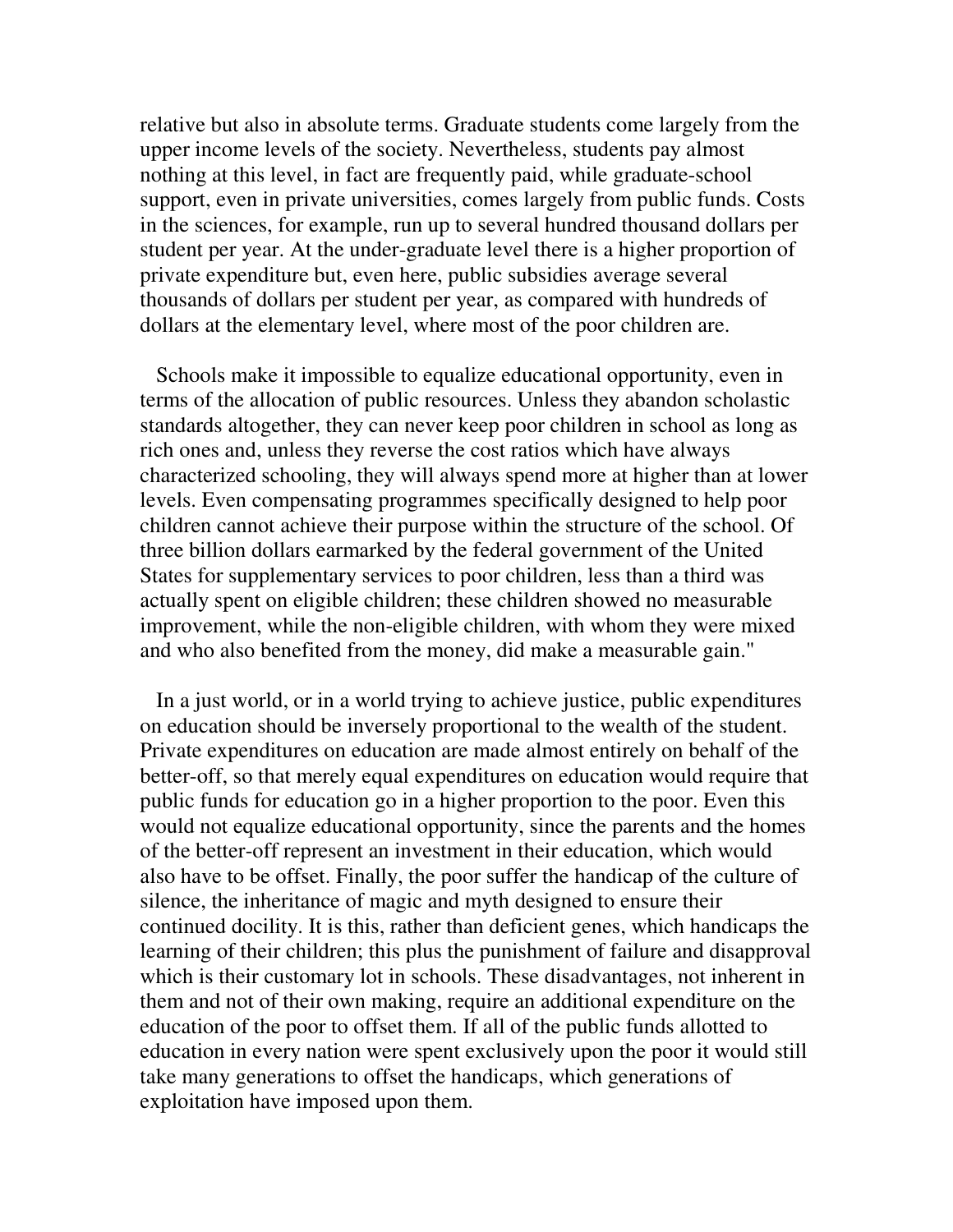relative but also in absolute terms. Graduate students come largely from the upper income levels of the society. Nevertheless, students pay almost nothing at this level, in fact are frequently paid, while graduate-school support, even in private universities, comes largely from public funds. Costs in the sciences, for example, run up to several hundred thousand dollars per student per year. At the under-graduate level there is a higher proportion of private expenditure but, even here, public subsidies average several thousands of dollars per student per year, as compared with hundreds of dollars at the elementary level, where most of the poor children are.

 Schools make it impossible to equalize educational opportunity, even in terms of the allocation of public resources. Unless they abandon scholastic standards altogether, they can never keep poor children in school as long as rich ones and, unless they reverse the cost ratios which have always characterized schooling, they will always spend more at higher than at lower levels. Even compensating programmes specifically designed to help poor children cannot achieve their purpose within the structure of the school. Of three billion dollars earmarked by the federal government of the United States for supplementary services to poor children, less than a third was actually spent on eligible children; these children showed no measurable improvement, while the non-eligible children, with whom they were mixed and who also benefited from the money, did make a measurable gain."

 In a just world, or in a world trying to achieve justice, public expenditures on education should be inversely proportional to the wealth of the student. Private expenditures on education are made almost entirely on behalf of the better-off, so that merely equal expenditures on education would require that public funds for education go in a higher proportion to the poor. Even this would not equalize educational opportunity, since the parents and the homes of the better-off represent an investment in their education, which would also have to be offset. Finally, the poor suffer the handicap of the culture of silence, the inheritance of magic and myth designed to ensure their continued docility. It is this, rather than deficient genes, which handicaps the learning of their children; this plus the punishment of failure and disapproval which is their customary lot in schools. These disadvantages, not inherent in them and not of their own making, require an additional expenditure on the education of the poor to offset them. If all of the public funds allotted to education in every nation were spent exclusively upon the poor it would still take many generations to offset the handicaps, which generations of exploitation have imposed upon them.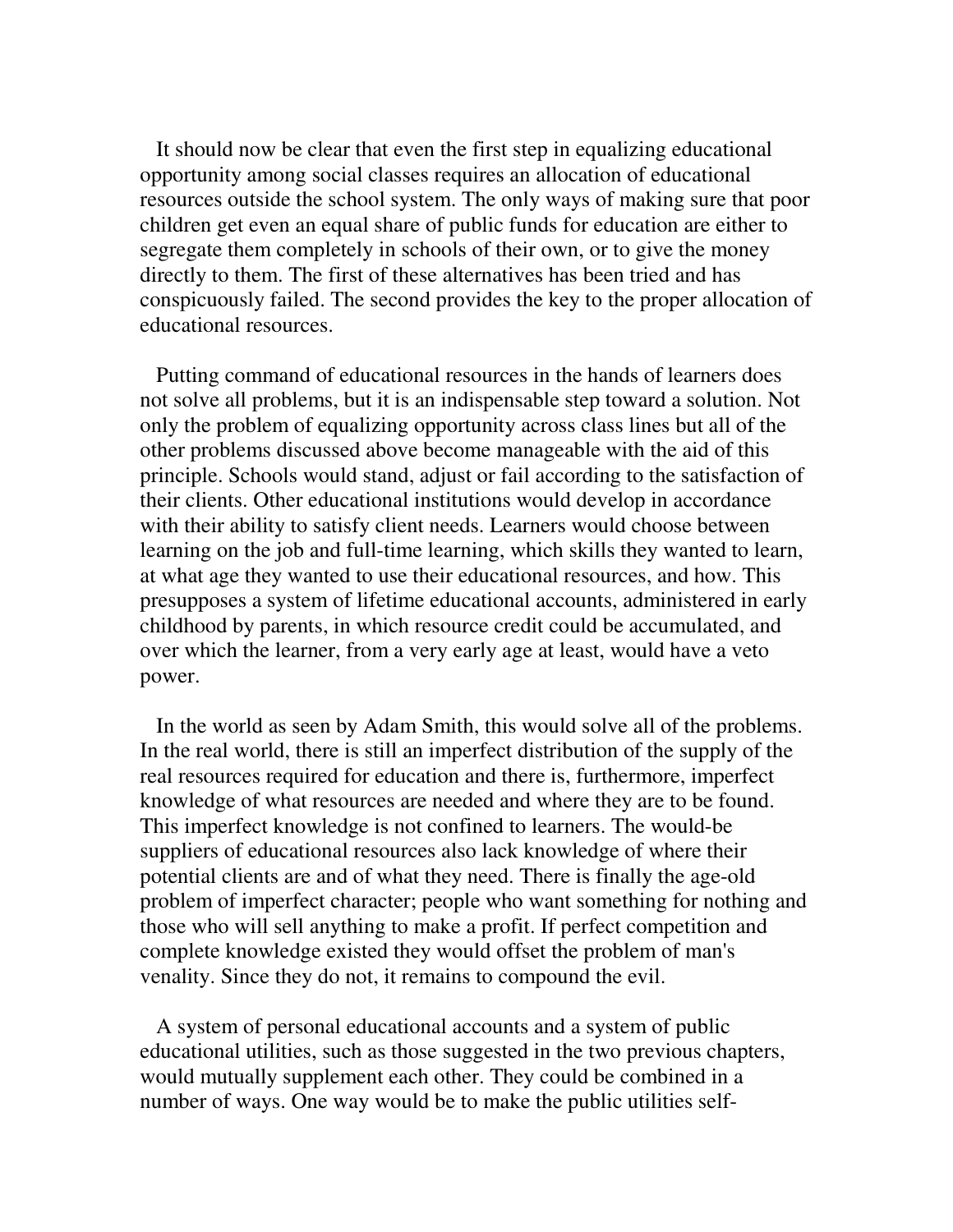It should now be clear that even the first step in equalizing educational opportunity among social classes requires an allocation of educational resources outside the school system. The only ways of making sure that poor children get even an equal share of public funds for education are either to segregate them completely in schools of their own, or to give the money directly to them. The first of these alternatives has been tried and has conspicuously failed. The second provides the key to the proper allocation of educational resources.

 Putting command of educational resources in the hands of learners does not solve all problems, but it is an indispensable step toward a solution. Not only the problem of equalizing opportunity across class lines but all of the other problems discussed above become manageable with the aid of this principle. Schools would stand, adjust or fail according to the satisfaction of their clients. Other educational institutions would develop in accordance with their ability to satisfy client needs. Learners would choose between learning on the job and full-time learning, which skills they wanted to learn, at what age they wanted to use their educational resources, and how. This presupposes a system of lifetime educational accounts, administered in early childhood by parents, in which resource credit could be accumulated, and over which the learner, from a very early age at least, would have a veto power.

 In the world as seen by Adam Smith, this would solve all of the problems. In the real world, there is still an imperfect distribution of the supply of the real resources required for education and there is, furthermore, imperfect knowledge of what resources are needed and where they are to be found. This imperfect knowledge is not confined to learners. The would-be suppliers of educational resources also lack knowledge of where their potential clients are and of what they need. There is finally the age-old problem of imperfect character; people who want something for nothing and those who will sell anything to make a profit. If perfect competition and complete knowledge existed they would offset the problem of man's venality. Since they do not, it remains to compound the evil.

 A system of personal educational accounts and a system of public educational utilities, such as those suggested in the two previous chapters, would mutually supplement each other. They could be combined in a number of ways. One way would be to make the public utilities self-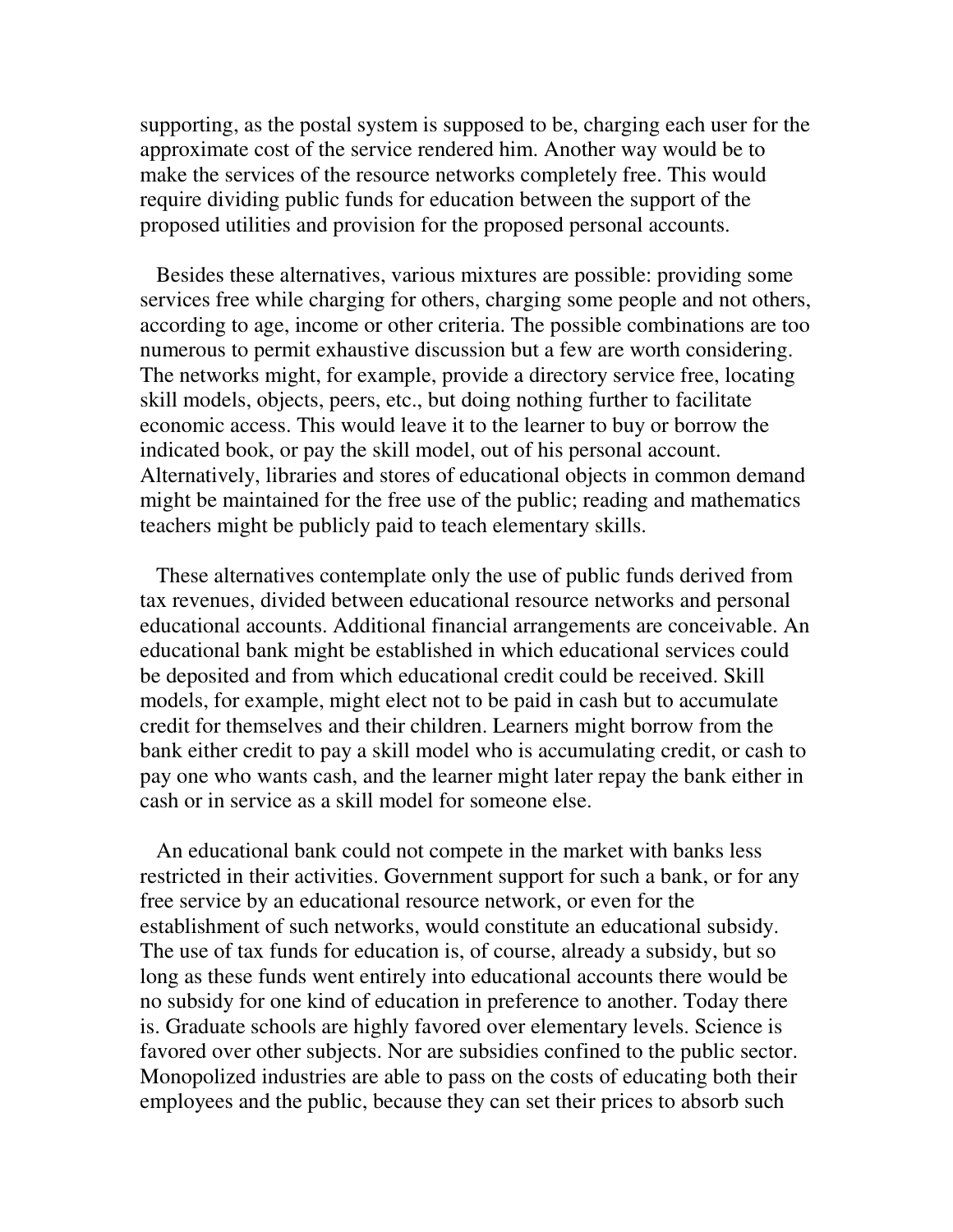supporting, as the postal system is supposed to be, charging each user for the approximate cost of the service rendered him. Another way would be to make the services of the resource networks completely free. This would require dividing public funds for education between the support of the proposed utilities and provision for the proposed personal accounts.

 Besides these alternatives, various mixtures are possible: providing some services free while charging for others, charging some people and not others, according to age, income or other criteria. The possible combinations are too numerous to permit exhaustive discussion but a few are worth considering. The networks might, for example, provide a directory service free, locating skill models, objects, peers, etc., but doing nothing further to facilitate economic access. This would leave it to the learner to buy or borrow the indicated book, or pay the skill model, out of his personal account. Alternatively, libraries and stores of educational objects in common demand might be maintained for the free use of the public; reading and mathematics teachers might be publicly paid to teach elementary skills.

 These alternatives contemplate only the use of public funds derived from tax revenues, divided between educational resource networks and personal educational accounts. Additional financial arrangements are conceivable. An educational bank might be established in which educational services could be deposited and from which educational credit could be received. Skill models, for example, might elect not to be paid in cash but to accumulate credit for themselves and their children. Learners might borrow from the bank either credit to pay a skill model who is accumulating credit, or cash to pay one who wants cash, and the learner might later repay the bank either in cash or in service as a skill model for someone else.

 An educational bank could not compete in the market with banks less restricted in their activities. Government support for such a bank, or for any free service by an educational resource network, or even for the establishment of such networks, would constitute an educational subsidy. The use of tax funds for education is, of course, already a subsidy, but so long as these funds went entirely into educational accounts there would be no subsidy for one kind of education in preference to another. Today there is. Graduate schools are highly favored over elementary levels. Science is favored over other subjects. Nor are subsidies confined to the public sector. Monopolized industries are able to pass on the costs of educating both their employees and the public, because they can set their prices to absorb such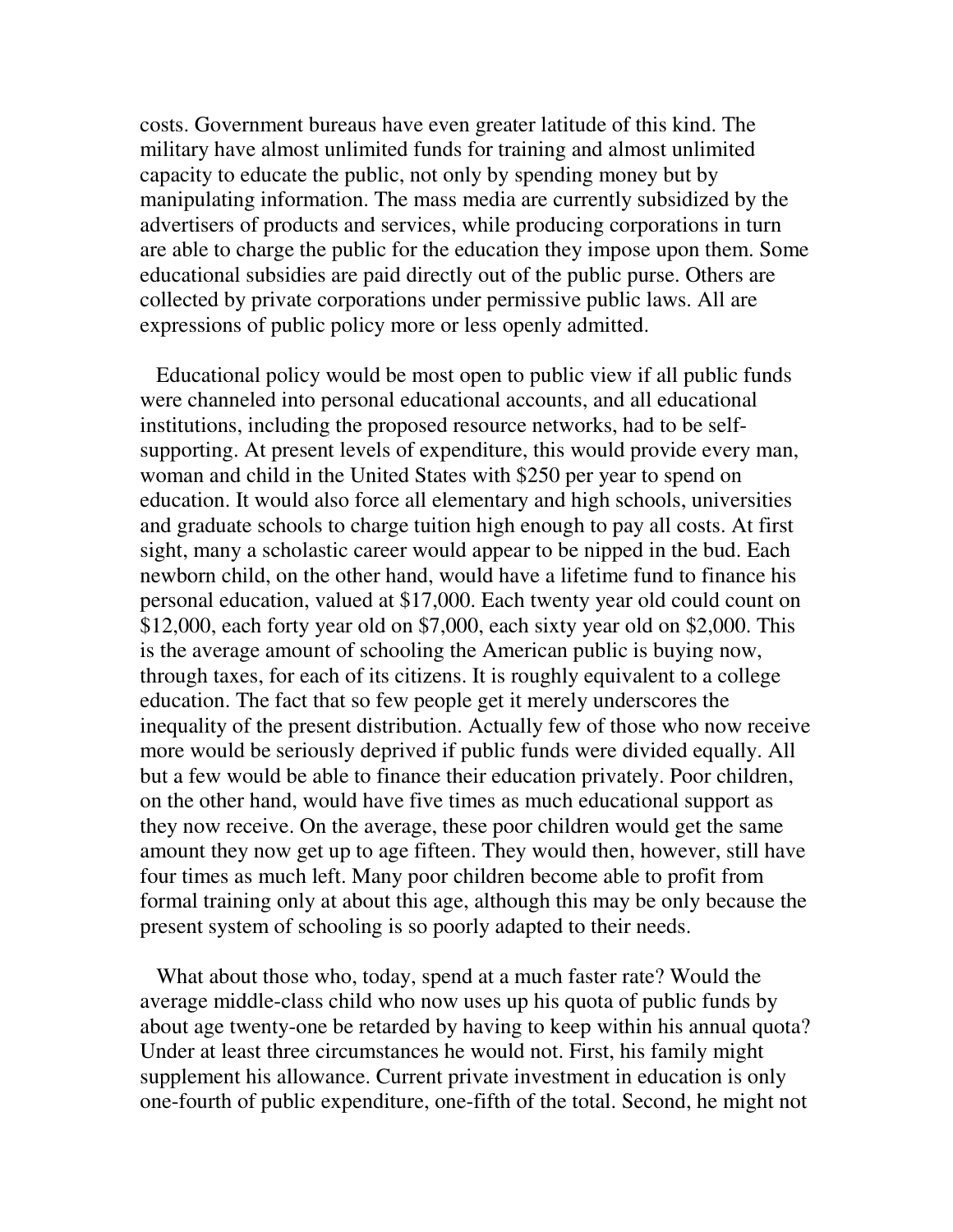costs. Government bureaus have even greater latitude of this kind. The military have almost unlimited funds for training and almost unlimited capacity to educate the public, not only by spending money but by manipulating information. The mass media are currently subsidized by the advertisers of products and services, while producing corporations in turn are able to charge the public for the education they impose upon them. Some educational subsidies are paid directly out of the public purse. Others are collected by private corporations under permissive public laws. All are expressions of public policy more or less openly admitted.

 Educational policy would be most open to public view if all public funds were channeled into personal educational accounts, and all educational institutions, including the proposed resource networks, had to be selfsupporting. At present levels of expenditure, this would provide every man, woman and child in the United States with \$250 per year to spend on education. It would also force all elementary and high schools, universities and graduate schools to charge tuition high enough to pay all costs. At first sight, many a scholastic career would appear to be nipped in the bud. Each newborn child, on the other hand, would have a lifetime fund to finance his personal education, valued at \$17,000. Each twenty year old could count on \$12,000, each forty year old on \$7,000, each sixty year old on \$2,000. This is the average amount of schooling the American public is buying now, through taxes, for each of its citizens. It is roughly equivalent to a college education. The fact that so few people get it merely underscores the inequality of the present distribution. Actually few of those who now receive more would be seriously deprived if public funds were divided equally. All but a few would be able to finance their education privately. Poor children, on the other hand, would have five times as much educational support as they now receive. On the average, these poor children would get the same amount they now get up to age fifteen. They would then, however, still have four times as much left. Many poor children become able to profit from formal training only at about this age, although this may be only because the present system of schooling is so poorly adapted to their needs.

 What about those who, today, spend at a much faster rate? Would the average middle-class child who now uses up his quota of public funds by about age twenty-one be retarded by having to keep within his annual quota? Under at least three circumstances he would not. First, his family might supplement his allowance. Current private investment in education is only one-fourth of public expenditure, one-fifth of the total. Second, he might not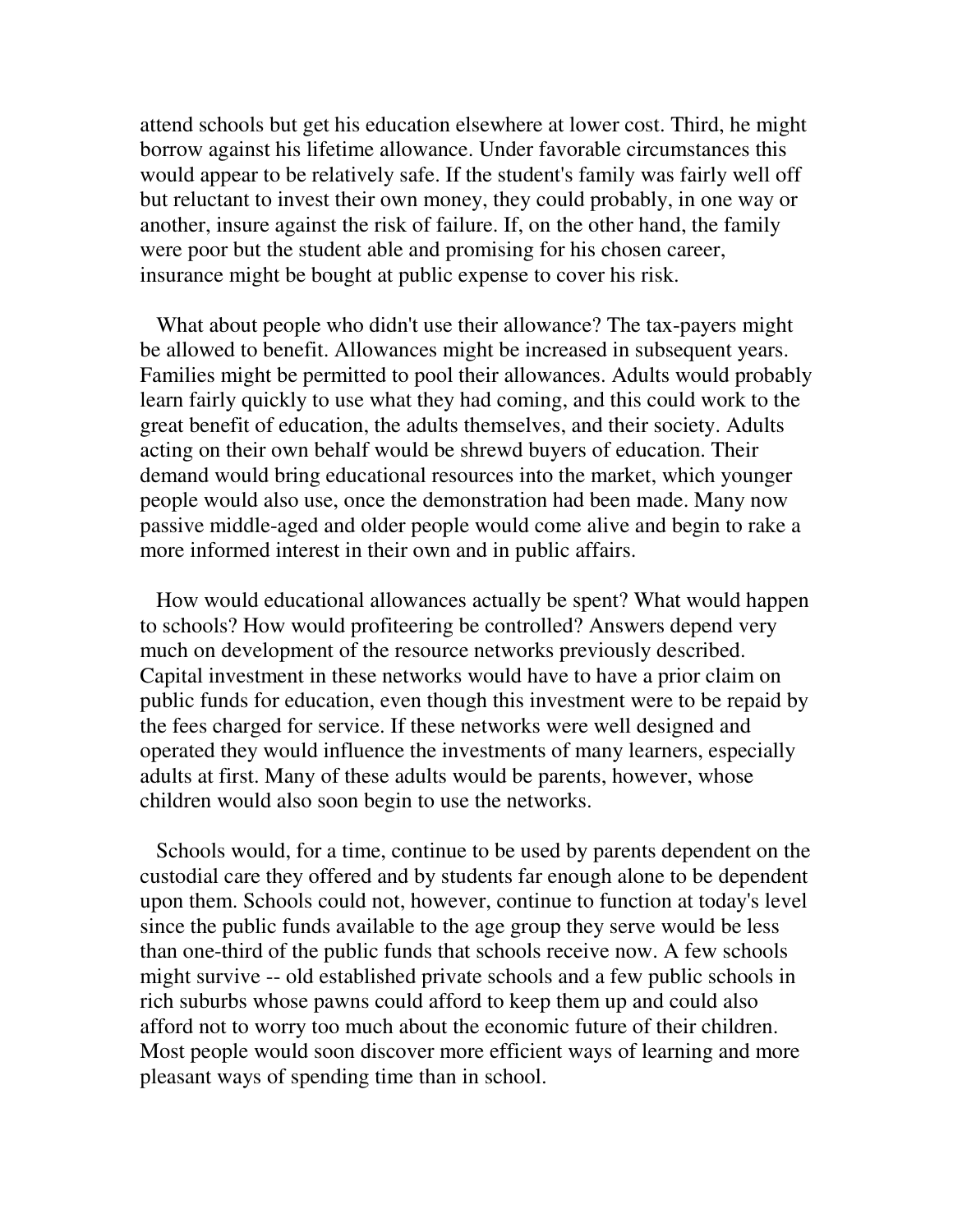attend schools but get his education elsewhere at lower cost. Third, he might borrow against his lifetime allowance. Under favorable circumstances this would appear to be relatively safe. If the student's family was fairly well off but reluctant to invest their own money, they could probably, in one way or another, insure against the risk of failure. If, on the other hand, the family were poor but the student able and promising for his chosen career, insurance might be bought at public expense to cover his risk.

 What about people who didn't use their allowance? The tax-payers might be allowed to benefit. Allowances might be increased in subsequent years. Families might be permitted to pool their allowances. Adults would probably learn fairly quickly to use what they had coming, and this could work to the great benefit of education, the adults themselves, and their society. Adults acting on their own behalf would be shrewd buyers of education. Their demand would bring educational resources into the market, which younger people would also use, once the demonstration had been made. Many now passive middle-aged and older people would come alive and begin to rake a more informed interest in their own and in public affairs.

 How would educational allowances actually be spent? What would happen to schools? How would profiteering be controlled? Answers depend very much on development of the resource networks previously described. Capital investment in these networks would have to have a prior claim on public funds for education, even though this investment were to be repaid by the fees charged for service. If these networks were well designed and operated they would influence the investments of many learners, especially adults at first. Many of these adults would be parents, however, whose children would also soon begin to use the networks.

 Schools would, for a time, continue to be used by parents dependent on the custodial care they offered and by students far enough alone to be dependent upon them. Schools could not, however, continue to function at today's level since the public funds available to the age group they serve would be less than one-third of the public funds that schools receive now. A few schools might survive -- old established private schools and a few public schools in rich suburbs whose pawns could afford to keep them up and could also afford not to worry too much about the economic future of their children. Most people would soon discover more efficient ways of learning and more pleasant ways of spending time than in school.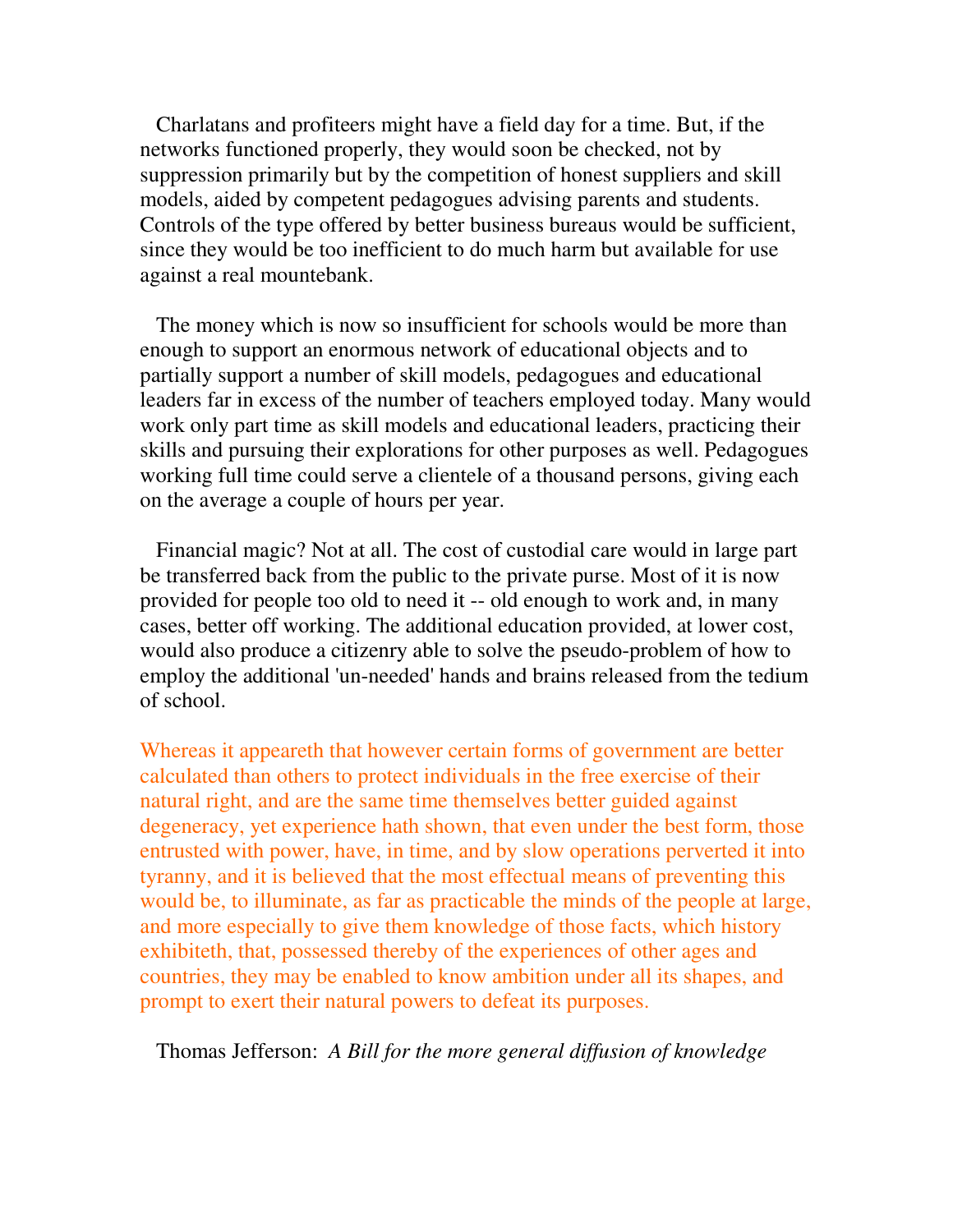Charlatans and profiteers might have a field day for a time. But, if the networks functioned properly, they would soon be checked, not by suppression primarily but by the competition of honest suppliers and skill models, aided by competent pedagogues advising parents and students. Controls of the type offered by better business bureaus would be sufficient, since they would be too inefficient to do much harm but available for use against a real mountebank.

 The money which is now so insufficient for schools would be more than enough to support an enormous network of educational objects and to partially support a number of skill models, pedagogues and educational leaders far in excess of the number of teachers employed today. Many would work only part time as skill models and educational leaders, practicing their skills and pursuing their explorations for other purposes as well. Pedagogues working full time could serve a clientele of a thousand persons, giving each on the average a couple of hours per year.

 Financial magic? Not at all. The cost of custodial care would in large part be transferred back from the public to the private purse. Most of it is now provided for people too old to need it -- old enough to work and, in many cases, better off working. The additional education provided, at lower cost, would also produce a citizenry able to solve the pseudo-problem of how to employ the additional 'un-needed' hands and brains released from the tedium of school.

Whereas it appeareth that however certain forms of government are better calculated than others to protect individuals in the free exercise of their natural right, and are the same time themselves better guided against degeneracy, yet experience hath shown, that even under the best form, those entrusted with power, have, in time, and by slow operations perverted it into tyranny, and it is believed that the most effectual means of preventing this would be, to illuminate, as far as practicable the minds of the people at large, and more especially to give them knowledge of those facts, which history exhibiteth, that, possessed thereby of the experiences of other ages and countries, they may be enabled to know ambition under all its shapes, and prompt to exert their natural powers to defeat its purposes.

Thomas Jefferson: *A Bill for the more general diffusion of knowledge*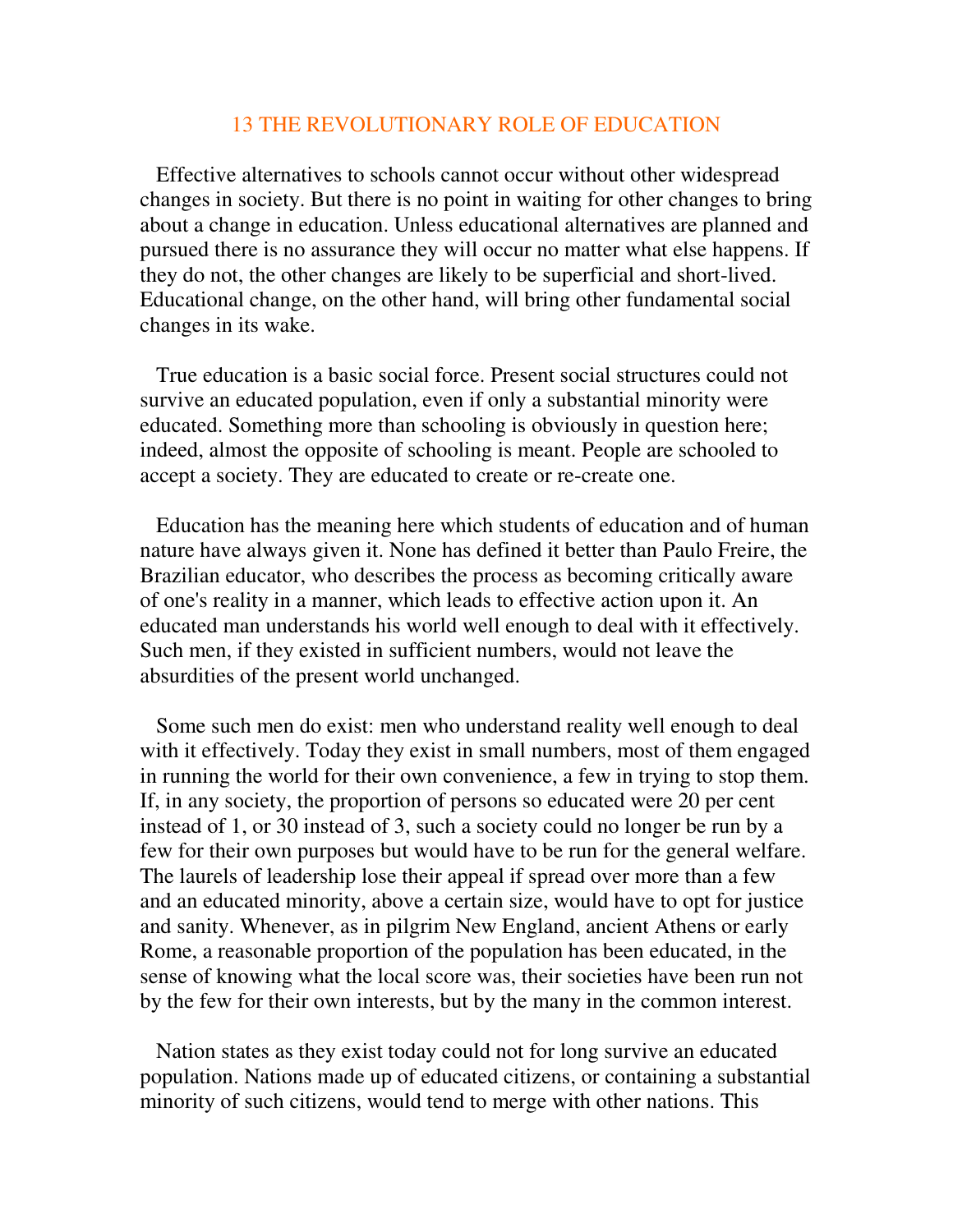# 13 THE REVOLUTIONARY ROLE OF EDUCATION

 Effective alternatives to schools cannot occur without other widespread changes in society. But there is no point in waiting for other changes to bring about a change in education. Unless educational alternatives are planned and pursued there is no assurance they will occur no matter what else happens. If they do not, the other changes are likely to be superficial and short-lived. Educational change, on the other hand, will bring other fundamental social changes in its wake.

 True education is a basic social force. Present social structures could not survive an educated population, even if only a substantial minority were educated. Something more than schooling is obviously in question here; indeed, almost the opposite of schooling is meant. People are schooled to accept a society. They are educated to create or re-create one.

 Education has the meaning here which students of education and of human nature have always given it. None has defined it better than Paulo Freire, the Brazilian educator, who describes the process as becoming critically aware of one's reality in a manner, which leads to effective action upon it. An educated man understands his world well enough to deal with it effectively. Such men, if they existed in sufficient numbers, would not leave the absurdities of the present world unchanged.

 Some such men do exist: men who understand reality well enough to deal with it effectively. Today they exist in small numbers, most of them engaged in running the world for their own convenience, a few in trying to stop them. If, in any society, the proportion of persons so educated were 20 per cent instead of 1, or 30 instead of 3, such a society could no longer be run by a few for their own purposes but would have to be run for the general welfare. The laurels of leadership lose their appeal if spread over more than a few and an educated minority, above a certain size, would have to opt for justice and sanity. Whenever, as in pilgrim New England, ancient Athens or early Rome, a reasonable proportion of the population has been educated, in the sense of knowing what the local score was, their societies have been run not by the few for their own interests, but by the many in the common interest.

 Nation states as they exist today could not for long survive an educated population. Nations made up of educated citizens, or containing a substantial minority of such citizens, would tend to merge with other nations. This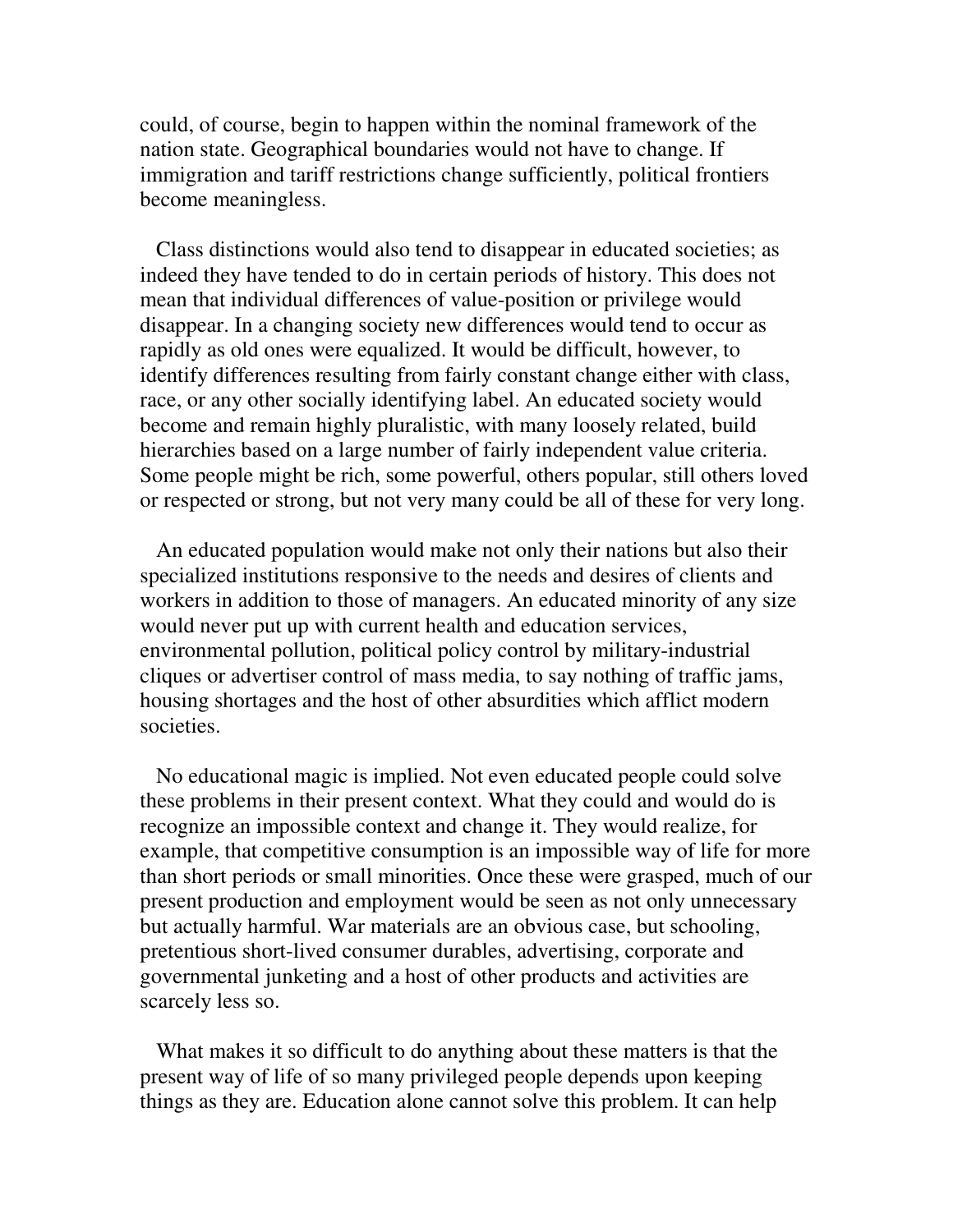could, of course, begin to happen within the nominal framework of the nation state. Geographical boundaries would not have to change. If immigration and tariff restrictions change sufficiently, political frontiers become meaningless.

 Class distinctions would also tend to disappear in educated societies; as indeed they have tended to do in certain periods of history. This does not mean that individual differences of value-position or privilege would disappear. In a changing society new differences would tend to occur as rapidly as old ones were equalized. It would be difficult, however, to identify differences resulting from fairly constant change either with class, race, or any other socially identifying label. An educated society would become and remain highly pluralistic, with many loosely related, build hierarchies based on a large number of fairly independent value criteria. Some people might be rich, some powerful, others popular, still others loved or respected or strong, but not very many could be all of these for very long.

 An educated population would make not only their nations but also their specialized institutions responsive to the needs and desires of clients and workers in addition to those of managers. An educated minority of any size would never put up with current health and education services, environmental pollution, political policy control by military-industrial cliques or advertiser control of mass media, to say nothing of traffic jams, housing shortages and the host of other absurdities which afflict modern societies.

 No educational magic is implied. Not even educated people could solve these problems in their present context. What they could and would do is recognize an impossible context and change it. They would realize, for example, that competitive consumption is an impossible way of life for more than short periods or small minorities. Once these were grasped, much of our present production and employment would be seen as not only unnecessary but actually harmful. War materials are an obvious case, but schooling, pretentious short-lived consumer durables, advertising, corporate and governmental junketing and a host of other products and activities are scarcely less so.

 What makes it so difficult to do anything about these matters is that the present way of life of so many privileged people depends upon keeping things as they are. Education alone cannot solve this problem. It can help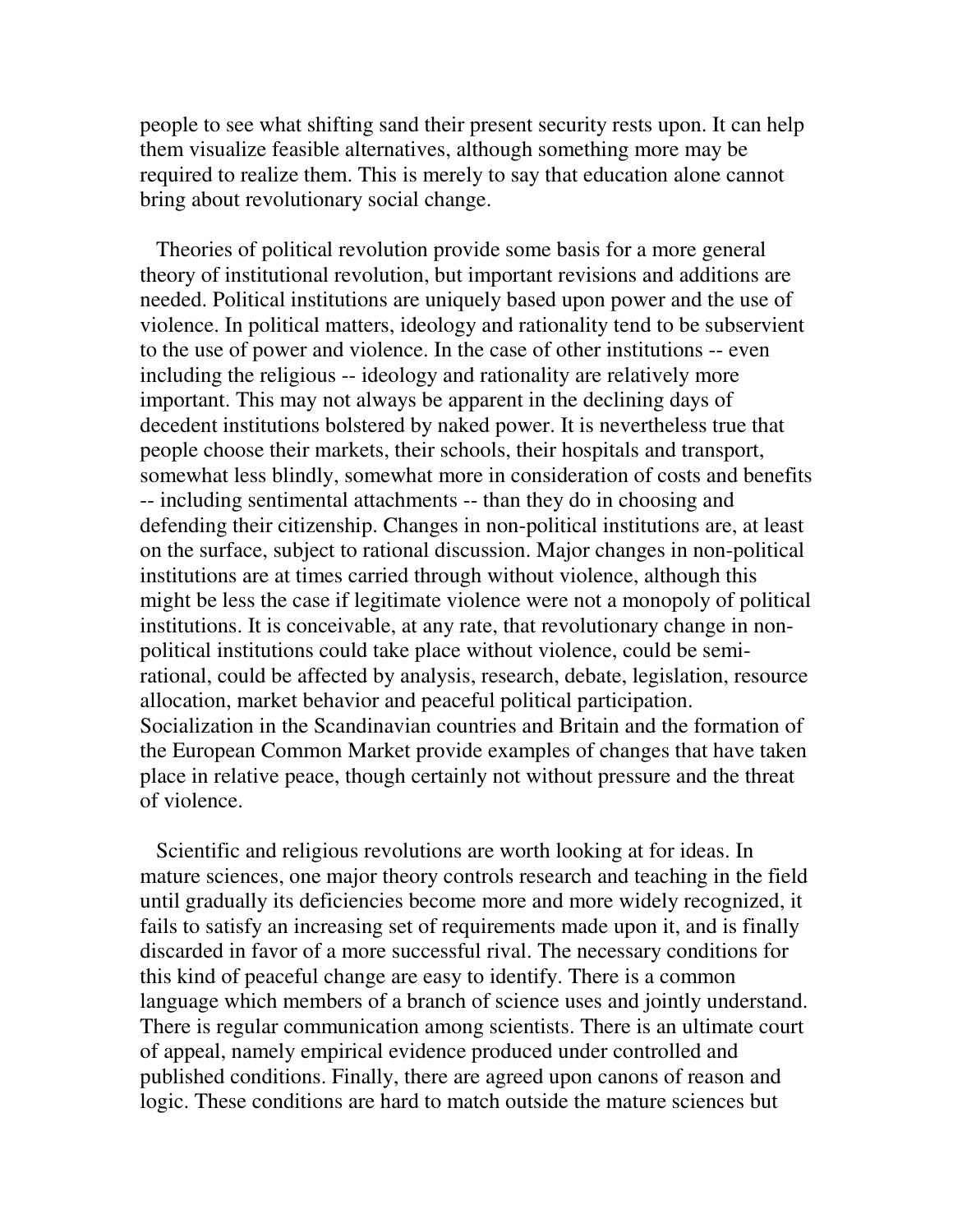people to see what shifting sand their present security rests upon. It can help them visualize feasible alternatives, although something more may be required to realize them. This is merely to say that education alone cannot bring about revolutionary social change.

 Theories of political revolution provide some basis for a more general theory of institutional revolution, but important revisions and additions are needed. Political institutions are uniquely based upon power and the use of violence. In political matters, ideology and rationality tend to be subservient to the use of power and violence. In the case of other institutions -- even including the religious -- ideology and rationality are relatively more important. This may not always be apparent in the declining days of decedent institutions bolstered by naked power. It is nevertheless true that people choose their markets, their schools, their hospitals and transport, somewhat less blindly, somewhat more in consideration of costs and benefits -- including sentimental attachments -- than they do in choosing and defending their citizenship. Changes in non-political institutions are, at least on the surface, subject to rational discussion. Major changes in non-political institutions are at times carried through without violence, although this might be less the case if legitimate violence were not a monopoly of political institutions. It is conceivable, at any rate, that revolutionary change in nonpolitical institutions could take place without violence, could be semirational, could be affected by analysis, research, debate, legislation, resource allocation, market behavior and peaceful political participation. Socialization in the Scandinavian countries and Britain and the formation of the European Common Market provide examples of changes that have taken place in relative peace, though certainly not without pressure and the threat of violence.

 Scientific and religious revolutions are worth looking at for ideas. In mature sciences, one major theory controls research and teaching in the field until gradually its deficiencies become more and more widely recognized, it fails to satisfy an increasing set of requirements made upon it, and is finally discarded in favor of a more successful rival. The necessary conditions for this kind of peaceful change are easy to identify. There is a common language which members of a branch of science uses and jointly understand. There is regular communication among scientists. There is an ultimate court of appeal, namely empirical evidence produced under controlled and published conditions. Finally, there are agreed upon canons of reason and logic. These conditions are hard to match outside the mature sciences but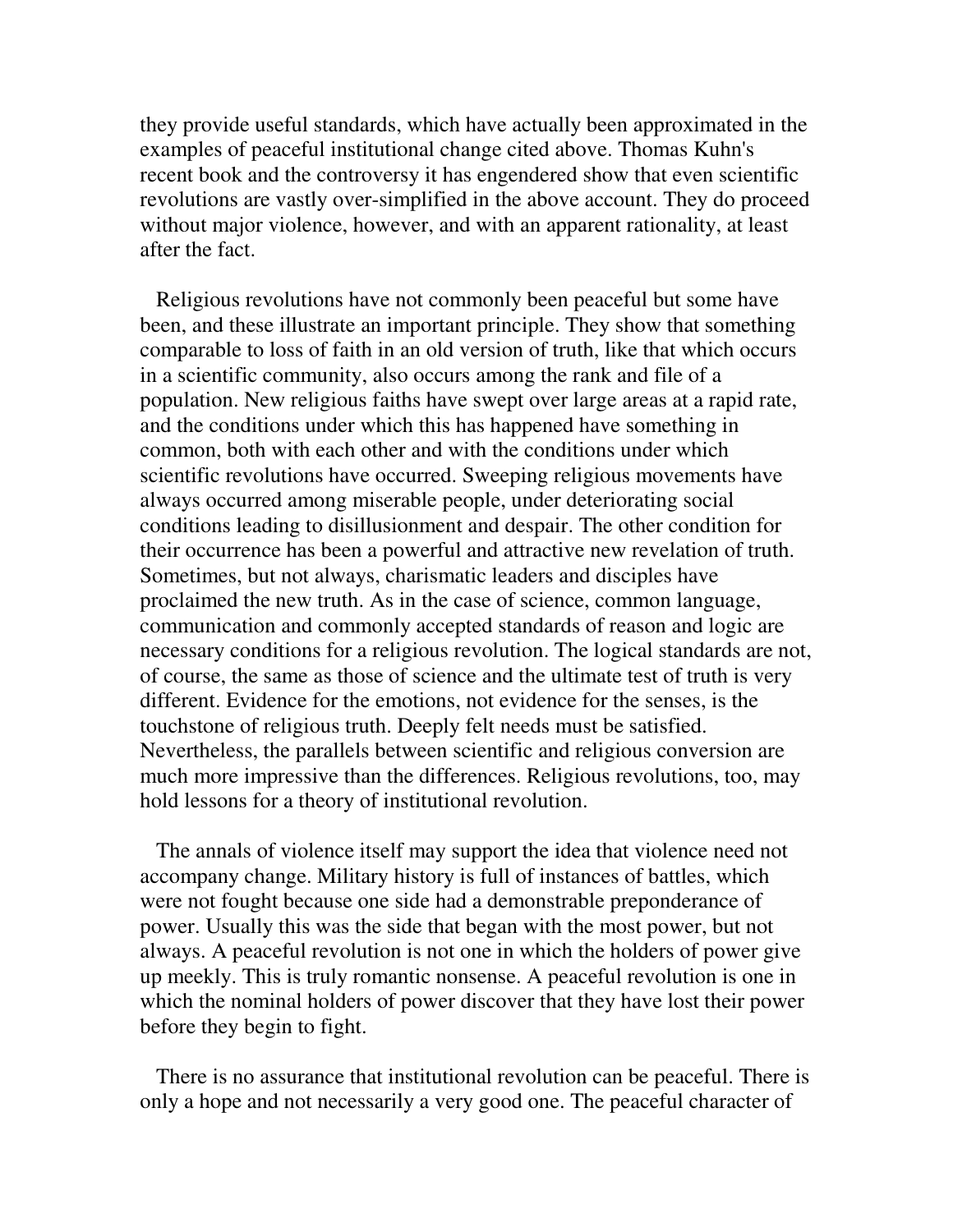they provide useful standards, which have actually been approximated in the examples of peaceful institutional change cited above. Thomas Kuhn's recent book and the controversy it has engendered show that even scientific revolutions are vastly over-simplified in the above account. They do proceed without major violence, however, and with an apparent rationality, at least after the fact.

 Religious revolutions have not commonly been peaceful but some have been, and these illustrate an important principle. They show that something comparable to loss of faith in an old version of truth, like that which occurs in a scientific community, also occurs among the rank and file of a population. New religious faiths have swept over large areas at a rapid rate, and the conditions under which this has happened have something in common, both with each other and with the conditions under which scientific revolutions have occurred. Sweeping religious movements have always occurred among miserable people, under deteriorating social conditions leading to disillusionment and despair. The other condition for their occurrence has been a powerful and attractive new revelation of truth. Sometimes, but not always, charismatic leaders and disciples have proclaimed the new truth. As in the case of science, common language, communication and commonly accepted standards of reason and logic are necessary conditions for a religious revolution. The logical standards are not, of course, the same as those of science and the ultimate test of truth is very different. Evidence for the emotions, not evidence for the senses, is the touchstone of religious truth. Deeply felt needs must be satisfied. Nevertheless, the parallels between scientific and religious conversion are much more impressive than the differences. Religious revolutions, too, may hold lessons for a theory of institutional revolution.

 The annals of violence itself may support the idea that violence need not accompany change. Military history is full of instances of battles, which were not fought because one side had a demonstrable preponderance of power. Usually this was the side that began with the most power, but not always. A peaceful revolution is not one in which the holders of power give up meekly. This is truly romantic nonsense. A peaceful revolution is one in which the nominal holders of power discover that they have lost their power before they begin to fight.

 There is no assurance that institutional revolution can be peaceful. There is only a hope and not necessarily a very good one. The peaceful character of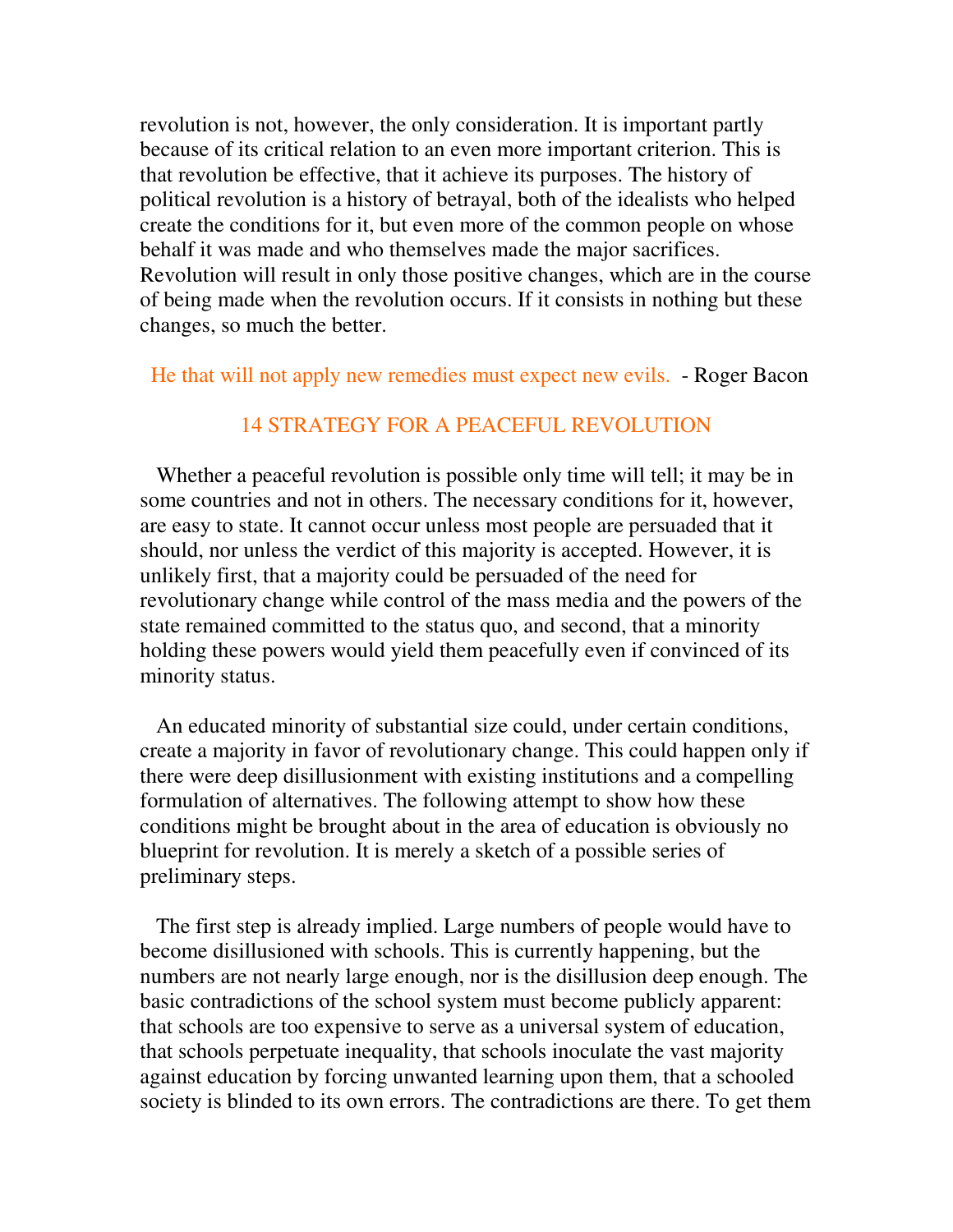revolution is not, however, the only consideration. It is important partly because of its critical relation to an even more important criterion. This is that revolution be effective, that it achieve its purposes. The history of political revolution is a history of betrayal, both of the idealists who helped create the conditions for it, but even more of the common people on whose behalf it was made and who themselves made the major sacrifices. Revolution will result in only those positive changes, which are in the course of being made when the revolution occurs. If it consists in nothing but these changes, so much the better.

He that will not apply new remedies must expect new evils. - Roger Bacon

## 14 STRATEGY FOR A PEACEFUL REVOLUTION

 Whether a peaceful revolution is possible only time will tell; it may be in some countries and not in others. The necessary conditions for it, however, are easy to state. It cannot occur unless most people are persuaded that it should, nor unless the verdict of this majority is accepted. However, it is unlikely first, that a majority could be persuaded of the need for revolutionary change while control of the mass media and the powers of the state remained committed to the status quo, and second, that a minority holding these powers would yield them peacefully even if convinced of its minority status.

 An educated minority of substantial size could, under certain conditions, create a majority in favor of revolutionary change. This could happen only if there were deep disillusionment with existing institutions and a compelling formulation of alternatives. The following attempt to show how these conditions might be brought about in the area of education is obviously no blueprint for revolution. It is merely a sketch of a possible series of preliminary steps.

 The first step is already implied. Large numbers of people would have to become disillusioned with schools. This is currently happening, but the numbers are not nearly large enough, nor is the disillusion deep enough. The basic contradictions of the school system must become publicly apparent: that schools are too expensive to serve as a universal system of education, that schools perpetuate inequality, that schools inoculate the vast majority against education by forcing unwanted learning upon them, that a schooled society is blinded to its own errors. The contradictions are there. To get them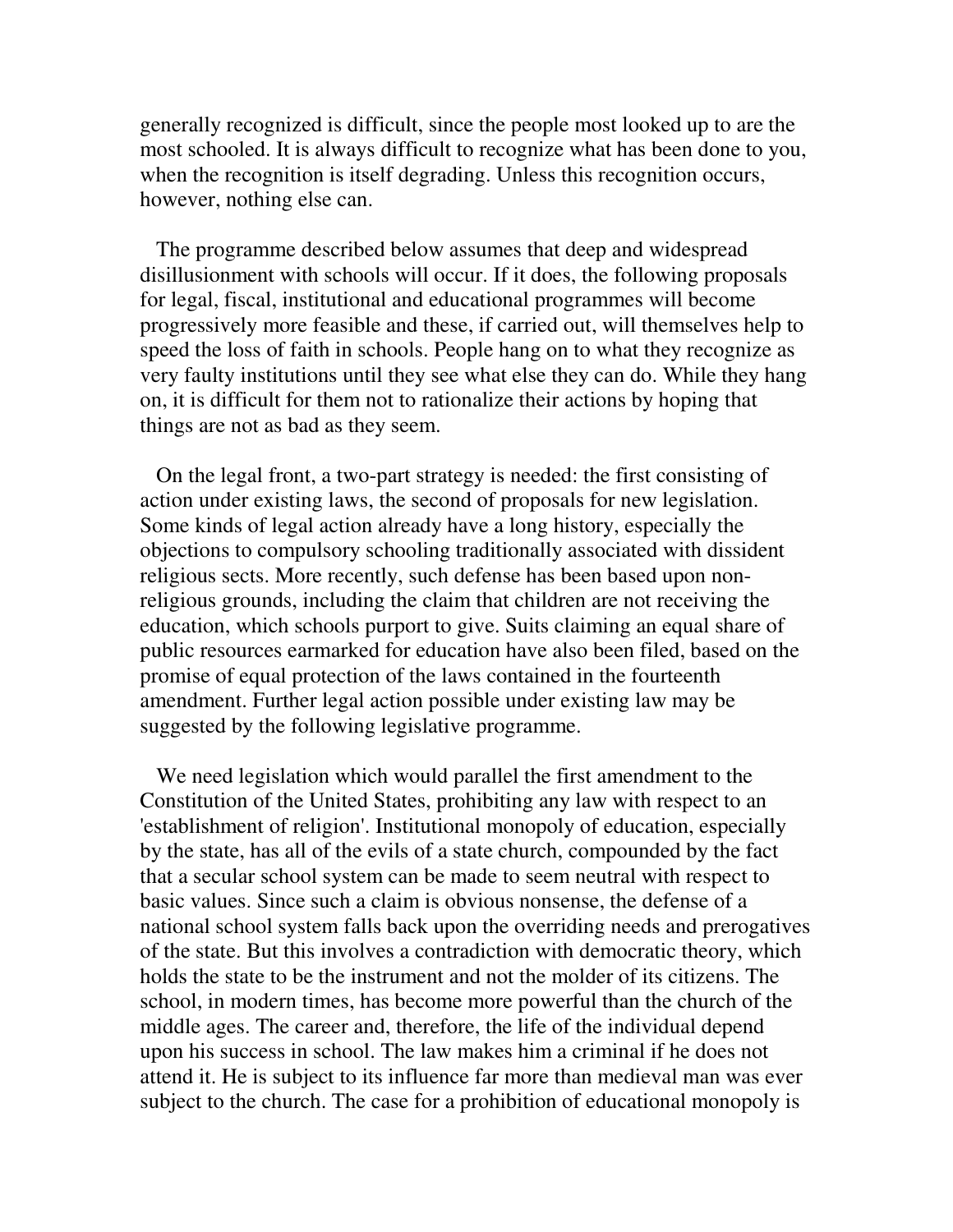generally recognized is difficult, since the people most looked up to are the most schooled. It is always difficult to recognize what has been done to you, when the recognition is itself degrading. Unless this recognition occurs, however, nothing else can.

 The programme described below assumes that deep and widespread disillusionment with schools will occur. If it does, the following proposals for legal, fiscal, institutional and educational programmes will become progressively more feasible and these, if carried out, will themselves help to speed the loss of faith in schools. People hang on to what they recognize as very faulty institutions until they see what else they can do. While they hang on, it is difficult for them not to rationalize their actions by hoping that things are not as bad as they seem.

 On the legal front, a two-part strategy is needed: the first consisting of action under existing laws, the second of proposals for new legislation. Some kinds of legal action already have a long history, especially the objections to compulsory schooling traditionally associated with dissident religious sects. More recently, such defense has been based upon nonreligious grounds, including the claim that children are not receiving the education, which schools purport to give. Suits claiming an equal share of public resources earmarked for education have also been filed, based on the promise of equal protection of the laws contained in the fourteenth amendment. Further legal action possible under existing law may be suggested by the following legislative programme.

 We need legislation which would parallel the first amendment to the Constitution of the United States, prohibiting any law with respect to an 'establishment of religion'. Institutional monopoly of education, especially by the state, has all of the evils of a state church, compounded by the fact that a secular school system can be made to seem neutral with respect to basic values. Since such a claim is obvious nonsense, the defense of a national school system falls back upon the overriding needs and prerogatives of the state. But this involves a contradiction with democratic theory, which holds the state to be the instrument and not the molder of its citizens. The school, in modern times, has become more powerful than the church of the middle ages. The career and, therefore, the life of the individual depend upon his success in school. The law makes him a criminal if he does not attend it. He is subject to its influence far more than medieval man was ever subject to the church. The case for a prohibition of educational monopoly is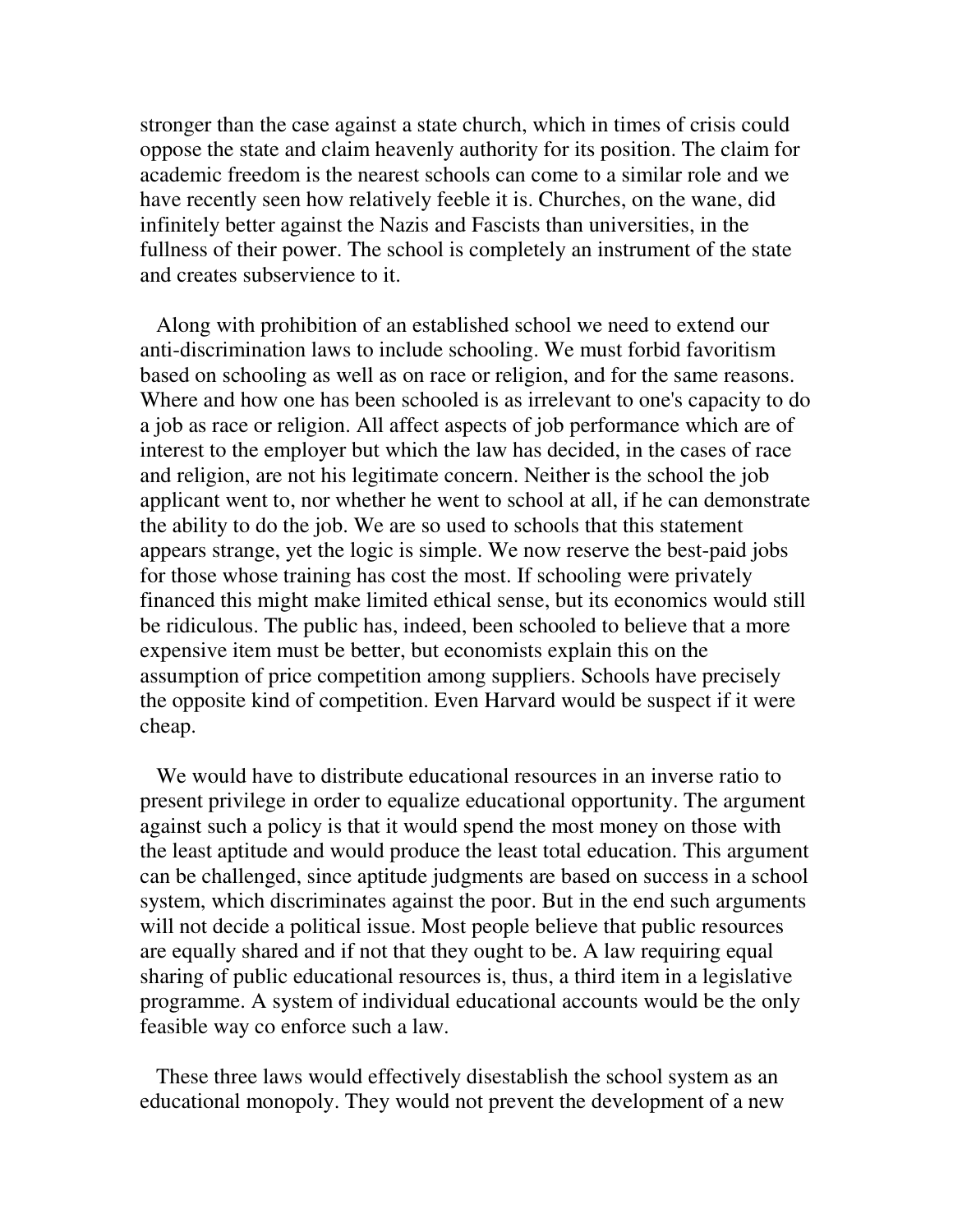stronger than the case against a state church, which in times of crisis could oppose the state and claim heavenly authority for its position. The claim for academic freedom is the nearest schools can come to a similar role and we have recently seen how relatively feeble it is. Churches, on the wane, did infinitely better against the Nazis and Fascists than universities, in the fullness of their power. The school is completely an instrument of the state and creates subservience to it.

 Along with prohibition of an established school we need to extend our anti-discrimination laws to include schooling. We must forbid favoritism based on schooling as well as on race or religion, and for the same reasons. Where and how one has been schooled is as irrelevant to one's capacity to do a job as race or religion. All affect aspects of job performance which are of interest to the employer but which the law has decided, in the cases of race and religion, are not his legitimate concern. Neither is the school the job applicant went to, nor whether he went to school at all, if he can demonstrate the ability to do the job. We are so used to schools that this statement appears strange, yet the logic is simple. We now reserve the best-paid jobs for those whose training has cost the most. If schooling were privately financed this might make limited ethical sense, but its economics would still be ridiculous. The public has, indeed, been schooled to believe that a more expensive item must be better, but economists explain this on the assumption of price competition among suppliers. Schools have precisely the opposite kind of competition. Even Harvard would be suspect if it were cheap.

 We would have to distribute educational resources in an inverse ratio to present privilege in order to equalize educational opportunity. The argument against such a policy is that it would spend the most money on those with the least aptitude and would produce the least total education. This argument can be challenged, since aptitude judgments are based on success in a school system, which discriminates against the poor. But in the end such arguments will not decide a political issue. Most people believe that public resources are equally shared and if not that they ought to be. A law requiring equal sharing of public educational resources is, thus, a third item in a legislative programme. A system of individual educational accounts would be the only feasible way co enforce such a law.

 These three laws would effectively disestablish the school system as an educational monopoly. They would not prevent the development of a new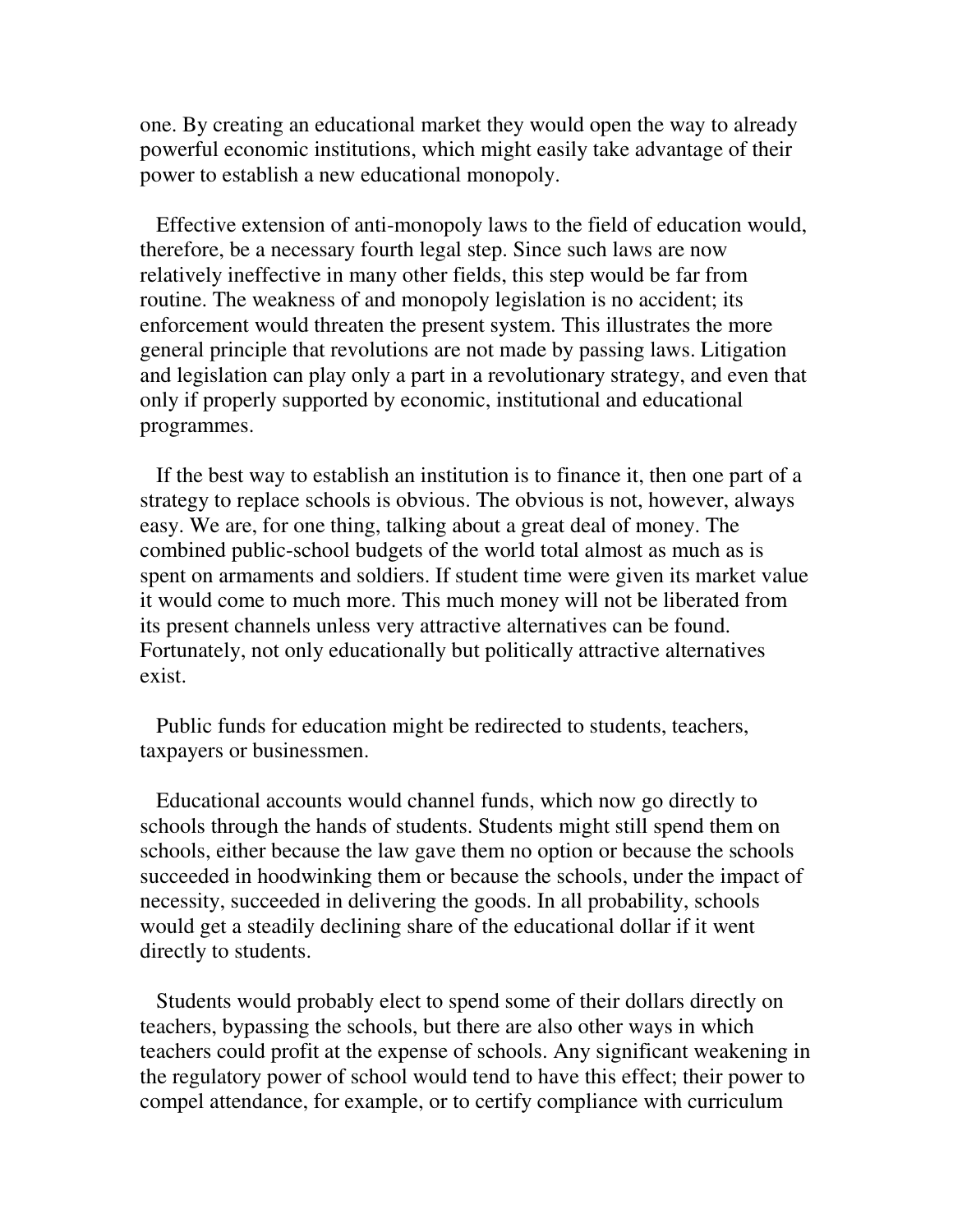one. By creating an educational market they would open the way to already powerful economic institutions, which might easily take advantage of their power to establish a new educational monopoly.

 Effective extension of anti-monopoly laws to the field of education would, therefore, be a necessary fourth legal step. Since such laws are now relatively ineffective in many other fields, this step would be far from routine. The weakness of and monopoly legislation is no accident; its enforcement would threaten the present system. This illustrates the more general principle that revolutions are not made by passing laws. Litigation and legislation can play only a part in a revolutionary strategy, and even that only if properly supported by economic, institutional and educational programmes.

 If the best way to establish an institution is to finance it, then one part of a strategy to replace schools is obvious. The obvious is not, however, always easy. We are, for one thing, talking about a great deal of money. The combined public-school budgets of the world total almost as much as is spent on armaments and soldiers. If student time were given its market value it would come to much more. This much money will not be liberated from its present channels unless very attractive alternatives can be found. Fortunately, not only educationally but politically attractive alternatives exist.

 Public funds for education might be redirected to students, teachers, taxpayers or businessmen.

 Educational accounts would channel funds, which now go directly to schools through the hands of students. Students might still spend them on schools, either because the law gave them no option or because the schools succeeded in hoodwinking them or because the schools, under the impact of necessity, succeeded in delivering the goods. In all probability, schools would get a steadily declining share of the educational dollar if it went directly to students.

 Students would probably elect to spend some of their dollars directly on teachers, bypassing the schools, but there are also other ways in which teachers could profit at the expense of schools. Any significant weakening in the regulatory power of school would tend to have this effect; their power to compel attendance, for example, or to certify compliance with curriculum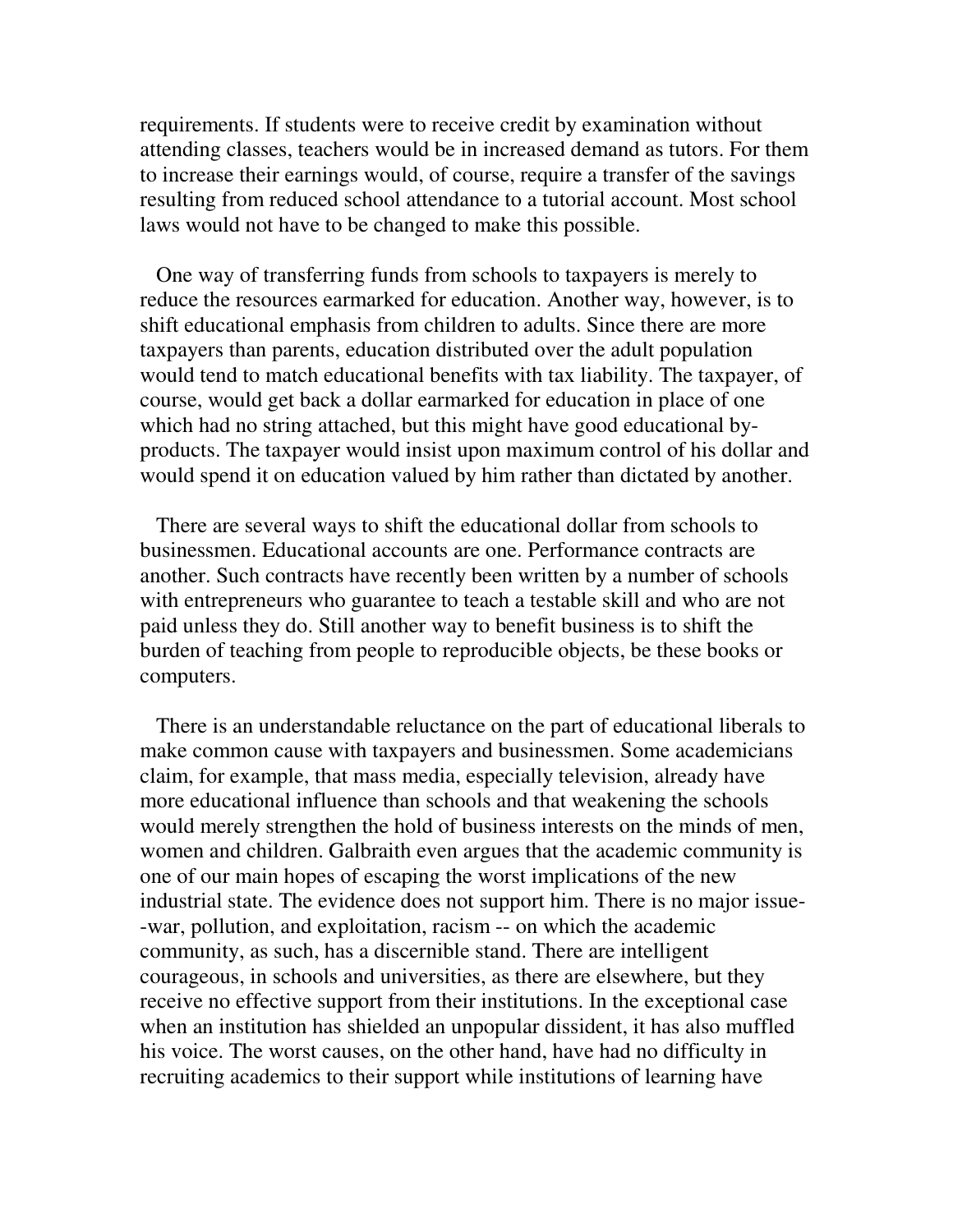requirements. If students were to receive credit by examination without attending classes, teachers would be in increased demand as tutors. For them to increase their earnings would, of course, require a transfer of the savings resulting from reduced school attendance to a tutorial account. Most school laws would not have to be changed to make this possible.

 One way of transferring funds from schools to taxpayers is merely to reduce the resources earmarked for education. Another way, however, is to shift educational emphasis from children to adults. Since there are more taxpayers than parents, education distributed over the adult population would tend to match educational benefits with tax liability. The taxpayer, of course, would get back a dollar earmarked for education in place of one which had no string attached, but this might have good educational byproducts. The taxpayer would insist upon maximum control of his dollar and would spend it on education valued by him rather than dictated by another.

 There are several ways to shift the educational dollar from schools to businessmen. Educational accounts are one. Performance contracts are another. Such contracts have recently been written by a number of schools with entrepreneurs who guarantee to teach a testable skill and who are not paid unless they do. Still another way to benefit business is to shift the burden of teaching from people to reproducible objects, be these books or computers.

 There is an understandable reluctance on the part of educational liberals to make common cause with taxpayers and businessmen. Some academicians claim, for example, that mass media, especially television, already have more educational influence than schools and that weakening the schools would merely strengthen the hold of business interests on the minds of men, women and children. Galbraith even argues that the academic community is one of our main hopes of escaping the worst implications of the new industrial state. The evidence does not support him. There is no major issue- -war, pollution, and exploitation, racism -- on which the academic community, as such, has a discernible stand. There are intelligent courageous, in schools and universities, as there are elsewhere, but they receive no effective support from their institutions. In the exceptional case when an institution has shielded an unpopular dissident, it has also muffled his voice. The worst causes, on the other hand, have had no difficulty in recruiting academics to their support while institutions of learning have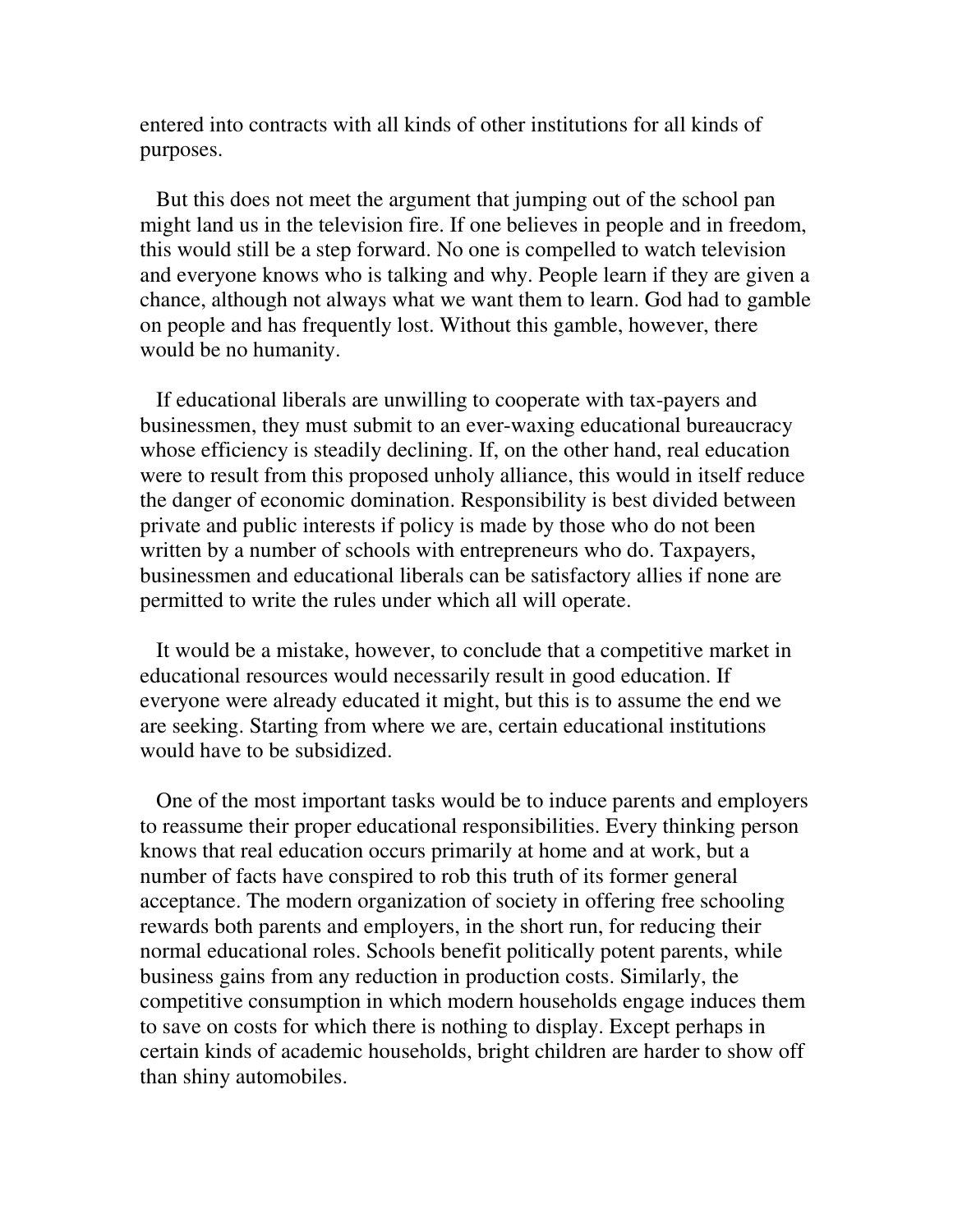entered into contracts with all kinds of other institutions for all kinds of purposes.

 But this does not meet the argument that jumping out of the school pan might land us in the television fire. If one believes in people and in freedom, this would still be a step forward. No one is compelled to watch television and everyone knows who is talking and why. People learn if they are given a chance, although not always what we want them to learn. God had to gamble on people and has frequently lost. Without this gamble, however, there would be no humanity.

 If educational liberals are unwilling to cooperate with tax-payers and businessmen, they must submit to an ever-waxing educational bureaucracy whose efficiency is steadily declining. If, on the other hand, real education were to result from this proposed unholy alliance, this would in itself reduce the danger of economic domination. Responsibility is best divided between private and public interests if policy is made by those who do not been written by a number of schools with entrepreneurs who do. Taxpayers, businessmen and educational liberals can be satisfactory allies if none are permitted to write the rules under which all will operate.

 It would be a mistake, however, to conclude that a competitive market in educational resources would necessarily result in good education. If everyone were already educated it might, but this is to assume the end we are seeking. Starting from where we are, certain educational institutions would have to be subsidized.

 One of the most important tasks would be to induce parents and employers to reassume their proper educational responsibilities. Every thinking person knows that real education occurs primarily at home and at work, but a number of facts have conspired to rob this truth of its former general acceptance. The modern organization of society in offering free schooling rewards both parents and employers, in the short run, for reducing their normal educational roles. Schools benefit politically potent parents, while business gains from any reduction in production costs. Similarly, the competitive consumption in which modern households engage induces them to save on costs for which there is nothing to display. Except perhaps in certain kinds of academic households, bright children are harder to show off than shiny automobiles.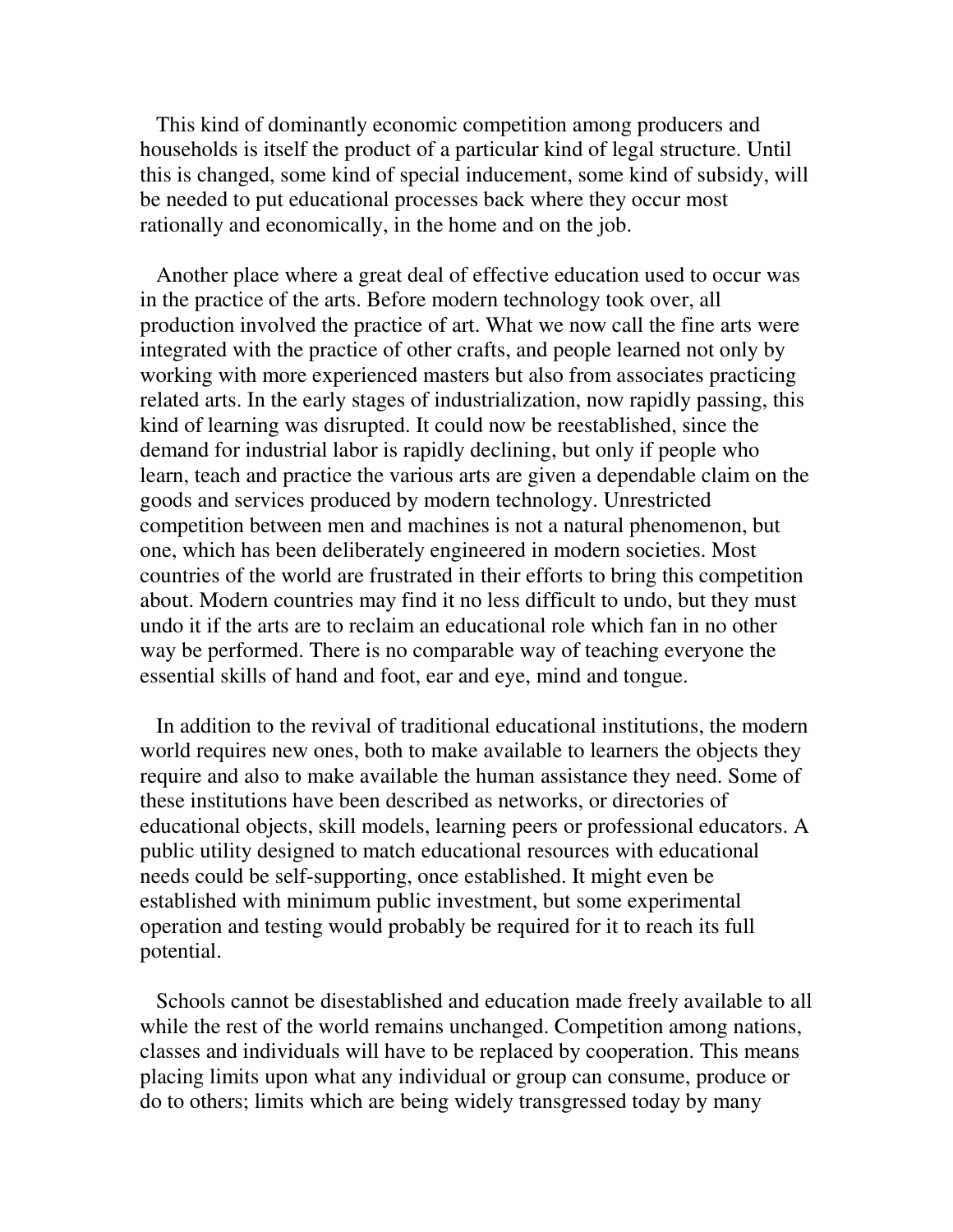This kind of dominantly economic competition among producers and households is itself the product of a particular kind of legal structure. Until this is changed, some kind of special inducement, some kind of subsidy, will be needed to put educational processes back where they occur most rationally and economically, in the home and on the job.

 Another place where a great deal of effective education used to occur was in the practice of the arts. Before modern technology took over, all production involved the practice of art. What we now call the fine arts were integrated with the practice of other crafts, and people learned not only by working with more experienced masters but also from associates practicing related arts. In the early stages of industrialization, now rapidly passing, this kind of learning was disrupted. It could now be reestablished, since the demand for industrial labor is rapidly declining, but only if people who learn, teach and practice the various arts are given a dependable claim on the goods and services produced by modern technology. Unrestricted competition between men and machines is not a natural phenomenon, but one, which has been deliberately engineered in modern societies. Most countries of the world are frustrated in their efforts to bring this competition about. Modern countries may find it no less difficult to undo, but they must undo it if the arts are to reclaim an educational role which fan in no other way be performed. There is no comparable way of teaching everyone the essential skills of hand and foot, ear and eye, mind and tongue.

 In addition to the revival of traditional educational institutions, the modern world requires new ones, both to make available to learners the objects they require and also to make available the human assistance they need. Some of these institutions have been described as networks, or directories of educational objects, skill models, learning peers or professional educators. A public utility designed to match educational resources with educational needs could be self-supporting, once established. It might even be established with minimum public investment, but some experimental operation and testing would probably be required for it to reach its full potential.

 Schools cannot be disestablished and education made freely available to all while the rest of the world remains unchanged. Competition among nations, classes and individuals will have to be replaced by cooperation. This means placing limits upon what any individual or group can consume, produce or do to others; limits which are being widely transgressed today by many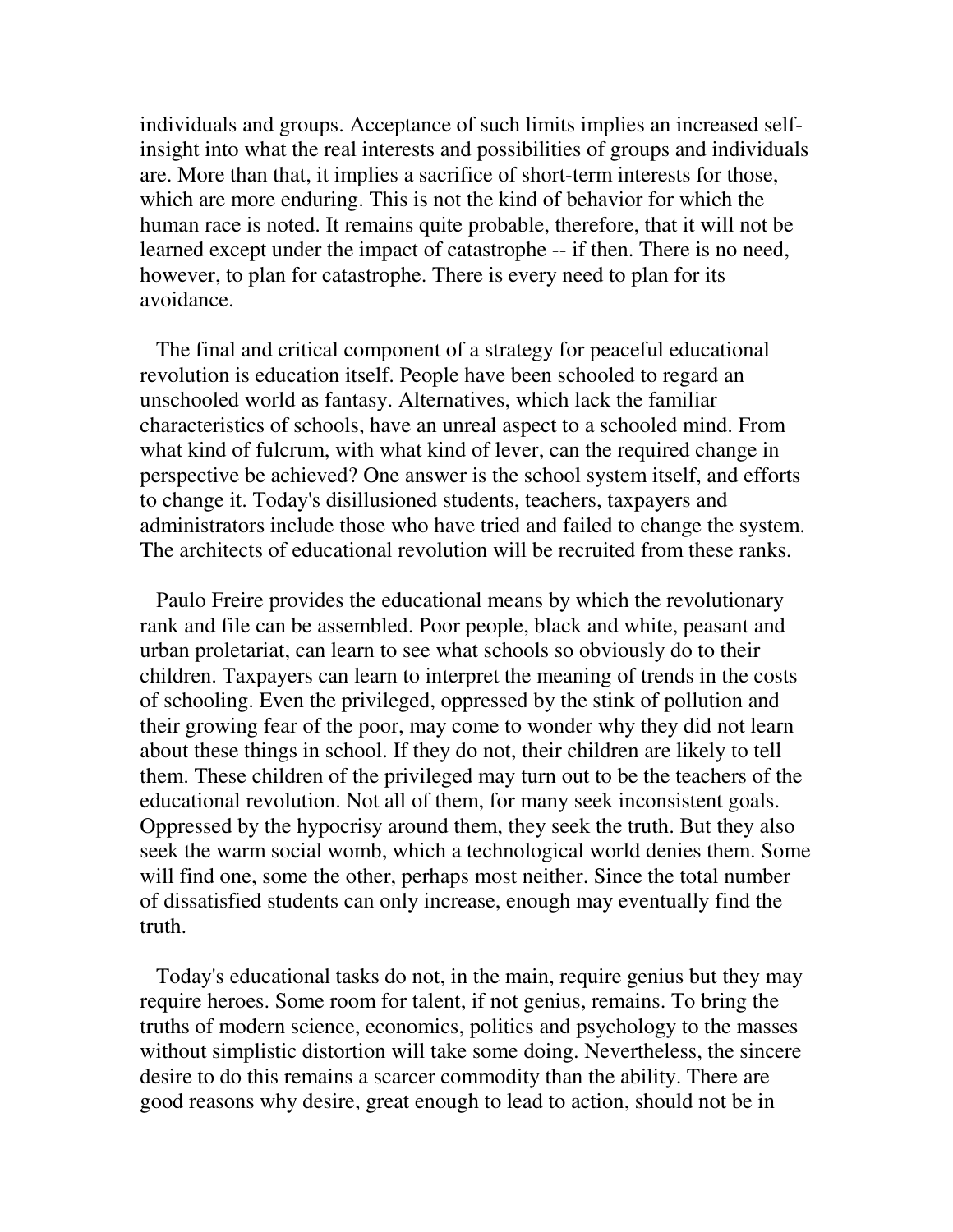individuals and groups. Acceptance of such limits implies an increased selfinsight into what the real interests and possibilities of groups and individuals are. More than that, it implies a sacrifice of short-term interests for those, which are more enduring. This is not the kind of behavior for which the human race is noted. It remains quite probable, therefore, that it will not be learned except under the impact of catastrophe -- if then. There is no need, however, to plan for catastrophe. There is every need to plan for its avoidance.

 The final and critical component of a strategy for peaceful educational revolution is education itself. People have been schooled to regard an unschooled world as fantasy. Alternatives, which lack the familiar characteristics of schools, have an unreal aspect to a schooled mind. From what kind of fulcrum, with what kind of lever, can the required change in perspective be achieved? One answer is the school system itself, and efforts to change it. Today's disillusioned students, teachers, taxpayers and administrators include those who have tried and failed to change the system. The architects of educational revolution will be recruited from these ranks.

 Paulo Freire provides the educational means by which the revolutionary rank and file can be assembled. Poor people, black and white, peasant and urban proletariat, can learn to see what schools so obviously do to their children. Taxpayers can learn to interpret the meaning of trends in the costs of schooling. Even the privileged, oppressed by the stink of pollution and their growing fear of the poor, may come to wonder why they did not learn about these things in school. If they do not, their children are likely to tell them. These children of the privileged may turn out to be the teachers of the educational revolution. Not all of them, for many seek inconsistent goals. Oppressed by the hypocrisy around them, they seek the truth. But they also seek the warm social womb, which a technological world denies them. Some will find one, some the other, perhaps most neither. Since the total number of dissatisfied students can only increase, enough may eventually find the truth.

 Today's educational tasks do not, in the main, require genius but they may require heroes. Some room for talent, if not genius, remains. To bring the truths of modern science, economics, politics and psychology to the masses without simplistic distortion will take some doing. Nevertheless, the sincere desire to do this remains a scarcer commodity than the ability. There are good reasons why desire, great enough to lead to action, should not be in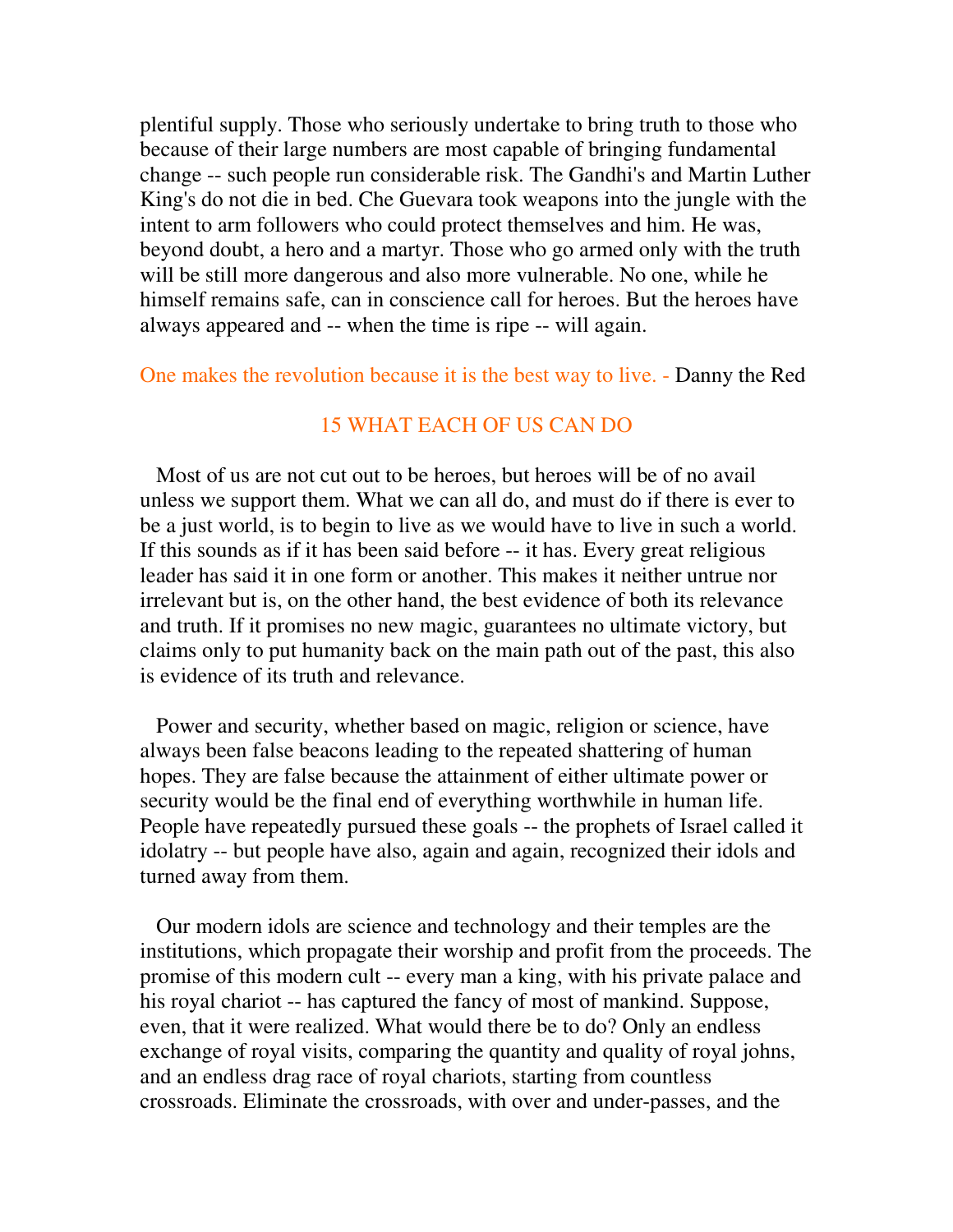plentiful supply. Those who seriously undertake to bring truth to those who because of their large numbers are most capable of bringing fundamental change -- such people run considerable risk. The Gandhi's and Martin Luther King's do not die in bed. Che Guevara took weapons into the jungle with the intent to arm followers who could protect themselves and him. He was, beyond doubt, a hero and a martyr. Those who go armed only with the truth will be still more dangerous and also more vulnerable. No one, while he himself remains safe, can in conscience call for heroes. But the heroes have always appeared and -- when the time is ripe -- will again.

One makes the revolution because it is the best way to live. - Danny the Red

## 15 WHAT EACH OF US CAN DO

 Most of us are not cut out to be heroes, but heroes will be of no avail unless we support them. What we can all do, and must do if there is ever to be a just world, is to begin to live as we would have to live in such a world. If this sounds as if it has been said before -- it has. Every great religious leader has said it in one form or another. This makes it neither untrue nor irrelevant but is, on the other hand, the best evidence of both its relevance and truth. If it promises no new magic, guarantees no ultimate victory, but claims only to put humanity back on the main path out of the past, this also is evidence of its truth and relevance.

 Power and security, whether based on magic, religion or science, have always been false beacons leading to the repeated shattering of human hopes. They are false because the attainment of either ultimate power or security would be the final end of everything worthwhile in human life. People have repeatedly pursued these goals -- the prophets of Israel called it idolatry -- but people have also, again and again, recognized their idols and turned away from them.

 Our modern idols are science and technology and their temples are the institutions, which propagate their worship and profit from the proceeds. The promise of this modern cult -- every man a king, with his private palace and his royal chariot -- has captured the fancy of most of mankind. Suppose, even, that it were realized. What would there be to do? Only an endless exchange of royal visits, comparing the quantity and quality of royal johns, and an endless drag race of royal chariots, starting from countless crossroads. Eliminate the crossroads, with over and under-passes, and the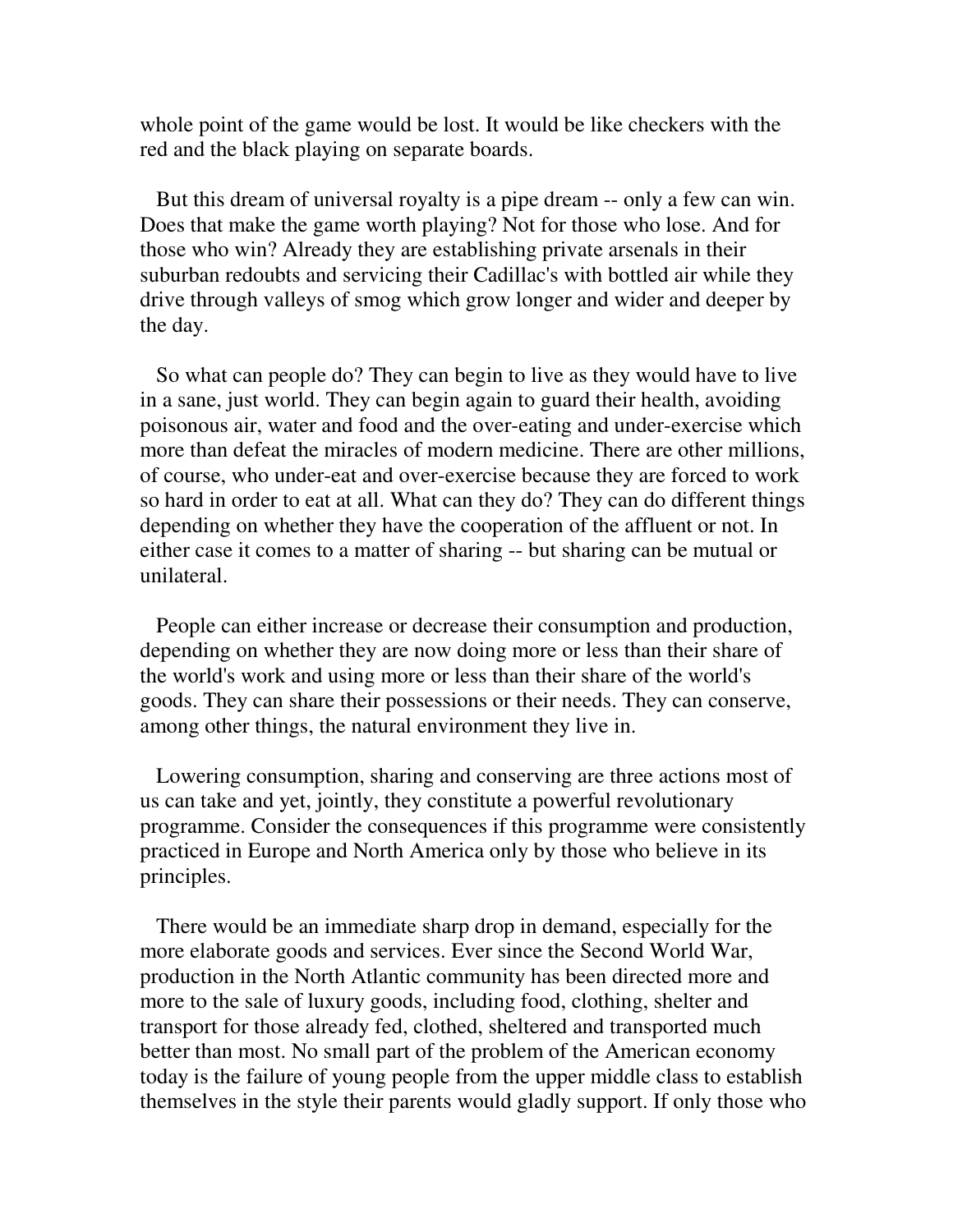whole point of the game would be lost. It would be like checkers with the red and the black playing on separate boards.

 But this dream of universal royalty is a pipe dream -- only a few can win. Does that make the game worth playing? Not for those who lose. And for those who win? Already they are establishing private arsenals in their suburban redoubts and servicing their Cadillac's with bottled air while they drive through valleys of smog which grow longer and wider and deeper by the day.

 So what can people do? They can begin to live as they would have to live in a sane, just world. They can begin again to guard their health, avoiding poisonous air, water and food and the over-eating and under-exercise which more than defeat the miracles of modern medicine. There are other millions, of course, who under-eat and over-exercise because they are forced to work so hard in order to eat at all. What can they do? They can do different things depending on whether they have the cooperation of the affluent or not. In either case it comes to a matter of sharing -- but sharing can be mutual or unilateral.

 People can either increase or decrease their consumption and production, depending on whether they are now doing more or less than their share of the world's work and using more or less than their share of the world's goods. They can share their possessions or their needs. They can conserve, among other things, the natural environment they live in.

 Lowering consumption, sharing and conserving are three actions most of us can take and yet, jointly, they constitute a powerful revolutionary programme. Consider the consequences if this programme were consistently practiced in Europe and North America only by those who believe in its principles.

 There would be an immediate sharp drop in demand, especially for the more elaborate goods and services. Ever since the Second World War, production in the North Atlantic community has been directed more and more to the sale of luxury goods, including food, clothing, shelter and transport for those already fed, clothed, sheltered and transported much better than most. No small part of the problem of the American economy today is the failure of young people from the upper middle class to establish themselves in the style their parents would gladly support. If only those who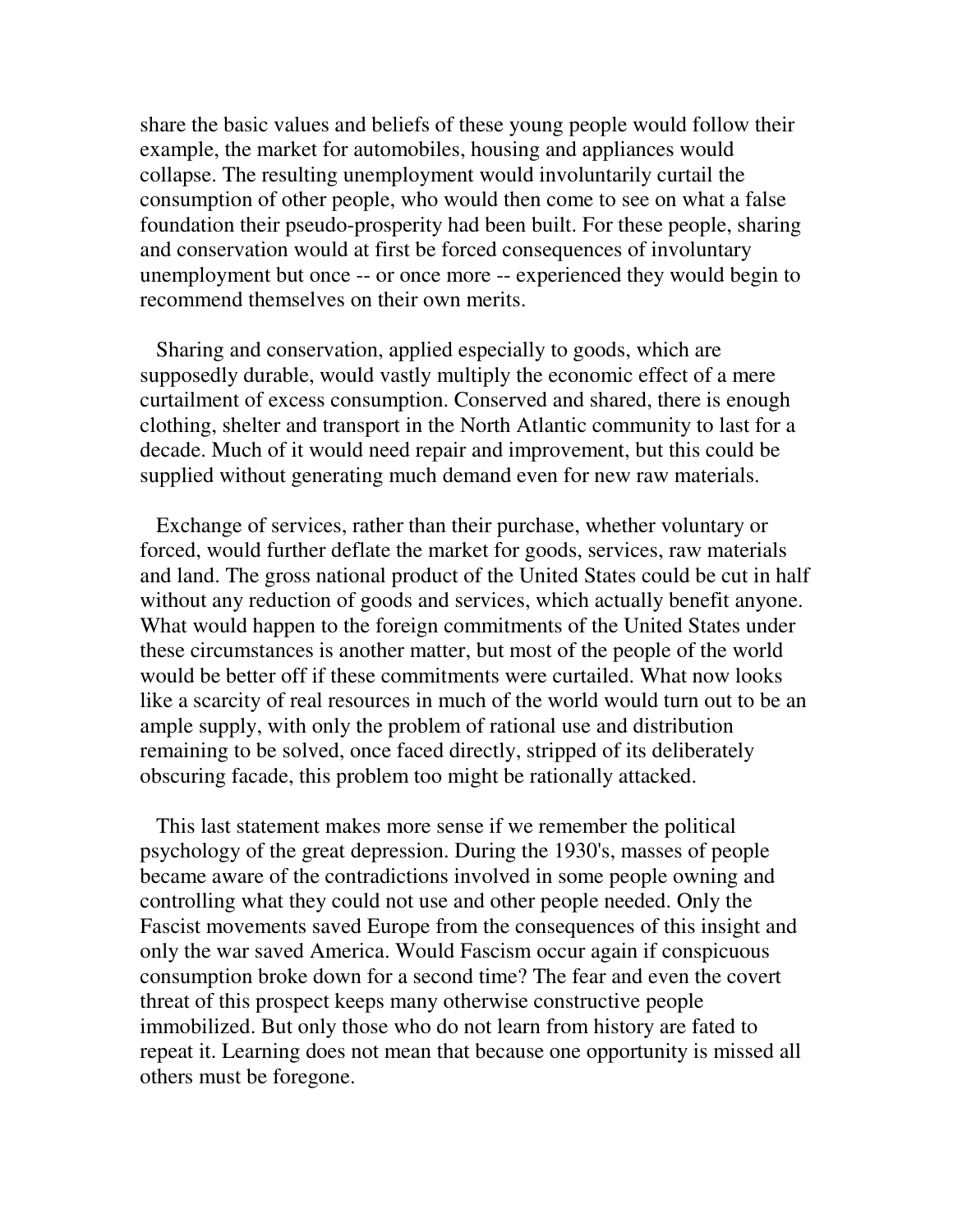share the basic values and beliefs of these young people would follow their example, the market for automobiles, housing and appliances would collapse. The resulting unemployment would involuntarily curtail the consumption of other people, who would then come to see on what a false foundation their pseudo-prosperity had been built. For these people, sharing and conservation would at first be forced consequences of involuntary unemployment but once -- or once more -- experienced they would begin to recommend themselves on their own merits.

 Sharing and conservation, applied especially to goods, which are supposedly durable, would vastly multiply the economic effect of a mere curtailment of excess consumption. Conserved and shared, there is enough clothing, shelter and transport in the North Atlantic community to last for a decade. Much of it would need repair and improvement, but this could be supplied without generating much demand even for new raw materials.

 Exchange of services, rather than their purchase, whether voluntary or forced, would further deflate the market for goods, services, raw materials and land. The gross national product of the United States could be cut in half without any reduction of goods and services, which actually benefit anyone. What would happen to the foreign commitments of the United States under these circumstances is another matter, but most of the people of the world would be better off if these commitments were curtailed. What now looks like a scarcity of real resources in much of the world would turn out to be an ample supply, with only the problem of rational use and distribution remaining to be solved, once faced directly, stripped of its deliberately obscuring facade, this problem too might be rationally attacked.

 This last statement makes more sense if we remember the political psychology of the great depression. During the 1930's, masses of people became aware of the contradictions involved in some people owning and controlling what they could not use and other people needed. Only the Fascist movements saved Europe from the consequences of this insight and only the war saved America. Would Fascism occur again if conspicuous consumption broke down for a second time? The fear and even the covert threat of this prospect keeps many otherwise constructive people immobilized. But only those who do not learn from history are fated to repeat it. Learning does not mean that because one opportunity is missed all others must be foregone.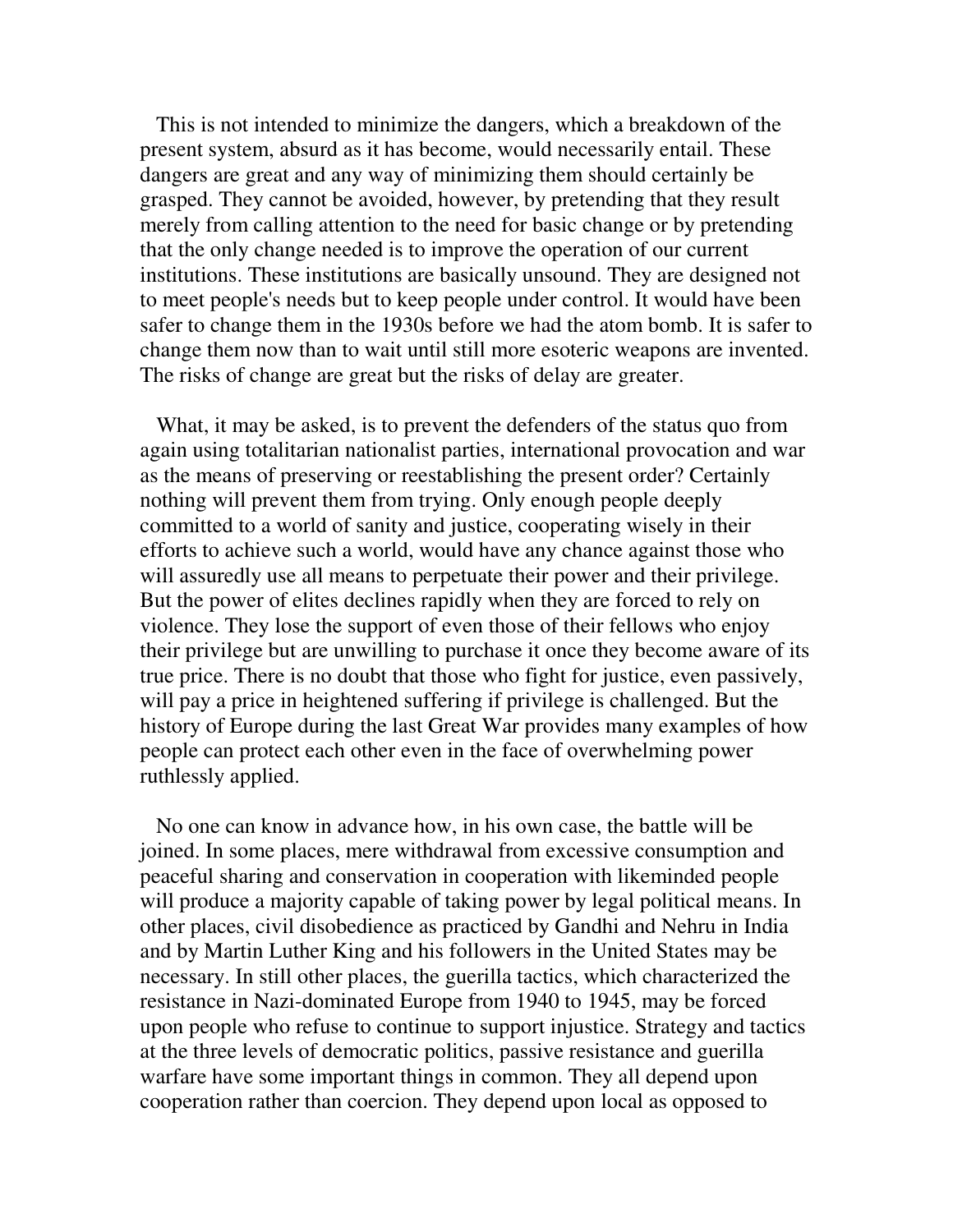This is not intended to minimize the dangers, which a breakdown of the present system, absurd as it has become, would necessarily entail. These dangers are great and any way of minimizing them should certainly be grasped. They cannot be avoided, however, by pretending that they result merely from calling attention to the need for basic change or by pretending that the only change needed is to improve the operation of our current institutions. These institutions are basically unsound. They are designed not to meet people's needs but to keep people under control. It would have been safer to change them in the 1930s before we had the atom bomb. It is safer to change them now than to wait until still more esoteric weapons are invented. The risks of change are great but the risks of delay are greater.

 What, it may be asked, is to prevent the defenders of the status quo from again using totalitarian nationalist parties, international provocation and war as the means of preserving or reestablishing the present order? Certainly nothing will prevent them from trying. Only enough people deeply committed to a world of sanity and justice, cooperating wisely in their efforts to achieve such a world, would have any chance against those who will assuredly use all means to perpetuate their power and their privilege. But the power of elites declines rapidly when they are forced to rely on violence. They lose the support of even those of their fellows who enjoy their privilege but are unwilling to purchase it once they become aware of its true price. There is no doubt that those who fight for justice, even passively, will pay a price in heightened suffering if privilege is challenged. But the history of Europe during the last Great War provides many examples of how people can protect each other even in the face of overwhelming power ruthlessly applied.

 No one can know in advance how, in his own case, the battle will be joined. In some places, mere withdrawal from excessive consumption and peaceful sharing and conservation in cooperation with likeminded people will produce a majority capable of taking power by legal political means. In other places, civil disobedience as practiced by Gandhi and Nehru in India and by Martin Luther King and his followers in the United States may be necessary. In still other places, the guerilla tactics, which characterized the resistance in Nazi-dominated Europe from 1940 to 1945, may be forced upon people who refuse to continue to support injustice. Strategy and tactics at the three levels of democratic politics, passive resistance and guerilla warfare have some important things in common. They all depend upon cooperation rather than coercion. They depend upon local as opposed to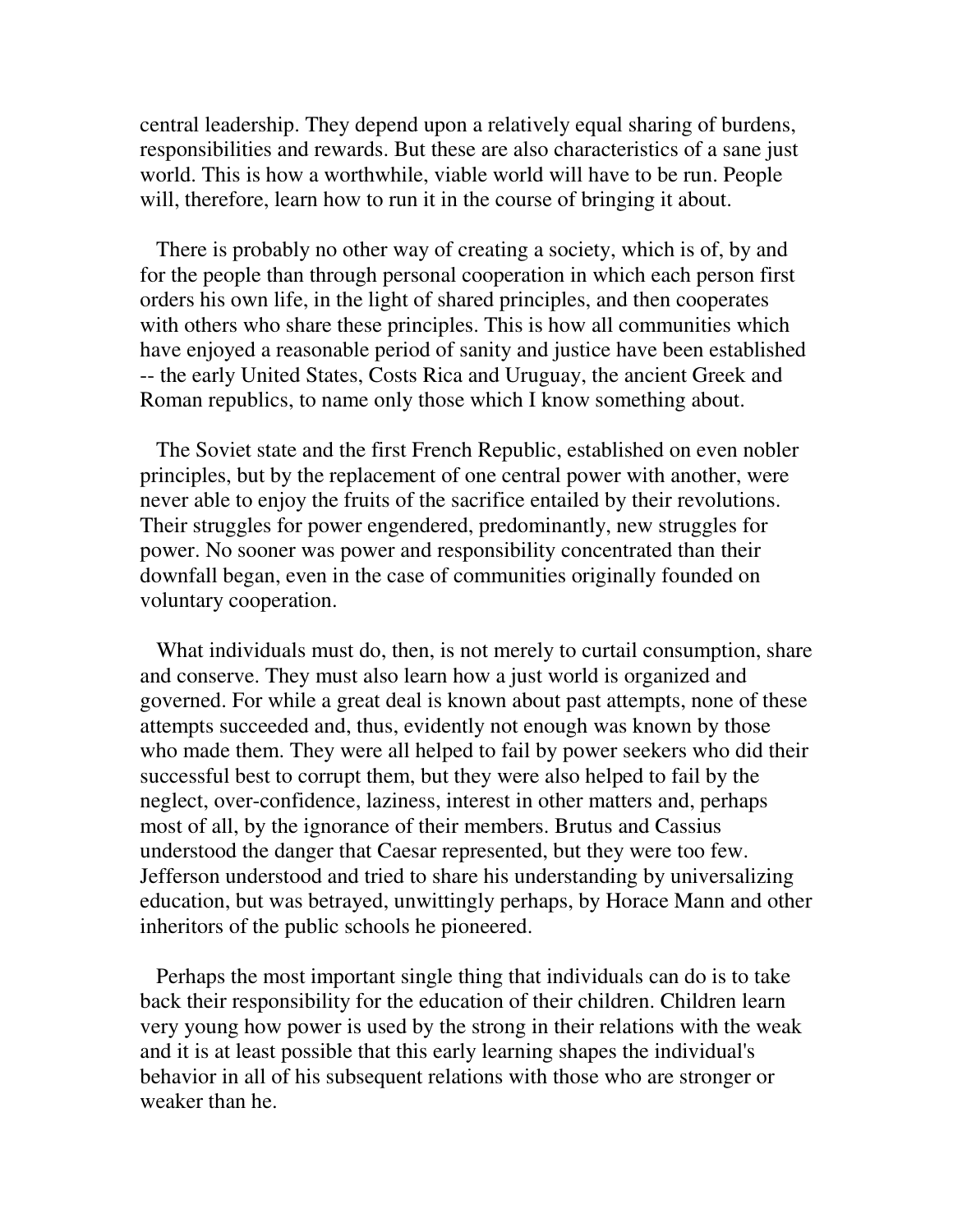central leadership. They depend upon a relatively equal sharing of burdens, responsibilities and rewards. But these are also characteristics of a sane just world. This is how a worthwhile, viable world will have to be run. People will, therefore, learn how to run it in the course of bringing it about.

 There is probably no other way of creating a society, which is of, by and for the people than through personal cooperation in which each person first orders his own life, in the light of shared principles, and then cooperates with others who share these principles. This is how all communities which have enjoyed a reasonable period of sanity and justice have been established -- the early United States, Costs Rica and Uruguay, the ancient Greek and Roman republics, to name only those which I know something about.

 The Soviet state and the first French Republic, established on even nobler principles, but by the replacement of one central power with another, were never able to enjoy the fruits of the sacrifice entailed by their revolutions. Their struggles for power engendered, predominantly, new struggles for power. No sooner was power and responsibility concentrated than their downfall began, even in the case of communities originally founded on voluntary cooperation.

 What individuals must do, then, is not merely to curtail consumption, share and conserve. They must also learn how a just world is organized and governed. For while a great deal is known about past attempts, none of these attempts succeeded and, thus, evidently not enough was known by those who made them. They were all helped to fail by power seekers who did their successful best to corrupt them, but they were also helped to fail by the neglect, over-confidence, laziness, interest in other matters and, perhaps most of all, by the ignorance of their members. Brutus and Cassius understood the danger that Caesar represented, but they were too few. Jefferson understood and tried to share his understanding by universalizing education, but was betrayed, unwittingly perhaps, by Horace Mann and other inheritors of the public schools he pioneered.

 Perhaps the most important single thing that individuals can do is to take back their responsibility for the education of their children. Children learn very young how power is used by the strong in their relations with the weak and it is at least possible that this early learning shapes the individual's behavior in all of his subsequent relations with those who are stronger or weaker than he.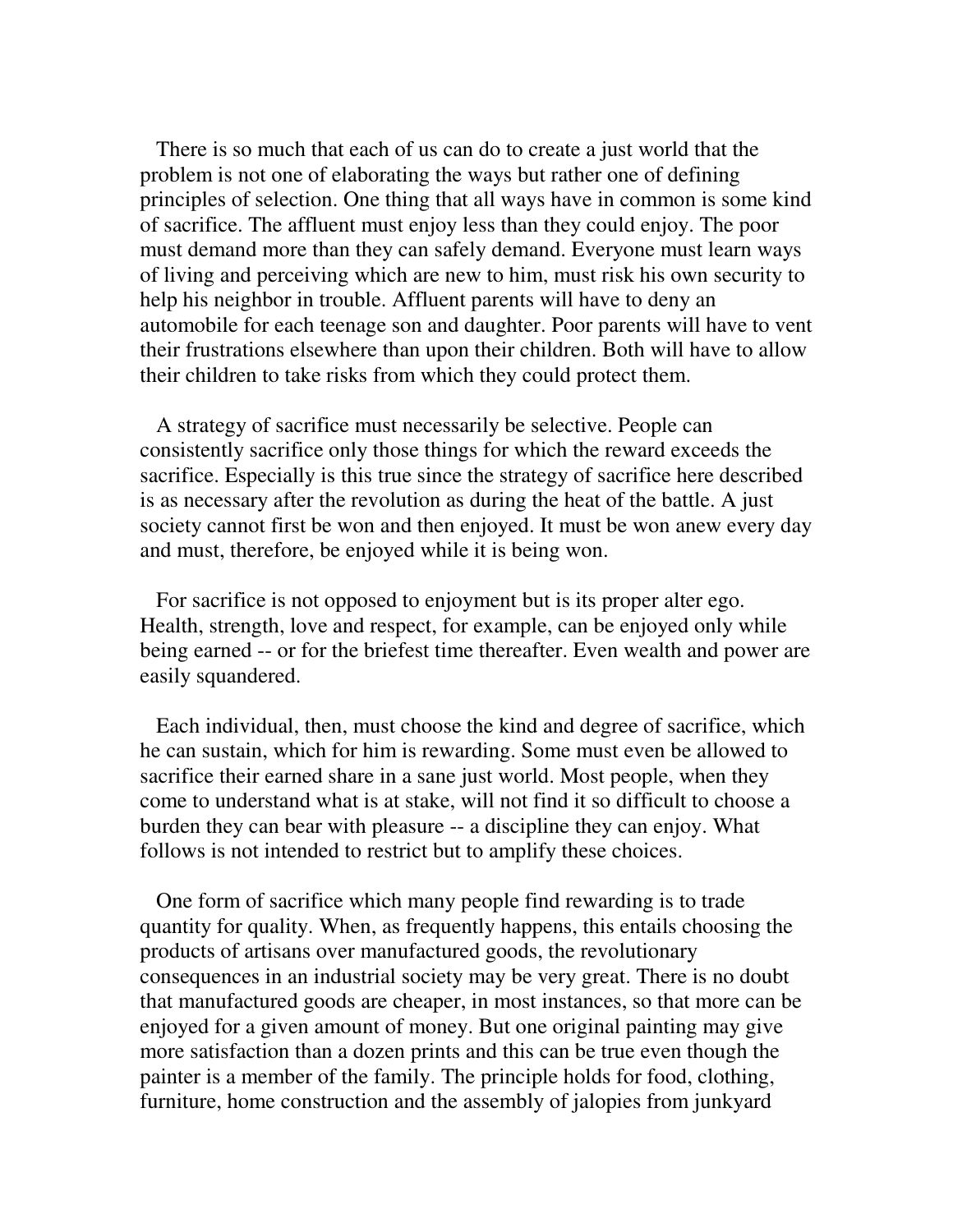There is so much that each of us can do to create a just world that the problem is not one of elaborating the ways but rather one of defining principles of selection. One thing that all ways have in common is some kind of sacrifice. The affluent must enjoy less than they could enjoy. The poor must demand more than they can safely demand. Everyone must learn ways of living and perceiving which are new to him, must risk his own security to help his neighbor in trouble. Affluent parents will have to deny an automobile for each teenage son and daughter. Poor parents will have to vent their frustrations elsewhere than upon their children. Both will have to allow their children to take risks from which they could protect them.

 A strategy of sacrifice must necessarily be selective. People can consistently sacrifice only those things for which the reward exceeds the sacrifice. Especially is this true since the strategy of sacrifice here described is as necessary after the revolution as during the heat of the battle. A just society cannot first be won and then enjoyed. It must be won anew every day and must, therefore, be enjoyed while it is being won.

 For sacrifice is not opposed to enjoyment but is its proper alter ego. Health, strength, love and respect, for example, can be enjoyed only while being earned -- or for the briefest time thereafter. Even wealth and power are easily squandered.

 Each individual, then, must choose the kind and degree of sacrifice, which he can sustain, which for him is rewarding. Some must even be allowed to sacrifice their earned share in a sane just world. Most people, when they come to understand what is at stake, will not find it so difficult to choose a burden they can bear with pleasure -- a discipline they can enjoy. What follows is not intended to restrict but to amplify these choices.

 One form of sacrifice which many people find rewarding is to trade quantity for quality. When, as frequently happens, this entails choosing the products of artisans over manufactured goods, the revolutionary consequences in an industrial society may be very great. There is no doubt that manufactured goods are cheaper, in most instances, so that more can be enjoyed for a given amount of money. But one original painting may give more satisfaction than a dozen prints and this can be true even though the painter is a member of the family. The principle holds for food, clothing, furniture, home construction and the assembly of jalopies from junkyard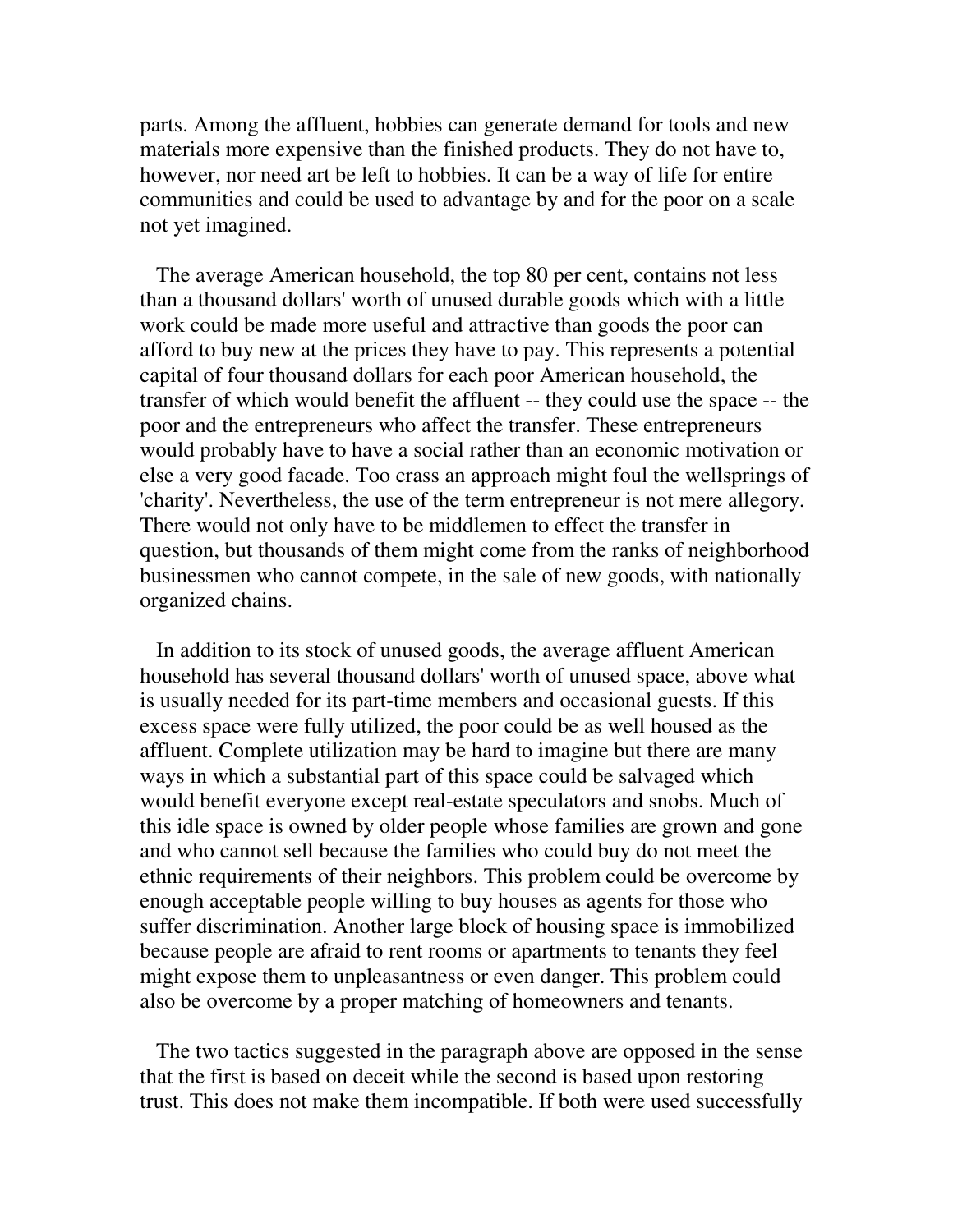parts. Among the affluent, hobbies can generate demand for tools and new materials more expensive than the finished products. They do not have to, however, nor need art be left to hobbies. It can be a way of life for entire communities and could be used to advantage by and for the poor on a scale not yet imagined.

 The average American household, the top 80 per cent, contains not less than a thousand dollars' worth of unused durable goods which with a little work could be made more useful and attractive than goods the poor can afford to buy new at the prices they have to pay. This represents a potential capital of four thousand dollars for each poor American household, the transfer of which would benefit the affluent -- they could use the space -- the poor and the entrepreneurs who affect the transfer. These entrepreneurs would probably have to have a social rather than an economic motivation or else a very good facade. Too crass an approach might foul the wellsprings of 'charity'. Nevertheless, the use of the term entrepreneur is not mere allegory. There would not only have to be middlemen to effect the transfer in question, but thousands of them might come from the ranks of neighborhood businessmen who cannot compete, in the sale of new goods, with nationally organized chains.

 In addition to its stock of unused goods, the average affluent American household has several thousand dollars' worth of unused space, above what is usually needed for its part-time members and occasional guests. If this excess space were fully utilized, the poor could be as well housed as the affluent. Complete utilization may be hard to imagine but there are many ways in which a substantial part of this space could be salvaged which would benefit everyone except real-estate speculators and snobs. Much of this idle space is owned by older people whose families are grown and gone and who cannot sell because the families who could buy do not meet the ethnic requirements of their neighbors. This problem could be overcome by enough acceptable people willing to buy houses as agents for those who suffer discrimination. Another large block of housing space is immobilized because people are afraid to rent rooms or apartments to tenants they feel might expose them to unpleasantness or even danger. This problem could also be overcome by a proper matching of homeowners and tenants.

 The two tactics suggested in the paragraph above are opposed in the sense that the first is based on deceit while the second is based upon restoring trust. This does not make them incompatible. If both were used successfully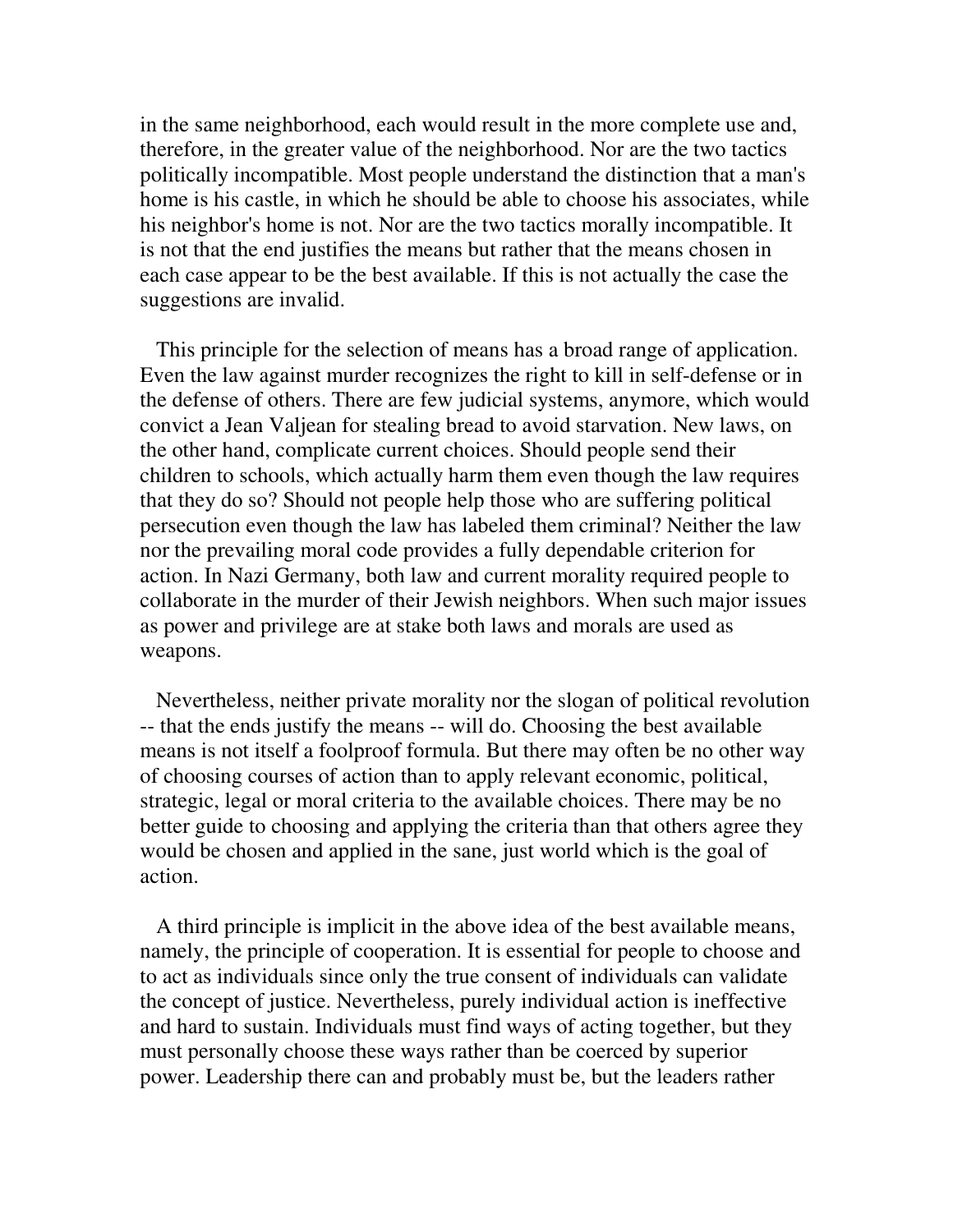in the same neighborhood, each would result in the more complete use and, therefore, in the greater value of the neighborhood. Nor are the two tactics politically incompatible. Most people understand the distinction that a man's home is his castle, in which he should be able to choose his associates, while his neighbor's home is not. Nor are the two tactics morally incompatible. It is not that the end justifies the means but rather that the means chosen in each case appear to be the best available. If this is not actually the case the suggestions are invalid.

 This principle for the selection of means has a broad range of application. Even the law against murder recognizes the right to kill in self-defense or in the defense of others. There are few judicial systems, anymore, which would convict a Jean Valjean for stealing bread to avoid starvation. New laws, on the other hand, complicate current choices. Should people send their children to schools, which actually harm them even though the law requires that they do so? Should not people help those who are suffering political persecution even though the law has labeled them criminal? Neither the law nor the prevailing moral code provides a fully dependable criterion for action. In Nazi Germany, both law and current morality required people to collaborate in the murder of their Jewish neighbors. When such major issues as power and privilege are at stake both laws and morals are used as weapons.

 Nevertheless, neither private morality nor the slogan of political revolution -- that the ends justify the means -- will do. Choosing the best available means is not itself a foolproof formula. But there may often be no other way of choosing courses of action than to apply relevant economic, political, strategic, legal or moral criteria to the available choices. There may be no better guide to choosing and applying the criteria than that others agree they would be chosen and applied in the sane, just world which is the goal of action.

 A third principle is implicit in the above idea of the best available means, namely, the principle of cooperation. It is essential for people to choose and to act as individuals since only the true consent of individuals can validate the concept of justice. Nevertheless, purely individual action is ineffective and hard to sustain. Individuals must find ways of acting together, but they must personally choose these ways rather than be coerced by superior power. Leadership there can and probably must be, but the leaders rather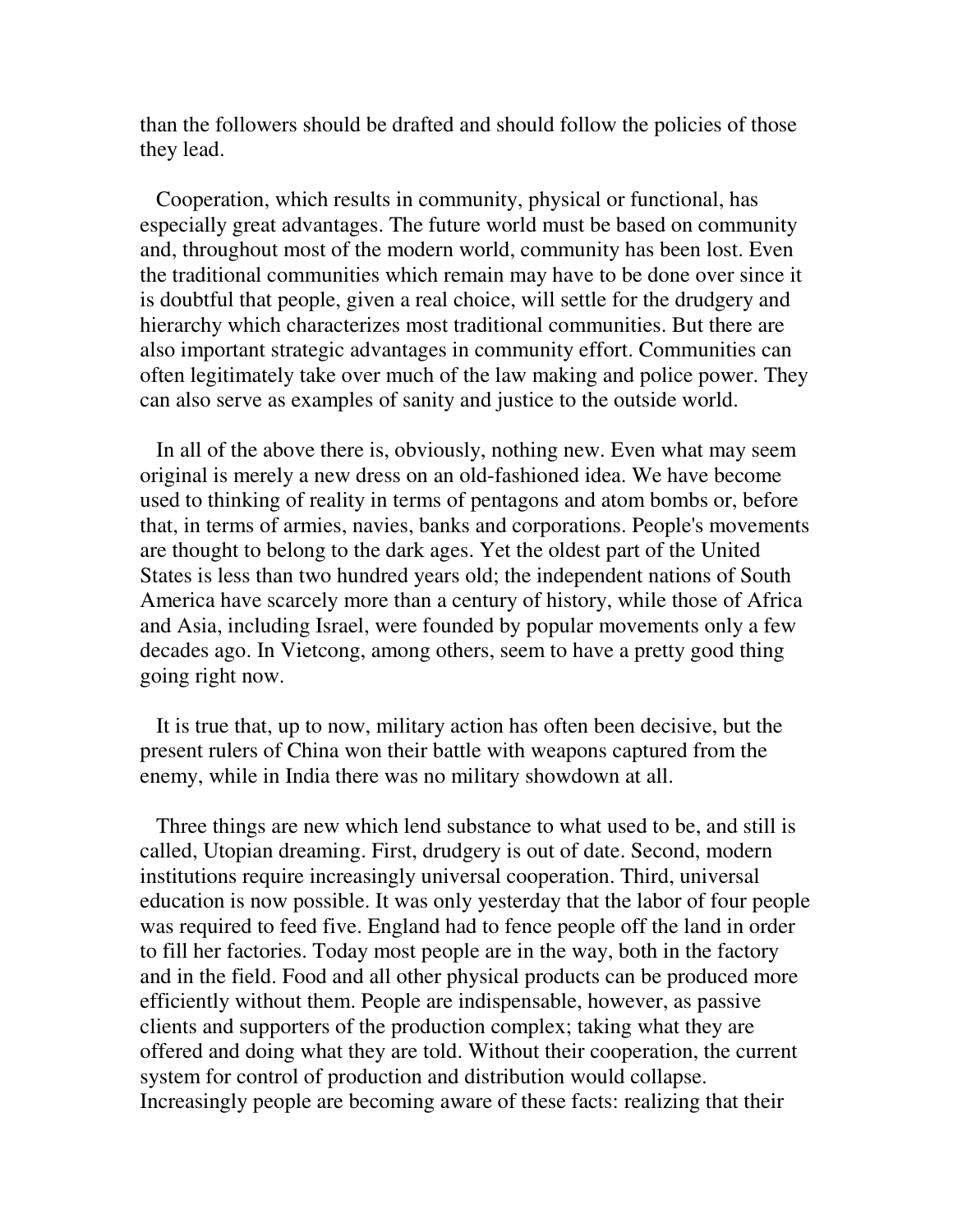than the followers should be drafted and should follow the policies of those they lead.

 Cooperation, which results in community, physical or functional, has especially great advantages. The future world must be based on community and, throughout most of the modern world, community has been lost. Even the traditional communities which remain may have to be done over since it is doubtful that people, given a real choice, will settle for the drudgery and hierarchy which characterizes most traditional communities. But there are also important strategic advantages in community effort. Communities can often legitimately take over much of the law making and police power. They can also serve as examples of sanity and justice to the outside world.

 In all of the above there is, obviously, nothing new. Even what may seem original is merely a new dress on an old-fashioned idea. We have become used to thinking of reality in terms of pentagons and atom bombs or, before that, in terms of armies, navies, banks and corporations. People's movements are thought to belong to the dark ages. Yet the oldest part of the United States is less than two hundred years old; the independent nations of South America have scarcely more than a century of history, while those of Africa and Asia, including Israel, were founded by popular movements only a few decades ago. In Vietcong, among others, seem to have a pretty good thing going right now.

 It is true that, up to now, military action has often been decisive, but the present rulers of China won their battle with weapons captured from the enemy, while in India there was no military showdown at all.

 Three things are new which lend substance to what used to be, and still is called, Utopian dreaming. First, drudgery is out of date. Second, modern institutions require increasingly universal cooperation. Third, universal education is now possible. It was only yesterday that the labor of four people was required to feed five. England had to fence people off the land in order to fill her factories. Today most people are in the way, both in the factory and in the field. Food and all other physical products can be produced more efficiently without them. People are indispensable, however, as passive clients and supporters of the production complex; taking what they are offered and doing what they are told. Without their cooperation, the current system for control of production and distribution would collapse. Increasingly people are becoming aware of these facts: realizing that their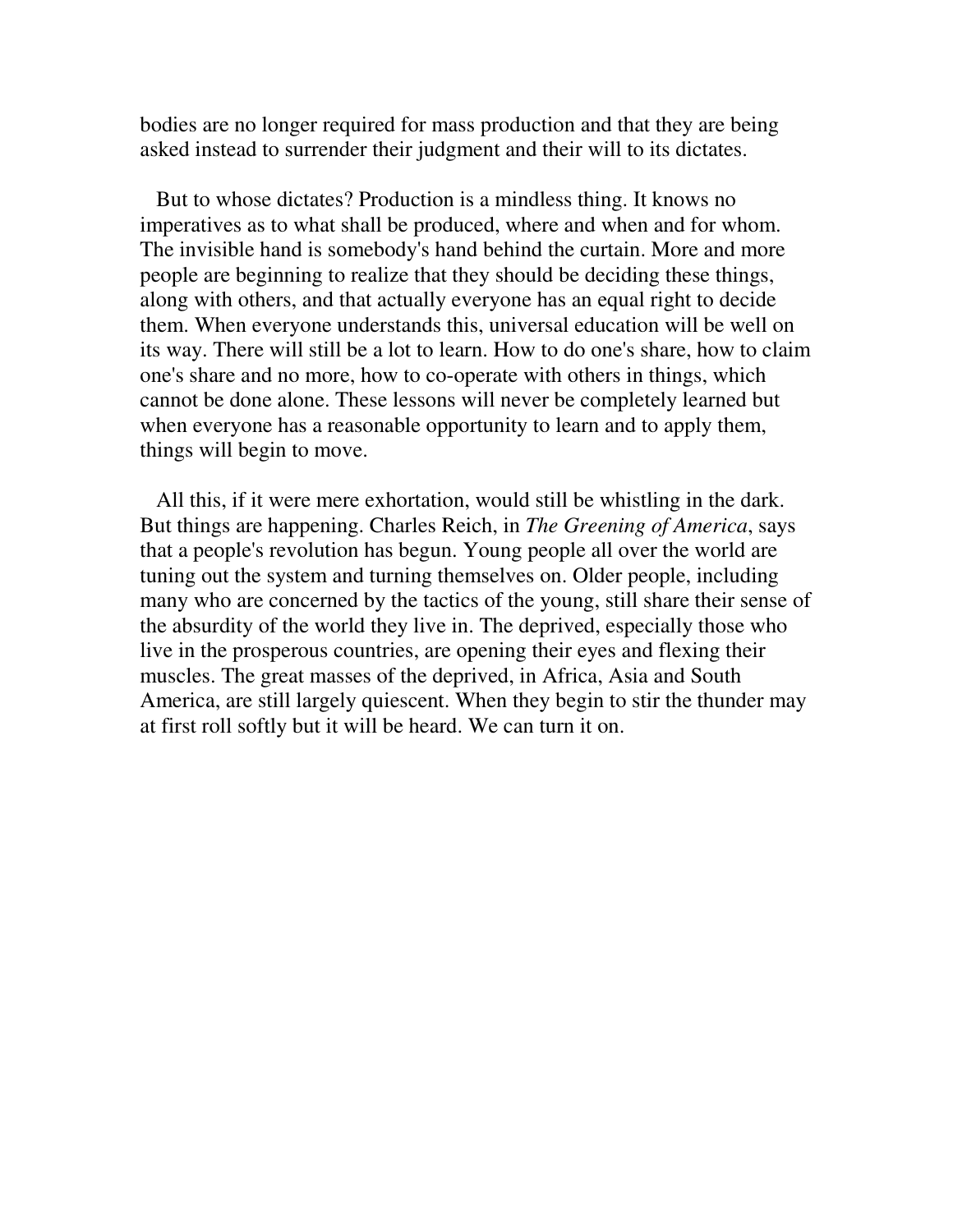bodies are no longer required for mass production and that they are being asked instead to surrender their judgment and their will to its dictates.

 But to whose dictates? Production is a mindless thing. It knows no imperatives as to what shall be produced, where and when and for whom. The invisible hand is somebody's hand behind the curtain. More and more people are beginning to realize that they should be deciding these things, along with others, and that actually everyone has an equal right to decide them. When everyone understands this, universal education will be well on its way. There will still be a lot to learn. How to do one's share, how to claim one's share and no more, how to co-operate with others in things, which cannot be done alone. These lessons will never be completely learned but when everyone has a reasonable opportunity to learn and to apply them, things will begin to move.

 All this, if it were mere exhortation, would still be whistling in the dark. But things are happening. Charles Reich, in *The Greening of America*, says that a people's revolution has begun. Young people all over the world are tuning out the system and turning themselves on. Older people, including many who are concerned by the tactics of the young, still share their sense of the absurdity of the world they live in. The deprived, especially those who live in the prosperous countries, are opening their eyes and flexing their muscles. The great masses of the deprived, in Africa, Asia and South America, are still largely quiescent. When they begin to stir the thunder may at first roll softly but it will be heard. We can turn it on.